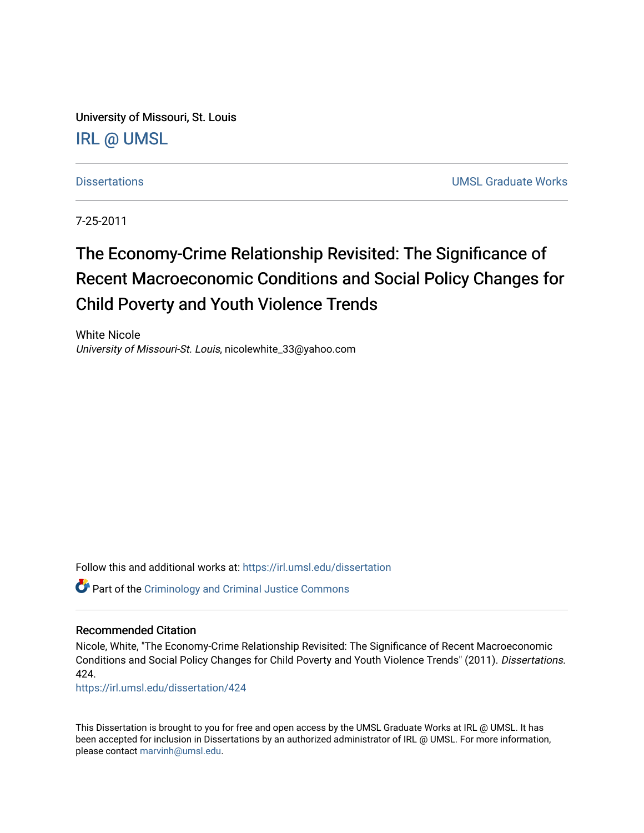University of Missouri, St. Louis [IRL @ UMSL](https://irl.umsl.edu/) 

[Dissertations](https://irl.umsl.edu/dissertation) [UMSL Graduate Works](https://irl.umsl.edu/grad) 

7-25-2011

# The Economy-Crime Relationship Revisited: The Significance of Recent Macroeconomic Conditions and Social Policy Changes for Child Poverty and Youth Violence Trends

White Nicole University of Missouri-St. Louis, nicolewhite\_33@yahoo.com

Follow this and additional works at: [https://irl.umsl.edu/dissertation](https://irl.umsl.edu/dissertation?utm_source=irl.umsl.edu%2Fdissertation%2F424&utm_medium=PDF&utm_campaign=PDFCoverPages)

Part of the [Criminology and Criminal Justice Commons](http://network.bepress.com/hgg/discipline/367?utm_source=irl.umsl.edu%2Fdissertation%2F424&utm_medium=PDF&utm_campaign=PDFCoverPages)

#### Recommended Citation

Nicole, White, "The Economy-Crime Relationship Revisited: The Significance of Recent Macroeconomic Conditions and Social Policy Changes for Child Poverty and Youth Violence Trends" (2011). Dissertations. 424.

[https://irl.umsl.edu/dissertation/424](https://irl.umsl.edu/dissertation/424?utm_source=irl.umsl.edu%2Fdissertation%2F424&utm_medium=PDF&utm_campaign=PDFCoverPages)

This Dissertation is brought to you for free and open access by the UMSL Graduate Works at IRL @ UMSL. It has been accepted for inclusion in Dissertations by an authorized administrator of IRL @ UMSL. For more information, please contact [marvinh@umsl.edu](mailto:marvinh@umsl.edu).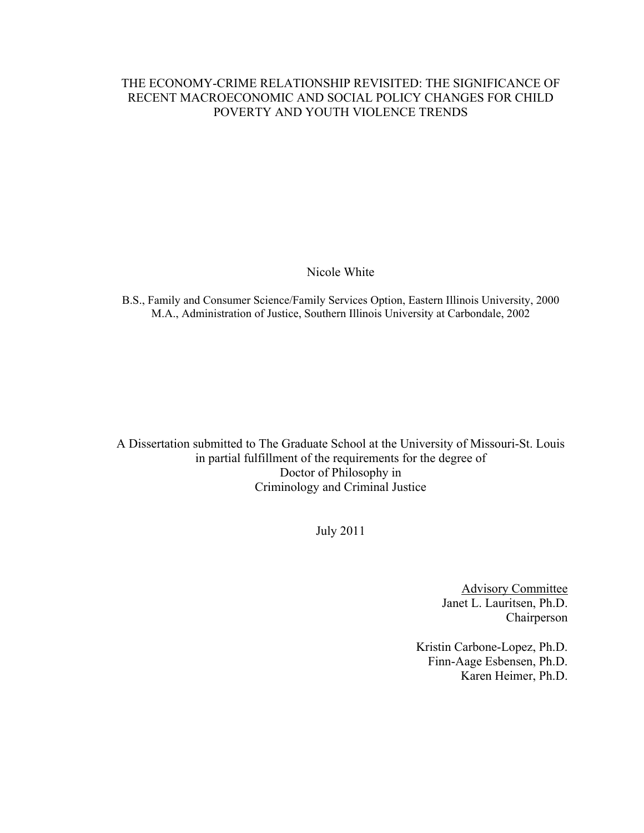## THE ECONOMY-CRIME RELATIONSHIP REVISITED: THE SIGNIFICANCE OF RECENT MACROECONOMIC AND SOCIAL POLICY CHANGES FOR CHILD POVERTY AND YOUTH VIOLENCE TRENDS

Nicole White

B.S., Family and Consumer Science/Family Services Option, Eastern Illinois University, 2000 M.A., Administration of Justice, Southern Illinois University at Carbondale, 2002

A Dissertation submitted to The Graduate School at the University of Missouri-St. Louis in partial fulfillment of the requirements for the degree of Doctor of Philosophy in Criminology and Criminal Justice

July 2011

Advisory Committee Janet L. Lauritsen, Ph.D. Chairperson

Kristin Carbone-Lopez, Ph.D. Finn-Aage Esbensen, Ph.D. Karen Heimer, Ph.D.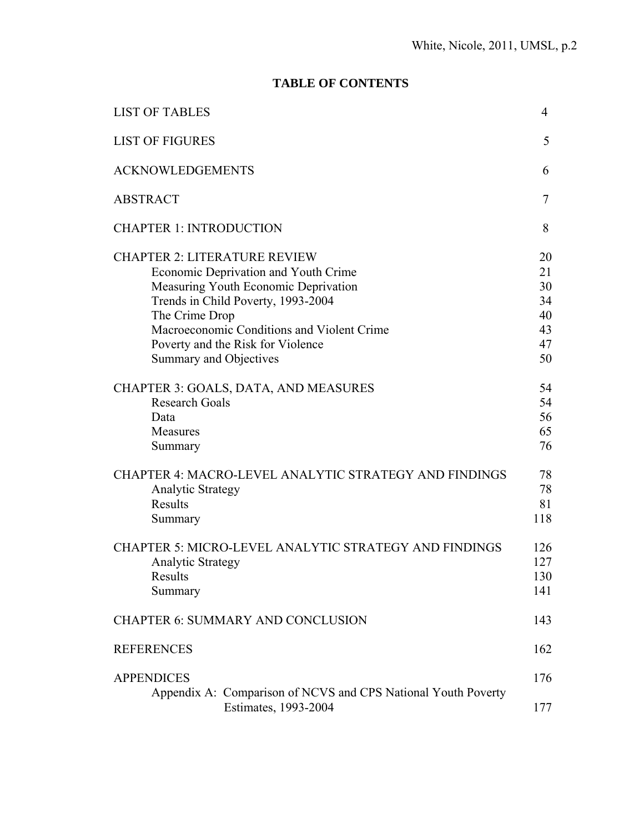# **TABLE OF CONTENTS**

| <b>LIST OF TABLES</b>                                                                                                                                                                                                                                                                    | 4                                            |
|------------------------------------------------------------------------------------------------------------------------------------------------------------------------------------------------------------------------------------------------------------------------------------------|----------------------------------------------|
| <b>LIST OF FIGURES</b>                                                                                                                                                                                                                                                                   | 5                                            |
| <b>ACKNOWLEDGEMENTS</b>                                                                                                                                                                                                                                                                  | 6                                            |
| <b>ABSTRACT</b>                                                                                                                                                                                                                                                                          | 7                                            |
| <b>CHAPTER 1: INTRODUCTION</b>                                                                                                                                                                                                                                                           | 8                                            |
| <b>CHAPTER 2: LITERATURE REVIEW</b><br>Economic Deprivation and Youth Crime<br>Measuring Youth Economic Deprivation<br>Trends in Child Poverty, 1993-2004<br>The Crime Drop<br>Macroeconomic Conditions and Violent Crime<br>Poverty and the Risk for Violence<br>Summary and Objectives | 20<br>21<br>30<br>34<br>40<br>43<br>47<br>50 |
| CHAPTER 3: GOALS, DATA, AND MEASURES<br><b>Research Goals</b><br>Data<br>Measures<br>Summary                                                                                                                                                                                             | 54<br>54<br>56<br>65<br>76                   |
| <b>CHAPTER 4: MACRO-LEVEL ANALYTIC STRATEGY AND FINDINGS</b><br><b>Analytic Strategy</b><br><b>Results</b><br>Summary                                                                                                                                                                    | 78<br>78<br>81<br>118                        |
| <b>CHAPTER 5: MICRO-LEVEL ANALYTIC STRATEGY AND FINDINGS</b><br><b>Analytic Strategy</b><br>Results<br>Summary                                                                                                                                                                           | 126<br>127<br>130<br>141                     |
| <b>CHAPTER 6: SUMMARY AND CONCLUSION</b>                                                                                                                                                                                                                                                 | 143                                          |
| <b>REFERENCES</b>                                                                                                                                                                                                                                                                        | 162                                          |
| <b>APPENDICES</b><br>Appendix A: Comparison of NCVS and CPS National Youth Poverty<br>Estimates, 1993-2004                                                                                                                                                                               | 176<br>177                                   |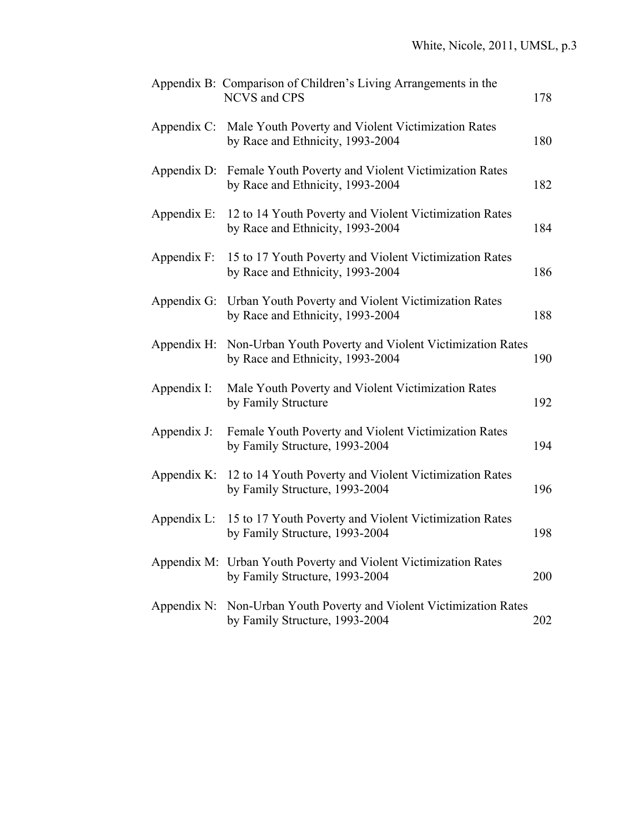|                | Appendix B: Comparison of Children's Living Arrangements in the<br><b>NCVS</b> and CPS                  | 178 |
|----------------|---------------------------------------------------------------------------------------------------------|-----|
|                | Appendix C: Male Youth Poverty and Violent Victimization Rates<br>by Race and Ethnicity, 1993-2004      | 180 |
|                | Appendix D: Female Youth Poverty and Violent Victimization Rates<br>by Race and Ethnicity, 1993-2004    | 182 |
| Appendix E:    | 12 to 14 Youth Poverty and Violent Victimization Rates<br>by Race and Ethnicity, 1993-2004              | 184 |
| Appendix F:    | 15 to 17 Youth Poverty and Violent Victimization Rates<br>by Race and Ethnicity, 1993-2004              | 186 |
|                | Appendix G: Urban Youth Poverty and Violent Victimization Rates<br>by Race and Ethnicity, 1993-2004     | 188 |
|                | Appendix H: Non-Urban Youth Poverty and Violent Victimization Rates<br>by Race and Ethnicity, 1993-2004 | 190 |
| Appendix I:    | Male Youth Poverty and Violent Victimization Rates<br>by Family Structure                               | 192 |
| Appendix J:    | Female Youth Poverty and Violent Victimization Rates<br>by Family Structure, 1993-2004                  | 194 |
|                | Appendix K: 12 to 14 Youth Poverty and Violent Victimization Rates<br>by Family Structure, 1993-2004    | 196 |
| Appendix $L$ : | 15 to 17 Youth Poverty and Violent Victimization Rates<br>by Family Structure, 1993-2004                | 198 |
|                | Appendix M: Urban Youth Poverty and Violent Victimization Rates<br>by Family Structure, 1993-2004       | 200 |
|                | Appendix N: Non-Urban Youth Poverty and Violent Victimization Rates<br>by Family Structure, 1993-2004   | 202 |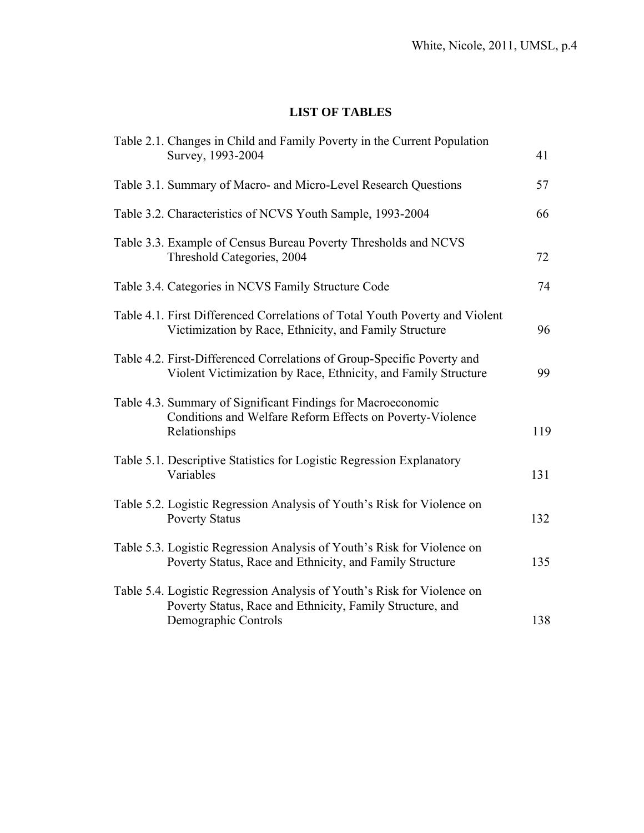# **LIST OF TABLES**

| Table 2.1. Changes in Child and Family Poverty in the Current Population<br>Survey, 1993-2004                                                                | 41  |
|--------------------------------------------------------------------------------------------------------------------------------------------------------------|-----|
| Table 3.1. Summary of Macro- and Micro-Level Research Questions                                                                                              | 57  |
| Table 3.2. Characteristics of NCVS Youth Sample, 1993-2004                                                                                                   | 66  |
| Table 3.3. Example of Census Bureau Poverty Thresholds and NCVS<br>Threshold Categories, 2004                                                                | 72  |
| Table 3.4. Categories in NCVS Family Structure Code                                                                                                          | 74  |
| Table 4.1. First Differenced Correlations of Total Youth Poverty and Violent<br>Victimization by Race, Ethnicity, and Family Structure                       | 96  |
| Table 4.2. First-Differenced Correlations of Group-Specific Poverty and<br>Violent Victimization by Race, Ethnicity, and Family Structure                    | 99  |
| Table 4.3. Summary of Significant Findings for Macroeconomic<br>Conditions and Welfare Reform Effects on Poverty-Violence<br>Relationships                   | 119 |
| Table 5.1. Descriptive Statistics for Logistic Regression Explanatory<br>Variables                                                                           | 131 |
| Table 5.2. Logistic Regression Analysis of Youth's Risk for Violence on<br><b>Poverty Status</b>                                                             | 132 |
| Table 5.3. Logistic Regression Analysis of Youth's Risk for Violence on<br>Poverty Status, Race and Ethnicity, and Family Structure                          | 135 |
| Table 5.4. Logistic Regression Analysis of Youth's Risk for Violence on<br>Poverty Status, Race and Ethnicity, Family Structure, and<br>Demographic Controls | 138 |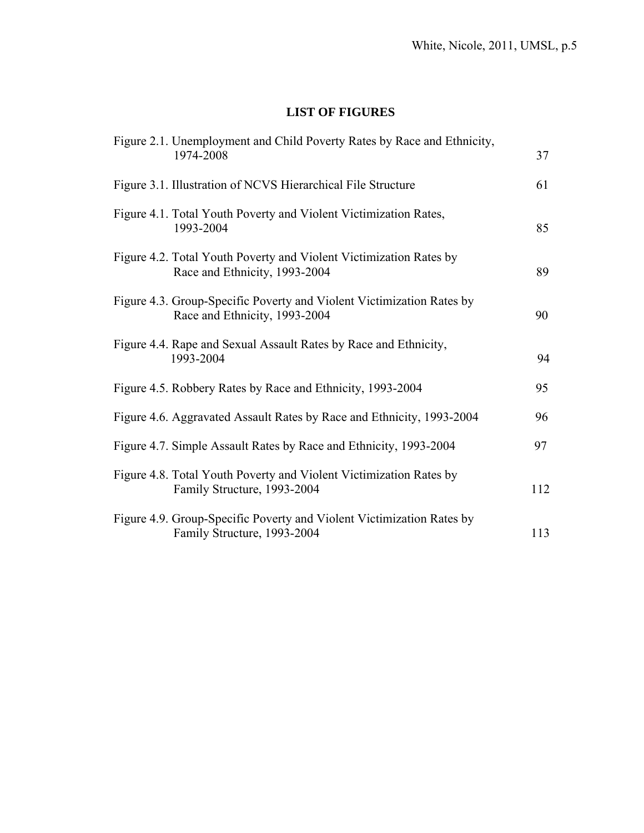# **LIST OF FIGURES**

| Figure 2.1. Unemployment and Child Poverty Rates by Race and Ethnicity,                                |     |
|--------------------------------------------------------------------------------------------------------|-----|
| 1974-2008                                                                                              | 37  |
| Figure 3.1. Illustration of NCVS Hierarchical File Structure                                           | 61  |
| Figure 4.1. Total Youth Poverty and Violent Victimization Rates,<br>1993-2004                          | 85  |
| Figure 4.2. Total Youth Poverty and Violent Victimization Rates by<br>Race and Ethnicity, 1993-2004    | 89  |
| Figure 4.3. Group-Specific Poverty and Violent Victimization Rates by<br>Race and Ethnicity, 1993-2004 | 90  |
| Figure 4.4. Rape and Sexual Assault Rates by Race and Ethnicity,<br>1993-2004                          | 94  |
| Figure 4.5. Robbery Rates by Race and Ethnicity, 1993-2004                                             | 95  |
| Figure 4.6. Aggravated Assault Rates by Race and Ethnicity, 1993-2004                                  | 96  |
| Figure 4.7. Simple Assault Rates by Race and Ethnicity, 1993-2004                                      | 97  |
| Figure 4.8. Total Youth Poverty and Violent Victimization Rates by<br>Family Structure, 1993-2004      | 112 |
| Figure 4.9. Group-Specific Poverty and Violent Victimization Rates by<br>Family Structure, 1993-2004   | 113 |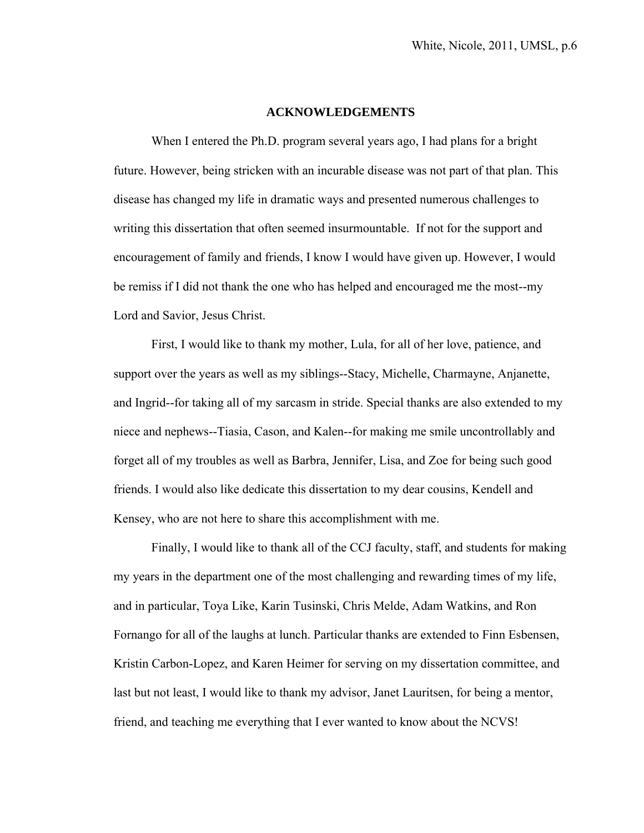#### **ACKNOWLEDGEMENTS**

 When I entered the Ph.D. program several years ago, I had plans for a bright future. However, being stricken with an incurable disease was not part of that plan. This disease has changed my life in dramatic ways and presented numerous challenges to writing this dissertation that often seemed insurmountable. If not for the support and encouragement of family and friends, I know I would have given up. However, I would be remiss if I did not thank the one who has helped and encouraged me the most--my Lord and Savior, Jesus Christ.

 First, I would like to thank my mother, Lula, for all of her love, patience, and support over the years as well as my siblings--Stacy, Michelle, Charmayne, Anjanette, and Ingrid--for taking all of my sarcasm in stride. Special thanks are also extended to my niece and nephews--Tiasia, Cason, and Kalen--for making me smile uncontrollably and forget all of my troubles as well as Barbra, Jennifer, Lisa, and Zoe for being such good friends. I would also like dedicate this dissertation to my dear cousins, Kendell and Kensey, who are not here to share this accomplishment with me.

 Finally, I would like to thank all of the CCJ faculty, staff, and students for making my years in the department one of the most challenging and rewarding times of my life, and in particular, Toya Like, Karin Tusinski, Chris Melde, Adam Watkins, and Ron Fornango for all of the laughs at lunch. Particular thanks are extended to Finn Esbensen, Kristin Carbon-Lopez, and Karen Heimer for serving on my dissertation committee, and last but not least, I would like to thank my advisor, Janet Lauritsen, for being a mentor, friend, and teaching me everything that I ever wanted to know about the NCVS!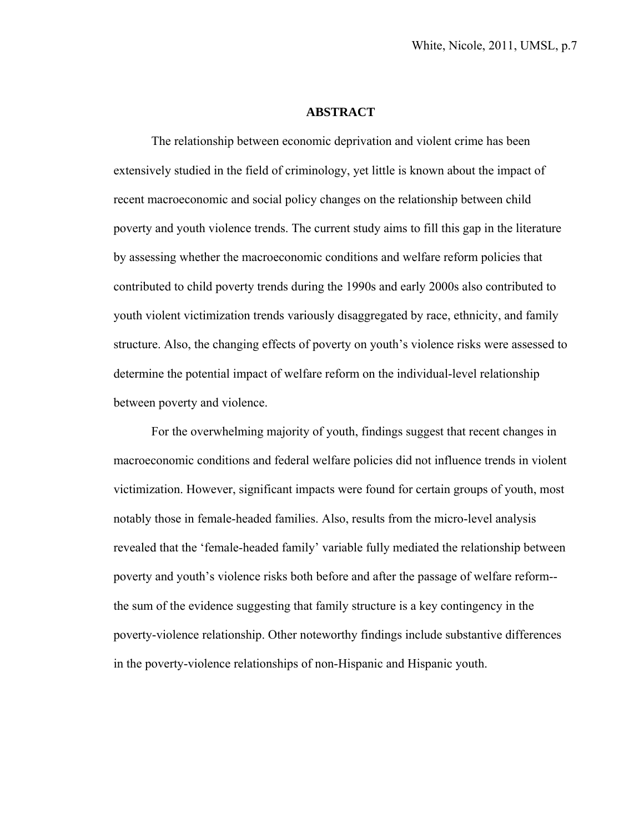#### **ABSTRACT**

The relationship between economic deprivation and violent crime has been extensively studied in the field of criminology, yet little is known about the impact of recent macroeconomic and social policy changes on the relationship between child poverty and youth violence trends. The current study aims to fill this gap in the literature by assessing whether the macroeconomic conditions and welfare reform policies that contributed to child poverty trends during the 1990s and early 2000s also contributed to youth violent victimization trends variously disaggregated by race, ethnicity, and family structure. Also, the changing effects of poverty on youth's violence risks were assessed to determine the potential impact of welfare reform on the individual-level relationship between poverty and violence.

 For the overwhelming majority of youth, findings suggest that recent changes in macroeconomic conditions and federal welfare policies did not influence trends in violent victimization. However, significant impacts were found for certain groups of youth, most notably those in female-headed families. Also, results from the micro-level analysis revealed that the 'female-headed family' variable fully mediated the relationship between poverty and youth's violence risks both before and after the passage of welfare reform- the sum of the evidence suggesting that family structure is a key contingency in the poverty-violence relationship. Other noteworthy findings include substantive differences in the poverty-violence relationships of non-Hispanic and Hispanic youth.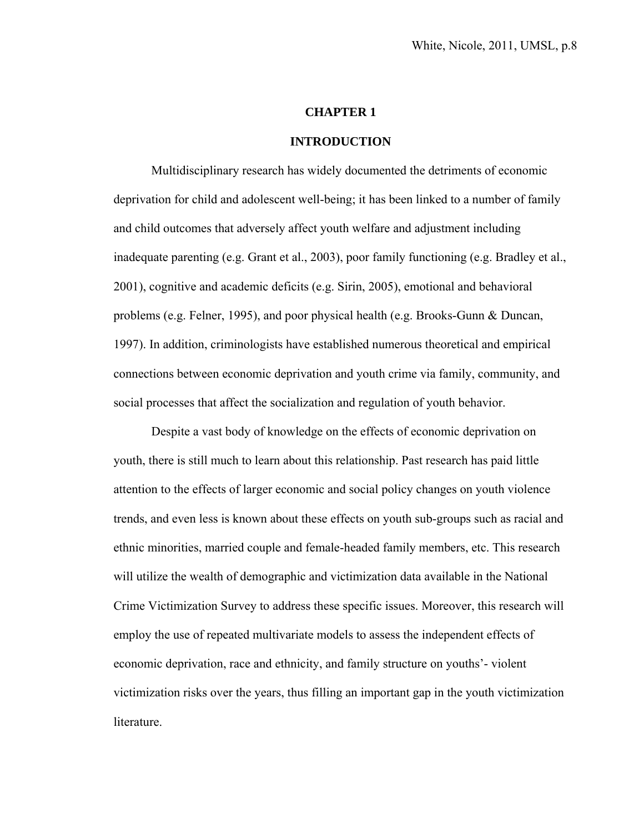#### **CHAPTER 1**

#### **INTRODUCTION**

 Multidisciplinary research has widely documented the detriments of economic deprivation for child and adolescent well-being; it has been linked to a number of family and child outcomes that adversely affect youth welfare and adjustment including inadequate parenting (e.g. Grant et al., 2003), poor family functioning (e.g. Bradley et al., 2001), cognitive and academic deficits (e.g. Sirin, 2005), emotional and behavioral problems (e.g. Felner, 1995), and poor physical health (e.g. Brooks-Gunn & Duncan, 1997). In addition, criminologists have established numerous theoretical and empirical connections between economic deprivation and youth crime via family, community, and social processes that affect the socialization and regulation of youth behavior.

Despite a vast body of knowledge on the effects of economic deprivation on youth, there is still much to learn about this relationship. Past research has paid little attention to the effects of larger economic and social policy changes on youth violence trends, and even less is known about these effects on youth sub-groups such as racial and ethnic minorities, married couple and female-headed family members, etc. This research will utilize the wealth of demographic and victimization data available in the National Crime Victimization Survey to address these specific issues. Moreover, this research will employ the use of repeated multivariate models to assess the independent effects of economic deprivation, race and ethnicity, and family structure on youths'- violent victimization risks over the years, thus filling an important gap in the youth victimization literature.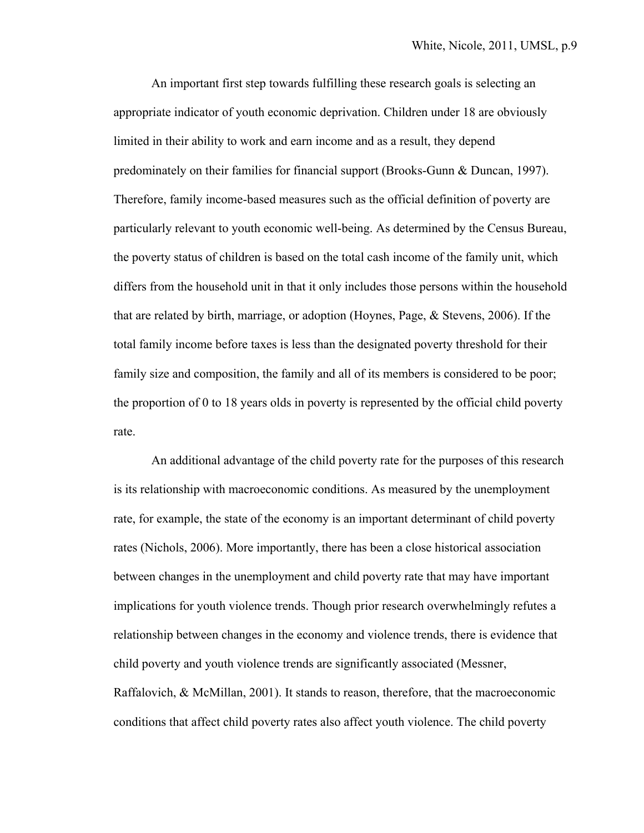An important first step towards fulfilling these research goals is selecting an appropriate indicator of youth economic deprivation. Children under 18 are obviously limited in their ability to work and earn income and as a result, they depend predominately on their families for financial support (Brooks-Gunn & Duncan, 1997). Therefore, family income-based measures such as the official definition of poverty are particularly relevant to youth economic well-being. As determined by the Census Bureau, the poverty status of children is based on the total cash income of the family unit, which differs from the household unit in that it only includes those persons within the household that are related by birth, marriage, or adoption (Hoynes, Page, & Stevens, 2006). If the total family income before taxes is less than the designated poverty threshold for their family size and composition, the family and all of its members is considered to be poor; the proportion of 0 to 18 years olds in poverty is represented by the official child poverty rate.

 An additional advantage of the child poverty rate for the purposes of this research is its relationship with macroeconomic conditions. As measured by the unemployment rate, for example, the state of the economy is an important determinant of child poverty rates (Nichols, 2006). More importantly, there has been a close historical association between changes in the unemployment and child poverty rate that may have important implications for youth violence trends. Though prior research overwhelmingly refutes a relationship between changes in the economy and violence trends, there is evidence that child poverty and youth violence trends are significantly associated (Messner, Raffalovich, & McMillan, 2001). It stands to reason, therefore, that the macroeconomic conditions that affect child poverty rates also affect youth violence. The child poverty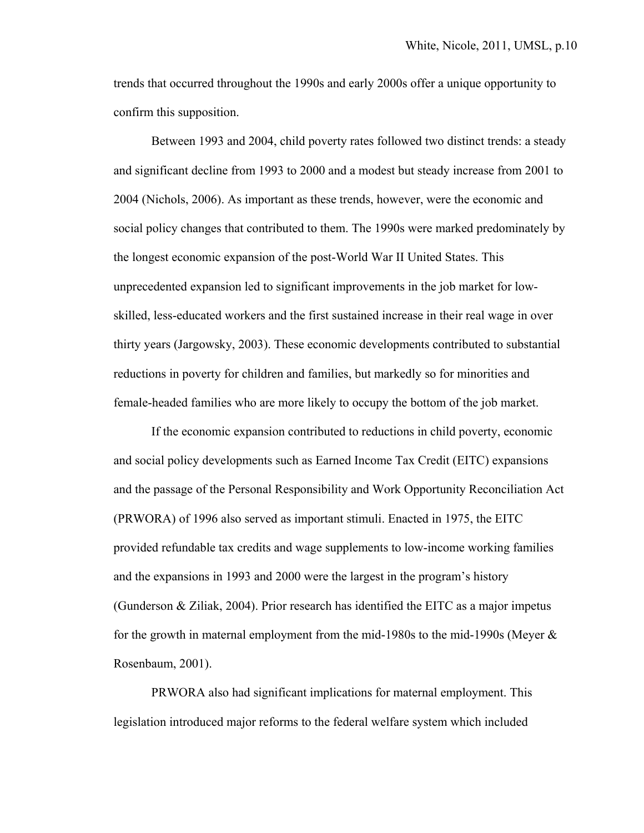trends that occurred throughout the 1990s and early 2000s offer a unique opportunity to confirm this supposition.

 Between 1993 and 2004, child poverty rates followed two distinct trends: a steady and significant decline from 1993 to 2000 and a modest but steady increase from 2001 to 2004 (Nichols, 2006). As important as these trends, however, were the economic and social policy changes that contributed to them. The 1990s were marked predominately by the longest economic expansion of the post-World War II United States. This unprecedented expansion led to significant improvements in the job market for lowskilled, less-educated workers and the first sustained increase in their real wage in over thirty years (Jargowsky, 2003). These economic developments contributed to substantial reductions in poverty for children and families, but markedly so for minorities and female-headed families who are more likely to occupy the bottom of the job market.

 If the economic expansion contributed to reductions in child poverty, economic and social policy developments such as Earned Income Tax Credit (EITC) expansions and the passage of the Personal Responsibility and Work Opportunity Reconciliation Act (PRWORA) of 1996 also served as important stimuli. Enacted in 1975, the EITC provided refundable tax credits and wage supplements to low-income working families and the expansions in 1993 and 2000 were the largest in the program's history (Gunderson & Ziliak, 2004). Prior research has identified the EITC as a major impetus for the growth in maternal employment from the mid-1980s to the mid-1990s (Meyer & Rosenbaum, 2001).

PRWORA also had significant implications for maternal employment. This legislation introduced major reforms to the federal welfare system which included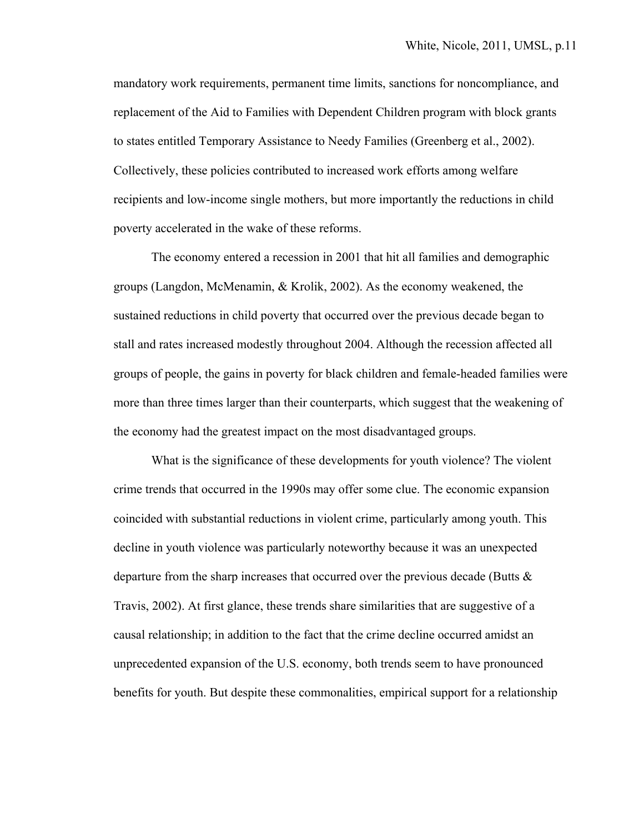mandatory work requirements, permanent time limits, sanctions for noncompliance, and replacement of the Aid to Families with Dependent Children program with block grants to states entitled Temporary Assistance to Needy Families (Greenberg et al., 2002). Collectively, these policies contributed to increased work efforts among welfare recipients and low-income single mothers, but more importantly the reductions in child poverty accelerated in the wake of these reforms.

The economy entered a recession in 2001 that hit all families and demographic groups (Langdon, McMenamin, & Krolik, 2002). As the economy weakened, the sustained reductions in child poverty that occurred over the previous decade began to stall and rates increased modestly throughout 2004. Although the recession affected all groups of people, the gains in poverty for black children and female-headed families were more than three times larger than their counterparts, which suggest that the weakening of the economy had the greatest impact on the most disadvantaged groups.

What is the significance of these developments for youth violence? The violent crime trends that occurred in the 1990s may offer some clue. The economic expansion coincided with substantial reductions in violent crime, particularly among youth. This decline in youth violence was particularly noteworthy because it was an unexpected departure from the sharp increases that occurred over the previous decade (Butts  $\&$ Travis, 2002). At first glance, these trends share similarities that are suggestive of a causal relationship; in addition to the fact that the crime decline occurred amidst an unprecedented expansion of the U.S. economy, both trends seem to have pronounced benefits for youth. But despite these commonalities, empirical support for a relationship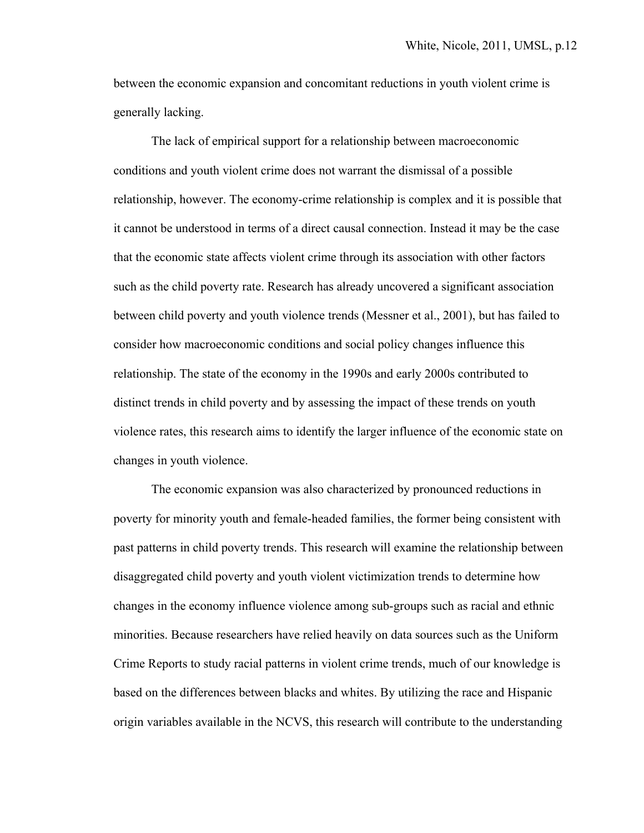between the economic expansion and concomitant reductions in youth violent crime is generally lacking.

 The lack of empirical support for a relationship between macroeconomic conditions and youth violent crime does not warrant the dismissal of a possible relationship, however. The economy-crime relationship is complex and it is possible that it cannot be understood in terms of a direct causal connection. Instead it may be the case that the economic state affects violent crime through its association with other factors such as the child poverty rate. Research has already uncovered a significant association between child poverty and youth violence trends (Messner et al., 2001), but has failed to consider how macroeconomic conditions and social policy changes influence this relationship. The state of the economy in the 1990s and early 2000s contributed to distinct trends in child poverty and by assessing the impact of these trends on youth violence rates, this research aims to identify the larger influence of the economic state on changes in youth violence.

The economic expansion was also characterized by pronounced reductions in poverty for minority youth and female-headed families, the former being consistent with past patterns in child poverty trends. This research will examine the relationship between disaggregated child poverty and youth violent victimization trends to determine how changes in the economy influence violence among sub-groups such as racial and ethnic minorities. Because researchers have relied heavily on data sources such as the Uniform Crime Reports to study racial patterns in violent crime trends, much of our knowledge is based on the differences between blacks and whites. By utilizing the race and Hispanic origin variables available in the NCVS, this research will contribute to the understanding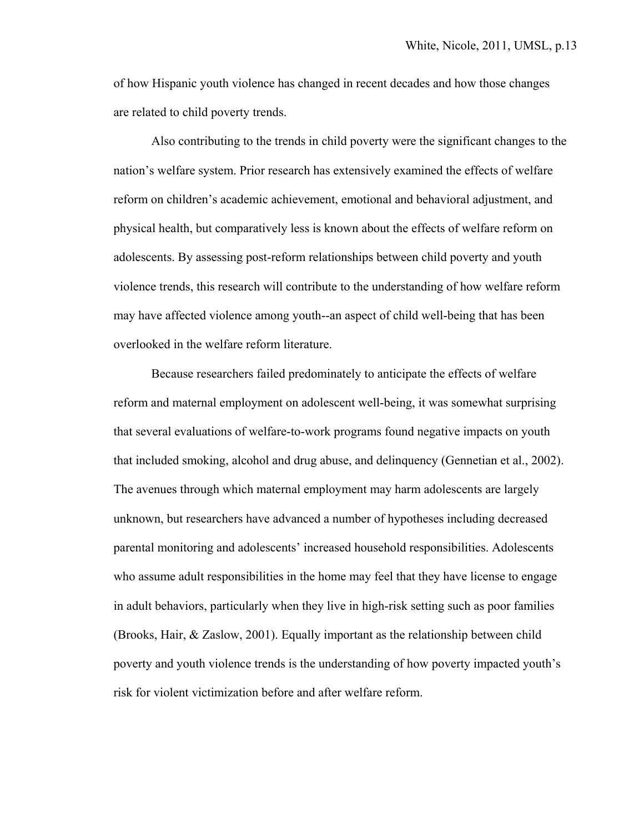of how Hispanic youth violence has changed in recent decades and how those changes are related to child poverty trends.

Also contributing to the trends in child poverty were the significant changes to the nation's welfare system. Prior research has extensively examined the effects of welfare reform on children's academic achievement, emotional and behavioral adjustment, and physical health, but comparatively less is known about the effects of welfare reform on adolescents. By assessing post-reform relationships between child poverty and youth violence trends, this research will contribute to the understanding of how welfare reform may have affected violence among youth--an aspect of child well-being that has been overlooked in the welfare reform literature.

Because researchers failed predominately to anticipate the effects of welfare reform and maternal employment on adolescent well-being, it was somewhat surprising that several evaluations of welfare-to-work programs found negative impacts on youth that included smoking, alcohol and drug abuse, and delinquency (Gennetian et al., 2002). The avenues through which maternal employment may harm adolescents are largely unknown, but researchers have advanced a number of hypotheses including decreased parental monitoring and adolescents' increased household responsibilities. Adolescents who assume adult responsibilities in the home may feel that they have license to engage in adult behaviors, particularly when they live in high-risk setting such as poor families (Brooks, Hair, & Zaslow, 2001). Equally important as the relationship between child poverty and youth violence trends is the understanding of how poverty impacted youth's risk for violent victimization before and after welfare reform.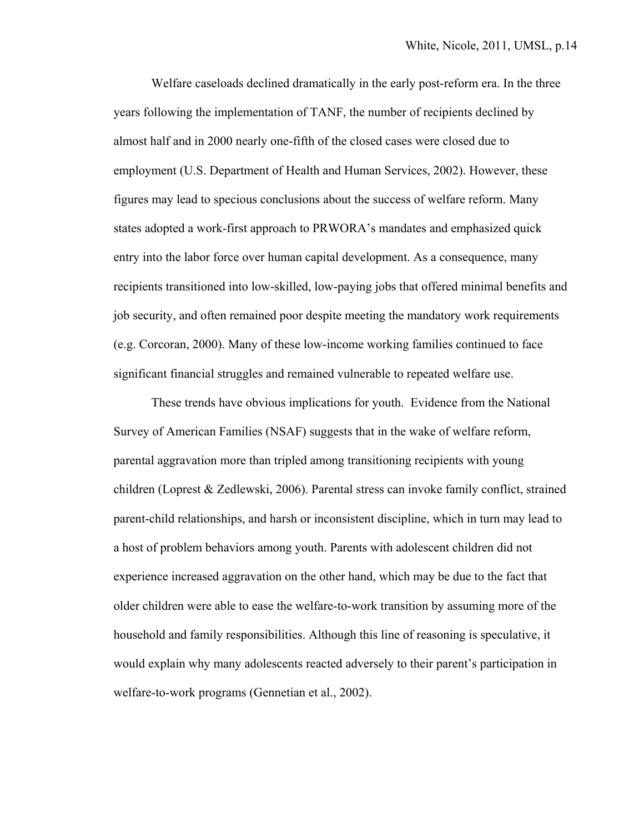Welfare caseloads declined dramatically in the early post-reform era. In the three years following the implementation of TANF, the number of recipients declined by almost half and in 2000 nearly one-fifth of the closed cases were closed due to employment (U.S. Department of Health and Human Services, 2002). However, these figures may lead to specious conclusions about the success of welfare reform. Many states adopted a work-first approach to PRWORA's mandates and emphasized quick entry into the labor force over human capital development. As a consequence, many recipients transitioned into low-skilled, low-paying jobs that offered minimal benefits and job security, and often remained poor despite meeting the mandatory work requirements (e.g. Corcoran, 2000). Many of these low-income working families continued to face significant financial struggles and remained vulnerable to repeated welfare use.

These trends have obvious implications for youth. Evidence from the National Survey of American Families (NSAF) suggests that in the wake of welfare reform, parental aggravation more than tripled among transitioning recipients with young children (Loprest & Zedlewski, 2006). Parental stress can invoke family conflict, strained parent-child relationships, and harsh or inconsistent discipline, which in turn may lead to a host of problem behaviors among youth. Parents with adolescent children did not experience increased aggravation on the other hand, which may be due to the fact that older children were able to ease the welfare-to-work transition by assuming more of the household and family responsibilities. Although this line of reasoning is speculative, it would explain why many adolescents reacted adversely to their parent's participation in welfare-to-work programs (Gennetian et al., 2002).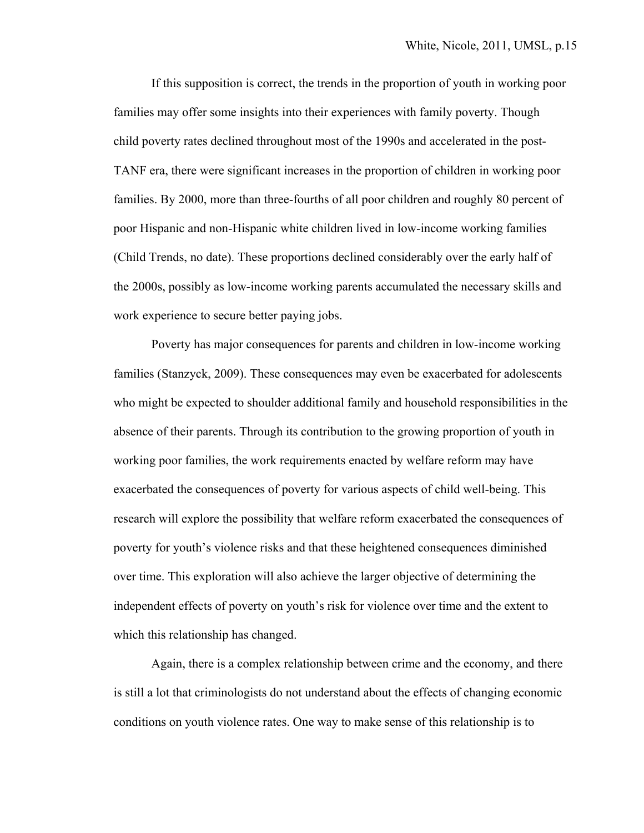If this supposition is correct, the trends in the proportion of youth in working poor families may offer some insights into their experiences with family poverty. Though child poverty rates declined throughout most of the 1990s and accelerated in the post-TANF era, there were significant increases in the proportion of children in working poor families. By 2000, more than three-fourths of all poor children and roughly 80 percent of poor Hispanic and non-Hispanic white children lived in low-income working families (Child Trends, no date). These proportions declined considerably over the early half of the 2000s, possibly as low-income working parents accumulated the necessary skills and work experience to secure better paying jobs.

Poverty has major consequences for parents and children in low-income working families (Stanzyck, 2009). These consequences may even be exacerbated for adolescents who might be expected to shoulder additional family and household responsibilities in the absence of their parents. Through its contribution to the growing proportion of youth in working poor families, the work requirements enacted by welfare reform may have exacerbated the consequences of poverty for various aspects of child well-being. This research will explore the possibility that welfare reform exacerbated the consequences of poverty for youth's violence risks and that these heightened consequences diminished over time. This exploration will also achieve the larger objective of determining the independent effects of poverty on youth's risk for violence over time and the extent to which this relationship has changed.

 Again, there is a complex relationship between crime and the economy, and there is still a lot that criminologists do not understand about the effects of changing economic conditions on youth violence rates. One way to make sense of this relationship is to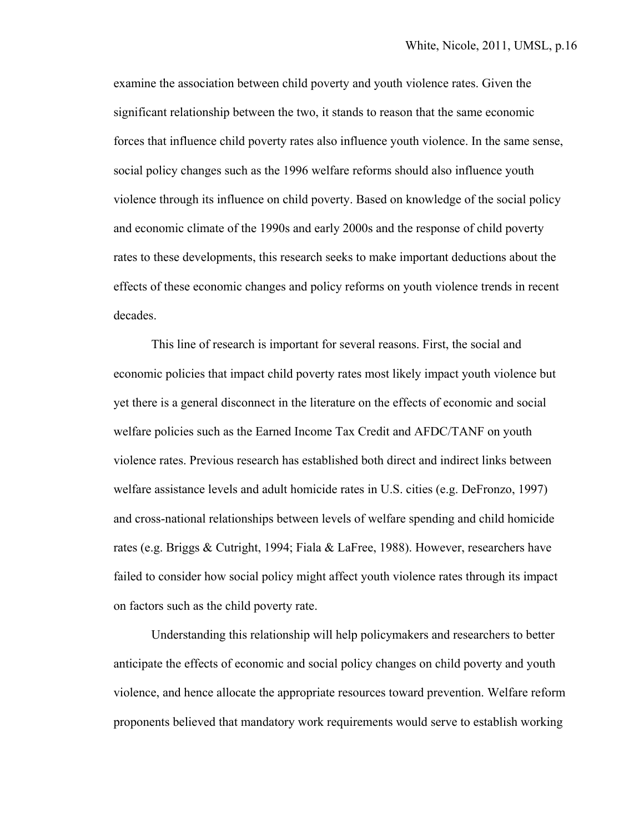examine the association between child poverty and youth violence rates. Given the significant relationship between the two, it stands to reason that the same economic forces that influence child poverty rates also influence youth violence. In the same sense, social policy changes such as the 1996 welfare reforms should also influence youth violence through its influence on child poverty. Based on knowledge of the social policy and economic climate of the 1990s and early 2000s and the response of child poverty rates to these developments, this research seeks to make important deductions about the effects of these economic changes and policy reforms on youth violence trends in recent decades.

 This line of research is important for several reasons. First, the social and economic policies that impact child poverty rates most likely impact youth violence but yet there is a general disconnect in the literature on the effects of economic and social welfare policies such as the Earned Income Tax Credit and AFDC/TANF on youth violence rates. Previous research has established both direct and indirect links between welfare assistance levels and adult homicide rates in U.S. cities (e.g. DeFronzo, 1997) and cross-national relationships between levels of welfare spending and child homicide rates (e.g. Briggs & Cutright, 1994; Fiala & LaFree, 1988). However, researchers have failed to consider how social policy might affect youth violence rates through its impact on factors such as the child poverty rate.

 Understanding this relationship will help policymakers and researchers to better anticipate the effects of economic and social policy changes on child poverty and youth violence, and hence allocate the appropriate resources toward prevention. Welfare reform proponents believed that mandatory work requirements would serve to establish working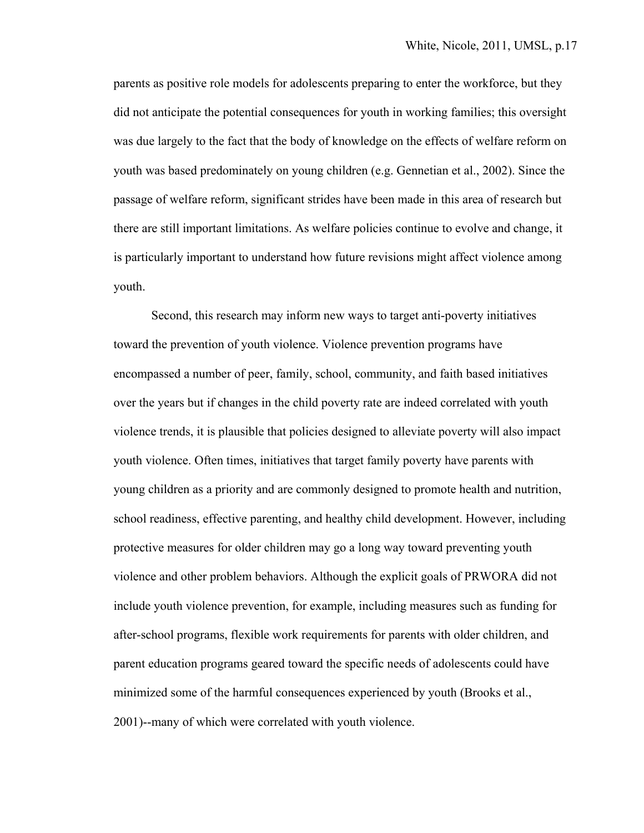parents as positive role models for adolescents preparing to enter the workforce, but they did not anticipate the potential consequences for youth in working families; this oversight was due largely to the fact that the body of knowledge on the effects of welfare reform on youth was based predominately on young children (e.g. Gennetian et al., 2002). Since the passage of welfare reform, significant strides have been made in this area of research but there are still important limitations. As welfare policies continue to evolve and change, it is particularly important to understand how future revisions might affect violence among youth.

 Second, this research may inform new ways to target anti-poverty initiatives toward the prevention of youth violence. Violence prevention programs have encompassed a number of peer, family, school, community, and faith based initiatives over the years but if changes in the child poverty rate are indeed correlated with youth violence trends, it is plausible that policies designed to alleviate poverty will also impact youth violence. Often times, initiatives that target family poverty have parents with young children as a priority and are commonly designed to promote health and nutrition, school readiness, effective parenting, and healthy child development. However, including protective measures for older children may go a long way toward preventing youth violence and other problem behaviors. Although the explicit goals of PRWORA did not include youth violence prevention, for example, including measures such as funding for after-school programs, flexible work requirements for parents with older children, and parent education programs geared toward the specific needs of adolescents could have minimized some of the harmful consequences experienced by youth (Brooks et al., 2001)--many of which were correlated with youth violence.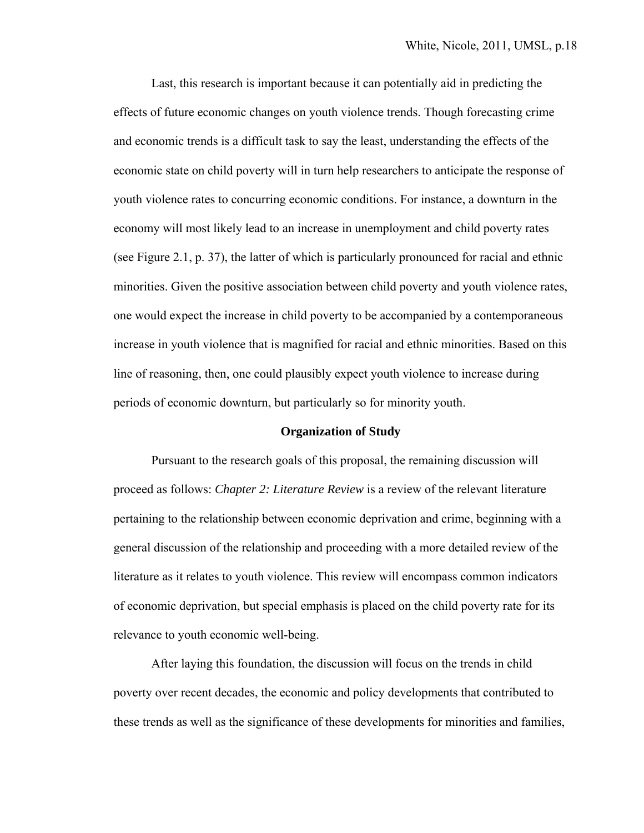Last, this research is important because it can potentially aid in predicting the effects of future economic changes on youth violence trends. Though forecasting crime and economic trends is a difficult task to say the least, understanding the effects of the economic state on child poverty will in turn help researchers to anticipate the response of youth violence rates to concurring economic conditions. For instance, a downturn in the economy will most likely lead to an increase in unemployment and child poverty rates (see Figure 2.1, p. 37), the latter of which is particularly pronounced for racial and ethnic minorities. Given the positive association between child poverty and youth violence rates, one would expect the increase in child poverty to be accompanied by a contemporaneous increase in youth violence that is magnified for racial and ethnic minorities. Based on this line of reasoning, then, one could plausibly expect youth violence to increase during periods of economic downturn, but particularly so for minority youth.

#### **Organization of Study**

 Pursuant to the research goals of this proposal, the remaining discussion will proceed as follows: *Chapter 2: Literature Review* is a review of the relevant literature pertaining to the relationship between economic deprivation and crime, beginning with a general discussion of the relationship and proceeding with a more detailed review of the literature as it relates to youth violence. This review will encompass common indicators of economic deprivation, but special emphasis is placed on the child poverty rate for its relevance to youth economic well-being.

After laying this foundation, the discussion will focus on the trends in child poverty over recent decades, the economic and policy developments that contributed to these trends as well as the significance of these developments for minorities and families,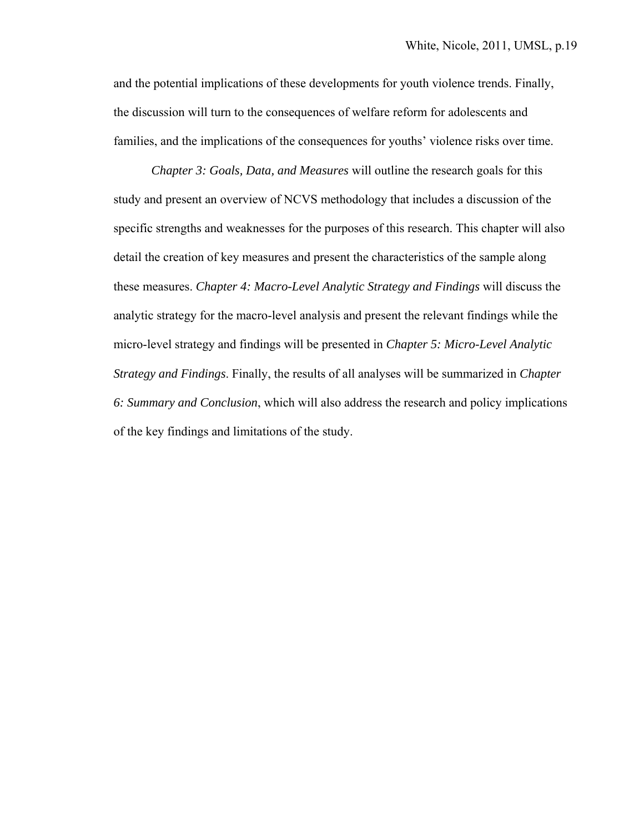and the potential implications of these developments for youth violence trends. Finally, the discussion will turn to the consequences of welfare reform for adolescents and families, and the implications of the consequences for youths' violence risks over time.

*Chapter 3: Goals, Data, and Measures* will outline the research goals for this study and present an overview of NCVS methodology that includes a discussion of the specific strengths and weaknesses for the purposes of this research. This chapter will also detail the creation of key measures and present the characteristics of the sample along these measures. *Chapter 4: Macro-Level Analytic Strategy and Findings* will discuss the analytic strategy for the macro-level analysis and present the relevant findings while the micro-level strategy and findings will be presented in *Chapter 5: Micro-Level Analytic Strategy and Findings*. Finally, the results of all analyses will be summarized in *Chapter 6: Summary and Conclusion*, which will also address the research and policy implications of the key findings and limitations of the study.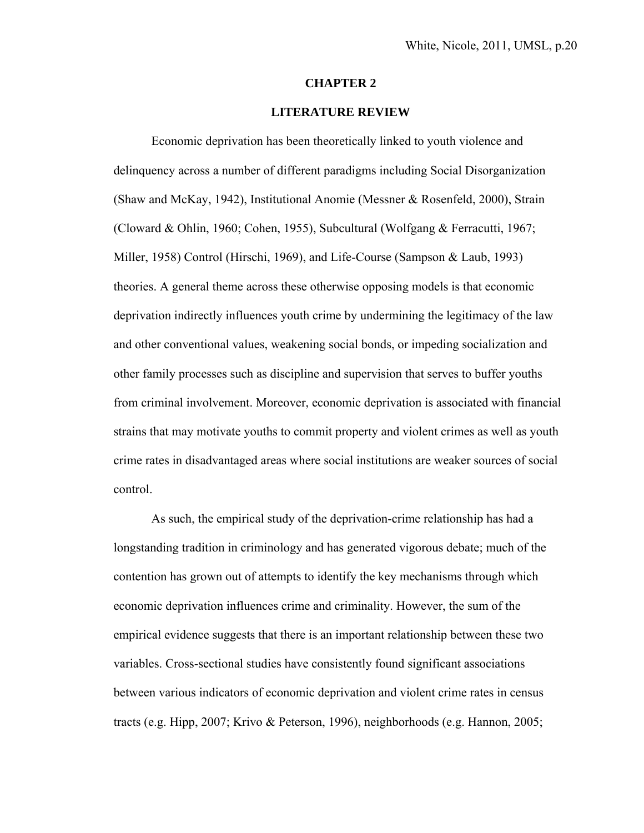#### **CHAPTER 2**

### **LITERATURE REVIEW**

 Economic deprivation has been theoretically linked to youth violence and delinquency across a number of different paradigms including Social Disorganization (Shaw and McKay, 1942), Institutional Anomie (Messner & Rosenfeld, 2000), Strain (Cloward & Ohlin, 1960; Cohen, 1955), Subcultural (Wolfgang & Ferracutti, 1967; Miller, 1958) Control (Hirschi, 1969), and Life-Course (Sampson & Laub, 1993) theories. A general theme across these otherwise opposing models is that economic deprivation indirectly influences youth crime by undermining the legitimacy of the law and other conventional values, weakening social bonds, or impeding socialization and other family processes such as discipline and supervision that serves to buffer youths from criminal involvement. Moreover, economic deprivation is associated with financial strains that may motivate youths to commit property and violent crimes as well as youth crime rates in disadvantaged areas where social institutions are weaker sources of social control.

 As such, the empirical study of the deprivation-crime relationship has had a longstanding tradition in criminology and has generated vigorous debate; much of the contention has grown out of attempts to identify the key mechanisms through which economic deprivation influences crime and criminality. However, the sum of the empirical evidence suggests that there is an important relationship between these two variables. Cross-sectional studies have consistently found significant associations between various indicators of economic deprivation and violent crime rates in census tracts (e.g. Hipp, 2007; Krivo & Peterson, 1996), neighborhoods (e.g. Hannon, 2005;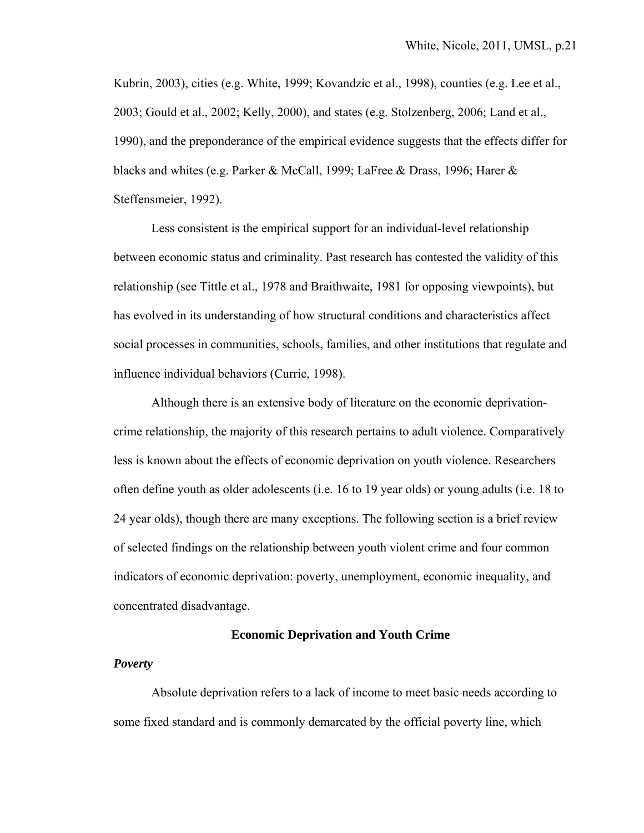Kubrin, 2003), cities (e.g. White, 1999; Kovandzic et al., 1998), counties (e.g. Lee et al., 2003; Gould et al., 2002; Kelly, 2000), and states (e.g. Stolzenberg, 2006; Land et al., 1990), and the preponderance of the empirical evidence suggests that the effects differ for blacks and whites (e.g. Parker & McCall, 1999; LaFree & Drass, 1996; Harer & Steffensmeier, 1992).

Less consistent is the empirical support for an individual-level relationship between economic status and criminality. Past research has contested the validity of this relationship (see Tittle et al., 1978 and Braithwaite, 1981 for opposing viewpoints), but has evolved in its understanding of how structural conditions and characteristics affect social processes in communities, schools, families, and other institutions that regulate and influence individual behaviors (Currie, 1998).

 Although there is an extensive body of literature on the economic deprivationcrime relationship, the majority of this research pertains to adult violence. Comparatively less is known about the effects of economic deprivation on youth violence. Researchers often define youth as older adolescents (i.e. 16 to 19 year olds) or young adults (i.e. 18 to 24 year olds), though there are many exceptions. The following section is a brief review of selected findings on the relationship between youth violent crime and four common indicators of economic deprivation: poverty, unemployment, economic inequality, and concentrated disadvantage.

#### **Economic Deprivation and Youth Crime**

#### *Poverty*

 Absolute deprivation refers to a lack of income to meet basic needs according to some fixed standard and is commonly demarcated by the official poverty line, which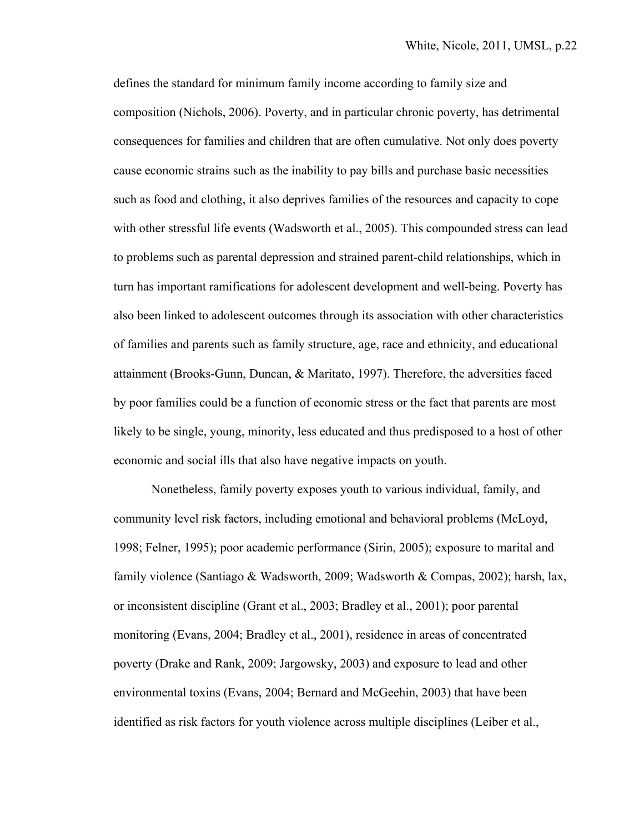defines the standard for minimum family income according to family size and composition (Nichols, 2006). Poverty, and in particular chronic poverty, has detrimental consequences for families and children that are often cumulative. Not only does poverty cause economic strains such as the inability to pay bills and purchase basic necessities such as food and clothing, it also deprives families of the resources and capacity to cope with other stressful life events (Wadsworth et al., 2005). This compounded stress can lead to problems such as parental depression and strained parent-child relationships, which in turn has important ramifications for adolescent development and well-being. Poverty has also been linked to adolescent outcomes through its association with other characteristics of families and parents such as family structure, age, race and ethnicity, and educational attainment (Brooks-Gunn, Duncan, & Maritato, 1997). Therefore, the adversities faced by poor families could be a function of economic stress or the fact that parents are most likely to be single, young, minority, less educated and thus predisposed to a host of other economic and social ills that also have negative impacts on youth.

Nonetheless, family poverty exposes youth to various individual, family, and community level risk factors, including emotional and behavioral problems (McLoyd, 1998; Felner, 1995); poor academic performance (Sirin, 2005); exposure to marital and family violence (Santiago & Wadsworth, 2009; Wadsworth & Compas, 2002); harsh, lax, or inconsistent discipline (Grant et al., 2003; Bradley et al., 2001); poor parental monitoring (Evans, 2004; Bradley et al., 2001), residence in areas of concentrated poverty (Drake and Rank, 2009; Jargowsky, 2003) and exposure to lead and other environmental toxins (Evans, 2004; Bernard and McGeehin, 2003) that have been identified as risk factors for youth violence across multiple disciplines (Leiber et al.,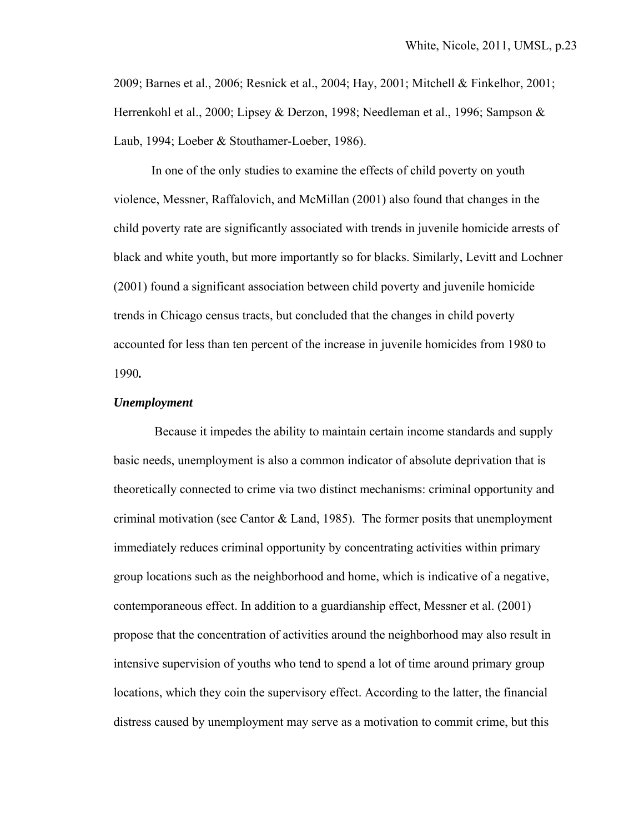2009; Barnes et al., 2006; Resnick et al., 2004; Hay, 2001; Mitchell & Finkelhor, 2001; Herrenkohl et al., 2000; Lipsey & Derzon, 1998; Needleman et al., 1996; Sampson & Laub, 1994; Loeber & Stouthamer-Loeber, 1986).

In one of the only studies to examine the effects of child poverty on youth violence, Messner, Raffalovich, and McMillan (2001) also found that changes in the child poverty rate are significantly associated with trends in juvenile homicide arrests of black and white youth, but more importantly so for blacks. Similarly, Levitt and Lochner (2001) found a significant association between child poverty and juvenile homicide trends in Chicago census tracts, but concluded that the changes in child poverty accounted for less than ten percent of the increase in juvenile homicides from 1980 to 1990*.*

#### *Unemployment*

 Because it impedes the ability to maintain certain income standards and supply basic needs, unemployment is also a common indicator of absolute deprivation that is theoretically connected to crime via two distinct mechanisms: criminal opportunity and criminal motivation (see Cantor  $&$  Land, 1985). The former posits that unemployment immediately reduces criminal opportunity by concentrating activities within primary group locations such as the neighborhood and home, which is indicative of a negative, contemporaneous effect. In addition to a guardianship effect, Messner et al. (2001) propose that the concentration of activities around the neighborhood may also result in intensive supervision of youths who tend to spend a lot of time around primary group locations, which they coin the supervisory effect. According to the latter, the financial distress caused by unemployment may serve as a motivation to commit crime, but this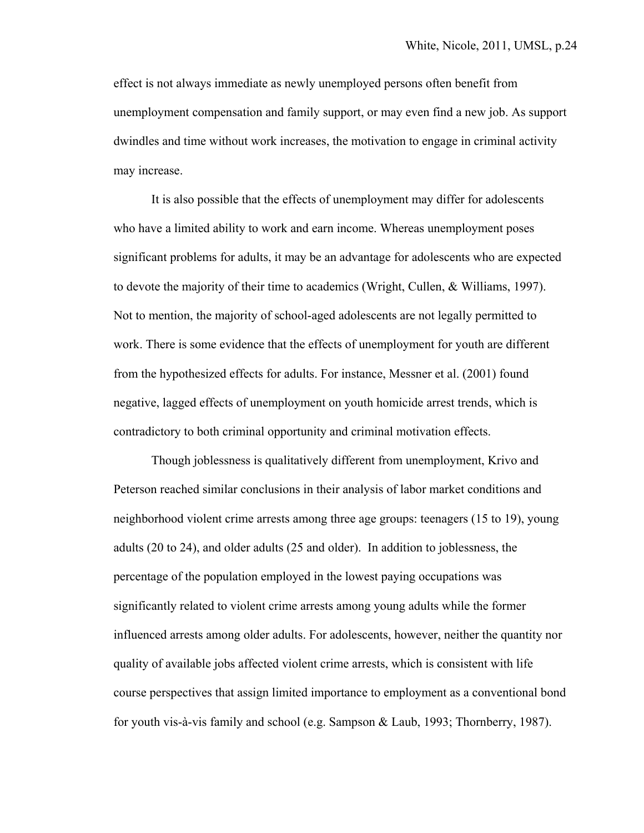effect is not always immediate as newly unemployed persons often benefit from unemployment compensation and family support, or may even find a new job. As support dwindles and time without work increases, the motivation to engage in criminal activity may increase.

It is also possible that the effects of unemployment may differ for adolescents who have a limited ability to work and earn income. Whereas unemployment poses significant problems for adults, it may be an advantage for adolescents who are expected to devote the majority of their time to academics (Wright, Cullen, & Williams, 1997). Not to mention, the majority of school-aged adolescents are not legally permitted to work. There is some evidence that the effects of unemployment for youth are different from the hypothesized effects for adults. For instance, Messner et al. (2001) found negative, lagged effects of unemployment on youth homicide arrest trends, which is contradictory to both criminal opportunity and criminal motivation effects.

Though joblessness is qualitatively different from unemployment, Krivo and Peterson reached similar conclusions in their analysis of labor market conditions and neighborhood violent crime arrests among three age groups: teenagers (15 to 19), young adults (20 to 24), and older adults (25 and older). In addition to joblessness, the percentage of the population employed in the lowest paying occupations was significantly related to violent crime arrests among young adults while the former influenced arrests among older adults. For adolescents, however, neither the quantity nor quality of available jobs affected violent crime arrests, which is consistent with life course perspectives that assign limited importance to employment as a conventional bond for youth vis-à-vis family and school (e.g. Sampson & Laub, 1993; Thornberry, 1987).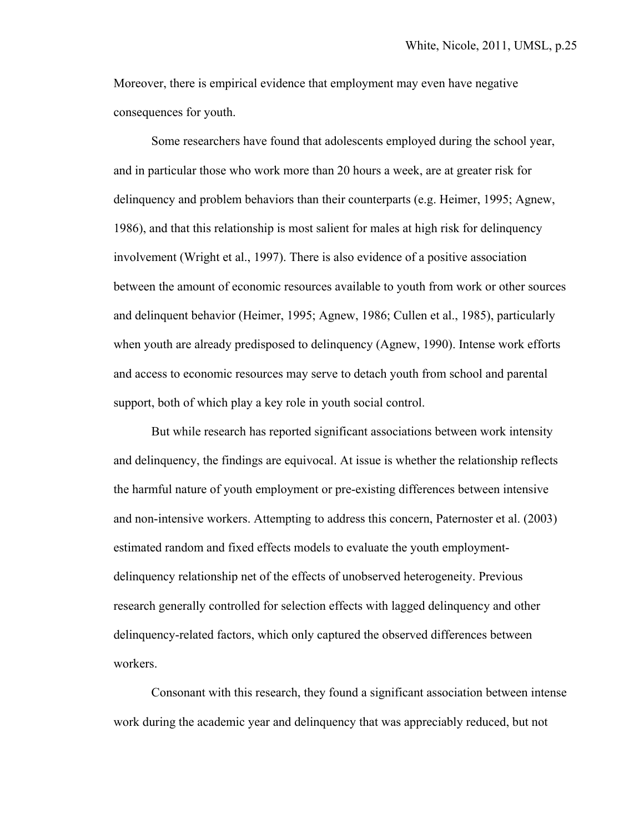Moreover, there is empirical evidence that employment may even have negative consequences for youth.

Some researchers have found that adolescents employed during the school year, and in particular those who work more than 20 hours a week, are at greater risk for delinquency and problem behaviors than their counterparts (e.g. Heimer, 1995; Agnew, 1986), and that this relationship is most salient for males at high risk for delinquency involvement (Wright et al., 1997). There is also evidence of a positive association between the amount of economic resources available to youth from work or other sources and delinquent behavior (Heimer, 1995; Agnew, 1986; Cullen et al., 1985), particularly when youth are already predisposed to delinquency (Agnew, 1990). Intense work efforts and access to economic resources may serve to detach youth from school and parental support, both of which play a key role in youth social control.

But while research has reported significant associations between work intensity and delinquency, the findings are equivocal. At issue is whether the relationship reflects the harmful nature of youth employment or pre-existing differences between intensive and non-intensive workers. Attempting to address this concern, Paternoster et al. (2003) estimated random and fixed effects models to evaluate the youth employmentdelinquency relationship net of the effects of unobserved heterogeneity. Previous research generally controlled for selection effects with lagged delinquency and other delinquency-related factors, which only captured the observed differences between workers.

 Consonant with this research, they found a significant association between intense work during the academic year and delinquency that was appreciably reduced, but not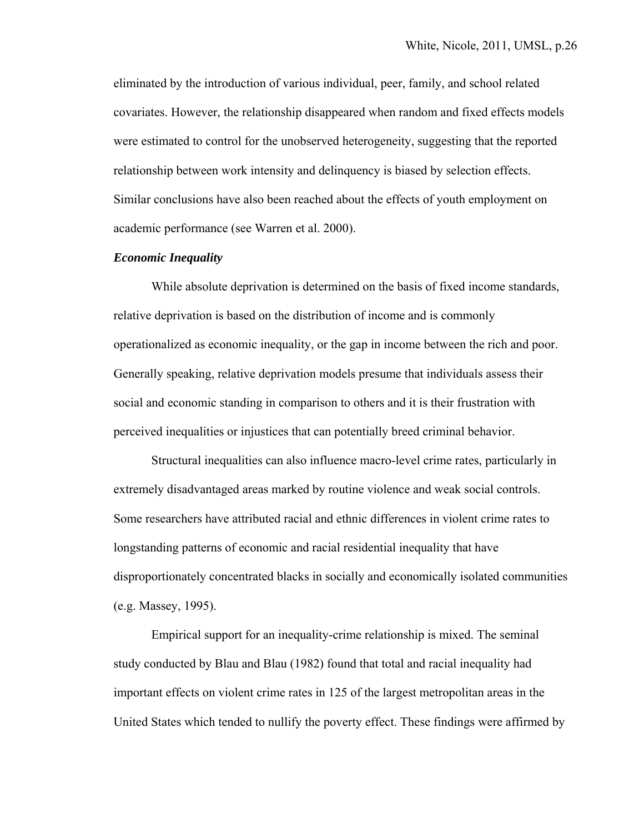eliminated by the introduction of various individual, peer, family, and school related covariates. However, the relationship disappeared when random and fixed effects models were estimated to control for the unobserved heterogeneity, suggesting that the reported relationship between work intensity and delinquency is biased by selection effects. Similar conclusions have also been reached about the effects of youth employment on academic performance (see Warren et al. 2000).

### *Economic Inequality*

While absolute deprivation is determined on the basis of fixed income standards, relative deprivation is based on the distribution of income and is commonly operationalized as economic inequality, or the gap in income between the rich and poor. Generally speaking, relative deprivation models presume that individuals assess their social and economic standing in comparison to others and it is their frustration with perceived inequalities or injustices that can potentially breed criminal behavior.

Structural inequalities can also influence macro-level crime rates, particularly in extremely disadvantaged areas marked by routine violence and weak social controls. Some researchers have attributed racial and ethnic differences in violent crime rates to longstanding patterns of economic and racial residential inequality that have disproportionately concentrated blacks in socially and economically isolated communities (e.g. Massey, 1995).

Empirical support for an inequality-crime relationship is mixed. The seminal study conducted by Blau and Blau (1982) found that total and racial inequality had important effects on violent crime rates in 125 of the largest metropolitan areas in the United States which tended to nullify the poverty effect. These findings were affirmed by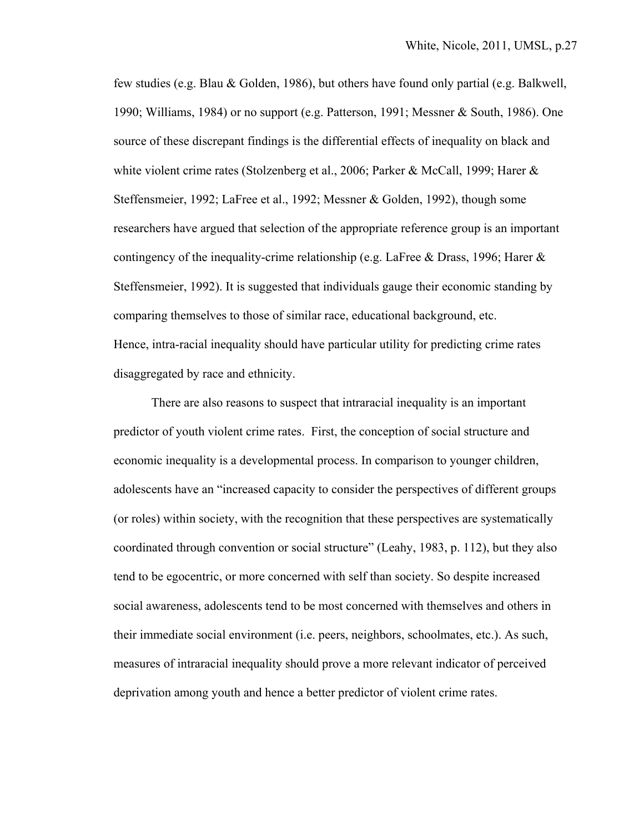few studies (e.g. Blau & Golden, 1986), but others have found only partial (e.g. Balkwell, 1990; Williams, 1984) or no support (e.g. Patterson, 1991; Messner & South, 1986). One source of these discrepant findings is the differential effects of inequality on black and white violent crime rates (Stolzenberg et al., 2006; Parker & McCall, 1999; Harer & Steffensmeier, 1992; LaFree et al., 1992; Messner & Golden, 1992), though some researchers have argued that selection of the appropriate reference group is an important contingency of the inequality-crime relationship (e.g. LaFree & Drass, 1996; Harer & Steffensmeier, 1992). It is suggested that individuals gauge their economic standing by comparing themselves to those of similar race, educational background, etc. Hence, intra-racial inequality should have particular utility for predicting crime rates disaggregated by race and ethnicity.

There are also reasons to suspect that intraracial inequality is an important predictor of youth violent crime rates. First, the conception of social structure and economic inequality is a developmental process. In comparison to younger children, adolescents have an "increased capacity to consider the perspectives of different groups (or roles) within society, with the recognition that these perspectives are systematically coordinated through convention or social structure" (Leahy, 1983, p. 112), but they also tend to be egocentric, or more concerned with self than society. So despite increased social awareness, adolescents tend to be most concerned with themselves and others in their immediate social environment (i.e. peers, neighbors, schoolmates, etc.). As such, measures of intraracial inequality should prove a more relevant indicator of perceived deprivation among youth and hence a better predictor of violent crime rates.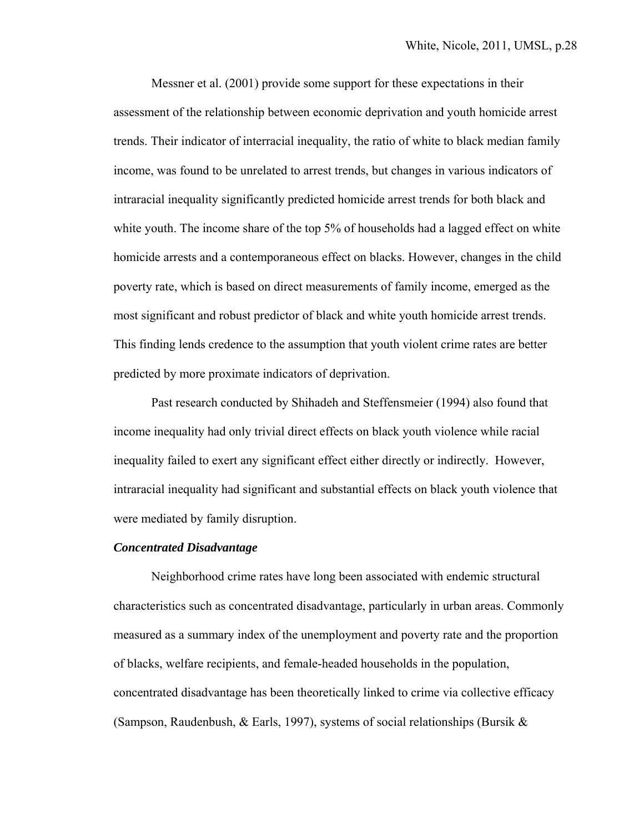Messner et al. (2001) provide some support for these expectations in their assessment of the relationship between economic deprivation and youth homicide arrest trends. Their indicator of interracial inequality, the ratio of white to black median family income, was found to be unrelated to arrest trends, but changes in various indicators of intraracial inequality significantly predicted homicide arrest trends for both black and white youth. The income share of the top 5% of households had a lagged effect on white homicide arrests and a contemporaneous effect on blacks. However, changes in the child poverty rate, which is based on direct measurements of family income, emerged as the most significant and robust predictor of black and white youth homicide arrest trends. This finding lends credence to the assumption that youth violent crime rates are better predicted by more proximate indicators of deprivation.

Past research conducted by Shihadeh and Steffensmeier (1994) also found that income inequality had only trivial direct effects on black youth violence while racial inequality failed to exert any significant effect either directly or indirectly. However, intraracial inequality had significant and substantial effects on black youth violence that were mediated by family disruption.

#### *Concentrated Disadvantage*

Neighborhood crime rates have long been associated with endemic structural characteristics such as concentrated disadvantage, particularly in urban areas. Commonly measured as a summary index of the unemployment and poverty rate and the proportion of blacks, welfare recipients, and female-headed households in the population, concentrated disadvantage has been theoretically linked to crime via collective efficacy (Sampson, Raudenbush, & Earls, 1997), systems of social relationships (Bursik &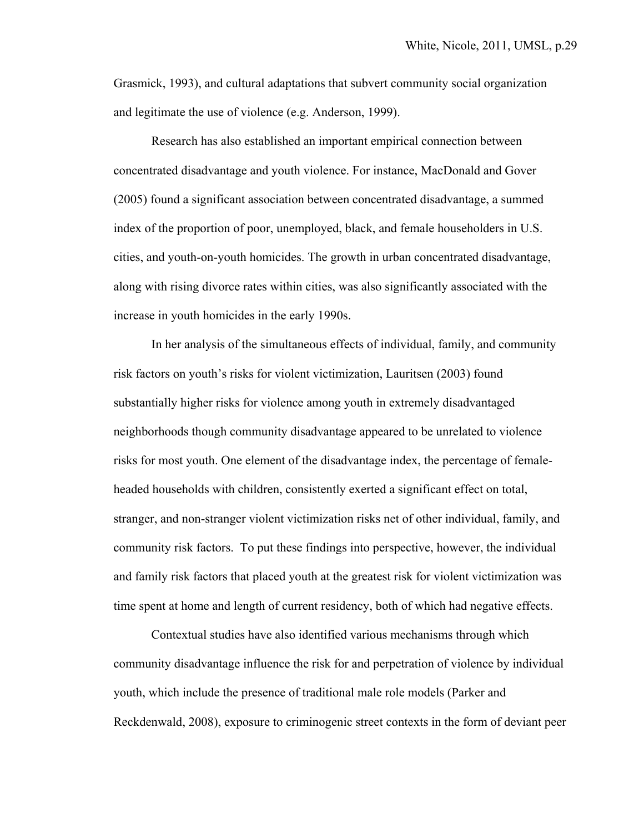Grasmick, 1993), and cultural adaptations that subvert community social organization and legitimate the use of violence (e.g. Anderson, 1999).

Research has also established an important empirical connection between concentrated disadvantage and youth violence. For instance, MacDonald and Gover (2005) found a significant association between concentrated disadvantage, a summed index of the proportion of poor, unemployed, black, and female householders in U.S. cities, and youth-on-youth homicides. The growth in urban concentrated disadvantage, along with rising divorce rates within cities, was also significantly associated with the increase in youth homicides in the early 1990s.

In her analysis of the simultaneous effects of individual, family, and community risk factors on youth's risks for violent victimization, Lauritsen (2003) found substantially higher risks for violence among youth in extremely disadvantaged neighborhoods though community disadvantage appeared to be unrelated to violence risks for most youth. One element of the disadvantage index, the percentage of femaleheaded households with children, consistently exerted a significant effect on total, stranger, and non-stranger violent victimization risks net of other individual, family, and community risk factors. To put these findings into perspective, however, the individual and family risk factors that placed youth at the greatest risk for violent victimization was time spent at home and length of current residency, both of which had negative effects.

Contextual studies have also identified various mechanisms through which community disadvantage influence the risk for and perpetration of violence by individual youth, which include the presence of traditional male role models (Parker and Reckdenwald, 2008), exposure to criminogenic street contexts in the form of deviant peer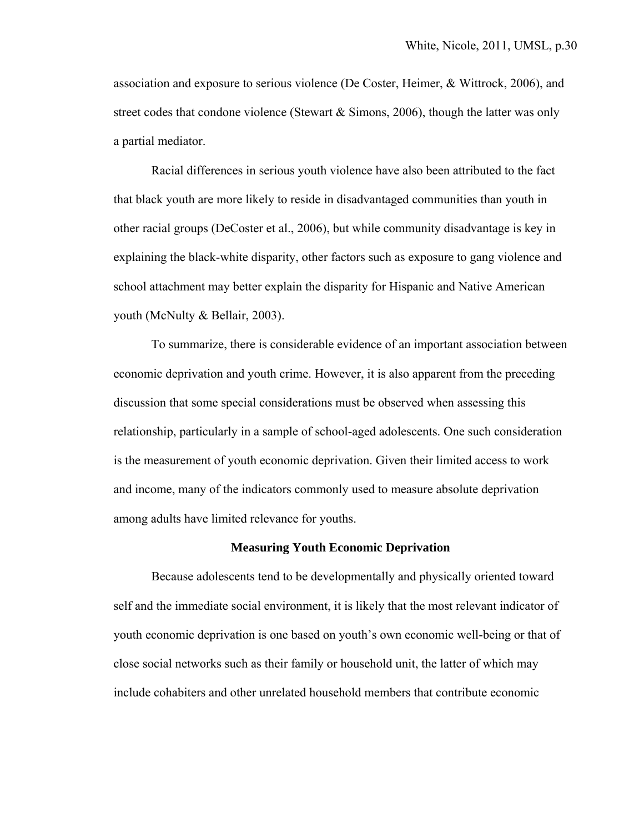association and exposure to serious violence (De Coster, Heimer, & Wittrock, 2006), and street codes that condone violence (Stewart  $\&$  Simons, 2006), though the latter was only a partial mediator.

Racial differences in serious youth violence have also been attributed to the fact that black youth are more likely to reside in disadvantaged communities than youth in other racial groups (DeCoster et al., 2006), but while community disadvantage is key in explaining the black-white disparity, other factors such as exposure to gang violence and school attachment may better explain the disparity for Hispanic and Native American youth (McNulty & Bellair, 2003).

To summarize, there is considerable evidence of an important association between economic deprivation and youth crime. However, it is also apparent from the preceding discussion that some special considerations must be observed when assessing this relationship, particularly in a sample of school-aged adolescents. One such consideration is the measurement of youth economic deprivation. Given their limited access to work and income, many of the indicators commonly used to measure absolute deprivation among adults have limited relevance for youths.

#### **Measuring Youth Economic Deprivation**

Because adolescents tend to be developmentally and physically oriented toward self and the immediate social environment, it is likely that the most relevant indicator of youth economic deprivation is one based on youth's own economic well-being or that of close social networks such as their family or household unit, the latter of which may include cohabiters and other unrelated household members that contribute economic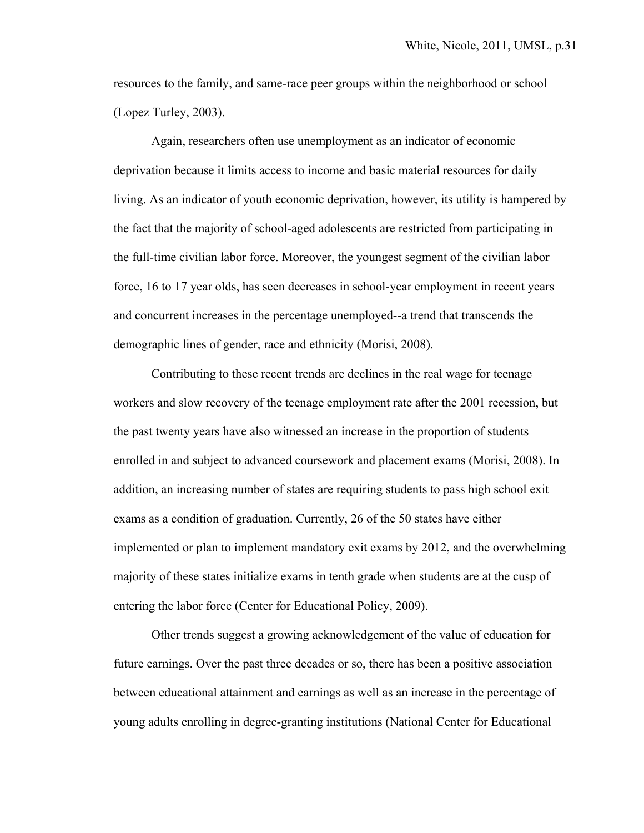resources to the family, and same-race peer groups within the neighborhood or school (Lopez Turley, 2003).

 Again, researchers often use unemployment as an indicator of economic deprivation because it limits access to income and basic material resources for daily living. As an indicator of youth economic deprivation, however, its utility is hampered by the fact that the majority of school-aged adolescents are restricted from participating in the full-time civilian labor force. Moreover, the youngest segment of the civilian labor force, 16 to 17 year olds, has seen decreases in school-year employment in recent years and concurrent increases in the percentage unemployed--a trend that transcends the demographic lines of gender, race and ethnicity (Morisi, 2008).

Contributing to these recent trends are declines in the real wage for teenage workers and slow recovery of the teenage employment rate after the 2001 recession, but the past twenty years have also witnessed an increase in the proportion of students enrolled in and subject to advanced coursework and placement exams (Morisi, 2008). In addition, an increasing number of states are requiring students to pass high school exit exams as a condition of graduation. Currently, 26 of the 50 states have either implemented or plan to implement mandatory exit exams by 2012, and the overwhelming majority of these states initialize exams in tenth grade when students are at the cusp of entering the labor force (Center for Educational Policy, 2009).

Other trends suggest a growing acknowledgement of the value of education for future earnings. Over the past three decades or so, there has been a positive association between educational attainment and earnings as well as an increase in the percentage of young adults enrolling in degree-granting institutions (National Center for Educational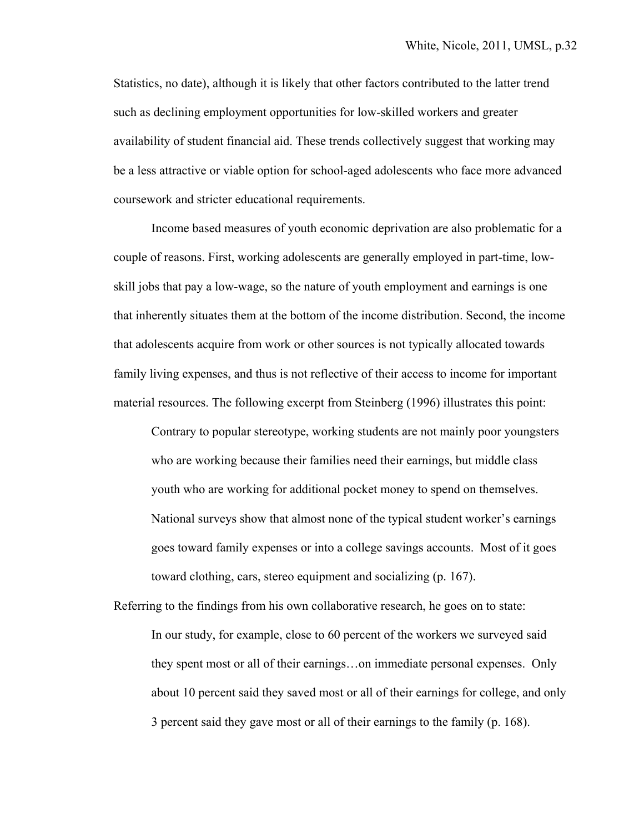Statistics, no date), although it is likely that other factors contributed to the latter trend such as declining employment opportunities for low-skilled workers and greater availability of student financial aid. These trends collectively suggest that working may be a less attractive or viable option for school-aged adolescents who face more advanced coursework and stricter educational requirements.

 Income based measures of youth economic deprivation are also problematic for a couple of reasons. First, working adolescents are generally employed in part-time, lowskill jobs that pay a low-wage, so the nature of youth employment and earnings is one that inherently situates them at the bottom of the income distribution. Second, the income that adolescents acquire from work or other sources is not typically allocated towards family living expenses, and thus is not reflective of their access to income for important material resources. The following excerpt from Steinberg (1996) illustrates this point:

 Contrary to popular stereotype, working students are not mainly poor youngsters who are working because their families need their earnings, but middle class youth who are working for additional pocket money to spend on themselves. National surveys show that almost none of the typical student worker's earnings goes toward family expenses or into a college savings accounts. Most of it goes toward clothing, cars, stereo equipment and socializing (p. 167).

Referring to the findings from his own collaborative research, he goes on to state: In our study, for example, close to 60 percent of the workers we surveyed said they spent most or all of their earnings…on immediate personal expenses. Only about 10 percent said they saved most or all of their earnings for college, and only 3 percent said they gave most or all of their earnings to the family (p. 168).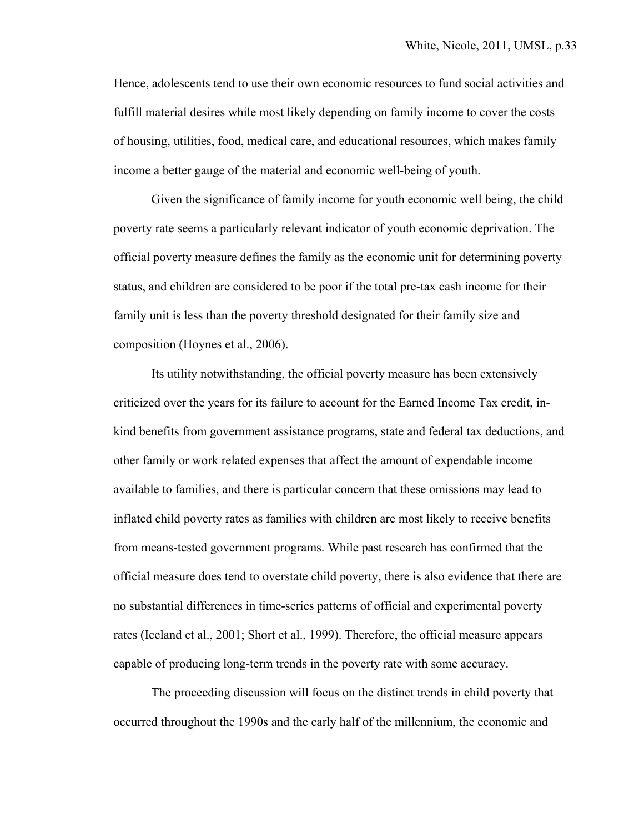Hence, adolescents tend to use their own economic resources to fund social activities and fulfill material desires while most likely depending on family income to cover the costs of housing, utilities, food, medical care, and educational resources, which makes family income a better gauge of the material and economic well-being of youth.

 Given the significance of family income for youth economic well being, the child poverty rate seems a particularly relevant indicator of youth economic deprivation. The official poverty measure defines the family as the economic unit for determining poverty status, and children are considered to be poor if the total pre-tax cash income for their family unit is less than the poverty threshold designated for their family size and composition (Hoynes et al., 2006).

Its utility notwithstanding, the official poverty measure has been extensively criticized over the years for its failure to account for the Earned Income Tax credit, inkind benefits from government assistance programs, state and federal tax deductions, and other family or work related expenses that affect the amount of expendable income available to families, and there is particular concern that these omissions may lead to inflated child poverty rates as families with children are most likely to receive benefits from means-tested government programs. While past research has confirmed that the official measure does tend to overstate child poverty, there is also evidence that there are no substantial differences in time-series patterns of official and experimental poverty rates (Iceland et al., 2001; Short et al., 1999). Therefore, the official measure appears capable of producing long-term trends in the poverty rate with some accuracy.

The proceeding discussion will focus on the distinct trends in child poverty that occurred throughout the 1990s and the early half of the millennium, the economic and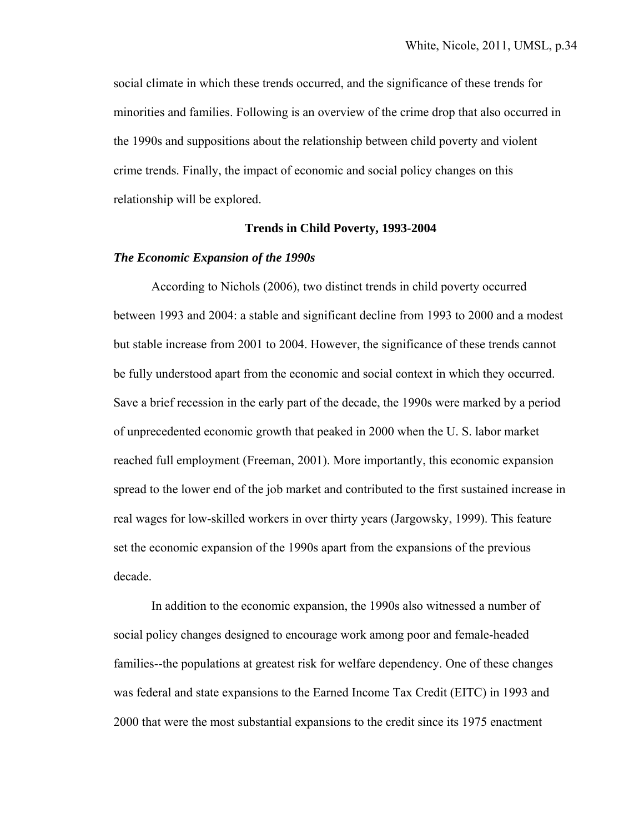social climate in which these trends occurred, and the significance of these trends for minorities and families. Following is an overview of the crime drop that also occurred in the 1990s and suppositions about the relationship between child poverty and violent crime trends. Finally, the impact of economic and social policy changes on this relationship will be explored.

#### **Trends in Child Poverty, 1993-2004**

#### *The Economic Expansion of the 1990s*

According to Nichols (2006), two distinct trends in child poverty occurred between 1993 and 2004: a stable and significant decline from 1993 to 2000 and a modest but stable increase from 2001 to 2004. However, the significance of these trends cannot be fully understood apart from the economic and social context in which they occurred. Save a brief recession in the early part of the decade, the 1990s were marked by a period of unprecedented economic growth that peaked in 2000 when the U. S. labor market reached full employment (Freeman, 2001). More importantly, this economic expansion spread to the lower end of the job market and contributed to the first sustained increase in real wages for low-skilled workers in over thirty years (Jargowsky, 1999). This feature set the economic expansion of the 1990s apart from the expansions of the previous decade.

 In addition to the economic expansion, the 1990s also witnessed a number of social policy changes designed to encourage work among poor and female-headed families--the populations at greatest risk for welfare dependency. One of these changes was federal and state expansions to the Earned Income Tax Credit (EITC) in 1993 and 2000 that were the most substantial expansions to the credit since its 1975 enactment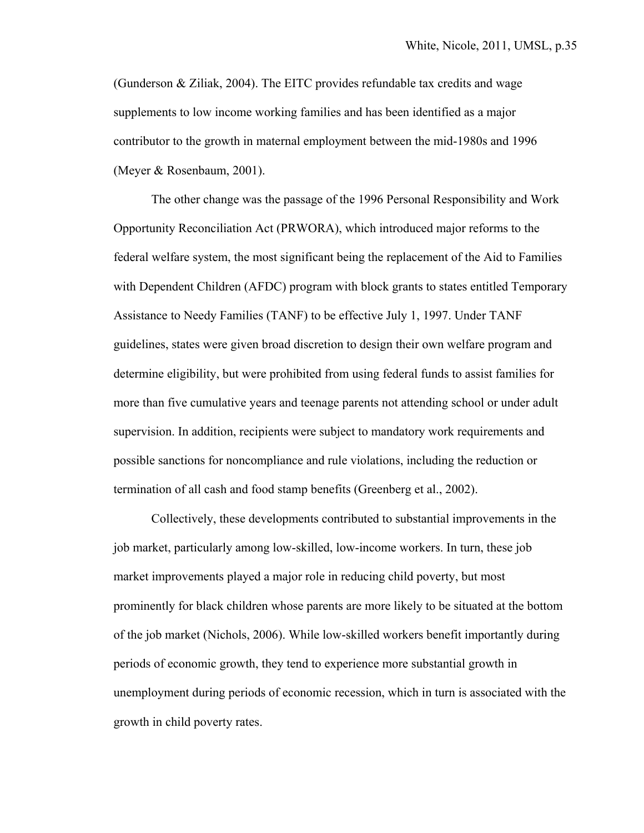(Gunderson & Ziliak, 2004). The EITC provides refundable tax credits and wage supplements to low income working families and has been identified as a major contributor to the growth in maternal employment between the mid-1980s and 1996 (Meyer & Rosenbaum, 2001).

The other change was the passage of the 1996 Personal Responsibility and Work Opportunity Reconciliation Act (PRWORA), which introduced major reforms to the federal welfare system, the most significant being the replacement of the Aid to Families with Dependent Children (AFDC) program with block grants to states entitled Temporary Assistance to Needy Families (TANF) to be effective July 1, 1997. Under TANF guidelines, states were given broad discretion to design their own welfare program and determine eligibility, but were prohibited from using federal funds to assist families for more than five cumulative years and teenage parents not attending school or under adult supervision. In addition, recipients were subject to mandatory work requirements and possible sanctions for noncompliance and rule violations, including the reduction or termination of all cash and food stamp benefits (Greenberg et al., 2002).

Collectively, these developments contributed to substantial improvements in the job market, particularly among low-skilled, low-income workers. In turn, these job market improvements played a major role in reducing child poverty, but most prominently for black children whose parents are more likely to be situated at the bottom of the job market (Nichols, 2006). While low-skilled workers benefit importantly during periods of economic growth, they tend to experience more substantial growth in unemployment during periods of economic recession, which in turn is associated with the growth in child poverty rates.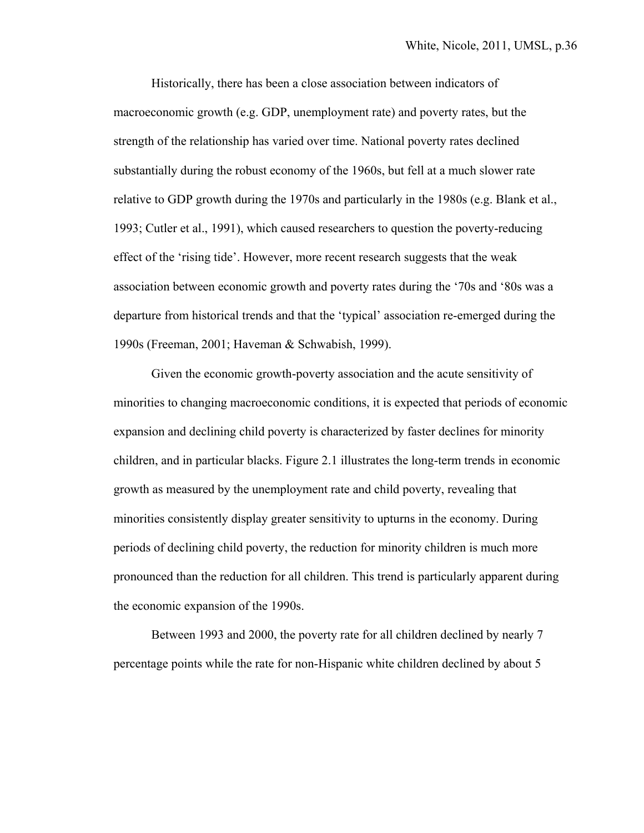Historically, there has been a close association between indicators of macroeconomic growth (e.g. GDP, unemployment rate) and poverty rates, but the strength of the relationship has varied over time. National poverty rates declined substantially during the robust economy of the 1960s, but fell at a much slower rate relative to GDP growth during the 1970s and particularly in the 1980s (e.g. Blank et al., 1993; Cutler et al., 1991), which caused researchers to question the poverty-reducing effect of the 'rising tide'. However, more recent research suggests that the weak association between economic growth and poverty rates during the '70s and '80s was a departure from historical trends and that the 'typical' association re-emerged during the 1990s (Freeman, 2001; Haveman & Schwabish, 1999).

Given the economic growth-poverty association and the acute sensitivity of minorities to changing macroeconomic conditions, it is expected that periods of economic expansion and declining child poverty is characterized by faster declines for minority children, and in particular blacks. Figure 2.1 illustrates the long-term trends in economic growth as measured by the unemployment rate and child poverty, revealing that minorities consistently display greater sensitivity to upturns in the economy. During periods of declining child poverty, the reduction for minority children is much more pronounced than the reduction for all children. This trend is particularly apparent during the economic expansion of the 1990s.

Between 1993 and 2000, the poverty rate for all children declined by nearly 7 percentage points while the rate for non-Hispanic white children declined by about 5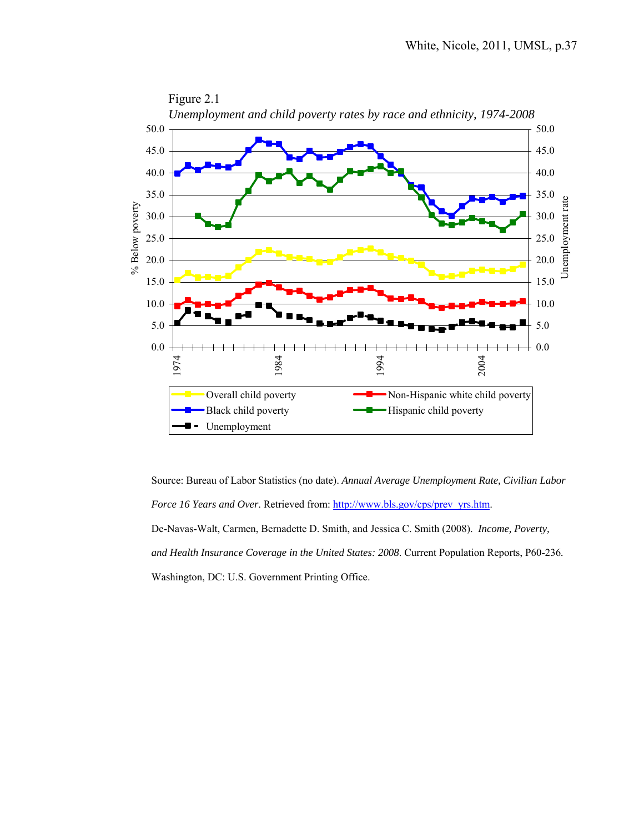

Source: Bureau of Labor Statistics (no date). *Annual Average Unemployment Rate, Civilian Labor Force 16 Years and Over.* Retrieved from: http://www.bls.gov/cps/prev\_yrs.htm. De-Navas-Walt, Carmen, Bernadette D. Smith, and Jessica C. Smith (2008). *Income, Poverty, and Health Insurance Coverage in the United States: 2008*. Current Population Reports, P60-236*.* Washington, DC: U.S. Government Printing Office.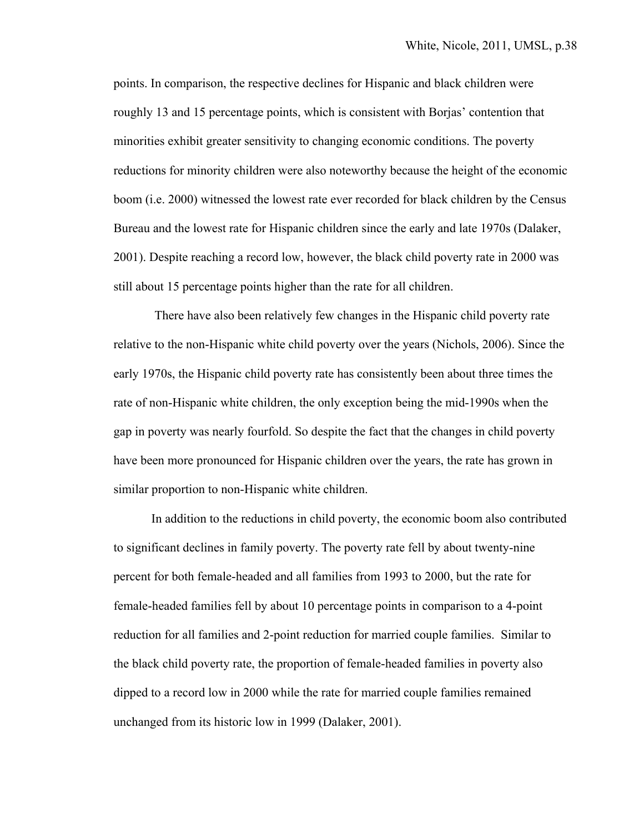points. In comparison, the respective declines for Hispanic and black children were roughly 13 and 15 percentage points, which is consistent with Borjas' contention that minorities exhibit greater sensitivity to changing economic conditions. The poverty reductions for minority children were also noteworthy because the height of the economic boom (i.e. 2000) witnessed the lowest rate ever recorded for black children by the Census Bureau and the lowest rate for Hispanic children since the early and late 1970s (Dalaker, 2001). Despite reaching a record low, however, the black child poverty rate in 2000 was still about 15 percentage points higher than the rate for all children.

 There have also been relatively few changes in the Hispanic child poverty rate relative to the non-Hispanic white child poverty over the years (Nichols, 2006). Since the early 1970s, the Hispanic child poverty rate has consistently been about three times the rate of non-Hispanic white children, the only exception being the mid-1990s when the gap in poverty was nearly fourfold. So despite the fact that the changes in child poverty have been more pronounced for Hispanic children over the years, the rate has grown in similar proportion to non-Hispanic white children.

In addition to the reductions in child poverty, the economic boom also contributed to significant declines in family poverty. The poverty rate fell by about twenty-nine percent for both female-headed and all families from 1993 to 2000, but the rate for female-headed families fell by about 10 percentage points in comparison to a 4-point reduction for all families and 2-point reduction for married couple families. Similar to the black child poverty rate, the proportion of female-headed families in poverty also dipped to a record low in 2000 while the rate for married couple families remained unchanged from its historic low in 1999 (Dalaker, 2001).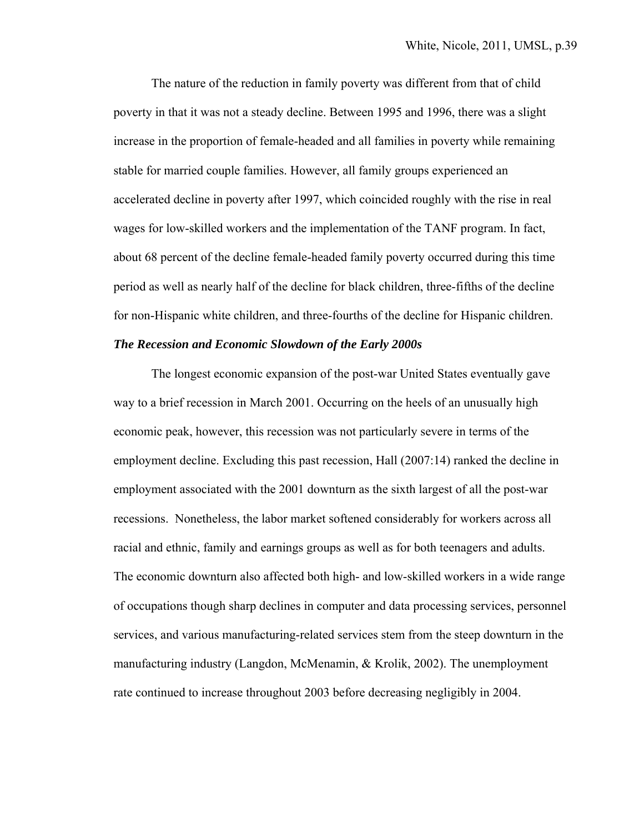The nature of the reduction in family poverty was different from that of child poverty in that it was not a steady decline. Between 1995 and 1996, there was a slight increase in the proportion of female-headed and all families in poverty while remaining stable for married couple families. However, all family groups experienced an accelerated decline in poverty after 1997, which coincided roughly with the rise in real wages for low-skilled workers and the implementation of the TANF program. In fact, about 68 percent of the decline female-headed family poverty occurred during this time period as well as nearly half of the decline for black children, three-fifths of the decline for non-Hispanic white children, and three-fourths of the decline for Hispanic children.

#### *The Recession and Economic Slowdown of the Early 2000s*

The longest economic expansion of the post-war United States eventually gave way to a brief recession in March 2001. Occurring on the heels of an unusually high economic peak, however, this recession was not particularly severe in terms of the employment decline. Excluding this past recession, Hall (2007:14) ranked the decline in employment associated with the 2001 downturn as the sixth largest of all the post-war recessions. Nonetheless, the labor market softened considerably for workers across all racial and ethnic, family and earnings groups as well as for both teenagers and adults. The economic downturn also affected both high- and low-skilled workers in a wide range of occupations though sharp declines in computer and data processing services, personnel services, and various manufacturing-related services stem from the steep downturn in the manufacturing industry (Langdon, McMenamin, & Krolik, 2002). The unemployment rate continued to increase throughout 2003 before decreasing negligibly in 2004.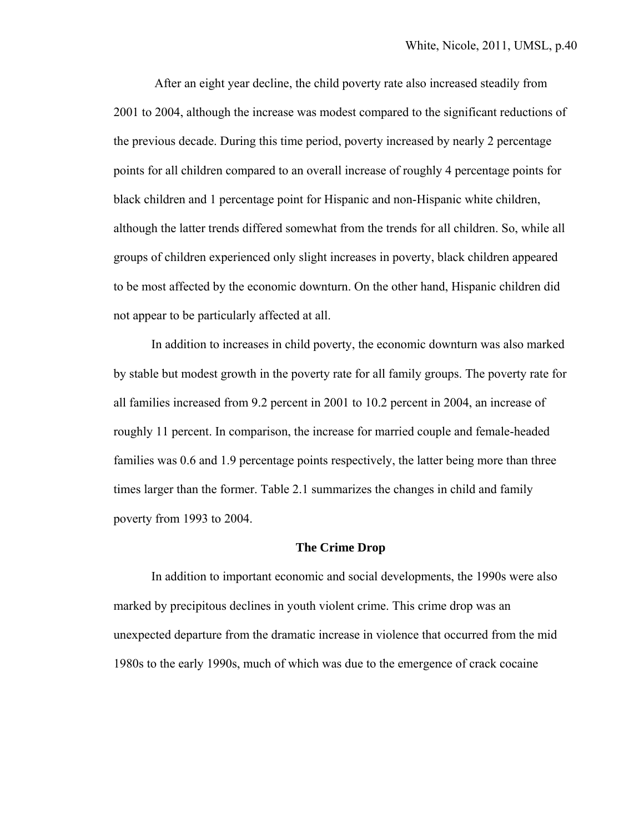After an eight year decline, the child poverty rate also increased steadily from 2001 to 2004, although the increase was modest compared to the significant reductions of the previous decade. During this time period, poverty increased by nearly 2 percentage points for all children compared to an overall increase of roughly 4 percentage points for black children and 1 percentage point for Hispanic and non-Hispanic white children, although the latter trends differed somewhat from the trends for all children. So, while all groups of children experienced only slight increases in poverty, black children appeared to be most affected by the economic downturn. On the other hand, Hispanic children did not appear to be particularly affected at all.

 In addition to increases in child poverty, the economic downturn was also marked by stable but modest growth in the poverty rate for all family groups. The poverty rate for all families increased from 9.2 percent in 2001 to 10.2 percent in 2004, an increase of roughly 11 percent. In comparison, the increase for married couple and female-headed families was 0.6 and 1.9 percentage points respectively, the latter being more than three times larger than the former. Table 2.1 summarizes the changes in child and family poverty from 1993 to 2004.

#### **The Crime Drop**

In addition to important economic and social developments, the 1990s were also marked by precipitous declines in youth violent crime. This crime drop was an unexpected departure from the dramatic increase in violence that occurred from the mid 1980s to the early 1990s, much of which was due to the emergence of crack cocaine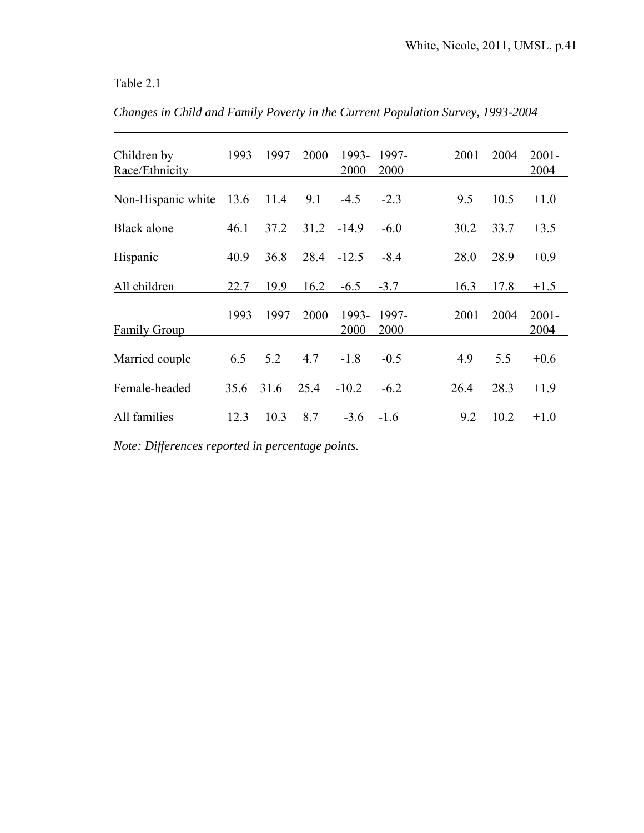## Table 2.1

 $\overline{a}$ 

| Changes in Child and Family Poverty in the Current Population Survey, 1993-2004 |  |  |  |  |  |  |
|---------------------------------------------------------------------------------|--|--|--|--|--|--|
|---------------------------------------------------------------------------------|--|--|--|--|--|--|

| Children by<br>Race/Ethnicity | 1993 | 1997 | 2000 | 1993-<br>2000 | 1997-<br>2000 | 2001 | 2004 | $2001 -$<br>2004 |
|-------------------------------|------|------|------|---------------|---------------|------|------|------------------|
| Non-Hispanic white 13.6       |      | 11.4 | 9.1  | $-4.5$        | $-2.3$        | 9.5  | 10.5 | $+1.0$           |
| Black alone                   | 46.1 | 37.2 | 31.2 | $-14.9$       | $-6.0$        | 30.2 | 33.7 | $+3.5$           |
| Hispanic                      | 40.9 | 36.8 | 28.4 | $-12.5$       | $-8.4$        | 28.0 | 28.9 | $+0.9$           |
| All children                  | 22.7 | 19.9 | 16.2 | $-6.5$        | $-3.7$        | 16.3 | 17.8 | $+1.5$           |
| Family Group                  | 1993 | 1997 | 2000 | 1993-<br>2000 | 1997-<br>2000 | 2001 | 2004 | $2001 -$<br>2004 |
| Married couple                | 6.5  | 5.2  | 4.7  | $-1.8$        | $-0.5$        | 4.9  | 5.5  | $+0.6$           |
| Female-headed                 | 35.6 | 31.6 | 25.4 | $-10.2$       | $-6.2$        | 26.4 | 28.3 | $+1.9$           |
| All families                  | 12.3 | 10.3 | 8.7  | $-3.6$        | $-1.6$        | 9.2  | 10.2 | $+1.0$           |

*Note: Differences reported in percentage points.*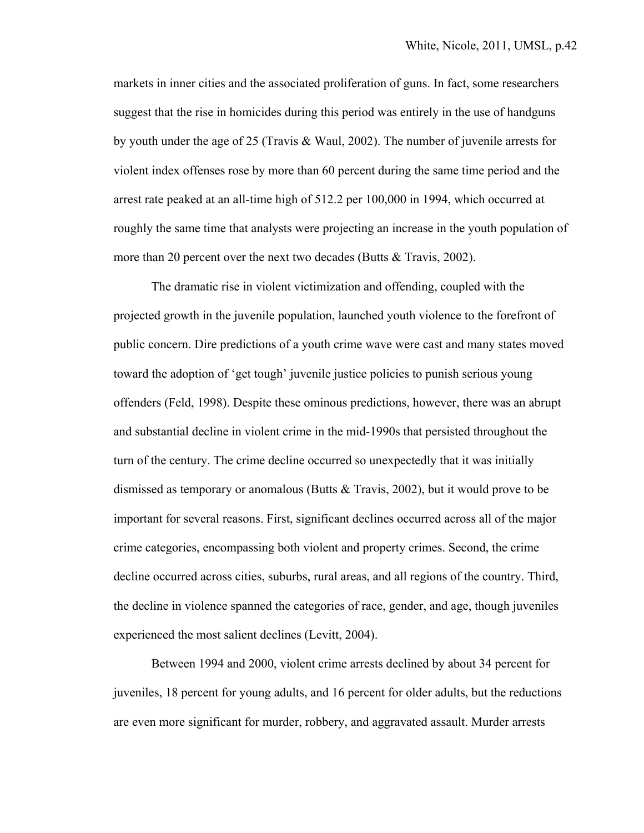markets in inner cities and the associated proliferation of guns. In fact, some researchers suggest that the rise in homicides during this period was entirely in the use of handguns by youth under the age of 25 (Travis & Waul, 2002). The number of juvenile arrests for violent index offenses rose by more than 60 percent during the same time period and the arrest rate peaked at an all-time high of 512.2 per 100,000 in 1994, which occurred at roughly the same time that analysts were projecting an increase in the youth population of more than 20 percent over the next two decades (Butts & Travis, 2002).

The dramatic rise in violent victimization and offending, coupled with the projected growth in the juvenile population, launched youth violence to the forefront of public concern. Dire predictions of a youth crime wave were cast and many states moved toward the adoption of 'get tough' juvenile justice policies to punish serious young offenders (Feld, 1998). Despite these ominous predictions, however, there was an abrupt and substantial decline in violent crime in the mid-1990s that persisted throughout the turn of the century. The crime decline occurred so unexpectedly that it was initially dismissed as temporary or anomalous (Butts & Travis, 2002), but it would prove to be important for several reasons. First, significant declines occurred across all of the major crime categories, encompassing both violent and property crimes. Second, the crime decline occurred across cities, suburbs, rural areas, and all regions of the country. Third, the decline in violence spanned the categories of race, gender, and age, though juveniles experienced the most salient declines (Levitt, 2004).

Between 1994 and 2000, violent crime arrests declined by about 34 percent for juveniles, 18 percent for young adults, and 16 percent for older adults, but the reductions are even more significant for murder, robbery, and aggravated assault. Murder arrests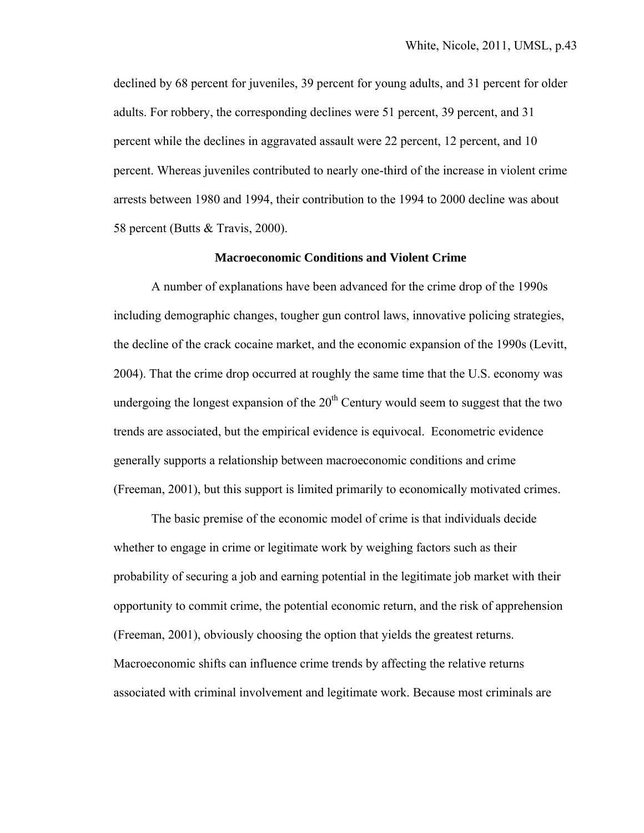declined by 68 percent for juveniles, 39 percent for young adults, and 31 percent for older adults. For robbery, the corresponding declines were 51 percent, 39 percent, and 31 percent while the declines in aggravated assault were 22 percent, 12 percent, and 10 percent. Whereas juveniles contributed to nearly one-third of the increase in violent crime arrests between 1980 and 1994, their contribution to the 1994 to 2000 decline was about 58 percent (Butts & Travis, 2000).

#### **Macroeconomic Conditions and Violent Crime**

A number of explanations have been advanced for the crime drop of the 1990s including demographic changes, tougher gun control laws, innovative policing strategies, the decline of the crack cocaine market, and the economic expansion of the 1990s (Levitt, 2004). That the crime drop occurred at roughly the same time that the U.S. economy was undergoing the longest expansion of the  $20<sup>th</sup>$  Century would seem to suggest that the two trends are associated, but the empirical evidence is equivocal. Econometric evidence generally supports a relationship between macroeconomic conditions and crime (Freeman, 2001), but this support is limited primarily to economically motivated crimes.

The basic premise of the economic model of crime is that individuals decide whether to engage in crime or legitimate work by weighing factors such as their probability of securing a job and earning potential in the legitimate job market with their opportunity to commit crime, the potential economic return, and the risk of apprehension (Freeman, 2001), obviously choosing the option that yields the greatest returns. Macroeconomic shifts can influence crime trends by affecting the relative returns associated with criminal involvement and legitimate work. Because most criminals are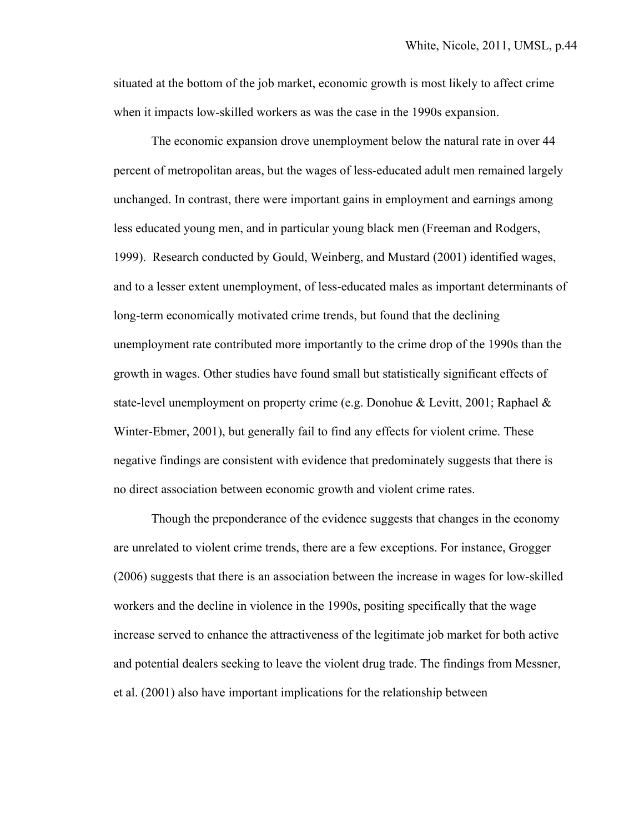situated at the bottom of the job market, economic growth is most likely to affect crime when it impacts low-skilled workers as was the case in the 1990s expansion.

The economic expansion drove unemployment below the natural rate in over 44 percent of metropolitan areas, but the wages of less-educated adult men remained largely unchanged. In contrast, there were important gains in employment and earnings among less educated young men, and in particular young black men (Freeman and Rodgers, 1999). Research conducted by Gould, Weinberg, and Mustard (2001) identified wages, and to a lesser extent unemployment, of less-educated males as important determinants of long-term economically motivated crime trends, but found that the declining unemployment rate contributed more importantly to the crime drop of the 1990s than the growth in wages. Other studies have found small but statistically significant effects of state-level unemployment on property crime (e.g. Donohue & Levitt, 2001; Raphael & Winter-Ebmer, 2001), but generally fail to find any effects for violent crime. These negative findings are consistent with evidence that predominately suggests that there is no direct association between economic growth and violent crime rates.

Though the preponderance of the evidence suggests that changes in the economy are unrelated to violent crime trends, there are a few exceptions. For instance, Grogger (2006) suggests that there is an association between the increase in wages for low-skilled workers and the decline in violence in the 1990s, positing specifically that the wage increase served to enhance the attractiveness of the legitimate job market for both active and potential dealers seeking to leave the violent drug trade. The findings from Messner, et al. (2001) also have important implications for the relationship between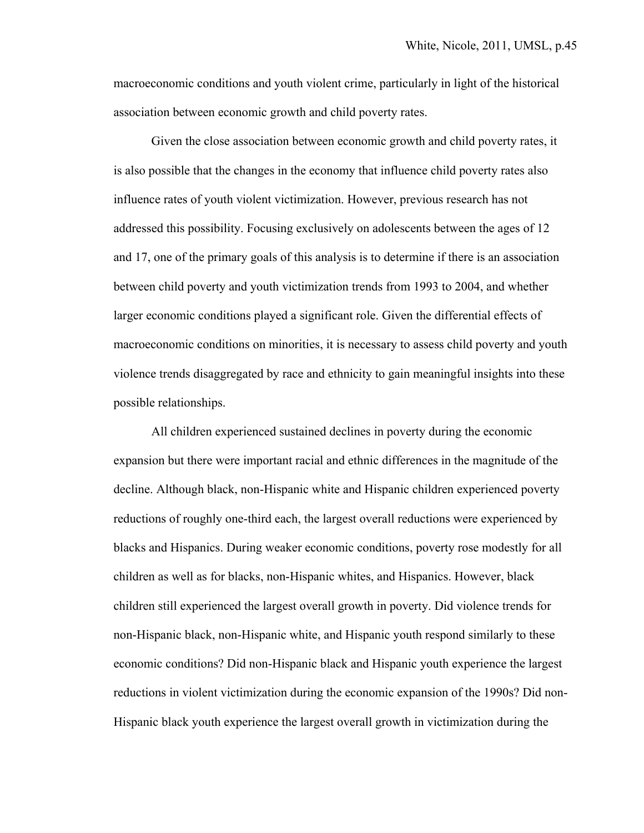macroeconomic conditions and youth violent crime, particularly in light of the historical association between economic growth and child poverty rates.

Given the close association between economic growth and child poverty rates, it is also possible that the changes in the economy that influence child poverty rates also influence rates of youth violent victimization. However, previous research has not addressed this possibility. Focusing exclusively on adolescents between the ages of 12 and 17, one of the primary goals of this analysis is to determine if there is an association between child poverty and youth victimization trends from 1993 to 2004, and whether larger economic conditions played a significant role. Given the differential effects of macroeconomic conditions on minorities, it is necessary to assess child poverty and youth violence trends disaggregated by race and ethnicity to gain meaningful insights into these possible relationships.

All children experienced sustained declines in poverty during the economic expansion but there were important racial and ethnic differences in the magnitude of the decline. Although black, non-Hispanic white and Hispanic children experienced poverty reductions of roughly one-third each, the largest overall reductions were experienced by blacks and Hispanics. During weaker economic conditions, poverty rose modestly for all children as well as for blacks, non-Hispanic whites, and Hispanics. However, black children still experienced the largest overall growth in poverty. Did violence trends for non-Hispanic black, non-Hispanic white, and Hispanic youth respond similarly to these economic conditions? Did non-Hispanic black and Hispanic youth experience the largest reductions in violent victimization during the economic expansion of the 1990s? Did non-Hispanic black youth experience the largest overall growth in victimization during the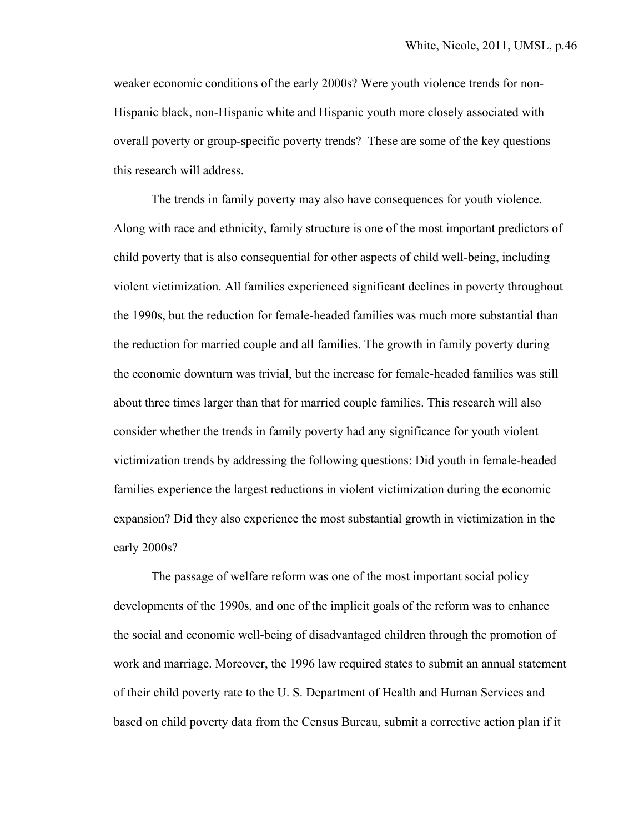weaker economic conditions of the early 2000s? Were youth violence trends for non-Hispanic black, non-Hispanic white and Hispanic youth more closely associated with overall poverty or group-specific poverty trends? These are some of the key questions this research will address.

The trends in family poverty may also have consequences for youth violence. Along with race and ethnicity, family structure is one of the most important predictors of child poverty that is also consequential for other aspects of child well-being, including violent victimization. All families experienced significant declines in poverty throughout the 1990s, but the reduction for female-headed families was much more substantial than the reduction for married couple and all families. The growth in family poverty during the economic downturn was trivial, but the increase for female-headed families was still about three times larger than that for married couple families. This research will also consider whether the trends in family poverty had any significance for youth violent victimization trends by addressing the following questions: Did youth in female-headed families experience the largest reductions in violent victimization during the economic expansion? Did they also experience the most substantial growth in victimization in the early 2000s?

The passage of welfare reform was one of the most important social policy developments of the 1990s, and one of the implicit goals of the reform was to enhance the social and economic well-being of disadvantaged children through the promotion of work and marriage. Moreover, the 1996 law required states to submit an annual statement of their child poverty rate to the U. S. Department of Health and Human Services and based on child poverty data from the Census Bureau, submit a corrective action plan if it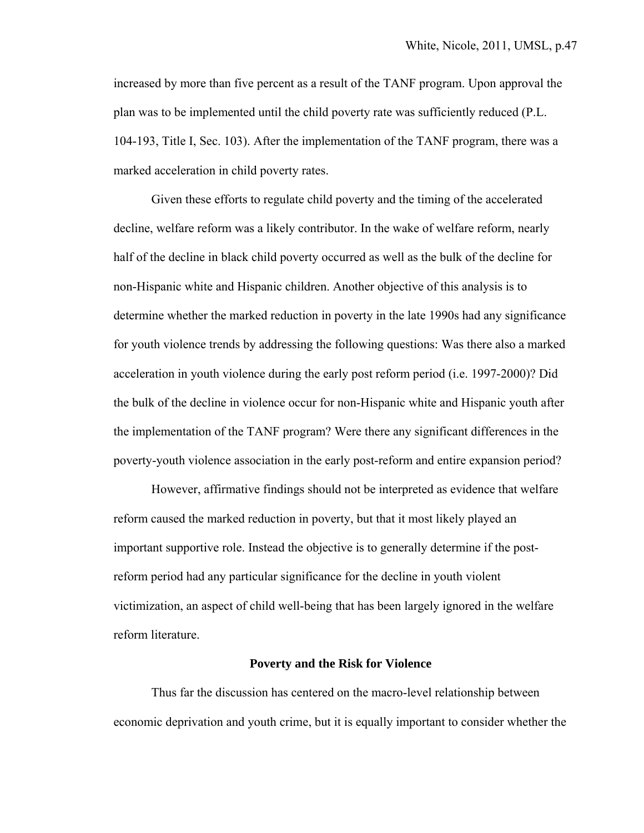increased by more than five percent as a result of the TANF program. Upon approval the plan was to be implemented until the child poverty rate was sufficiently reduced (P.L. 104-193, Title I, Sec. 103). After the implementation of the TANF program, there was a marked acceleration in child poverty rates.

Given these efforts to regulate child poverty and the timing of the accelerated decline, welfare reform was a likely contributor. In the wake of welfare reform, nearly half of the decline in black child poverty occurred as well as the bulk of the decline for non-Hispanic white and Hispanic children. Another objective of this analysis is to determine whether the marked reduction in poverty in the late 1990s had any significance for youth violence trends by addressing the following questions: Was there also a marked acceleration in youth violence during the early post reform period (i.e. 1997-2000)? Did the bulk of the decline in violence occur for non-Hispanic white and Hispanic youth after the implementation of the TANF program? Were there any significant differences in the poverty-youth violence association in the early post-reform and entire expansion period?

However, affirmative findings should not be interpreted as evidence that welfare reform caused the marked reduction in poverty, but that it most likely played an important supportive role. Instead the objective is to generally determine if the postreform period had any particular significance for the decline in youth violent victimization, an aspect of child well-being that has been largely ignored in the welfare reform literature.

#### **Poverty and the Risk for Violence**

 Thus far the discussion has centered on the macro-level relationship between economic deprivation and youth crime, but it is equally important to consider whether the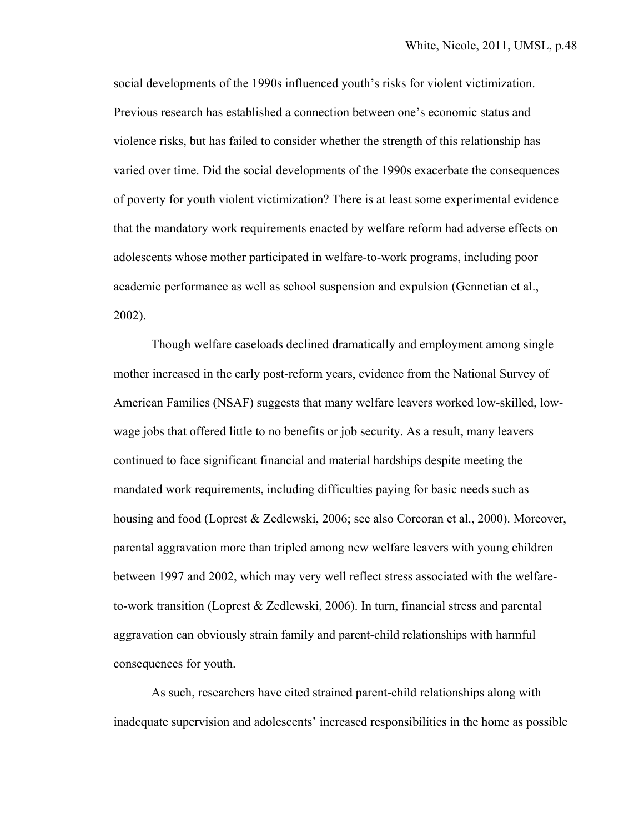social developments of the 1990s influenced youth's risks for violent victimization. Previous research has established a connection between one's economic status and violence risks, but has failed to consider whether the strength of this relationship has varied over time. Did the social developments of the 1990s exacerbate the consequences of poverty for youth violent victimization? There is at least some experimental evidence that the mandatory work requirements enacted by welfare reform had adverse effects on adolescents whose mother participated in welfare-to-work programs, including poor academic performance as well as school suspension and expulsion (Gennetian et al., 2002).

Though welfare caseloads declined dramatically and employment among single mother increased in the early post-reform years, evidence from the National Survey of American Families (NSAF) suggests that many welfare leavers worked low-skilled, lowwage jobs that offered little to no benefits or job security. As a result, many leavers continued to face significant financial and material hardships despite meeting the mandated work requirements, including difficulties paying for basic needs such as housing and food (Loprest & Zedlewski, 2006; see also Corcoran et al., 2000). Moreover, parental aggravation more than tripled among new welfare leavers with young children between 1997 and 2002, which may very well reflect stress associated with the welfareto-work transition (Loprest & Zedlewski, 2006). In turn, financial stress and parental aggravation can obviously strain family and parent-child relationships with harmful consequences for youth.

As such, researchers have cited strained parent-child relationships along with inadequate supervision and adolescents' increased responsibilities in the home as possible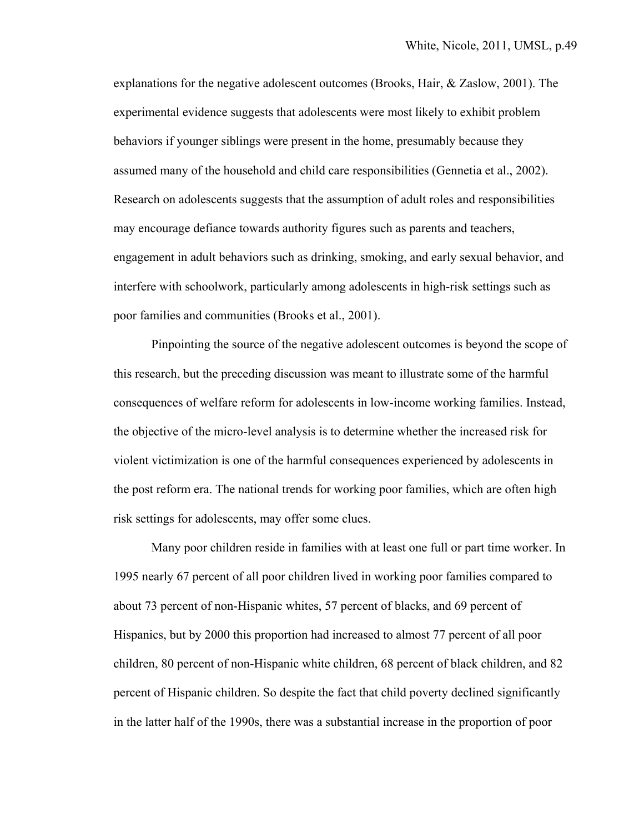explanations for the negative adolescent outcomes (Brooks, Hair, & Zaslow, 2001). The experimental evidence suggests that adolescents were most likely to exhibit problem behaviors if younger siblings were present in the home, presumably because they assumed many of the household and child care responsibilities (Gennetia et al., 2002). Research on adolescents suggests that the assumption of adult roles and responsibilities may encourage defiance towards authority figures such as parents and teachers, engagement in adult behaviors such as drinking, smoking, and early sexual behavior, and interfere with schoolwork, particularly among adolescents in high-risk settings such as poor families and communities (Brooks et al., 2001).

 Pinpointing the source of the negative adolescent outcomes is beyond the scope of this research, but the preceding discussion was meant to illustrate some of the harmful consequences of welfare reform for adolescents in low-income working families. Instead, the objective of the micro-level analysis is to determine whether the increased risk for violent victimization is one of the harmful consequences experienced by adolescents in the post reform era. The national trends for working poor families, which are often high risk settings for adolescents, may offer some clues.

 Many poor children reside in families with at least one full or part time worker. In 1995 nearly 67 percent of all poor children lived in working poor families compared to about 73 percent of non-Hispanic whites, 57 percent of blacks, and 69 percent of Hispanics, but by 2000 this proportion had increased to almost 77 percent of all poor children, 80 percent of non-Hispanic white children, 68 percent of black children, and 82 percent of Hispanic children. So despite the fact that child poverty declined significantly in the latter half of the 1990s, there was a substantial increase in the proportion of poor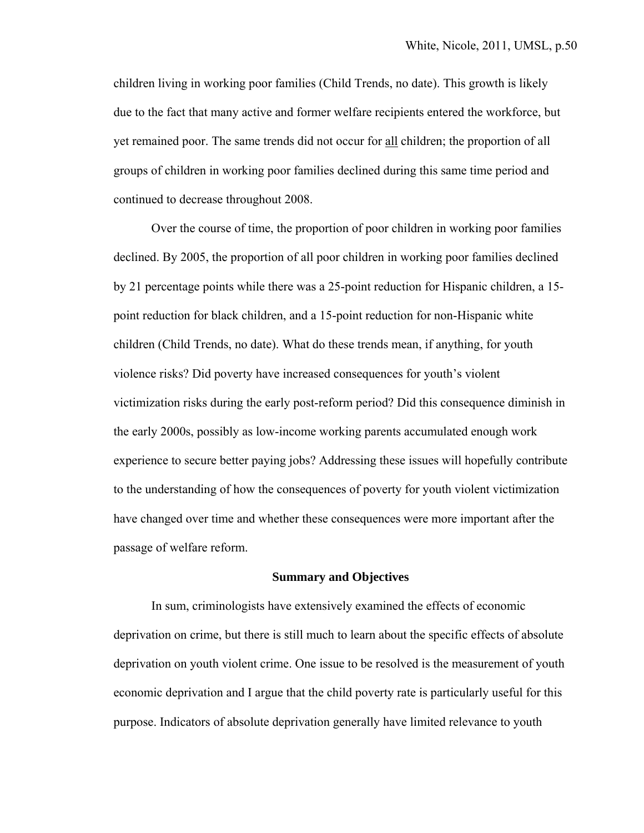children living in working poor families (Child Trends, no date). This growth is likely due to the fact that many active and former welfare recipients entered the workforce, but yet remained poor. The same trends did not occur for all children; the proportion of all groups of children in working poor families declined during this same time period and continued to decrease throughout 2008.

 Over the course of time, the proportion of poor children in working poor families declined. By 2005, the proportion of all poor children in working poor families declined by 21 percentage points while there was a 25-point reduction for Hispanic children, a 15 point reduction for black children, and a 15-point reduction for non-Hispanic white children (Child Trends, no date). What do these trends mean, if anything, for youth violence risks? Did poverty have increased consequences for youth's violent victimization risks during the early post-reform period? Did this consequence diminish in the early 2000s, possibly as low-income working parents accumulated enough work experience to secure better paying jobs? Addressing these issues will hopefully contribute to the understanding of how the consequences of poverty for youth violent victimization have changed over time and whether these consequences were more important after the passage of welfare reform.

#### **Summary and Objectives**

 In sum, criminologists have extensively examined the effects of economic deprivation on crime, but there is still much to learn about the specific effects of absolute deprivation on youth violent crime. One issue to be resolved is the measurement of youth economic deprivation and I argue that the child poverty rate is particularly useful for this purpose. Indicators of absolute deprivation generally have limited relevance to youth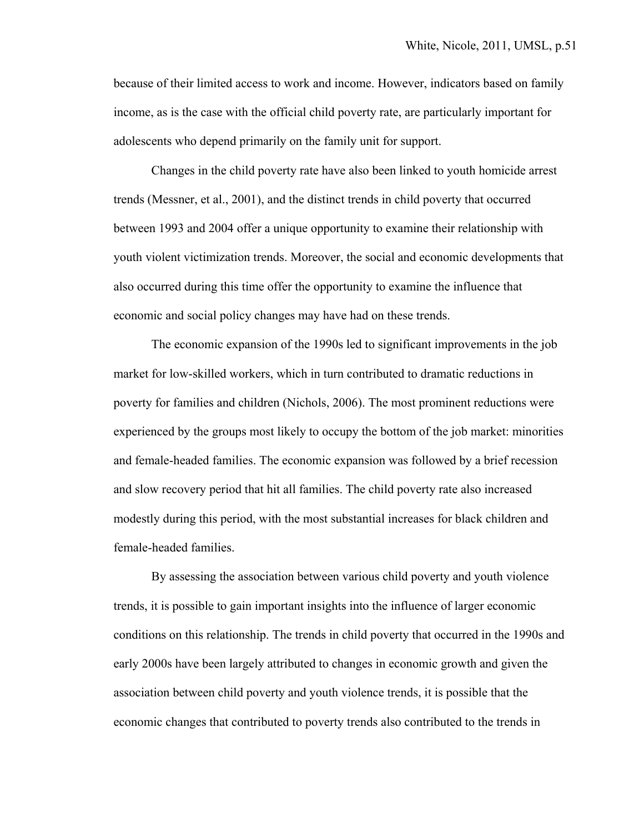because of their limited access to work and income. However, indicators based on family income, as is the case with the official child poverty rate, are particularly important for adolescents who depend primarily on the family unit for support.

 Changes in the child poverty rate have also been linked to youth homicide arrest trends (Messner, et al., 2001), and the distinct trends in child poverty that occurred between 1993 and 2004 offer a unique opportunity to examine their relationship with youth violent victimization trends. Moreover, the social and economic developments that also occurred during this time offer the opportunity to examine the influence that economic and social policy changes may have had on these trends.

The economic expansion of the 1990s led to significant improvements in the job market for low-skilled workers, which in turn contributed to dramatic reductions in poverty for families and children (Nichols, 2006). The most prominent reductions were experienced by the groups most likely to occupy the bottom of the job market: minorities and female-headed families. The economic expansion was followed by a brief recession and slow recovery period that hit all families. The child poverty rate also increased modestly during this period, with the most substantial increases for black children and female-headed families.

 By assessing the association between various child poverty and youth violence trends, it is possible to gain important insights into the influence of larger economic conditions on this relationship. The trends in child poverty that occurred in the 1990s and early 2000s have been largely attributed to changes in economic growth and given the association between child poverty and youth violence trends, it is possible that the economic changes that contributed to poverty trends also contributed to the trends in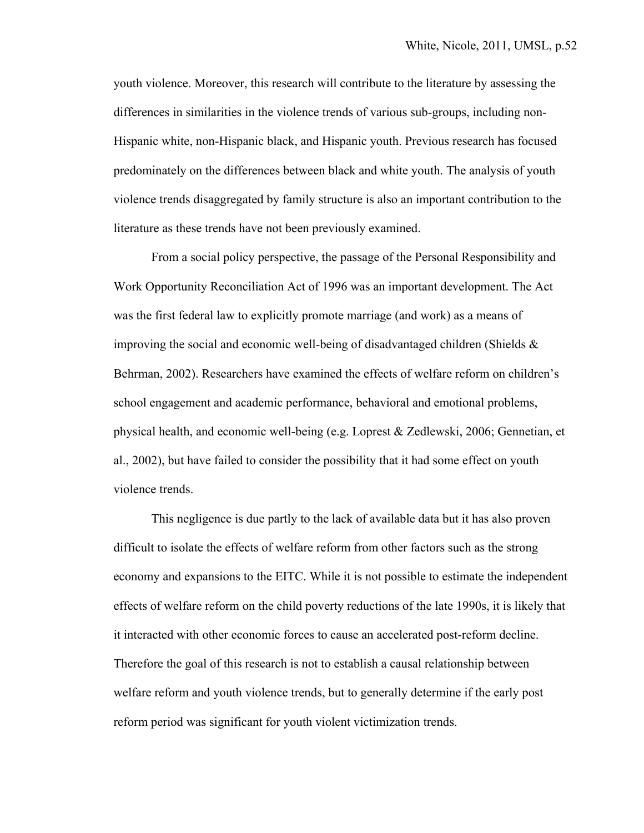youth violence. Moreover, this research will contribute to the literature by assessing the differences in similarities in the violence trends of various sub-groups, including non-Hispanic white, non-Hispanic black, and Hispanic youth. Previous research has focused predominately on the differences between black and white youth. The analysis of youth violence trends disaggregated by family structure is also an important contribution to the literature as these trends have not been previously examined.

 From a social policy perspective, the passage of the Personal Responsibility and Work Opportunity Reconciliation Act of 1996 was an important development. The Act was the first federal law to explicitly promote marriage (and work) as a means of improving the social and economic well-being of disadvantaged children (Shields  $\&$ Behrman, 2002). Researchers have examined the effects of welfare reform on children's school engagement and academic performance, behavioral and emotional problems, physical health, and economic well-being (e.g. Loprest & Zedlewski, 2006; Gennetian, et al., 2002), but have failed to consider the possibility that it had some effect on youth violence trends.

This negligence is due partly to the lack of available data but it has also proven difficult to isolate the effects of welfare reform from other factors such as the strong economy and expansions to the EITC. While it is not possible to estimate the independent effects of welfare reform on the child poverty reductions of the late 1990s, it is likely that it interacted with other economic forces to cause an accelerated post-reform decline. Therefore the goal of this research is not to establish a causal relationship between welfare reform and youth violence trends, but to generally determine if the early post reform period was significant for youth violent victimization trends.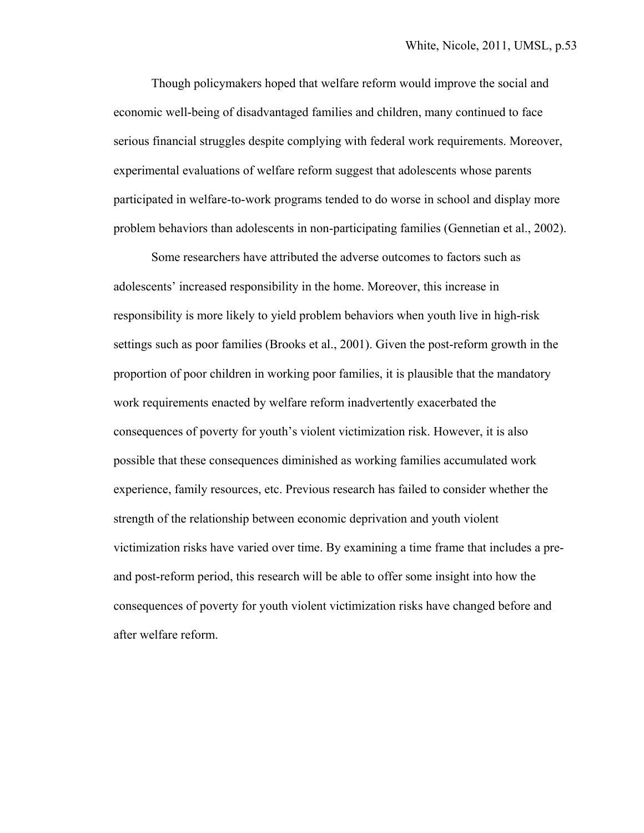Though policymakers hoped that welfare reform would improve the social and economic well-being of disadvantaged families and children, many continued to face serious financial struggles despite complying with federal work requirements. Moreover, experimental evaluations of welfare reform suggest that adolescents whose parents participated in welfare-to-work programs tended to do worse in school and display more problem behaviors than adolescents in non-participating families (Gennetian et al., 2002).

Some researchers have attributed the adverse outcomes to factors such as adolescents' increased responsibility in the home. Moreover, this increase in responsibility is more likely to yield problem behaviors when youth live in high-risk settings such as poor families (Brooks et al., 2001). Given the post-reform growth in the proportion of poor children in working poor families, it is plausible that the mandatory work requirements enacted by welfare reform inadvertently exacerbated the consequences of poverty for youth's violent victimization risk. However, it is also possible that these consequences diminished as working families accumulated work experience, family resources, etc. Previous research has failed to consider whether the strength of the relationship between economic deprivation and youth violent victimization risks have varied over time. By examining a time frame that includes a preand post-reform period, this research will be able to offer some insight into how the consequences of poverty for youth violent victimization risks have changed before and after welfare reform.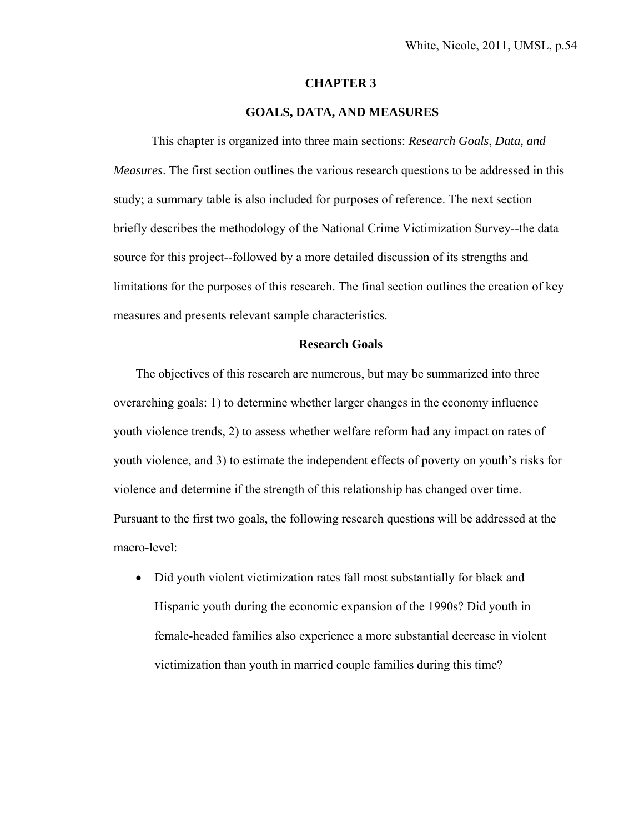#### **CHAPTER 3**

#### **GOALS, DATA, AND MEASURES**

This chapter is organized into three main sections: *Research Goals*, *Data, and Measures*. The first section outlines the various research questions to be addressed in this study; a summary table is also included for purposes of reference. The next section briefly describes the methodology of the National Crime Victimization Survey--the data source for this project--followed by a more detailed discussion of its strengths and limitations for the purposes of this research. The final section outlines the creation of key measures and presents relevant sample characteristics.

#### **Research Goals**

The objectives of this research are numerous, but may be summarized into three overarching goals: 1) to determine whether larger changes in the economy influence youth violence trends, 2) to assess whether welfare reform had any impact on rates of youth violence, and 3) to estimate the independent effects of poverty on youth's risks for violence and determine if the strength of this relationship has changed over time. Pursuant to the first two goals, the following research questions will be addressed at the macro-level:

• Did youth violent victimization rates fall most substantially for black and Hispanic youth during the economic expansion of the 1990s? Did youth in female-headed families also experience a more substantial decrease in violent victimization than youth in married couple families during this time?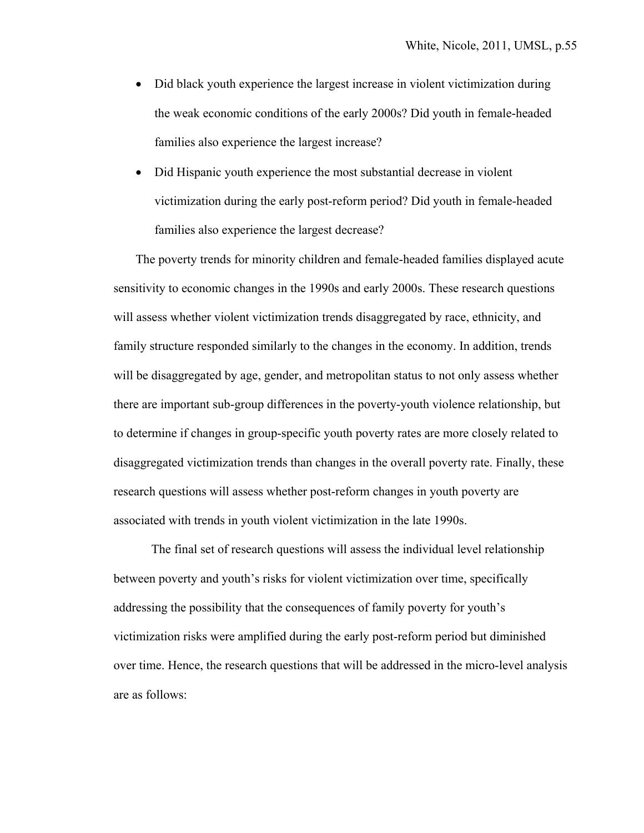- Did black youth experience the largest increase in violent victimization during the weak economic conditions of the early 2000s? Did youth in female-headed families also experience the largest increase?
- Did Hispanic youth experience the most substantial decrease in violent victimization during the early post-reform period? Did youth in female-headed families also experience the largest decrease?

The poverty trends for minority children and female-headed families displayed acute sensitivity to economic changes in the 1990s and early 2000s. These research questions will assess whether violent victimization trends disaggregated by race, ethnicity, and family structure responded similarly to the changes in the economy. In addition, trends will be disaggregated by age, gender, and metropolitan status to not only assess whether there are important sub-group differences in the poverty-youth violence relationship, but to determine if changes in group-specific youth poverty rates are more closely related to disaggregated victimization trends than changes in the overall poverty rate. Finally, these research questions will assess whether post-reform changes in youth poverty are associated with trends in youth violent victimization in the late 1990s.

The final set of research questions will assess the individual level relationship between poverty and youth's risks for violent victimization over time, specifically addressing the possibility that the consequences of family poverty for youth's victimization risks were amplified during the early post-reform period but diminished over time. Hence, the research questions that will be addressed in the micro-level analysis are as follows: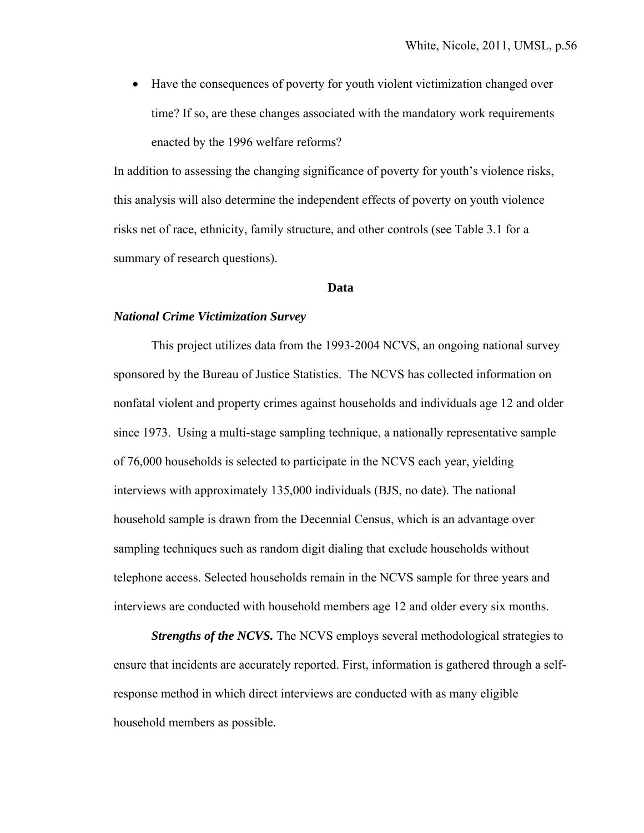Have the consequences of poverty for youth violent victimization changed over time? If so, are these changes associated with the mandatory work requirements enacted by the 1996 welfare reforms?

In addition to assessing the changing significance of poverty for youth's violence risks, this analysis will also determine the independent effects of poverty on youth violence risks net of race, ethnicity, family structure, and other controls (see Table 3.1 for a summary of research questions).

#### **Data**

#### *National Crime Victimization Survey*

 This project utilizes data from the 1993-2004 NCVS, an ongoing national survey sponsored by the Bureau of Justice Statistics. The NCVS has collected information on nonfatal violent and property crimes against households and individuals age 12 and older since 1973. Using a multi-stage sampling technique, a nationally representative sample of 76,000 households is selected to participate in the NCVS each year, yielding interviews with approximately 135,000 individuals (BJS, no date). The national household sample is drawn from the Decennial Census, which is an advantage over sampling techniques such as random digit dialing that exclude households without telephone access. Selected households remain in the NCVS sample for three years and interviews are conducted with household members age 12 and older every six months.

*Strengths of the NCVS*. The NCVS employs several methodological strategies to ensure that incidents are accurately reported. First, information is gathered through a selfresponse method in which direct interviews are conducted with as many eligible household members as possible.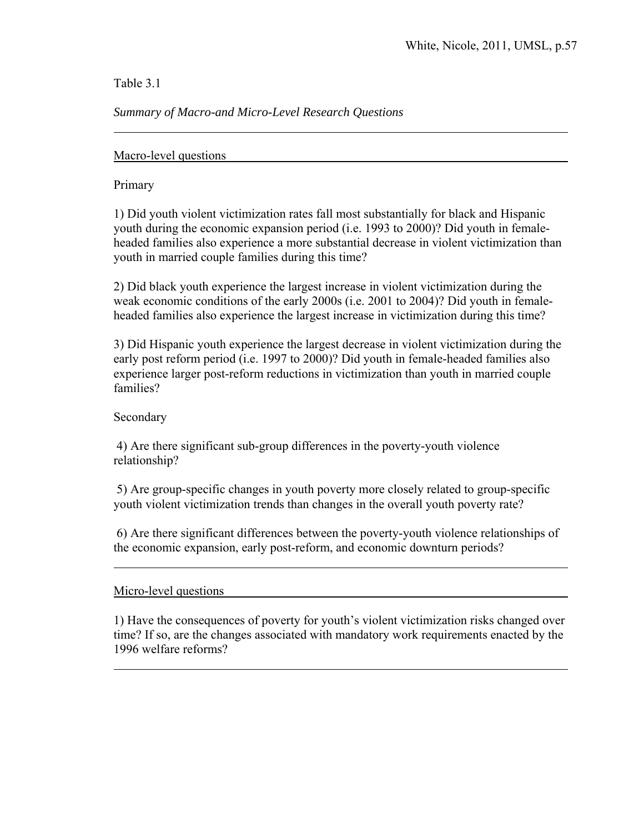Table 3.1

### *Summary of Macro-and Micro-Level Research Questions*

Macro-level questions

Primary

 $\overline{a}$ 

1) Did youth violent victimization rates fall most substantially for black and Hispanic youth during the economic expansion period (i.e. 1993 to 2000)? Did youth in femaleheaded families also experience a more substantial decrease in violent victimization than youth in married couple families during this time?

2) Did black youth experience the largest increase in violent victimization during the weak economic conditions of the early 2000s (i.e. 2001 to 2004)? Did youth in femaleheaded families also experience the largest increase in victimization during this time?

3) Did Hispanic youth experience the largest decrease in violent victimization during the early post reform period (i.e. 1997 to 2000)? Did youth in female-headed families also experience larger post-reform reductions in victimization than youth in married couple families?

Secondary

l

 $\overline{a}$ 

4) Are there significant sub-group differences in the poverty-youth violence relationship?

 5) Are group-specific changes in youth poverty more closely related to group-specific youth violent victimization trends than changes in the overall youth poverty rate?

 6) Are there significant differences between the poverty-youth violence relationships of the economic expansion, early post-reform, and economic downturn periods?

Micro-level questions

1) Have the consequences of poverty for youth's violent victimization risks changed over time? If so, are the changes associated with mandatory work requirements enacted by the 1996 welfare reforms?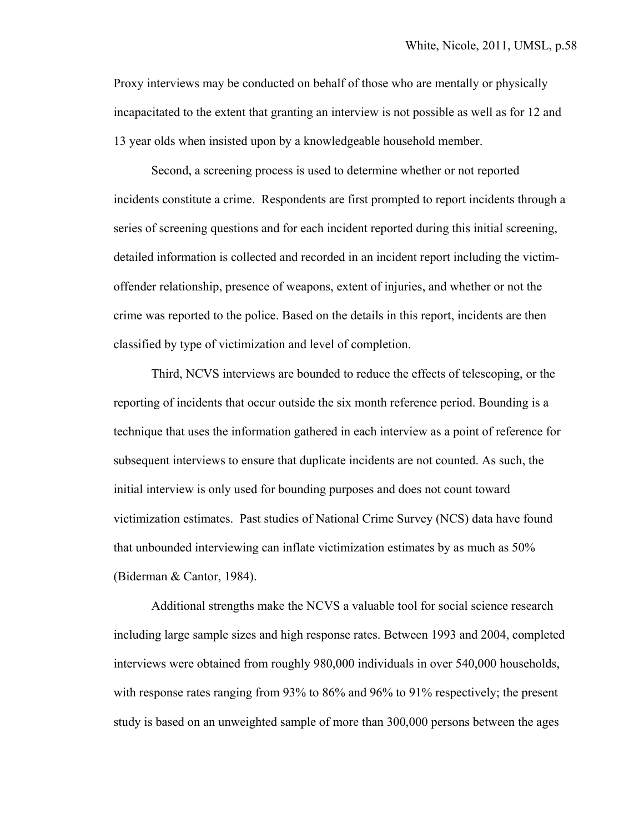Proxy interviews may be conducted on behalf of those who are mentally or physically incapacitated to the extent that granting an interview is not possible as well as for 12 and 13 year olds when insisted upon by a knowledgeable household member.

Second, a screening process is used to determine whether or not reported incidents constitute a crime. Respondents are first prompted to report incidents through a series of screening questions and for each incident reported during this initial screening, detailed information is collected and recorded in an incident report including the victimoffender relationship, presence of weapons, extent of injuries, and whether or not the crime was reported to the police. Based on the details in this report, incidents are then classified by type of victimization and level of completion.

Third, NCVS interviews are bounded to reduce the effects of telescoping, or the reporting of incidents that occur outside the six month reference period. Bounding is a technique that uses the information gathered in each interview as a point of reference for subsequent interviews to ensure that duplicate incidents are not counted. As such, the initial interview is only used for bounding purposes and does not count toward victimization estimates. Past studies of National Crime Survey (NCS) data have found that unbounded interviewing can inflate victimization estimates by as much as 50% (Biderman & Cantor, 1984).

Additional strengths make the NCVS a valuable tool for social science research including large sample sizes and high response rates. Between 1993 and 2004, completed interviews were obtained from roughly 980,000 individuals in over 540,000 households, with response rates ranging from 93% to 86% and 96% to 91% respectively; the present study is based on an unweighted sample of more than 300,000 persons between the ages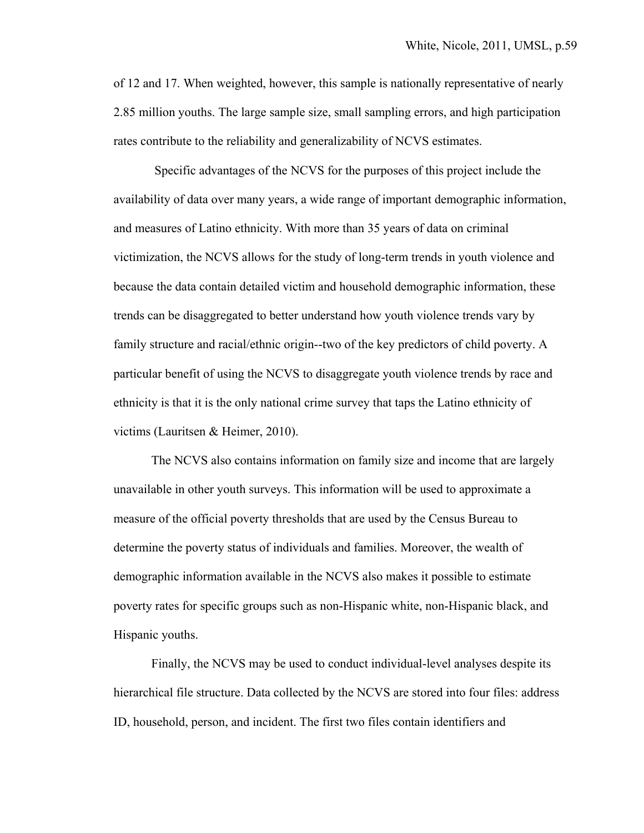of 12 and 17. When weighted, however, this sample is nationally representative of nearly 2.85 million youths. The large sample size, small sampling errors, and high participation rates contribute to the reliability and generalizability of NCVS estimates.

 Specific advantages of the NCVS for the purposes of this project include the availability of data over many years, a wide range of important demographic information, and measures of Latino ethnicity. With more than 35 years of data on criminal victimization, the NCVS allows for the study of long-term trends in youth violence and because the data contain detailed victim and household demographic information, these trends can be disaggregated to better understand how youth violence trends vary by family structure and racial/ethnic origin--two of the key predictors of child poverty. A particular benefit of using the NCVS to disaggregate youth violence trends by race and ethnicity is that it is the only national crime survey that taps the Latino ethnicity of victims (Lauritsen & Heimer, 2010).

The NCVS also contains information on family size and income that are largely unavailable in other youth surveys. This information will be used to approximate a measure of the official poverty thresholds that are used by the Census Bureau to determine the poverty status of individuals and families. Moreover, the wealth of demographic information available in the NCVS also makes it possible to estimate poverty rates for specific groups such as non-Hispanic white, non-Hispanic black, and Hispanic youths.

Finally, the NCVS may be used to conduct individual-level analyses despite its hierarchical file structure. Data collected by the NCVS are stored into four files: address ID, household, person, and incident. The first two files contain identifiers and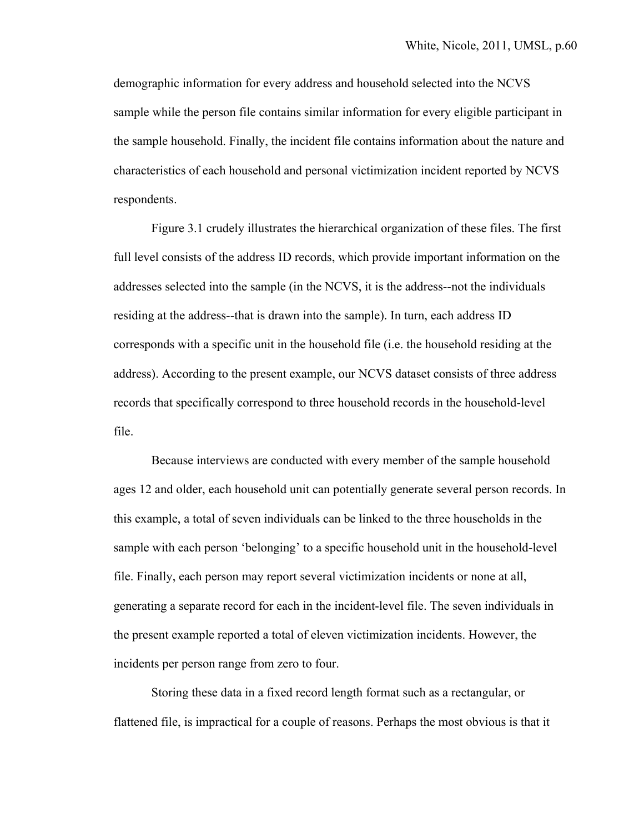demographic information for every address and household selected into the NCVS sample while the person file contains similar information for every eligible participant in the sample household. Finally, the incident file contains information about the nature and characteristics of each household and personal victimization incident reported by NCVS respondents.

 Figure 3.1 crudely illustrates the hierarchical organization of these files. The first full level consists of the address ID records, which provide important information on the addresses selected into the sample (in the NCVS, it is the address--not the individuals residing at the address--that is drawn into the sample). In turn, each address ID corresponds with a specific unit in the household file (i.e. the household residing at the address). According to the present example, our NCVS dataset consists of three address records that specifically correspond to three household records in the household-level file.

Because interviews are conducted with every member of the sample household ages 12 and older, each household unit can potentially generate several person records. In this example, a total of seven individuals can be linked to the three households in the sample with each person 'belonging' to a specific household unit in the household-level file. Finally, each person may report several victimization incidents or none at all, generating a separate record for each in the incident-level file. The seven individuals in the present example reported a total of eleven victimization incidents. However, the incidents per person range from zero to four.

 Storing these data in a fixed record length format such as a rectangular, or flattened file, is impractical for a couple of reasons. Perhaps the most obvious is that it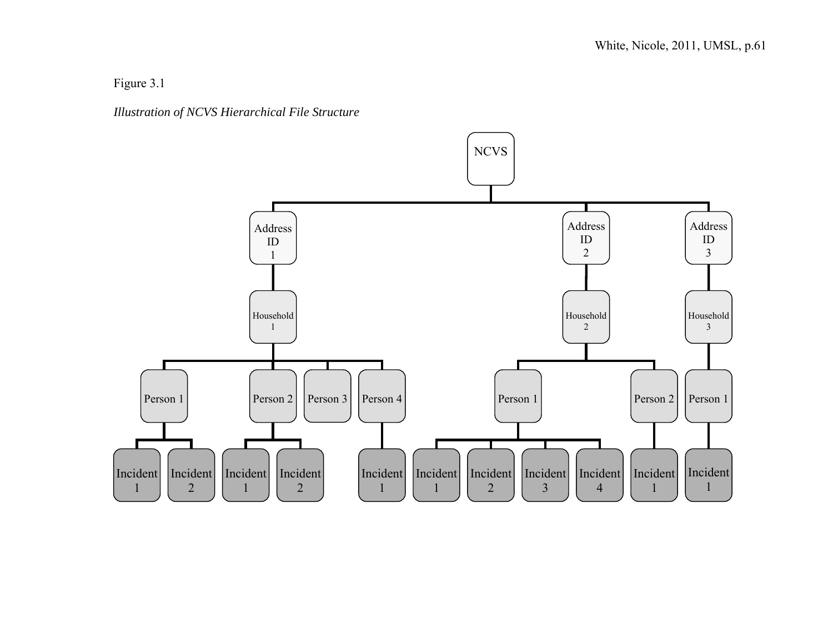Figure 3.1



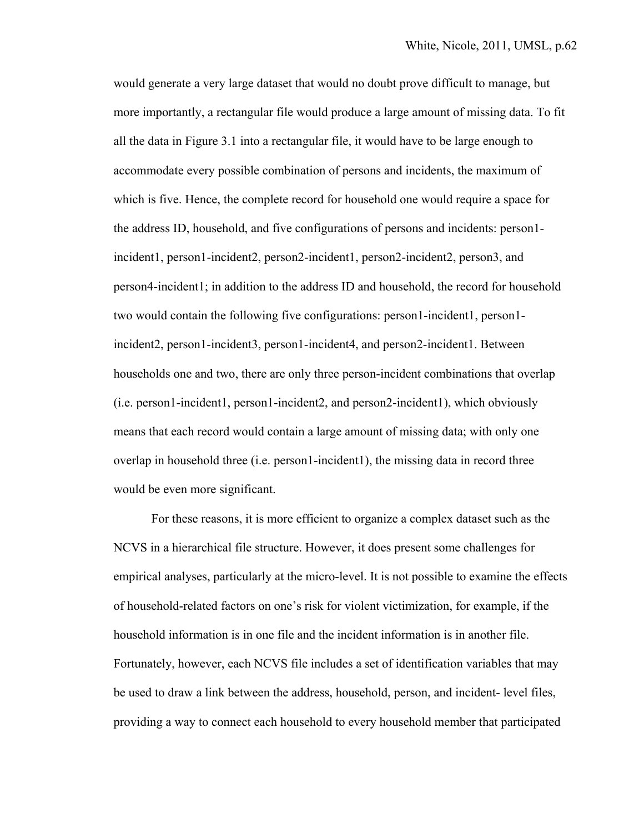would generate a very large dataset that would no doubt prove difficult to manage, but more importantly, a rectangular file would produce a large amount of missing data. To fit all the data in Figure 3.1 into a rectangular file, it would have to be large enough to accommodate every possible combination of persons and incidents, the maximum of which is five. Hence, the complete record for household one would require a space for the address ID, household, and five configurations of persons and incidents: person1 incident1, person1-incident2, person2-incident1, person2-incident2, person3, and person4-incident1; in addition to the address ID and household, the record for household two would contain the following five configurations: person1-incident1, person1 incident2, person1-incident3, person1-incident4, and person2-incident1. Between households one and two, there are only three person-incident combinations that overlap (i.e. person1-incident1, person1-incident2, and person2-incident1), which obviously means that each record would contain a large amount of missing data; with only one overlap in household three (i.e. person1-incident1), the missing data in record three would be even more significant.

For these reasons, it is more efficient to organize a complex dataset such as the NCVS in a hierarchical file structure. However, it does present some challenges for empirical analyses, particularly at the micro-level. It is not possible to examine the effects of household-related factors on one's risk for violent victimization, for example, if the household information is in one file and the incident information is in another file. Fortunately, however, each NCVS file includes a set of identification variables that may be used to draw a link between the address, household, person, and incident- level files, providing a way to connect each household to every household member that participated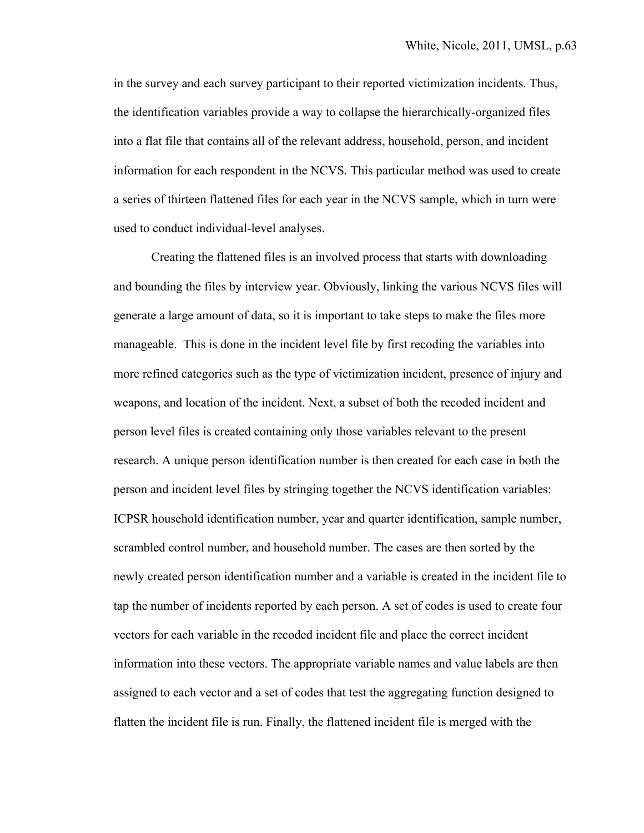in the survey and each survey participant to their reported victimization incidents. Thus, the identification variables provide a way to collapse the hierarchically-organized files into a flat file that contains all of the relevant address, household, person, and incident information for each respondent in the NCVS. This particular method was used to create a series of thirteen flattened files for each year in the NCVS sample, which in turn were used to conduct individual-level analyses.

 Creating the flattened files is an involved process that starts with downloading and bounding the files by interview year. Obviously, linking the various NCVS files will generate a large amount of data, so it is important to take steps to make the files more manageable. This is done in the incident level file by first recoding the variables into more refined categories such as the type of victimization incident, presence of injury and weapons, and location of the incident. Next, a subset of both the recoded incident and person level files is created containing only those variables relevant to the present research. A unique person identification number is then created for each case in both the person and incident level files by stringing together the NCVS identification variables: ICPSR household identification number, year and quarter identification, sample number, scrambled control number, and household number. The cases are then sorted by the newly created person identification number and a variable is created in the incident file to tap the number of incidents reported by each person. A set of codes is used to create four vectors for each variable in the recoded incident file and place the correct incident information into these vectors. The appropriate variable names and value labels are then assigned to each vector and a set of codes that test the aggregating function designed to flatten the incident file is run. Finally, the flattened incident file is merged with the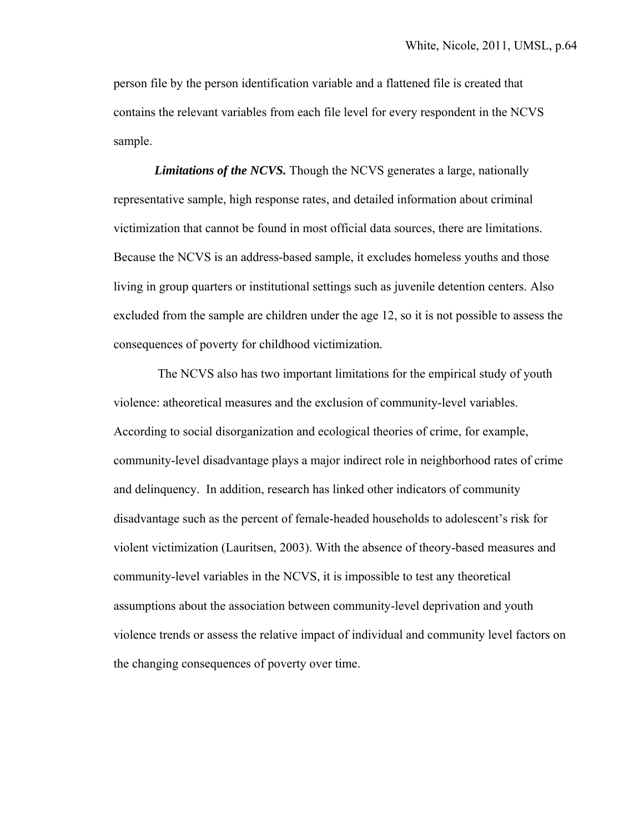person file by the person identification variable and a flattened file is created that contains the relevant variables from each file level for every respondent in the NCVS sample.

*Limitations of the NCVS.* Though the NCVS generates a large, nationally representative sample, high response rates, and detailed information about criminal victimization that cannot be found in most official data sources, there are limitations. Because the NCVS is an address-based sample, it excludes homeless youths and those living in group quarters or institutional settings such as juvenile detention centers. Also excluded from the sample are children under the age 12, so it is not possible to assess the consequences of poverty for childhood victimization*.*

 The NCVS also has two important limitations for the empirical study of youth violence: atheoretical measures and the exclusion of community-level variables. According to social disorganization and ecological theories of crime, for example, community-level disadvantage plays a major indirect role in neighborhood rates of crime and delinquency. In addition, research has linked other indicators of community disadvantage such as the percent of female-headed households to adolescent's risk for violent victimization (Lauritsen, 2003). With the absence of theory-based measures and community-level variables in the NCVS, it is impossible to test any theoretical assumptions about the association between community-level deprivation and youth violence trends or assess the relative impact of individual and community level factors on the changing consequences of poverty over time.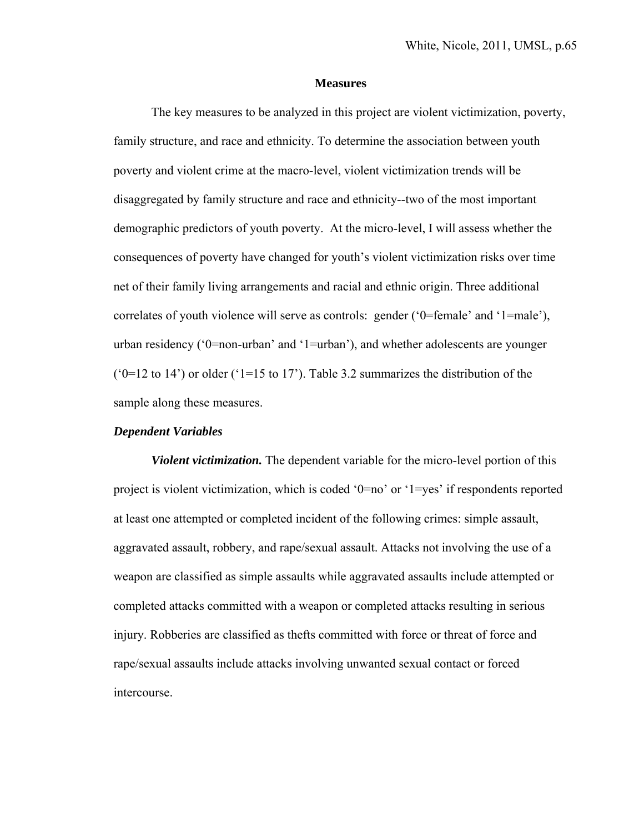#### **Measures**

The key measures to be analyzed in this project are violent victimization, poverty, family structure, and race and ethnicity. To determine the association between youth poverty and violent crime at the macro-level, violent victimization trends will be disaggregated by family structure and race and ethnicity--two of the most important demographic predictors of youth poverty. At the micro-level, I will assess whether the consequences of poverty have changed for youth's violent victimization risks over time net of their family living arrangements and racial and ethnic origin. Three additional correlates of youth violence will serve as controls: gender ('0=female' and '1=male'), urban residency ('0=non-urban' and '1=urban'), and whether adolescents are younger ( $0=12$  to 14<sup>o</sup>) or older ( $1=15$  to 17<sup>o</sup>). Table 3.2 summarizes the distribution of the sample along these measures.

#### *Dependent Variables*

*Violent victimization.* The dependent variable for the micro-level portion of this project is violent victimization, which is coded '0=no' or '1=yes' if respondents reported at least one attempted or completed incident of the following crimes: simple assault, aggravated assault, robbery, and rape/sexual assault. Attacks not involving the use of a weapon are classified as simple assaults while aggravated assaults include attempted or completed attacks committed with a weapon or completed attacks resulting in serious injury. Robberies are classified as thefts committed with force or threat of force and rape/sexual assaults include attacks involving unwanted sexual contact or forced intercourse.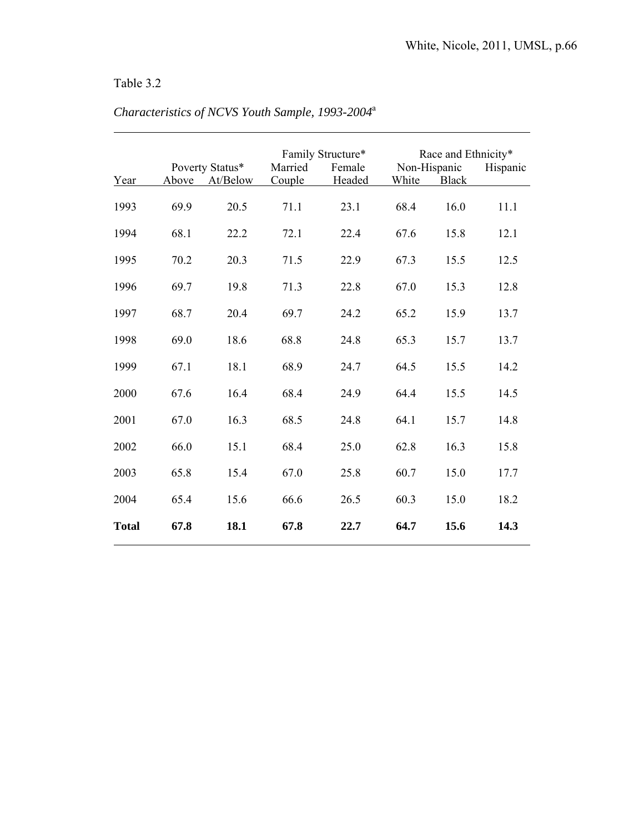## Table 3.2

 $\overline{a}$ 

|              |       | Poverty Status* | Married | Family Structure*<br>Female | Non-Hispanic | Race and Ethnicity* | Hispanic |
|--------------|-------|-----------------|---------|-----------------------------|--------------|---------------------|----------|
| Year         | Above | At/Below        | Couple  | Headed                      | White        | <b>Black</b>        |          |
| 1993         | 69.9  | 20.5            | 71.1    | 23.1                        | 68.4         | 16.0                | 11.1     |
| 1994         | 68.1  | 22.2            | 72.1    | 22.4                        | 67.6         | 15.8                | 12.1     |
| 1995         | 70.2  | 20.3            | 71.5    | 22.9                        | 67.3         | 15.5                | 12.5     |
| 1996         | 69.7  | 19.8            | 71.3    | 22.8                        | 67.0         | 15.3                | 12.8     |
| 1997         | 68.7  | 20.4            | 69.7    | 24.2                        | 65.2         | 15.9                | 13.7     |
| 1998         | 69.0  | 18.6            | 68.8    | 24.8                        | 65.3         | 15.7                | 13.7     |
| 1999         | 67.1  | 18.1            | 68.9    | 24.7                        | 64.5         | 15.5                | 14.2     |
| 2000         | 67.6  | 16.4            | 68.4    | 24.9                        | 64.4         | 15.5                | 14.5     |
| 2001         | 67.0  | 16.3            | 68.5    | 24.8                        | 64.1         | 15.7                | 14.8     |
| 2002         | 66.0  | 15.1            | 68.4    | 25.0                        | 62.8         | 16.3                | 15.8     |
| 2003         | 65.8  | 15.4            | 67.0    | 25.8                        | 60.7         | 15.0                | 17.7     |
| 2004         | 65.4  | 15.6            | 66.6    | 26.5                        | 60.3         | 15.0                | 18.2     |
| <b>Total</b> | 67.8  | 18.1            | 67.8    | 22.7                        | 64.7         | 15.6                | 14.3     |

# *Characteristics of NCVS Youth Sample, 1993-2004*<sup>a</sup>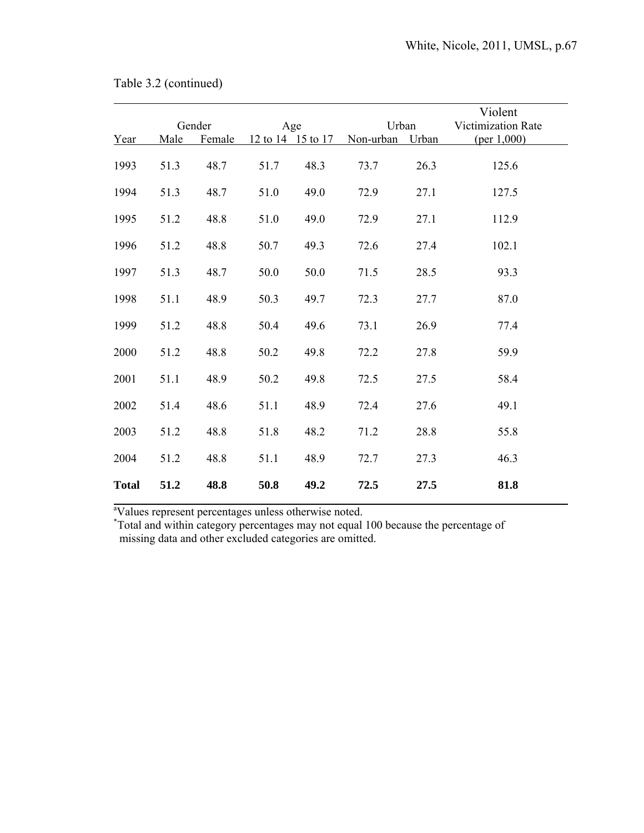|              | Gender |        | Age               |      | Urban     |       | Violent<br>Victimization Rate |  |
|--------------|--------|--------|-------------------|------|-----------|-------|-------------------------------|--|
| Year         | Male   | Female | 12 to 14 15 to 17 |      | Non-urban | Urban | (per 1,000)                   |  |
| 1993         | 51.3   | 48.7   | 51.7              | 48.3 | 73.7      | 26.3  | 125.6                         |  |
| 1994         | 51.3   | 48.7   | 51.0              | 49.0 | 72.9      | 27.1  | 127.5                         |  |
| 1995         | 51.2   | 48.8   | 51.0              | 49.0 | 72.9      | 27.1  | 112.9                         |  |
| 1996         | 51.2   | 48.8   | 50.7              | 49.3 | 72.6      | 27.4  | 102.1                         |  |
| 1997         | 51.3   | 48.7   | 50.0              | 50.0 | 71.5      | 28.5  | 93.3                          |  |
| 1998         | 51.1   | 48.9   | 50.3              | 49.7 | 72.3      | 27.7  | 87.0                          |  |
| 1999         | 51.2   | 48.8   | 50.4              | 49.6 | 73.1      | 26.9  | 77.4                          |  |
| 2000         | 51.2   | 48.8   | 50.2              | 49.8 | 72.2      | 27.8  | 59.9                          |  |
| 2001         | 51.1   | 48.9   | 50.2              | 49.8 | 72.5      | 27.5  | 58.4                          |  |
| 2002         | 51.4   | 48.6   | 51.1              | 48.9 | 72.4      | 27.6  | 49.1                          |  |
| 2003         | 51.2   | 48.8   | 51.8              | 48.2 | 71.2      | 28.8  | 55.8                          |  |
| 2004         | 51.2   | 48.8   | 51.1              | 48.9 | 72.7      | 27.3  | 46.3                          |  |
| <b>Total</b> | 51.2   | 48.8   | 50.8              | 49.2 | 72.5      | 27.5  | 81.8                          |  |

<sup>a</sup><br>Values represent percentages unless otherwise noted.<br>\*Total and within category percentages may not equal 100 because the percentage of missing data and other excluded categories are omitted.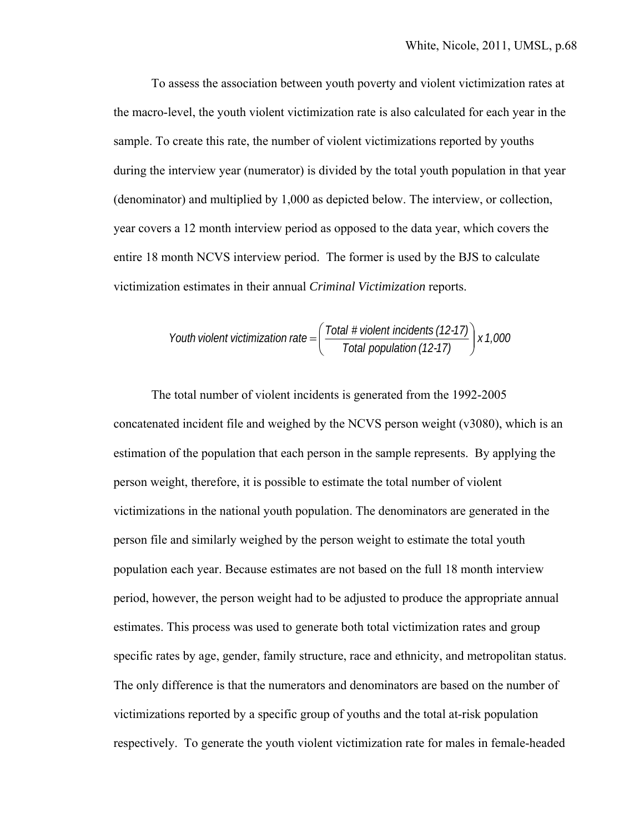To assess the association between youth poverty and violent victimization rates at the macro-level, the youth violent victimization rate is also calculated for each year in the sample. To create this rate, the number of violent victimizations reported by youths during the interview year (numerator) is divided by the total youth population in that year (denominator) and multiplied by 1,000 as depicted below. The interview, or collection, year covers a 12 month interview period as opposed to the data year, which covers the entire 18 month NCVS interview period. The former is used by the BJS to calculate victimization estimates in their annual *Criminal Victimization* reports.

*Youth violent victimization rate = 
$$
\left(\frac{\text{Total } \# \text{ violent incidents} (12-17)}{\text{Total population} (12-17)}\right) \times 1,000
$$*

The total number of violent incidents is generated from the 1992-2005 concatenated incident file and weighed by the NCVS person weight (v3080), which is an estimation of the population that each person in the sample represents. By applying the person weight, therefore, it is possible to estimate the total number of violent victimizations in the national youth population. The denominators are generated in the person file and similarly weighed by the person weight to estimate the total youth population each year. Because estimates are not based on the full 18 month interview period, however, the person weight had to be adjusted to produce the appropriate annual estimates. This process was used to generate both total victimization rates and group specific rates by age, gender, family structure, race and ethnicity, and metropolitan status. The only difference is that the numerators and denominators are based on the number of victimizations reported by a specific group of youths and the total at-risk population respectively. To generate the youth violent victimization rate for males in female-headed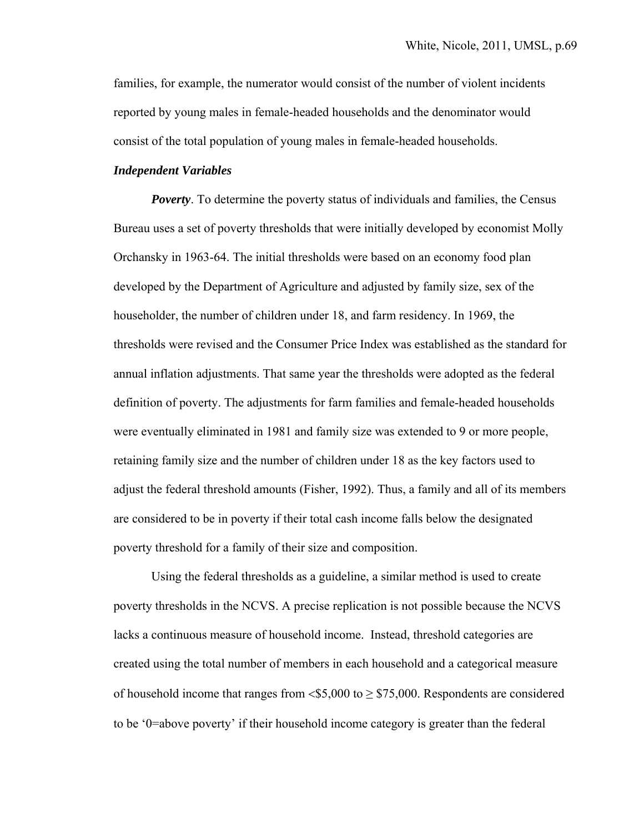families, for example, the numerator would consist of the number of violent incidents reported by young males in female-headed households and the denominator would consist of the total population of young males in female-headed households.

#### *Independent Variables*

*Poverty*. To determine the poverty status of individuals and families, the Census Bureau uses a set of poverty thresholds that were initially developed by economist Molly Orchansky in 1963-64. The initial thresholds were based on an economy food plan developed by the Department of Agriculture and adjusted by family size, sex of the householder, the number of children under 18, and farm residency. In 1969, the thresholds were revised and the Consumer Price Index was established as the standard for annual inflation adjustments. That same year the thresholds were adopted as the federal definition of poverty. The adjustments for farm families and female-headed households were eventually eliminated in 1981 and family size was extended to 9 or more people, retaining family size and the number of children under 18 as the key factors used to adjust the federal threshold amounts (Fisher, 1992). Thus, a family and all of its members are considered to be in poverty if their total cash income falls below the designated poverty threshold for a family of their size and composition.

Using the federal thresholds as a guideline, a similar method is used to create poverty thresholds in the NCVS. A precise replication is not possible because the NCVS lacks a continuous measure of household income. Instead, threshold categories are created using the total number of members in each household and a categorical measure of household income that ranges from  $$5,000$  to  $\geq $75,000$ . Respondents are considered to be '0=above poverty' if their household income category is greater than the federal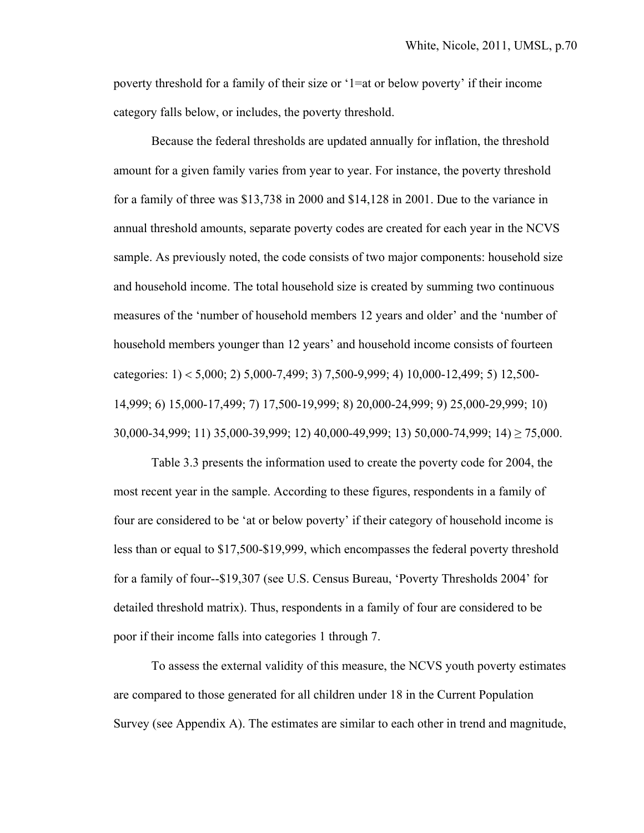poverty threshold for a family of their size or '1=at or below poverty' if their income category falls below, or includes, the poverty threshold.

 Because the federal thresholds are updated annually for inflation, the threshold amount for a given family varies from year to year. For instance, the poverty threshold for a family of three was \$13,738 in 2000 and \$14,128 in 2001. Due to the variance in annual threshold amounts, separate poverty codes are created for each year in the NCVS sample. As previously noted, the code consists of two major components: household size and household income. The total household size is created by summing two continuous measures of the 'number of household members 12 years and older' and the 'number of household members younger than 12 years' and household income consists of fourteen categories:  $1$  < 5,000; 2) 5,000-7,499; 3) 7,500-9,999; 4) 10,000-12,499; 5) 12,500-14,999; 6) 15,000-17,499; 7) 17,500-19,999; 8) 20,000-24,999; 9) 25,000-29,999; 10) 30,000-34,999; 11) 35,000-39,999; 12) 40,000-49,999; 13) 50,000-74,999; 14) ≥ 75,000.

 Table 3.3 presents the information used to create the poverty code for 2004, the most recent year in the sample. According to these figures, respondents in a family of four are considered to be 'at or below poverty' if their category of household income is less than or equal to \$17,500-\$19,999, which encompasses the federal poverty threshold for a family of four--\$19,307 (see U.S. Census Bureau, 'Poverty Thresholds 2004' for detailed threshold matrix). Thus, respondents in a family of four are considered to be poor if their income falls into categories 1 through 7.

To assess the external validity of this measure, the NCVS youth poverty estimates are compared to those generated for all children under 18 in the Current Population Survey (see Appendix A). The estimates are similar to each other in trend and magnitude,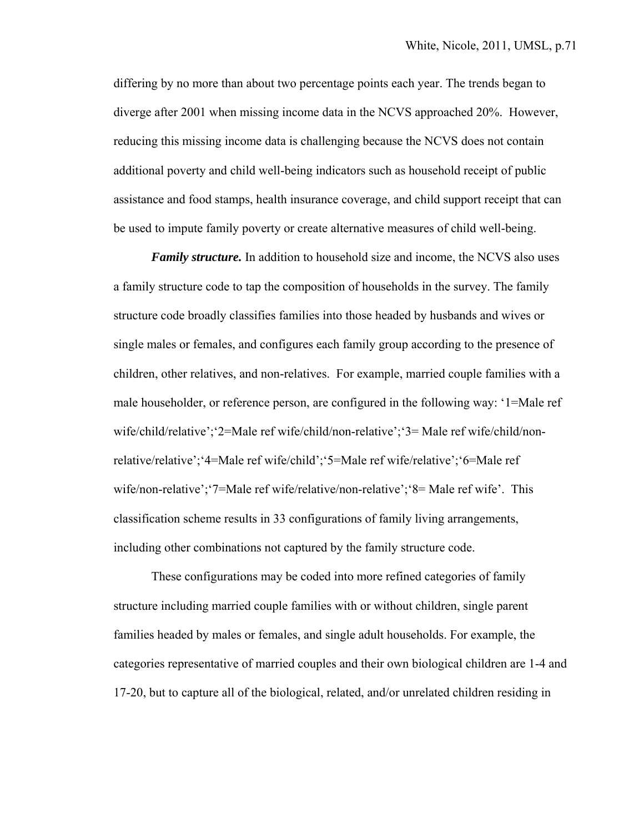differing by no more than about two percentage points each year. The trends began to diverge after 2001 when missing income data in the NCVS approached 20%. However, reducing this missing income data is challenging because the NCVS does not contain additional poverty and child well-being indicators such as household receipt of public assistance and food stamps, health insurance coverage, and child support receipt that can be used to impute family poverty or create alternative measures of child well-being.

*Family structure.* In addition to household size and income, the NCVS also uses a family structure code to tap the composition of households in the survey. The family structure code broadly classifies families into those headed by husbands and wives or single males or females, and configures each family group according to the presence of children, other relatives, and non-relatives. For example, married couple families with a male householder, or reference person, are configured in the following way: '1=Male ref wife/child/relative';'2=Male ref wife/child/non-relative';'3= Male ref wife/child/nonrelative/relative';'4=Male ref wife/child';'5=Male ref wife/relative';'6=Male ref wife/non-relative';'7=Male ref wife/relative/non-relative';'8= Male ref wife'. This classification scheme results in 33 configurations of family living arrangements, including other combinations not captured by the family structure code.

These configurations may be coded into more refined categories of family structure including married couple families with or without children, single parent families headed by males or females, and single adult households. For example, the categories representative of married couples and their own biological children are 1-4 and 17-20, but to capture all of the biological, related, and/or unrelated children residing in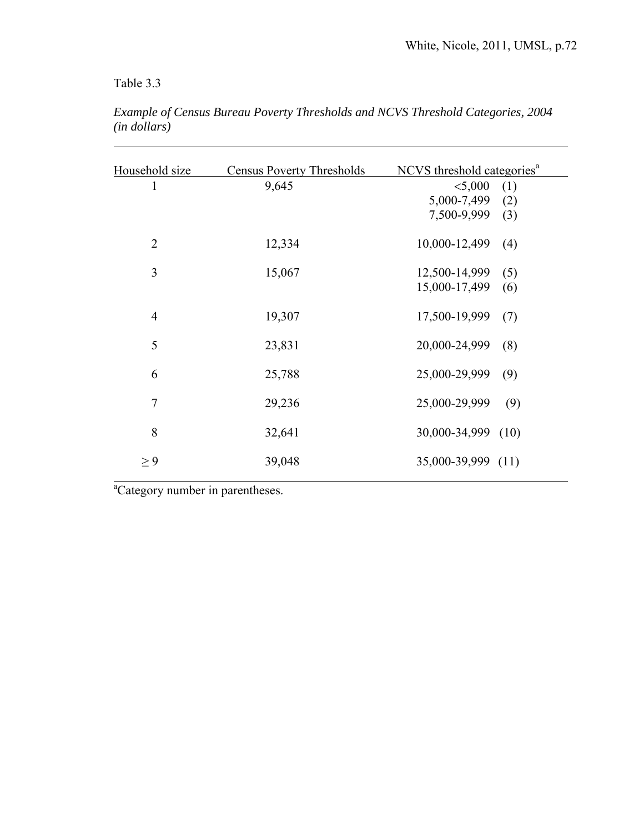Table 3.3

 $\overline{a}$ 

| Household size | <b>Census Poverty Thresholds</b> | NCVS threshold categories <sup>a</sup> |
|----------------|----------------------------------|----------------------------------------|
| 1              | 9,645                            | < 5,000<br>(1)                         |
|                |                                  | 5,000-7,499<br>(2)                     |
|                |                                  | 7,500-9,999<br>(3)                     |
| $\overline{2}$ | 12,334                           | 10,000-12,499<br>(4)                   |
| 3              | 15,067                           | 12,500-14,999<br>(5)                   |
|                |                                  | 15,000-17,499<br>(6)                   |
| $\overline{4}$ | 19,307                           | 17,500-19,999<br>(7)                   |
| 5              | 23,831                           | 20,000-24,999<br>(8)                   |
| 6              | 25,788                           | 25,000-29,999<br>(9)                   |
| $\overline{7}$ | 29,236                           | 25,000-29,999<br>(9)                   |
| 8              | 32,641                           | 30,000-34,999 (10)                     |
| $\geq 9$       | 39,048                           | 35,000-39,999 (11)                     |
|                |                                  |                                        |

*Example of Census Bureau Poverty Thresholds and NCVS Threshold Categories, 2004 (in dollars)* 

a<br>
<sup>a</sup>Category number in parentheses.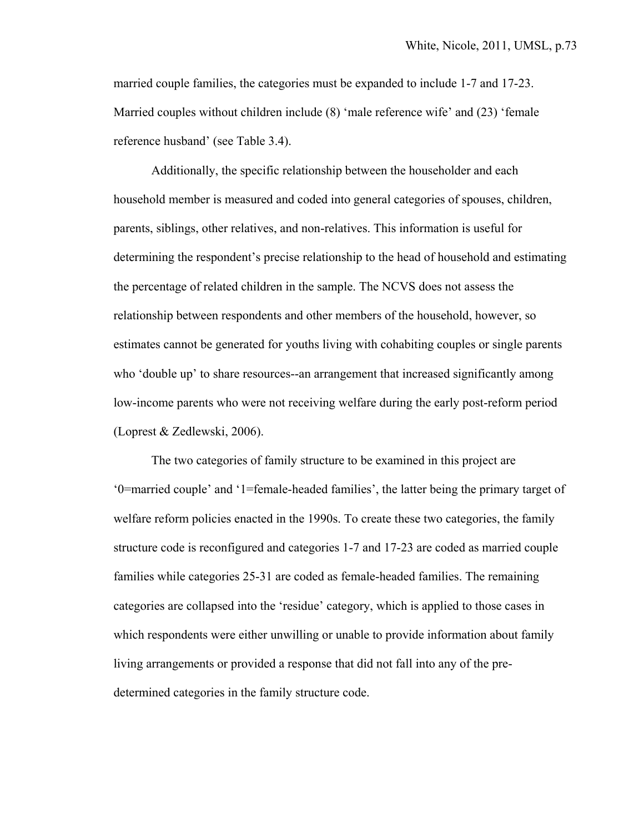married couple families, the categories must be expanded to include 1-7 and 17-23. Married couples without children include (8) 'male reference wife' and (23) 'female reference husband' (see Table 3.4).

 Additionally, the specific relationship between the householder and each household member is measured and coded into general categories of spouses, children, parents, siblings, other relatives, and non-relatives. This information is useful for determining the respondent's precise relationship to the head of household and estimating the percentage of related children in the sample. The NCVS does not assess the relationship between respondents and other members of the household, however, so estimates cannot be generated for youths living with cohabiting couples or single parents who 'double up' to share resources--an arrangement that increased significantly among low-income parents who were not receiving welfare during the early post-reform period (Loprest & Zedlewski, 2006).

The two categories of family structure to be examined in this project are '0=married couple' and '1=female-headed families', the latter being the primary target of welfare reform policies enacted in the 1990s. To create these two categories, the family structure code is reconfigured and categories 1-7 and 17-23 are coded as married couple families while categories 25-31 are coded as female-headed families. The remaining categories are collapsed into the 'residue' category, which is applied to those cases in which respondents were either unwilling or unable to provide information about family living arrangements or provided a response that did not fall into any of the predetermined categories in the family structure code.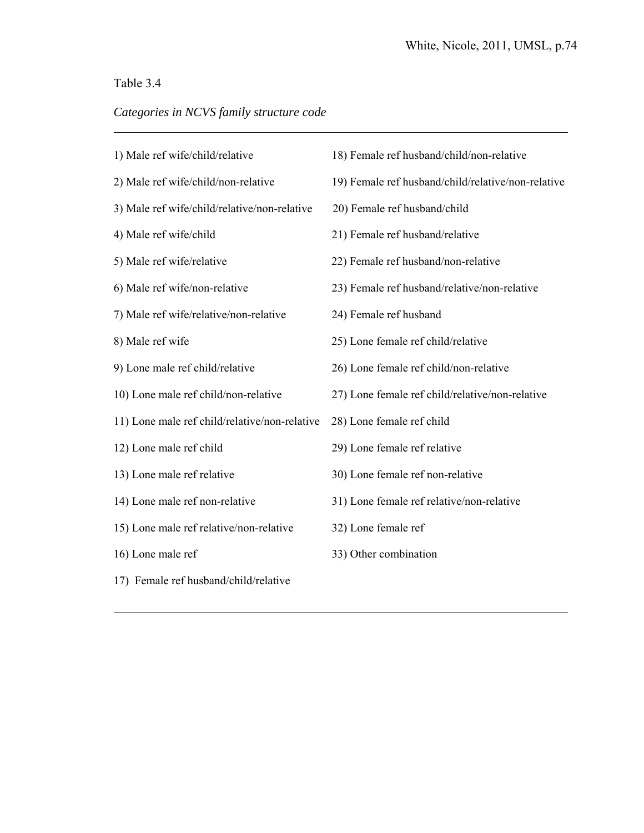# Table 3.4

 $\overline{a}$ 

 $\overline{a}$ 

# *Categories in NCVS family structure code*

| 1) Male ref wife/child/relative               | 18) Female ref husband/child/non-relative          |
|-----------------------------------------------|----------------------------------------------------|
| 2) Male ref wife/child/non-relative           | 19) Female ref husband/child/relative/non-relative |
| 3) Male ref wife/child/relative/non-relative  | 20) Female ref husband/child                       |
| 4) Male ref wife/child                        | 21) Female ref husband/relative                    |
| 5) Male ref wife/relative                     | 22) Female ref husband/non-relative                |
| 6) Male ref wife/non-relative                 | 23) Female ref husband/relative/non-relative       |
| 7) Male ref wife/relative/non-relative        | 24) Female ref husband                             |
| 8) Male ref wife                              | 25) Lone female ref child/relative                 |
| 9) Lone male ref child/relative               | 26) Lone female ref child/non-relative             |
| 10) Lone male ref child/non-relative          | 27) Lone female ref child/relative/non-relative    |
| 11) Lone male ref child/relative/non-relative | 28) Lone female ref child                          |
| 12) Lone male ref child                       | 29) Lone female ref relative                       |
| 13) Lone male ref relative                    | 30) Lone female ref non-relative                   |
| 14) Lone male ref non-relative                | 31) Lone female ref relative/non-relative          |
| 15) Lone male ref relative/non-relative       | 32) Lone female ref                                |
| 16) Lone male ref                             | 33) Other combination                              |
| 17) Female ref husband/child/relative         |                                                    |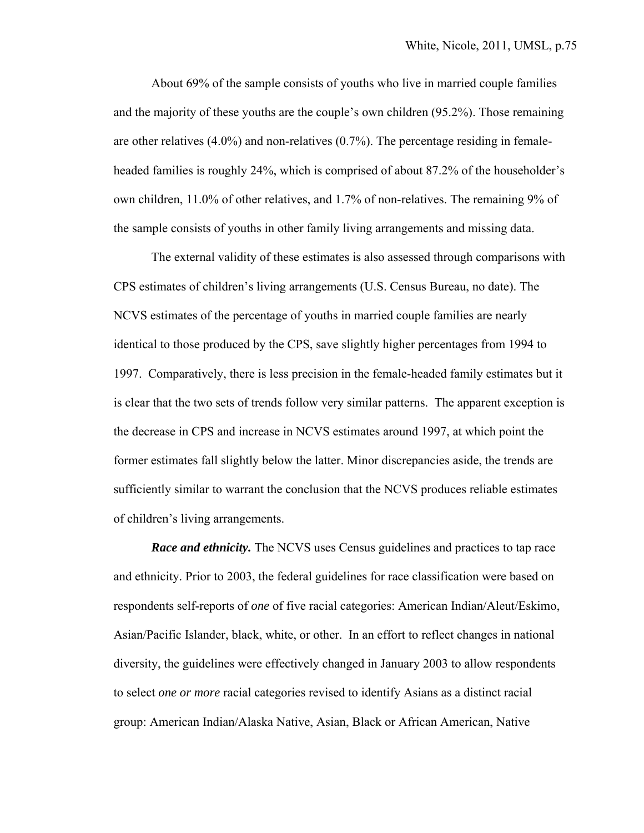About 69% of the sample consists of youths who live in married couple families and the majority of these youths are the couple's own children (95.2%). Those remaining are other relatives (4.0%) and non-relatives (0.7%). The percentage residing in femaleheaded families is roughly 24%, which is comprised of about 87.2% of the householder's own children, 11.0% of other relatives, and 1.7% of non-relatives. The remaining 9% of the sample consists of youths in other family living arrangements and missing data.

 The external validity of these estimates is also assessed through comparisons with CPS estimates of children's living arrangements (U.S. Census Bureau, no date). The NCVS estimates of the percentage of youths in married couple families are nearly identical to those produced by the CPS, save slightly higher percentages from 1994 to 1997. Comparatively, there is less precision in the female-headed family estimates but it is clear that the two sets of trends follow very similar patterns. The apparent exception is the decrease in CPS and increase in NCVS estimates around 1997, at which point the former estimates fall slightly below the latter. Minor discrepancies aside, the trends are sufficiently similar to warrant the conclusion that the NCVS produces reliable estimates of children's living arrangements.

*Race and ethnicity.* The NCVS uses Census guidelines and practices to tap race and ethnicity. Prior to 2003, the federal guidelines for race classification were based on respondents self-reports of *one* of five racial categories: American Indian/Aleut/Eskimo, Asian/Pacific Islander, black, white, or other. In an effort to reflect changes in national diversity, the guidelines were effectively changed in January 2003 to allow respondents to select *one or more* racial categories revised to identify Asians as a distinct racial group: American Indian/Alaska Native, Asian, Black or African American, Native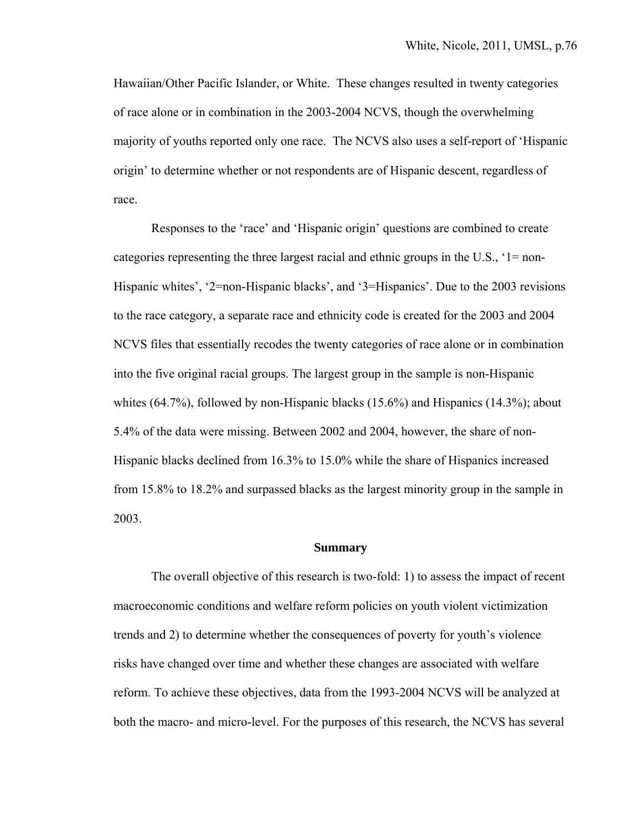Hawaiian/Other Pacific Islander, or White. These changes resulted in twenty categories of race alone or in combination in the 2003-2004 NCVS, though the overwhelming majority of youths reported only one race. The NCVS also uses a self-report of 'Hispanic origin' to determine whether or not respondents are of Hispanic descent, regardless of race.

 Responses to the 'race' and 'Hispanic origin' questions are combined to create categories representing the three largest racial and ethnic groups in the U.S., '1= non-Hispanic whites', '2=non-Hispanic blacks', and '3=Hispanics'. Due to the 2003 revisions to the race category, a separate race and ethnicity code is created for the 2003 and 2004 NCVS files that essentially recodes the twenty categories of race alone or in combination into the five original racial groups. The largest group in the sample is non-Hispanic whites (64.7%), followed by non-Hispanic blacks (15.6%) and Hispanics (14.3%); about 5.4% of the data were missing. Between 2002 and 2004, however, the share of non-Hispanic blacks declined from 16.3% to 15.0% while the share of Hispanics increased from 15.8% to 18.2% and surpassed blacks as the largest minority group in the sample in 2003.

#### **Summary**

 The overall objective of this research is two-fold: 1) to assess the impact of recent macroeconomic conditions and welfare reform policies on youth violent victimization trends and 2) to determine whether the consequences of poverty for youth's violence risks have changed over time and whether these changes are associated with welfare reform. To achieve these objectives, data from the 1993-2004 NCVS will be analyzed at both the macro- and micro-level. For the purposes of this research, the NCVS has several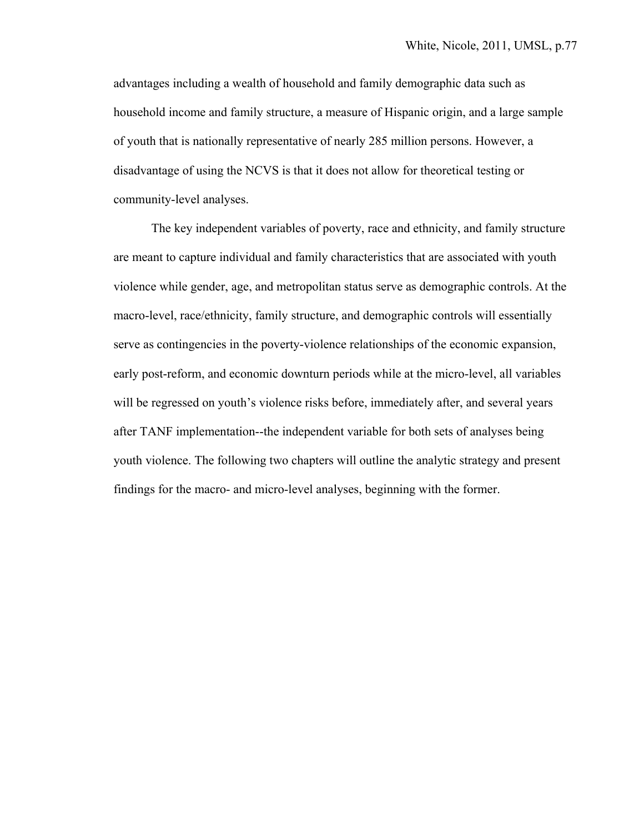advantages including a wealth of household and family demographic data such as household income and family structure, a measure of Hispanic origin, and a large sample of youth that is nationally representative of nearly 285 million persons. However, a disadvantage of using the NCVS is that it does not allow for theoretical testing or community-level analyses.

The key independent variables of poverty, race and ethnicity, and family structure are meant to capture individual and family characteristics that are associated with youth violence while gender, age, and metropolitan status serve as demographic controls. At the macro-level, race/ethnicity, family structure, and demographic controls will essentially serve as contingencies in the poverty-violence relationships of the economic expansion, early post-reform, and economic downturn periods while at the micro-level, all variables will be regressed on youth's violence risks before, immediately after, and several years after TANF implementation--the independent variable for both sets of analyses being youth violence. The following two chapters will outline the analytic strategy and present findings for the macro- and micro-level analyses, beginning with the former.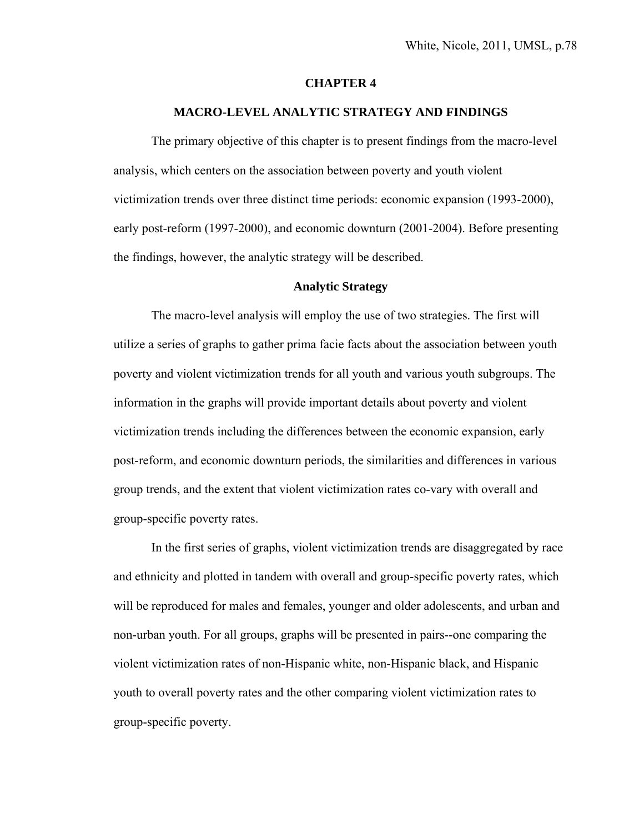#### **CHAPTER 4**

#### **MACRO-LEVEL ANALYTIC STRATEGY AND FINDINGS**

 The primary objective of this chapter is to present findings from the macro-level analysis, which centers on the association between poverty and youth violent victimization trends over three distinct time periods: economic expansion (1993-2000), early post-reform (1997-2000), and economic downturn (2001-2004). Before presenting the findings, however, the analytic strategy will be described.

#### **Analytic Strategy**

The macro-level analysis will employ the use of two strategies. The first will utilize a series of graphs to gather prima facie facts about the association between youth poverty and violent victimization trends for all youth and various youth subgroups. The information in the graphs will provide important details about poverty and violent victimization trends including the differences between the economic expansion, early post-reform, and economic downturn periods, the similarities and differences in various group trends, and the extent that violent victimization rates co-vary with overall and group-specific poverty rates.

In the first series of graphs, violent victimization trends are disaggregated by race and ethnicity and plotted in tandem with overall and group-specific poverty rates, which will be reproduced for males and females, younger and older adolescents, and urban and non-urban youth. For all groups, graphs will be presented in pairs--one comparing the violent victimization rates of non-Hispanic white, non-Hispanic black, and Hispanic youth to overall poverty rates and the other comparing violent victimization rates to group-specific poverty.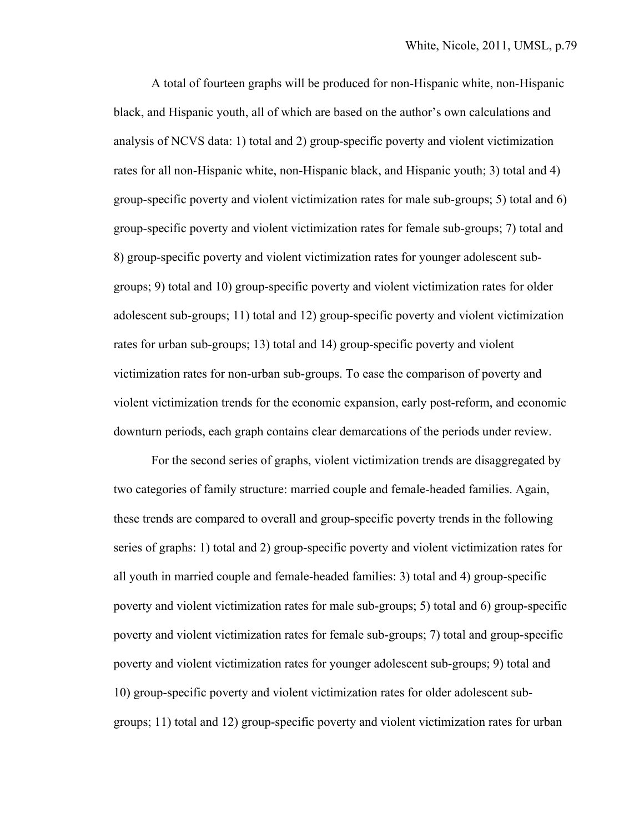A total of fourteen graphs will be produced for non-Hispanic white, non-Hispanic black, and Hispanic youth, all of which are based on the author's own calculations and analysis of NCVS data: 1) total and 2) group-specific poverty and violent victimization rates for all non-Hispanic white, non-Hispanic black, and Hispanic youth; 3) total and 4) group-specific poverty and violent victimization rates for male sub-groups; 5) total and 6) group-specific poverty and violent victimization rates for female sub-groups; 7) total and 8) group-specific poverty and violent victimization rates for younger adolescent subgroups; 9) total and 10) group-specific poverty and violent victimization rates for older adolescent sub-groups; 11) total and 12) group-specific poverty and violent victimization rates for urban sub-groups; 13) total and 14) group-specific poverty and violent victimization rates for non-urban sub-groups. To ease the comparison of poverty and violent victimization trends for the economic expansion, early post-reform, and economic downturn periods, each graph contains clear demarcations of the periods under review.

For the second series of graphs, violent victimization trends are disaggregated by two categories of family structure: married couple and female-headed families. Again, these trends are compared to overall and group-specific poverty trends in the following series of graphs: 1) total and 2) group-specific poverty and violent victimization rates for all youth in married couple and female-headed families: 3) total and 4) group-specific poverty and violent victimization rates for male sub-groups; 5) total and 6) group-specific poverty and violent victimization rates for female sub-groups; 7) total and group-specific poverty and violent victimization rates for younger adolescent sub-groups; 9) total and 10) group-specific poverty and violent victimization rates for older adolescent subgroups; 11) total and 12) group-specific poverty and violent victimization rates for urban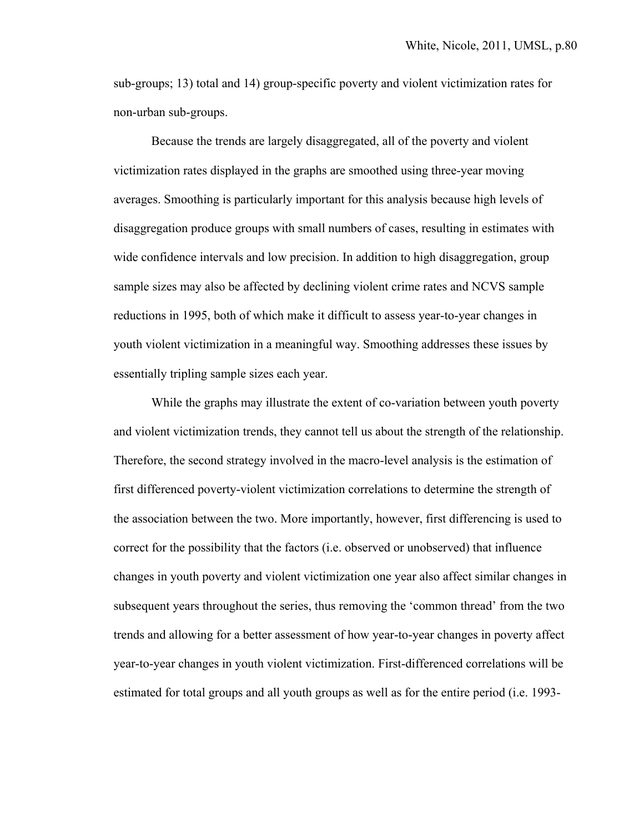sub-groups; 13) total and 14) group-specific poverty and violent victimization rates for non-urban sub-groups.

Because the trends are largely disaggregated, all of the poverty and violent victimization rates displayed in the graphs are smoothed using three-year moving averages. Smoothing is particularly important for this analysis because high levels of disaggregation produce groups with small numbers of cases, resulting in estimates with wide confidence intervals and low precision. In addition to high disaggregation, group sample sizes may also be affected by declining violent crime rates and NCVS sample reductions in 1995, both of which make it difficult to assess year-to-year changes in youth violent victimization in a meaningful way. Smoothing addresses these issues by essentially tripling sample sizes each year.

While the graphs may illustrate the extent of co-variation between youth poverty and violent victimization trends, they cannot tell us about the strength of the relationship. Therefore, the second strategy involved in the macro-level analysis is the estimation of first differenced poverty-violent victimization correlations to determine the strength of the association between the two. More importantly, however, first differencing is used to correct for the possibility that the factors (i.e. observed or unobserved) that influence changes in youth poverty and violent victimization one year also affect similar changes in subsequent years throughout the series, thus removing the 'common thread' from the two trends and allowing for a better assessment of how year-to-year changes in poverty affect year-to-year changes in youth violent victimization. First-differenced correlations will be estimated for total groups and all youth groups as well as for the entire period (i.e. 1993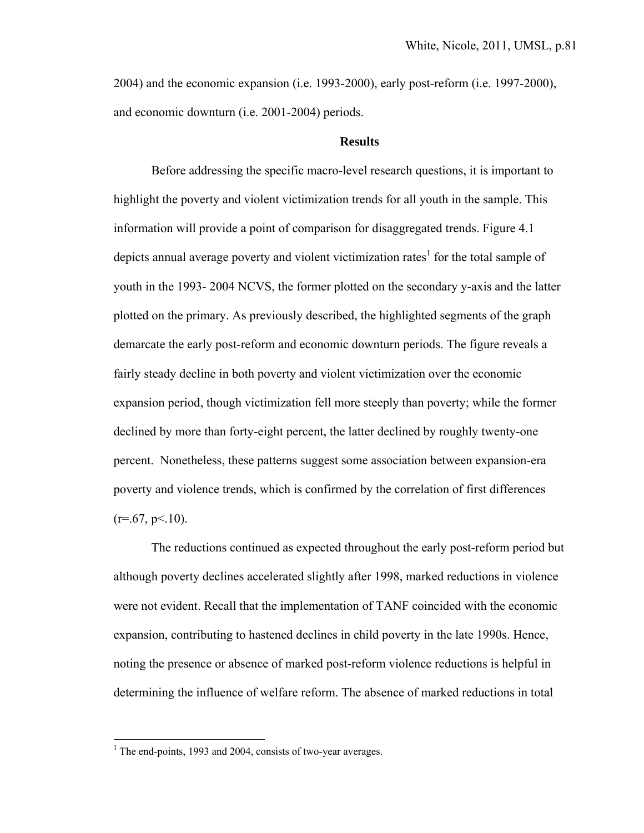2004) and the economic expansion (i.e. 1993-2000), early post-reform (i.e. 1997-2000), and economic downturn (i.e. 2001-2004) periods.

#### **Results**

Before addressing the specific macro-level research questions, it is important to highlight the poverty and violent victimization trends for all youth in the sample. This information will provide a point of comparison for disaggregated trends. Figure 4.1 depicts annual average poverty and violent victimization rates<sup>1</sup> for the total sample of youth in the 1993- 2004 NCVS, the former plotted on the secondary y-axis and the latter plotted on the primary. As previously described, the highlighted segments of the graph demarcate the early post-reform and economic downturn periods. The figure reveals a fairly steady decline in both poverty and violent victimization over the economic expansion period, though victimization fell more steeply than poverty; while the former declined by more than forty-eight percent, the latter declined by roughly twenty-one percent. Nonetheless, these patterns suggest some association between expansion-era poverty and violence trends, which is confirmed by the correlation of first differences  $(r=.67, p<.10)$ .

The reductions continued as expected throughout the early post-reform period but although poverty declines accelerated slightly after 1998, marked reductions in violence were not evident. Recall that the implementation of TANF coincided with the economic expansion, contributing to hastened declines in child poverty in the late 1990s. Hence, noting the presence or absence of marked post-reform violence reductions is helpful in determining the influence of welfare reform. The absence of marked reductions in total

 $\overline{a}$ 

<sup>&</sup>lt;sup>1</sup> The end-points, 1993 and 2004, consists of two-year averages.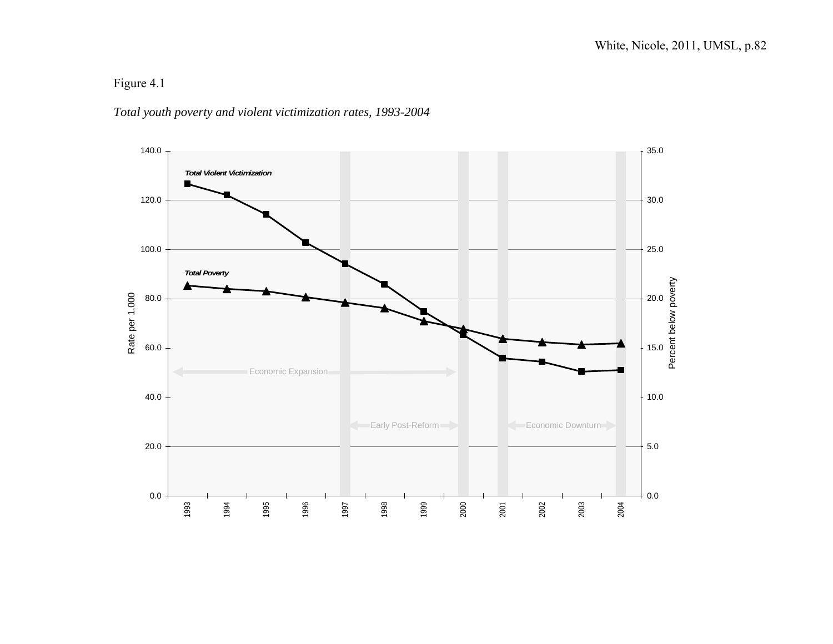### *Total youth poverty and violent victimization rates, 1993-2004*

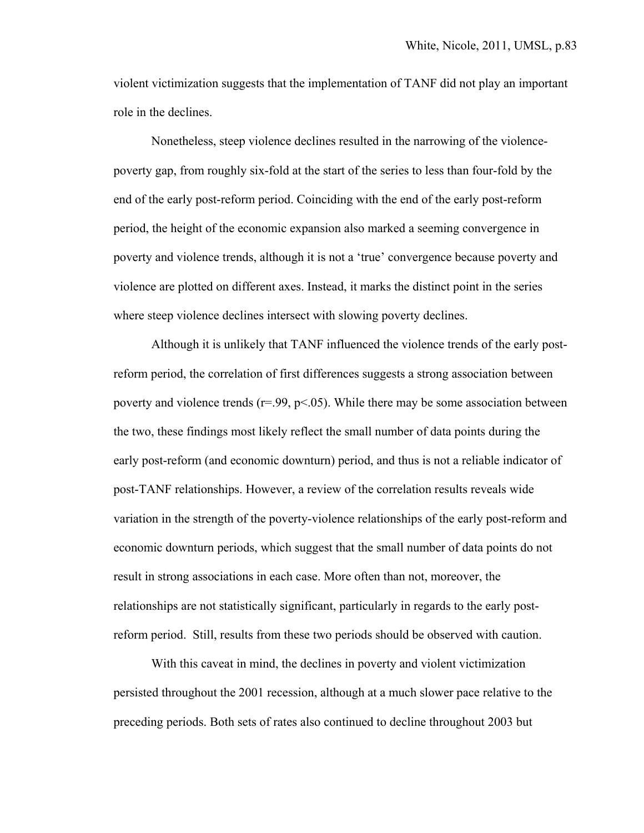violent victimization suggests that the implementation of TANF did not play an important role in the declines.

 Nonetheless, steep violence declines resulted in the narrowing of the violencepoverty gap, from roughly six-fold at the start of the series to less than four-fold by the end of the early post-reform period. Coinciding with the end of the early post-reform period, the height of the economic expansion also marked a seeming convergence in poverty and violence trends, although it is not a 'true' convergence because poverty and violence are plotted on different axes. Instead, it marks the distinct point in the series where steep violence declines intersect with slowing poverty declines.

 Although it is unlikely that TANF influenced the violence trends of the early postreform period, the correlation of first differences suggests a strong association between poverty and violence trends ( $r = .99$ ,  $p < .05$ ). While there may be some association between the two, these findings most likely reflect the small number of data points during the early post-reform (and economic downturn) period, and thus is not a reliable indicator of post-TANF relationships. However, a review of the correlation results reveals wide variation in the strength of the poverty-violence relationships of the early post-reform and economic downturn periods, which suggest that the small number of data points do not result in strong associations in each case. More often than not, moreover, the relationships are not statistically significant, particularly in regards to the early postreform period. Still, results from these two periods should be observed with caution.

With this caveat in mind, the declines in poverty and violent victimization persisted throughout the 2001 recession, although at a much slower pace relative to the preceding periods. Both sets of rates also continued to decline throughout 2003 but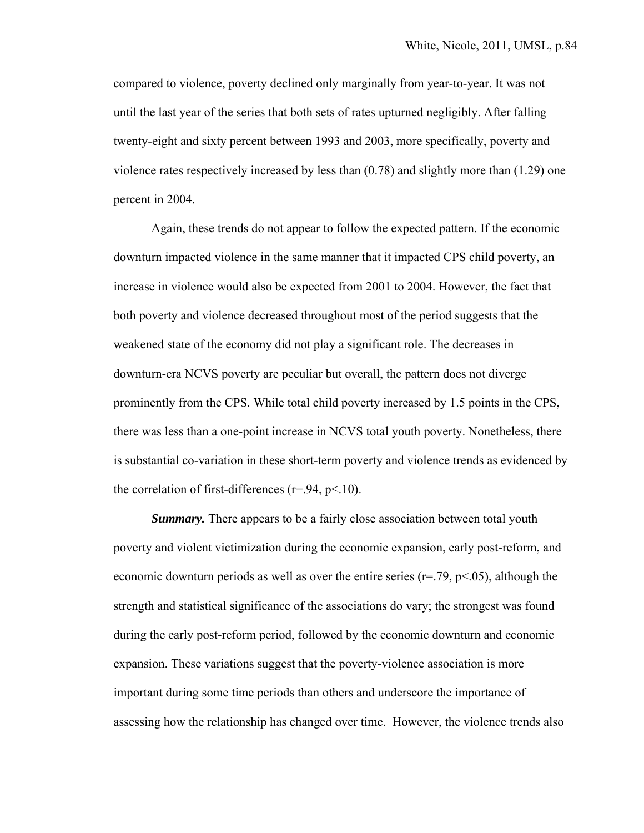compared to violence, poverty declined only marginally from year-to-year. It was not until the last year of the series that both sets of rates upturned negligibly. After falling twenty-eight and sixty percent between 1993 and 2003, more specifically, poverty and violence rates respectively increased by less than (0.78) and slightly more than (1.29) one percent in 2004.

 Again, these trends do not appear to follow the expected pattern. If the economic downturn impacted violence in the same manner that it impacted CPS child poverty, an increase in violence would also be expected from 2001 to 2004. However, the fact that both poverty and violence decreased throughout most of the period suggests that the weakened state of the economy did not play a significant role. The decreases in downturn-era NCVS poverty are peculiar but overall, the pattern does not diverge prominently from the CPS. While total child poverty increased by 1.5 points in the CPS, there was less than a one-point increase in NCVS total youth poverty. Nonetheless, there is substantial co-variation in these short-term poverty and violence trends as evidenced by the correlation of first-differences ( $r = .94$ ,  $p < .10$ ).

*Summary.* There appears to be a fairly close association between total youth poverty and violent victimization during the economic expansion, early post-reform, and economic downturn periods as well as over the entire series ( $r=79$ ,  $p<.05$ ), although the strength and statistical significance of the associations do vary; the strongest was found during the early post-reform period, followed by the economic downturn and economic expansion. These variations suggest that the poverty-violence association is more important during some time periods than others and underscore the importance of assessing how the relationship has changed over time. However, the violence trends also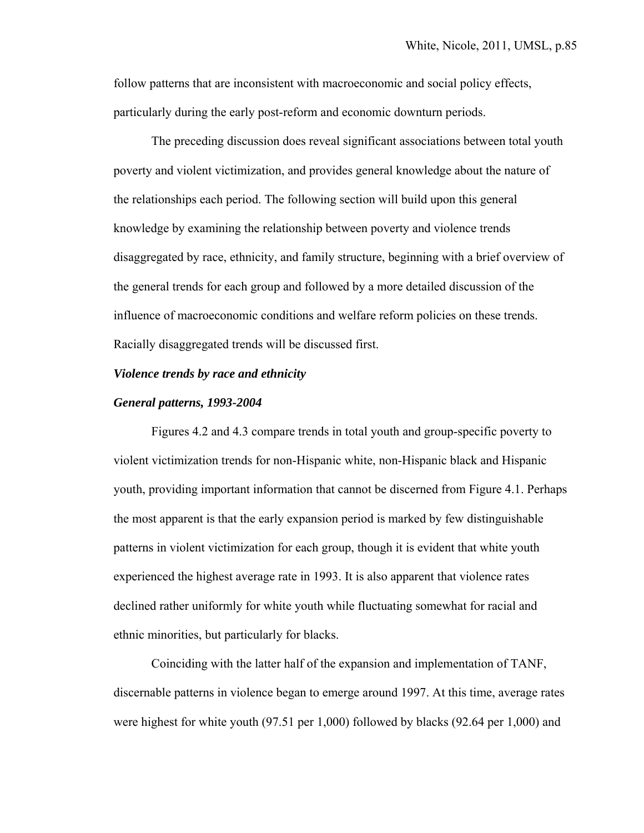follow patterns that are inconsistent with macroeconomic and social policy effects, particularly during the early post-reform and economic downturn periods.

The preceding discussion does reveal significant associations between total youth poverty and violent victimization, and provides general knowledge about the nature of the relationships each period. The following section will build upon this general knowledge by examining the relationship between poverty and violence trends disaggregated by race, ethnicity, and family structure, beginning with a brief overview of the general trends for each group and followed by a more detailed discussion of the influence of macroeconomic conditions and welfare reform policies on these trends. Racially disaggregated trends will be discussed first.

#### *Violence trends by race and ethnicity*

#### *General patterns, 1993-2004*

Figures 4.2 and 4.3 compare trends in total youth and group-specific poverty to violent victimization trends for non-Hispanic white, non-Hispanic black and Hispanic youth, providing important information that cannot be discerned from Figure 4.1. Perhaps the most apparent is that the early expansion period is marked by few distinguishable patterns in violent victimization for each group, though it is evident that white youth experienced the highest average rate in 1993. It is also apparent that violence rates declined rather uniformly for white youth while fluctuating somewhat for racial and ethnic minorities, but particularly for blacks.

 Coinciding with the latter half of the expansion and implementation of TANF, discernable patterns in violence began to emerge around 1997. At this time, average rates were highest for white youth (97.51 per 1,000) followed by blacks (92.64 per 1,000) and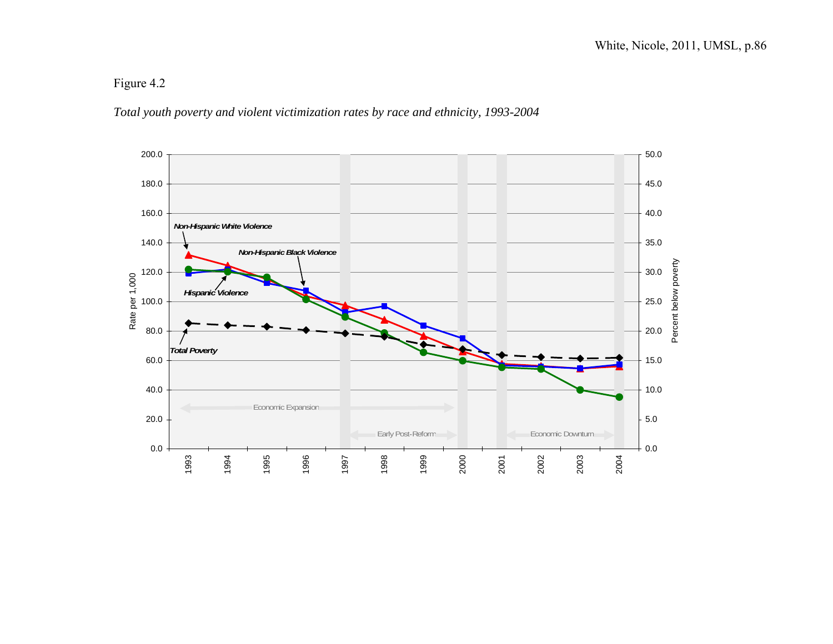### *Total youth poverty and violent victimization rates by race and ethnicity, 1993-2004*

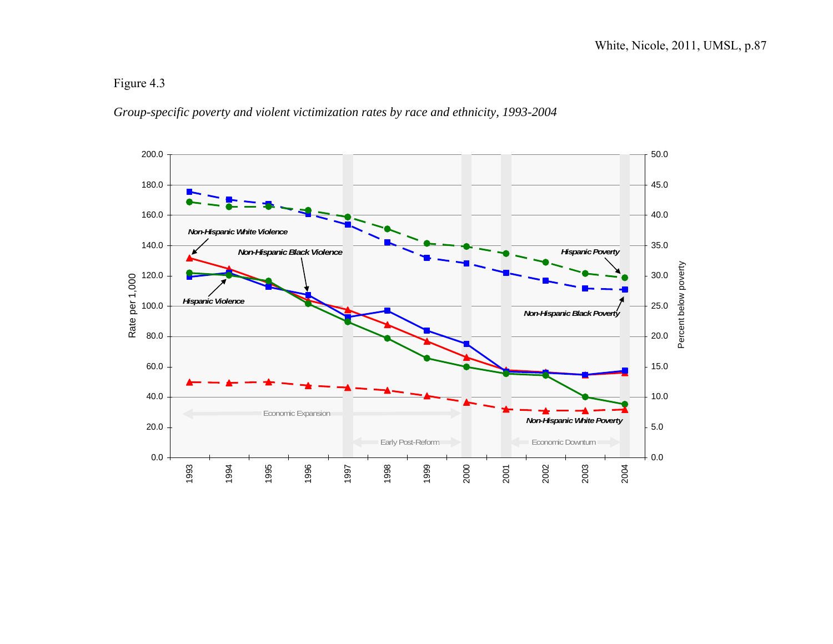### *Group-specific poverty and violent victimization rates by race and ethnicity, 1993-2004*

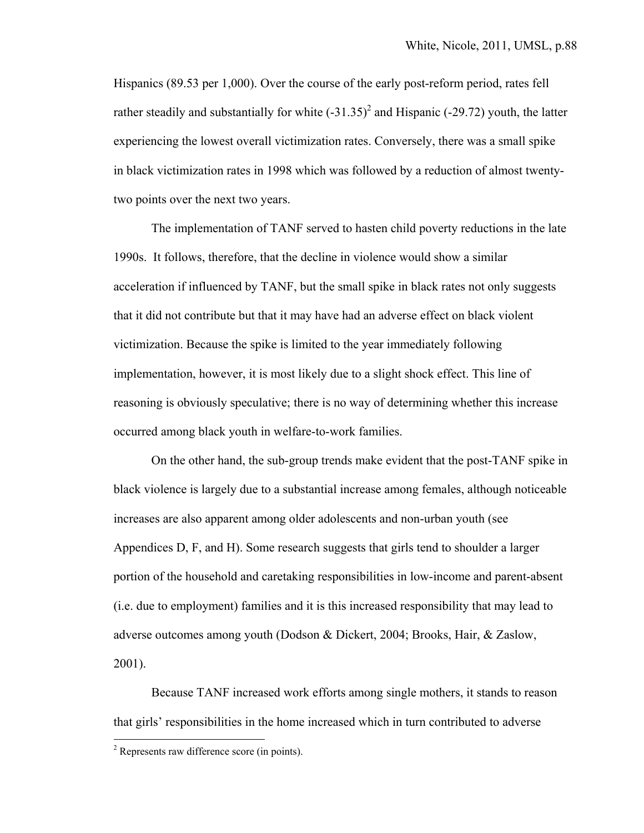Hispanics (89.53 per 1,000). Over the course of the early post-reform period, rates fell rather steadily and substantially for white  $(-31.35)^2$  and Hispanic  $(-29.72)$  youth, the latter experiencing the lowest overall victimization rates. Conversely, there was a small spike in black victimization rates in 1998 which was followed by a reduction of almost twentytwo points over the next two years.

 The implementation of TANF served to hasten child poverty reductions in the late 1990s. It follows, therefore, that the decline in violence would show a similar acceleration if influenced by TANF, but the small spike in black rates not only suggests that it did not contribute but that it may have had an adverse effect on black violent victimization. Because the spike is limited to the year immediately following implementation, however, it is most likely due to a slight shock effect. This line of reasoning is obviously speculative; there is no way of determining whether this increase occurred among black youth in welfare-to-work families.

On the other hand, the sub-group trends make evident that the post-TANF spike in black violence is largely due to a substantial increase among females, although noticeable increases are also apparent among older adolescents and non-urban youth (see Appendices D, F, and H). Some research suggests that girls tend to shoulder a larger portion of the household and caretaking responsibilities in low-income and parent-absent (i.e. due to employment) families and it is this increased responsibility that may lead to adverse outcomes among youth (Dodson & Dickert, 2004; Brooks, Hair, & Zaslow, 2001).

Because TANF increased work efforts among single mothers, it stands to reason that girls' responsibilities in the home increased which in turn contributed to adverse

 $\overline{a}$ 

 $2^2$  Represents raw difference score (in points).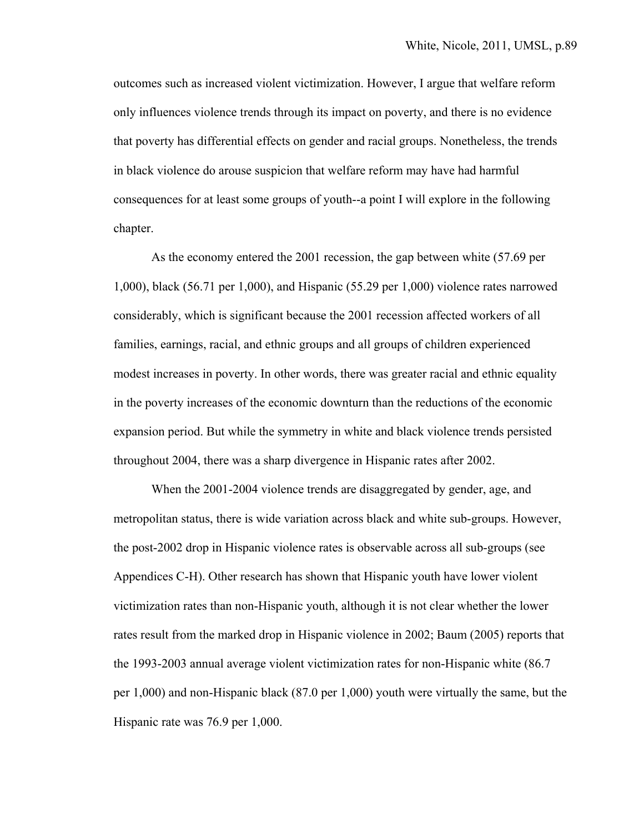outcomes such as increased violent victimization. However, I argue that welfare reform only influences violence trends through its impact on poverty, and there is no evidence that poverty has differential effects on gender and racial groups. Nonetheless, the trends in black violence do arouse suspicion that welfare reform may have had harmful consequences for at least some groups of youth--a point I will explore in the following chapter.

 As the economy entered the 2001 recession, the gap between white (57.69 per 1,000), black (56.71 per 1,000), and Hispanic (55.29 per 1,000) violence rates narrowed considerably, which is significant because the 2001 recession affected workers of all families, earnings, racial, and ethnic groups and all groups of children experienced modest increases in poverty. In other words, there was greater racial and ethnic equality in the poverty increases of the economic downturn than the reductions of the economic expansion period. But while the symmetry in white and black violence trends persisted throughout 2004, there was a sharp divergence in Hispanic rates after 2002.

When the 2001-2004 violence trends are disaggregated by gender, age, and metropolitan status, there is wide variation across black and white sub-groups. However, the post-2002 drop in Hispanic violence rates is observable across all sub-groups (see Appendices C-H). Other research has shown that Hispanic youth have lower violent victimization rates than non-Hispanic youth, although it is not clear whether the lower rates result from the marked drop in Hispanic violence in 2002; Baum (2005) reports that the 1993-2003 annual average violent victimization rates for non-Hispanic white (86.7 per 1,000) and non-Hispanic black (87.0 per 1,000) youth were virtually the same, but the Hispanic rate was 76.9 per 1,000.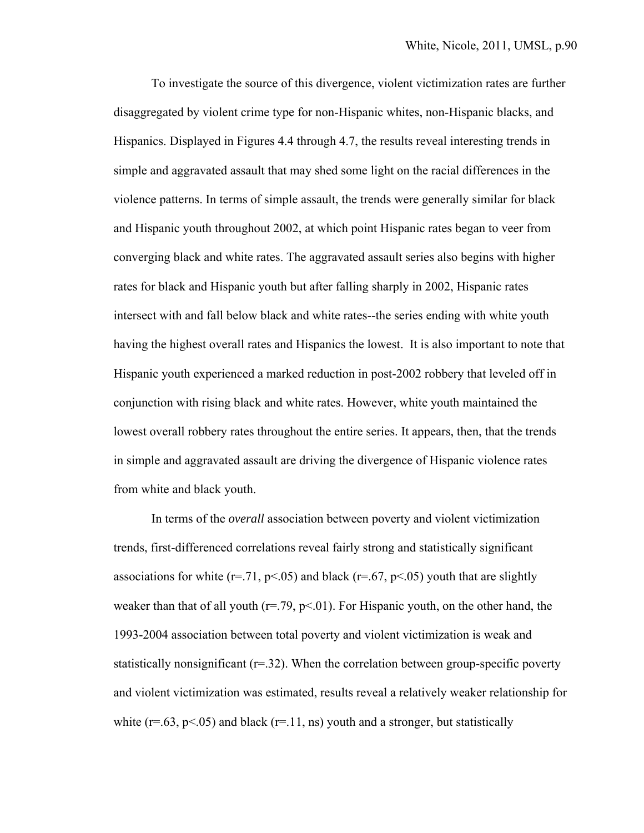To investigate the source of this divergence, violent victimization rates are further disaggregated by violent crime type for non-Hispanic whites, non-Hispanic blacks, and Hispanics. Displayed in Figures 4.4 through 4.7, the results reveal interesting trends in simple and aggravated assault that may shed some light on the racial differences in the violence patterns. In terms of simple assault, the trends were generally similar for black and Hispanic youth throughout 2002, at which point Hispanic rates began to veer from converging black and white rates. The aggravated assault series also begins with higher rates for black and Hispanic youth but after falling sharply in 2002, Hispanic rates intersect with and fall below black and white rates--the series ending with white youth having the highest overall rates and Hispanics the lowest. It is also important to note that Hispanic youth experienced a marked reduction in post-2002 robbery that leveled off in conjunction with rising black and white rates. However, white youth maintained the lowest overall robbery rates throughout the entire series. It appears, then, that the trends in simple and aggravated assault are driving the divergence of Hispanic violence rates from white and black youth.

In terms of the *overall* association between poverty and violent victimization trends, first-differenced correlations reveal fairly strong and statistically significant associations for white ( $r = .71$ ,  $p < .05$ ) and black ( $r = .67$ ,  $p < .05$ ) youth that are slightly weaker than that of all youth ( $r = .79$ ,  $p < .01$ ). For Hispanic youth, on the other hand, the 1993-2004 association between total poverty and violent victimization is weak and statistically nonsignificant  $(r=32)$ . When the correlation between group-specific poverty and violent victimization was estimated, results reveal a relatively weaker relationship for white ( $r = .63$ ,  $p < .05$ ) and black ( $r = .11$ , ns) youth and a stronger, but statistically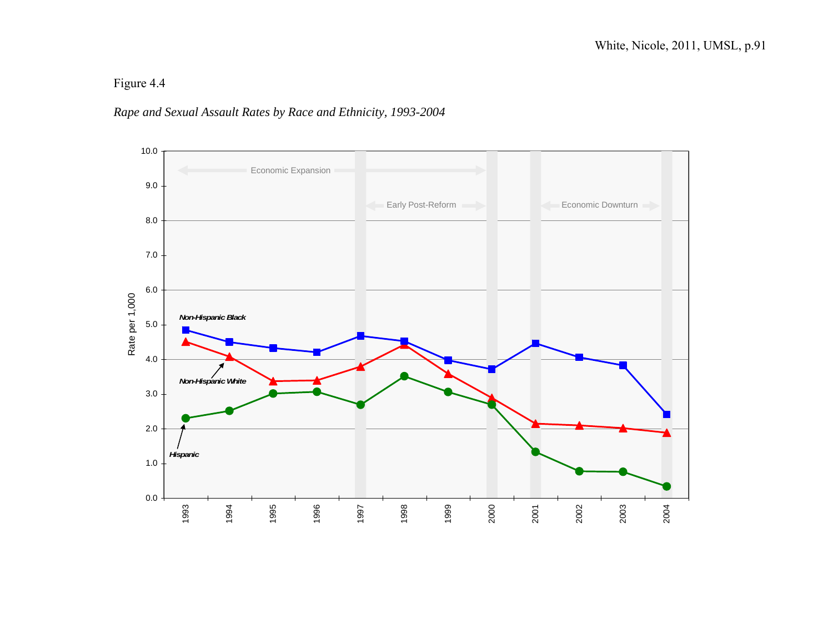### *Rape and Sexual Assault Rates by Race and Ethnicity, 1993-2004*

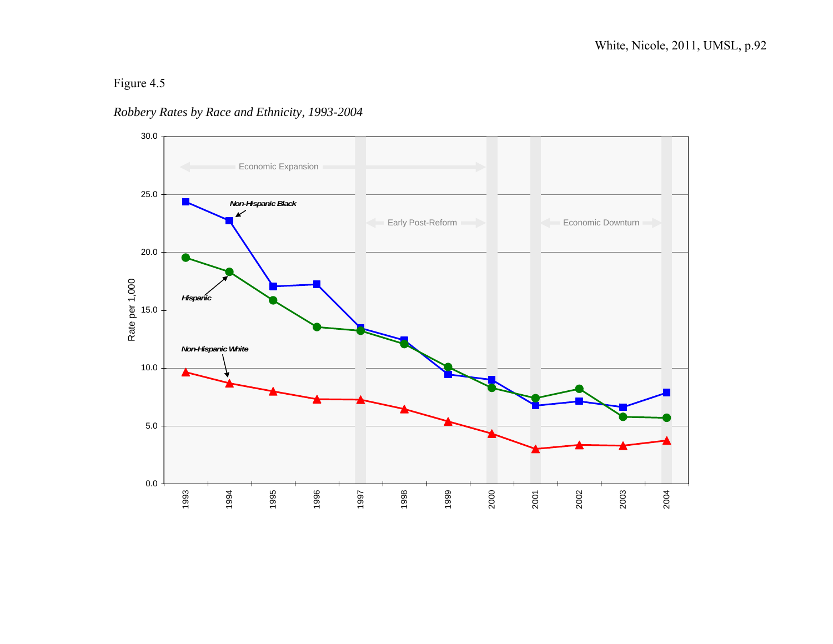### *Robbery Rates by Race and Ethnicity, 1993-2004*

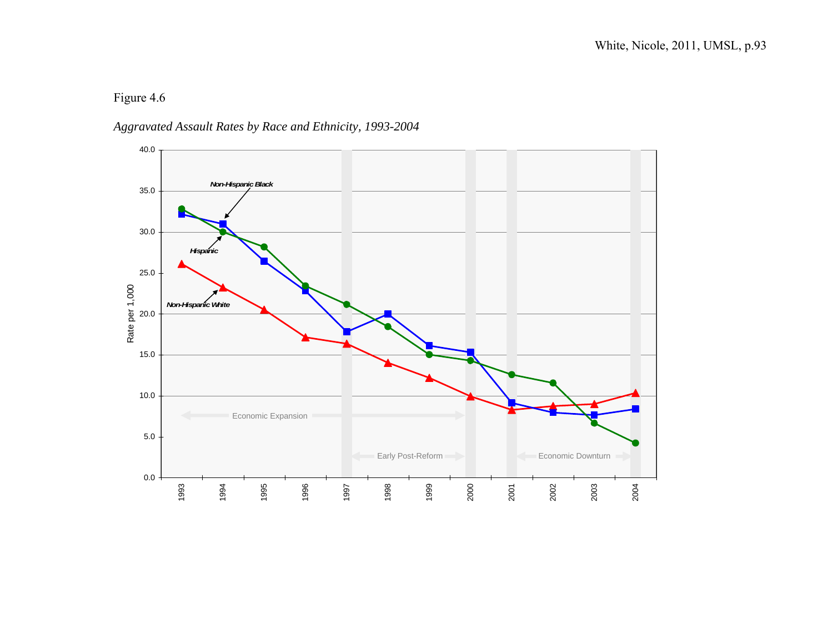## *Aggravated Assault Rates by Race and Ethnicity, 1993-2004*

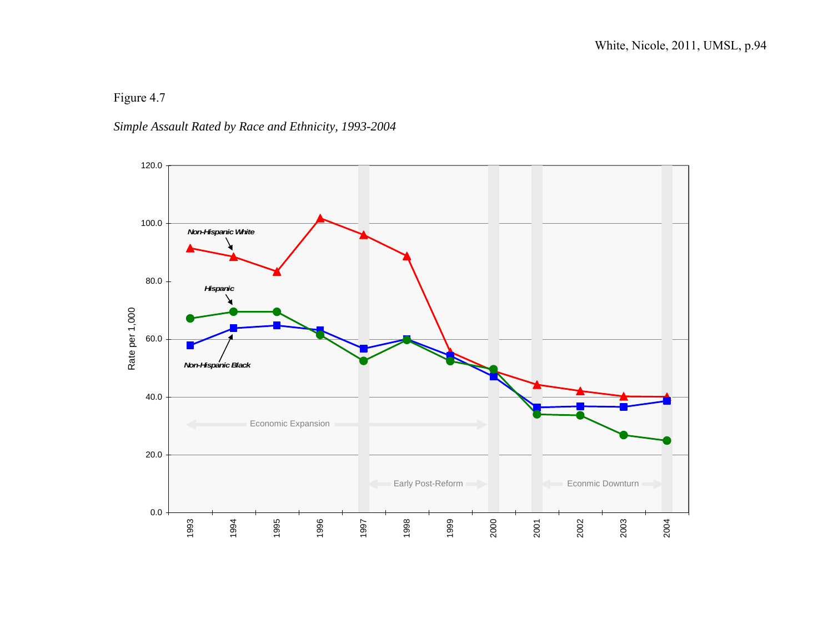### *Simple Assault Rated by Race and Ethnicity, 1993-2004*

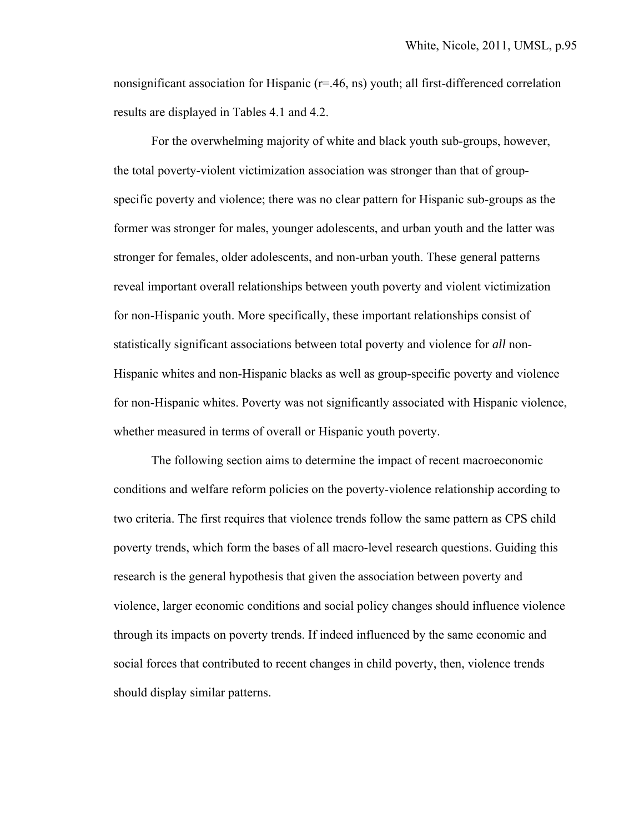nonsignificant association for Hispanic (r=.46, ns) youth; all first-differenced correlation results are displayed in Tables 4.1 and 4.2.

 For the overwhelming majority of white and black youth sub-groups, however, the total poverty-violent victimization association was stronger than that of groupspecific poverty and violence; there was no clear pattern for Hispanic sub-groups as the former was stronger for males, younger adolescents, and urban youth and the latter was stronger for females, older adolescents, and non-urban youth. These general patterns reveal important overall relationships between youth poverty and violent victimization for non-Hispanic youth. More specifically, these important relationships consist of statistically significant associations between total poverty and violence for *all* non-Hispanic whites and non-Hispanic blacks as well as group-specific poverty and violence for non-Hispanic whites. Poverty was not significantly associated with Hispanic violence, whether measured in terms of overall or Hispanic youth poverty.

 The following section aims to determine the impact of recent macroeconomic conditions and welfare reform policies on the poverty-violence relationship according to two criteria. The first requires that violence trends follow the same pattern as CPS child poverty trends, which form the bases of all macro-level research questions. Guiding this research is the general hypothesis that given the association between poverty and violence, larger economic conditions and social policy changes should influence violence through its impacts on poverty trends. If indeed influenced by the same economic and social forces that contributed to recent changes in child poverty, then, violence trends should display similar patterns.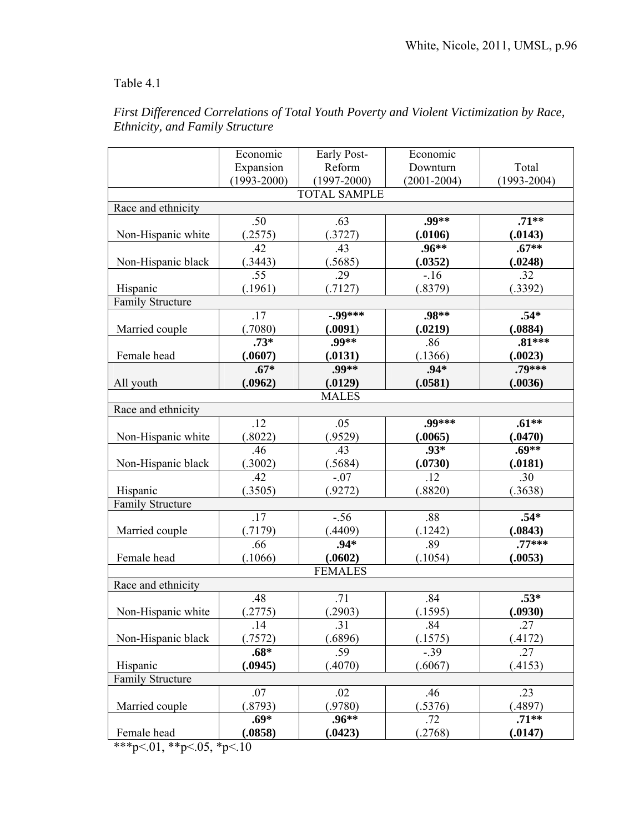## Table 4.1

|                         | Economic        |                     | Economic        |                     |  |
|-------------------------|-----------------|---------------------|-----------------|---------------------|--|
|                         |                 | Early Post-         |                 |                     |  |
|                         | Expansion       | Reform              | Downturn        | Total               |  |
|                         | $(1993 - 2000)$ | $(1997 - 2000)$     | $(2001 - 2004)$ | $(1993 - 2004)$     |  |
|                         |                 | <b>TOTAL SAMPLE</b> |                 |                     |  |
| Race and ethnicity      |                 |                     |                 |                     |  |
|                         | .50             | .63                 | .99**           | $.71**$             |  |
| Non-Hispanic white      | (2575)          | (.3727)             | (.0106)         | (.0143)             |  |
|                         | .42             | .43                 | $.96***$        | $.67**$             |  |
| Non-Hispanic black      | (.3443)         | (.5685)             | (.0352)         | (.0248)             |  |
|                         | .55             | .29                 | $-16$           | .32                 |  |
| Hispanic                | (.1961)         | (.7127)             | (.8379)         | (.3392)             |  |
| <b>Family Structure</b> |                 |                     |                 |                     |  |
|                         | .17             | $-0.9$ ***          | .98**           | $.54*$              |  |
| Married couple          | (.7080)         | (.0091)             | (.0219)         | (.0884)             |  |
|                         | $.73*$          | .99**               | .86             | $.81***$            |  |
| Female head             | (.0607)         | (.0131)             | (.1366)         | (.0023)             |  |
|                         | $.67*$          | .99**               | $.94*$          | $.79***$            |  |
| All youth               | (.0962)         | (.0129)             | (.0581)         | (.0036)             |  |
|                         |                 | <b>MALES</b>        |                 |                     |  |
| Race and ethnicity      |                 |                     |                 |                     |  |
|                         | .12             | .05                 | $.99***$        | $.61**$             |  |
| Non-Hispanic white      | (.8022)         | (.9529)             | (.0065)         | (.0470)             |  |
|                         | .46             | .43                 | .93*            | $.69**$             |  |
| Non-Hispanic black      | (.3002)         | (.5684)             | (.0730)         | (.0181)             |  |
|                         | .42             | $-.07$              | .12             | .30                 |  |
| Hispanic                | (.3505)         | (.9272)             | (.8820)         | (.3638)             |  |
| <b>Family Structure</b> |                 |                     |                 |                     |  |
|                         | .17             | $-.56$              | .88             | $.54*$              |  |
|                         |                 |                     |                 |                     |  |
| Married couple          | (.7179)         | (.4409)             | (.1242)         | (.0843)<br>$.77***$ |  |
|                         | .66             | $.94*$              | .89             |                     |  |
| Female head             | (.1066)         | (.0602)             | (.1054)         | (.0053)             |  |
| <b>FEMALES</b>          |                 |                     |                 |                     |  |
| Race and ethnicity      |                 |                     |                 |                     |  |
|                         | .48             | .71                 | .84             | $.53*$              |  |
| Non-Hispanic white      | (.2775)         | (.2903)             | (.1595)         | (.0930)             |  |
|                         | .14             | .31                 | .84             | .27                 |  |
| Non-Hispanic black      | (.7572)         | (.6896)             | (.1575)         | (.4172)             |  |
|                         | $.68*$          | .59                 | $-.39$          | .27                 |  |
| Hispanic                | (.0945)         | (.4070)             | (.6067)         | (.4153)             |  |
| <b>Family Structure</b> |                 |                     |                 |                     |  |
|                         | .07             | .02                 | .46             | .23                 |  |
| Married couple          | (.8793)         | (.9780)             | (.5376)         | (.4897)             |  |
|                         | $.69*$          | $.96**$             | .72             | $.71**$             |  |
| Female head             | (.0858)         | (.0423)             | .2768)          | (.0147)             |  |
|                         |                 |                     |                 |                     |  |

## *First Differenced Correlations of Total Youth Poverty and Violent Victimization by Race, Ethnicity, and Family Structure*

\*\*\*p<.01, \*\*p<.05, \*p<.10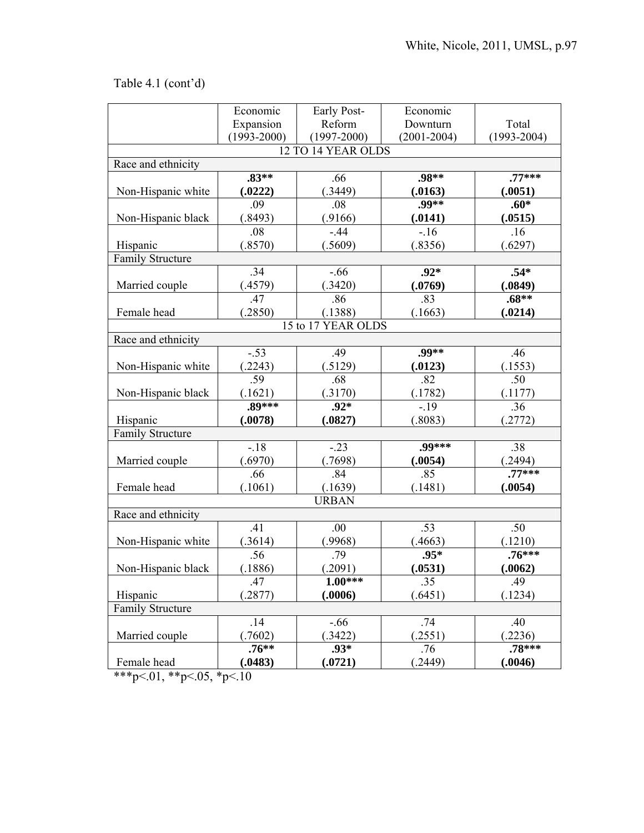# Table 4.1 (cont'd)

|                         | Economic        |                    | Economic        |                 |
|-------------------------|-----------------|--------------------|-----------------|-----------------|
|                         |                 | Early Post-        |                 |                 |
|                         | Expansion       | Reform             | Downturn        | Total           |
|                         | $(1993 - 2000)$ | $(1997 - 2000)$    | $(2001 - 2004)$ | $(1993 - 2004)$ |
|                         |                 | 12 TO 14 YEAR OLDS |                 |                 |
| Race and ethnicity      |                 |                    |                 |                 |
|                         | $.83**$         | .66                | .98**           | $.77***$        |
| Non-Hispanic white      | (.0222)         | (.3449)            | (.0163)         | (.0051)         |
|                         | .09             | .08                | .99**           | $.60*$          |
| Non-Hispanic black      | (.8493)         | (.9166)            | (.0141)         | (.0515)         |
|                         | .08             | $-44$              | $-16$           | .16             |
| Hispanic                | (.8570)         | (.5609)            | (.8356)         | (.6297)         |
| <b>Family Structure</b> |                 |                    |                 |                 |
|                         | .34             | $-.66$             | $.92*$          | $.54*$          |
| Married couple          | (.4579)         | (.3420)            | (.0769)         | (.0849)         |
|                         | .47             | .86                | .83             | $.68**$         |
| Female head             | (.2850)         | (.1388)            | (.1663)         | (.0214)         |
|                         |                 | 15 to 17 YEAR OLDS |                 |                 |
| Race and ethnicity      |                 |                    |                 |                 |
|                         | $-.53$          | .49                | .99**           | .46             |
| Non-Hispanic white      | .2243)          | (.5129)            | (.0123)         | (.1553)         |
|                         | .59             | .68                | .82             | .50             |
| Non-Hispanic black      | (.1621)         | (.3170)            | (.1782)         | (.1177)         |
|                         | .89***          | $.92*$             | $-19$           | .36             |
| Hispanic                | (.0078)         | (.0827)            | (.8083)         | (.2772)         |
| <b>Family Structure</b> |                 |                    |                 |                 |
|                         | $-18$           | $-.23$             | $.99***$        | .38             |
| Married couple          | (.6970)         | (.7698)            | (.0054)         | (.2494)         |
|                         | .66             | .84                | .85             | $.77***$        |
| Female head             | (.1061)         | (.1639)            | (.1481)         | (.0054)         |
|                         |                 | <b>URBAN</b>       |                 |                 |
| Race and ethnicity      |                 |                    |                 |                 |
|                         | .41             | .00                | .53             | .50             |
| Non-Hispanic white      | (.3614)         | (.9968)            | (.4663)         | (.1210)         |
|                         | .56             | .79                | $.95*$          | $.76***$        |
| Non-Hispanic black      | (.1886)         | (.2091)            | (.0531)         | (.0062)         |
|                         |                 | $1.00***$          |                 |                 |
|                         | .47             |                    | .35             | .49             |
| Hispanic                | .2877)          | (.0006)            | (.6451)         | (.1234)         |
| <b>Family Structure</b> |                 |                    |                 |                 |
|                         | .14             | $-.66$             | .74             | .40             |
| Married couple          | .7602)          | 3422               | (.2551)         | .2236)          |
|                         | $.76**$         | .93*               | .76             | .78***          |
| Female head             | (.0483)         | (.0721)            | (0.2449)        | (.0046)         |

\*\*\*p<.01, \*\*p<.05, \*p<.10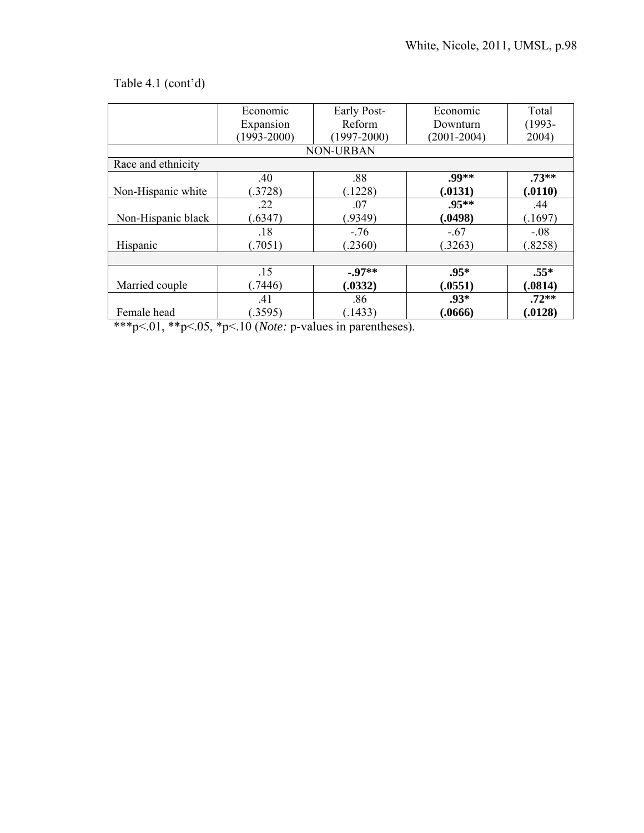## Table 4.1 (cont'd)

|                    | Economic        | Early Post-      | Economic        | Total     |
|--------------------|-----------------|------------------|-----------------|-----------|
|                    | Expansion       | Reform           | Downturn        | $(1993 -$ |
|                    | $(1993 - 2000)$ | $(1997 - 2000)$  | $(2001 - 2004)$ | 2004)     |
|                    |                 | <b>NON-URBAN</b> |                 |           |
| Race and ethnicity |                 |                  |                 |           |
|                    | .40             | .88              | $.99**$         | $.73**$   |
| Non-Hispanic white | (3728)          | (.1228)          | (.0131)         | (.0110)   |
|                    | .22             | .07              | $.95***$        | .44       |
| Non-Hispanic black | (.6347)         | (.9349)          | (.0498)         | (.1697)   |
|                    | .18             | $-.76$           | $-.67$          | $-.08$    |
| Hispanic           | (7051)          | (2360)           | (.3263)         | (.8258)   |
|                    |                 |                  |                 |           |
|                    | .15             | $-0.97**$        | $.95*$          | $.55*$    |
| Married couple     | (7446)          | (.0332)          | (.0551)         | (.0814)   |
|                    | .41             | .86              | $.93*$          | $.72**$   |
| Female head        | (.3595)         | (.1433)          | (.0666)         | (.0128)   |

\*\*\*p<.01, \*\*p<.05, \*p<.10 (*Note:* p-values in parentheses).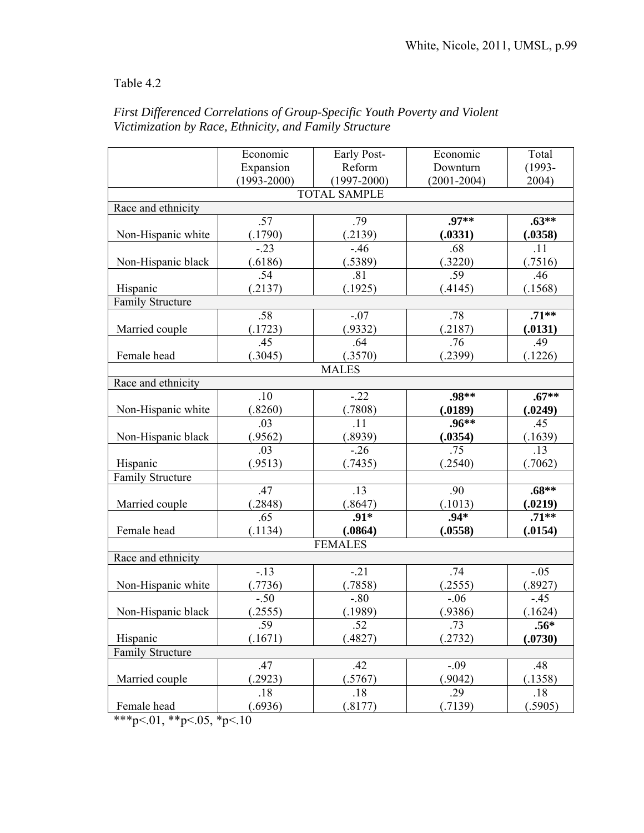## Table 4.2

|                         | Economic        | Early Post-         | Economic        | Total     |  |
|-------------------------|-----------------|---------------------|-----------------|-----------|--|
|                         | Expansion       | Reform              | Downturn        | $(1993 -$ |  |
|                         | $(1993 - 2000)$ | $(1997 - 2000)$     | $(2001 - 2004)$ | 2004)     |  |
|                         |                 | <b>TOTAL SAMPLE</b> |                 |           |  |
| Race and ethnicity      |                 |                     |                 |           |  |
|                         | .57             | .79                 | .97**           | $.63**$   |  |
| Non-Hispanic white      | (.1790)         | (.2139)             | (.0331)         | (.0358)   |  |
|                         | $-.23$          | $-46$               | .68             | .11       |  |
| Non-Hispanic black      | (.6186)         | (.5389)             | (.3220)         | (.7516)   |  |
|                         | .54             | .81                 | .59             | .46       |  |
| Hispanic                | (2137)          | (.1925)             | (.4145)         | (.1568)   |  |
| <b>Family Structure</b> |                 |                     |                 |           |  |
|                         | .58             | $-.07$              | .78             | $.71**$   |  |
| Married couple          | (.1723)         | (.9332)             | (.2187)         | (.0131)   |  |
|                         | .45             | .64                 | .76             | .49       |  |
| Female head             | (.3045)         | (.3570)             | (.2399)         | (.1226)   |  |
|                         |                 | <b>MALES</b>        |                 |           |  |
| Race and ethnicity      |                 |                     |                 |           |  |
|                         | .10             | $-22$               | .98**           | $.67**$   |  |
| Non-Hispanic white      | (.8260)         | (0.7808)            | (.0189)         | (.0249)   |  |
|                         | .03             | .11                 | $.96**$         | .45       |  |
| Non-Hispanic black      | (.9562)         | (.8939)             | (.0354)         | (.1639)   |  |
|                         | .03             | $-26$               | .75             | .13       |  |
| Hispanic                | (.9513)         | (.7435)             | (.2540)         | (.7062)   |  |
| <b>Family Structure</b> |                 |                     |                 |           |  |
|                         | .47             | .13                 | .90             | $.68**$   |  |
| Married couple          | .2848)          | (.8647)             | (.1013)         | (.0219)   |  |
|                         | .65             | $.91*$              | $.94*$          | $.71**$   |  |
| Female head             | (.1134)         | (.0864)             | (.0558)         | (.0154)   |  |
| <b>FEMALES</b>          |                 |                     |                 |           |  |
| Race and ethnicity      |                 |                     |                 |           |  |
|                         | $-.13$          | $-.21$              | .74             | $-.05$    |  |
| Non-Hispanic white      | (.7736)         | (.7858)             | (.2555)         | (.8927)   |  |
|                         | $-.50$          | $-.80$              | $-.06$          | $-.45$    |  |
| Non-Hispanic black      | (.2555)         | (.1989)             | (.9386)         | (.1624)   |  |
|                         | .59             | .52                 | .73             | $.56*$    |  |
| Hispanic                | (.1671)         | (.4827)             | (.2732)         | (.0730)   |  |
| <b>Family Structure</b> |                 |                     |                 |           |  |
|                         | .47             | .42                 | $-.09$          | .48       |  |
| Married couple          | .2923)          | (.5767)             | (.9042)         | (.1358)   |  |
|                         | .18             | .18                 | .29             | .18       |  |
| Female head             | (.6936)         | (.8177)             | (.7139)         | (.5905)   |  |

*First Differenced Correlations of Group-Specific Youth Poverty and Violent Victimization by Race, Ethnicity, and Family Structure* 

\*\*\*p<.01, \*\*p<.05, \*p<.10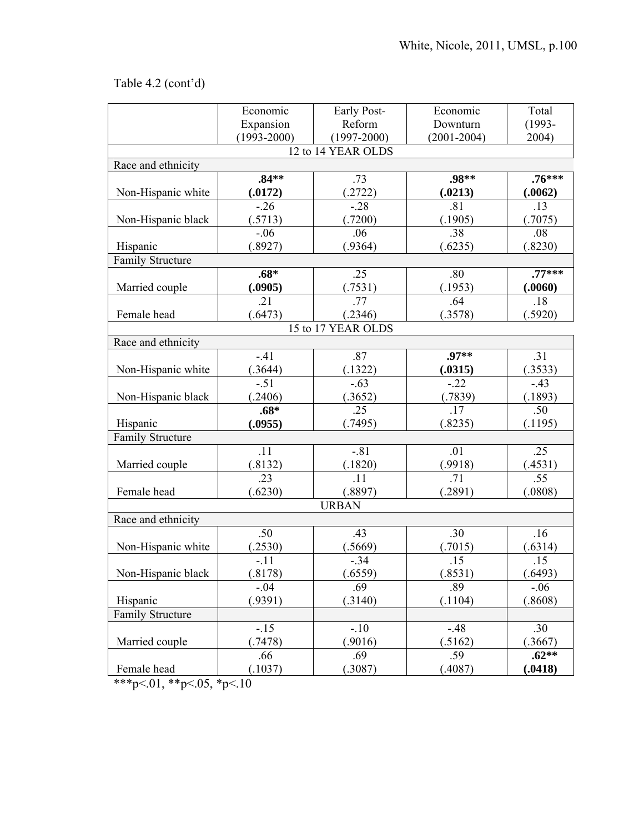# Table 4.2 (cont'd)

|                         | Economic        | Early Post-        | Economic        | Total     |  |
|-------------------------|-----------------|--------------------|-----------------|-----------|--|
|                         | Expansion       | Reform             | Downturn        | $(1993 -$ |  |
|                         | $(1993 - 2000)$ | $(1997 - 2000)$    | $(2001 - 2004)$ | 2004)     |  |
|                         |                 | 12 to 14 YEAR OLDS |                 |           |  |
| Race and ethnicity      |                 |                    |                 |           |  |
|                         | $.84**$         | .73                | $.98**$         | $.76***$  |  |
| Non-Hispanic white      | (.0172)         | (.2722)            | (.0213)         | (.0062)   |  |
|                         | $-26$           | $-28$              | .81             | .13       |  |
| Non-Hispanic black      | (.5713)         | (.7200)            | (.1905)         | (.7075)   |  |
|                         | $-.06$          | .06                | .38             | .08       |  |
| Hispanic                | (.8927)         | (.9364)            | (.6235)         | (.8230)   |  |
| Family Structure        |                 |                    |                 |           |  |
|                         | $.68*$          | .25                | .80             | $.77***$  |  |
| Married couple          | (.0905)         | (.7531)            | (.1953)         | (.0060)   |  |
|                         | .21             | .77                | .64             | .18       |  |
| Female head             | (.6473)         | (.2346)            | (.3578)         | (.5920)   |  |
|                         |                 | 15 to 17 YEAR OLDS |                 |           |  |
| Race and ethnicity      |                 |                    |                 |           |  |
|                         | $-41$           | .87                | .97**           | .31       |  |
| Non-Hispanic white      | (.3644)         | (.1322)            | (.0315)         | (.3533)   |  |
|                         | $-.51$          | $-.63$             | $-.22$          | $-43$     |  |
| Non-Hispanic black      | .2406)          | (.3652)            | (.7839)         | (.1893)   |  |
|                         | $.68*$          | .25                | .17             | .50       |  |
| Hispanic                | (.0955)         | (.7495)            | (.8235)         | (.1195)   |  |
| <b>Family Structure</b> |                 |                    |                 |           |  |
|                         | .11             | $-.81$             | .01             | .25       |  |
| Married couple          | (.8132)         | (.1820)            | (.9918)         | (.4531)   |  |
|                         | .23             | .11                | .71             | .55       |  |
| Female head             | (.6230)         | (.8897)            | (.2891)         | (.0808)   |  |
|                         |                 | <b>URBAN</b>       |                 |           |  |
| Race and ethnicity      |                 |                    |                 |           |  |
|                         | .50             | .43                | .30             | .16       |  |
| Non-Hispanic white      | .2530)          | (.5669)            | (.7015)         | (.6314)   |  |
|                         | $-.11$          | $-.34$             | .15             | .15       |  |
| Non-Hispanic black      | (.8178)         | (.6559)            | (.8531)         | (.6493)   |  |
|                         | $-.04$          | .69                | .89             | $-.06$    |  |
| Hispanic                | (.9391)         | (.3140)            | (.1104)         | (.8608)   |  |
| <b>Family Structure</b> |                 |                    |                 |           |  |
|                         | $-.15$          | $-.10$             | $-48$           | .30       |  |
| Married couple          | (.7478)         | (.9016)            | (.5162)         | (.3667)   |  |
|                         | .66             | .69                | .59             | $.62**$   |  |
| Female head             | (.1037)         | (.3087)            | (.4087)         | (.0418)   |  |

\*\*\*p<.01, \*\*p<.05, \*p<.10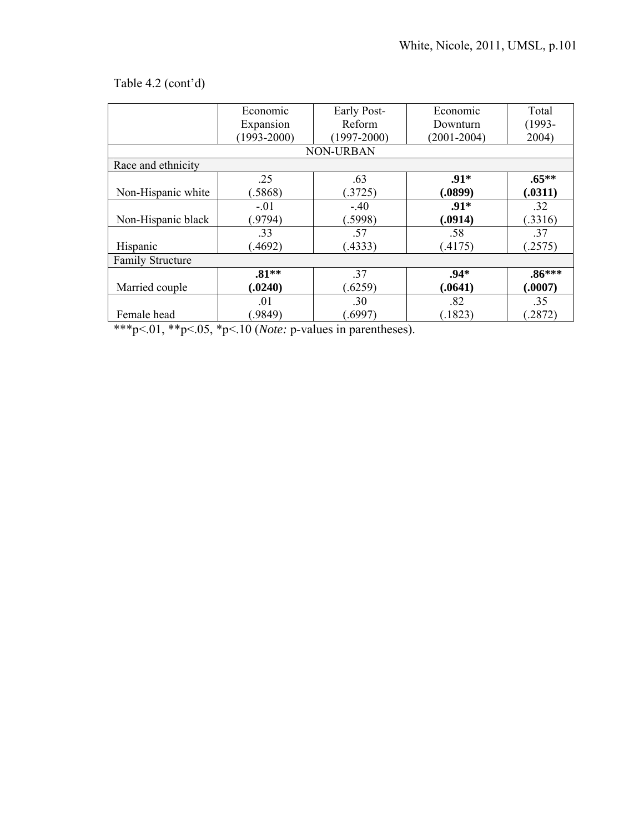# Table 4.2 (cont'd)

|                         | Economic        | Early Post-      | Economic        | Total     |
|-------------------------|-----------------|------------------|-----------------|-----------|
|                         | Expansion       | Reform           | Downturn        | $(1993 -$ |
|                         | $(1993 - 2000)$ | $(1997 - 2000)$  | $(2001 - 2004)$ | 2004)     |
|                         |                 | <b>NON-URBAN</b> |                 |           |
| Race and ethnicity      |                 |                  |                 |           |
|                         | .25             | .63              | $.91*$          | $.65***$  |
| Non-Hispanic white      | .5868)          | (.3725)          | (.0899)         | (.0311)   |
|                         | $-.01$          | $-40$            | $.91*$          | .32       |
| Non-Hispanic black      | (9794)          | (.5998)          | (.0914)         | (.3316)   |
|                         | .33             | .57              | .58             | .37       |
| Hispanic                | $-4692$         | (.4333)          | (.4175)         | (.2575)   |
| <b>Family Structure</b> |                 |                  |                 |           |
|                         | $.81**$         | .37              | $.94*$          | $.86***$  |
| Married couple          | (.0240)         | (.6259)          | (.0641)         | (.0007)   |
|                         | .01             | .30              | .82             | .35       |
| Female head             | .9849)          | (6997)           | (.1823)         | (2872)    |

\*\*\*p<.01, \*\*p<.05, \*p<.10 (*Note:* p-values in parentheses).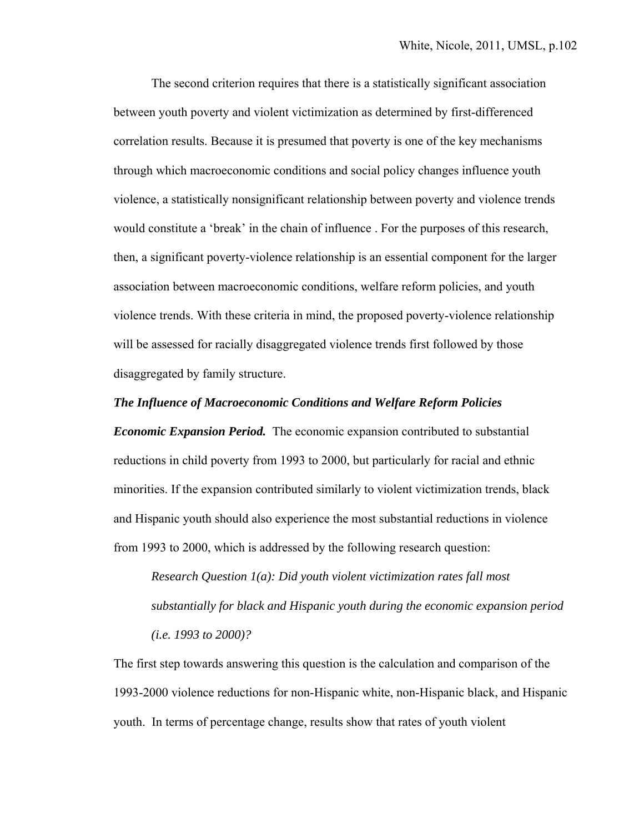The second criterion requires that there is a statistically significant association between youth poverty and violent victimization as determined by first-differenced correlation results. Because it is presumed that poverty is one of the key mechanisms through which macroeconomic conditions and social policy changes influence youth violence, a statistically nonsignificant relationship between poverty and violence trends would constitute a 'break' in the chain of influence . For the purposes of this research, then, a significant poverty-violence relationship is an essential component for the larger association between macroeconomic conditions, welfare reform policies, and youth violence trends. With these criteria in mind, the proposed poverty-violence relationship will be assessed for racially disaggregated violence trends first followed by those disaggregated by family structure.

#### *The Influence of Macroeconomic Conditions and Welfare Reform Policies*

*Economic Expansion Period.* The economic expansion contributed to substantial reductions in child poverty from 1993 to 2000, but particularly for racial and ethnic minorities. If the expansion contributed similarly to violent victimization trends, black and Hispanic youth should also experience the most substantial reductions in violence from 1993 to 2000, which is addressed by the following research question:

*Research Question 1(a): Did youth violent victimization rates fall most substantially for black and Hispanic youth during the economic expansion period (i.e. 1993 to 2000)?* 

The first step towards answering this question is the calculation and comparison of the 1993-2000 violence reductions for non-Hispanic white, non-Hispanic black, and Hispanic youth. In terms of percentage change, results show that rates of youth violent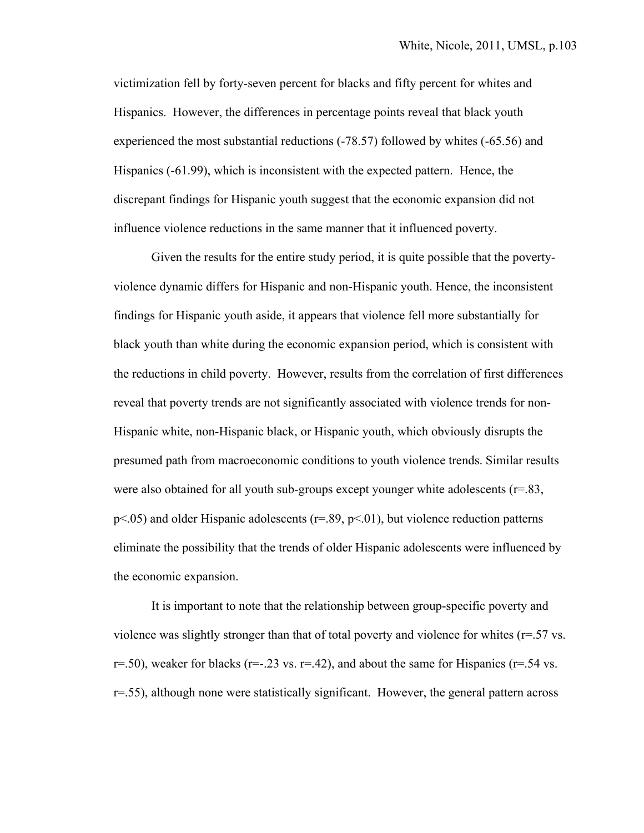victimization fell by forty-seven percent for blacks and fifty percent for whites and Hispanics. However, the differences in percentage points reveal that black youth experienced the most substantial reductions (-78.57) followed by whites (-65.56) and Hispanics (-61.99), which is inconsistent with the expected pattern. Hence, the discrepant findings for Hispanic youth suggest that the economic expansion did not influence violence reductions in the same manner that it influenced poverty.

 Given the results for the entire study period, it is quite possible that the povertyviolence dynamic differs for Hispanic and non-Hispanic youth. Hence, the inconsistent findings for Hispanic youth aside, it appears that violence fell more substantially for black youth than white during the economic expansion period, which is consistent with the reductions in child poverty. However, results from the correlation of first differences reveal that poverty trends are not significantly associated with violence trends for non-Hispanic white, non-Hispanic black, or Hispanic youth, which obviously disrupts the presumed path from macroeconomic conditions to youth violence trends. Similar results were also obtained for all youth sub-groups except younger white adolescents  $(r=83,$  $p$ <.05) and older Hispanic adolescents ( $r$ =.89,  $p$ <.01), but violence reduction patterns eliminate the possibility that the trends of older Hispanic adolescents were influenced by the economic expansion.

It is important to note that the relationship between group-specific poverty and violence was slightly stronger than that of total poverty and violence for whites (r=.57 vs. r=.50), weaker for blacks (r=-.23 vs. r=.42), and about the same for Hispanics (r=.54 vs.  $r=0.55$ , although none were statistically significant. However, the general pattern across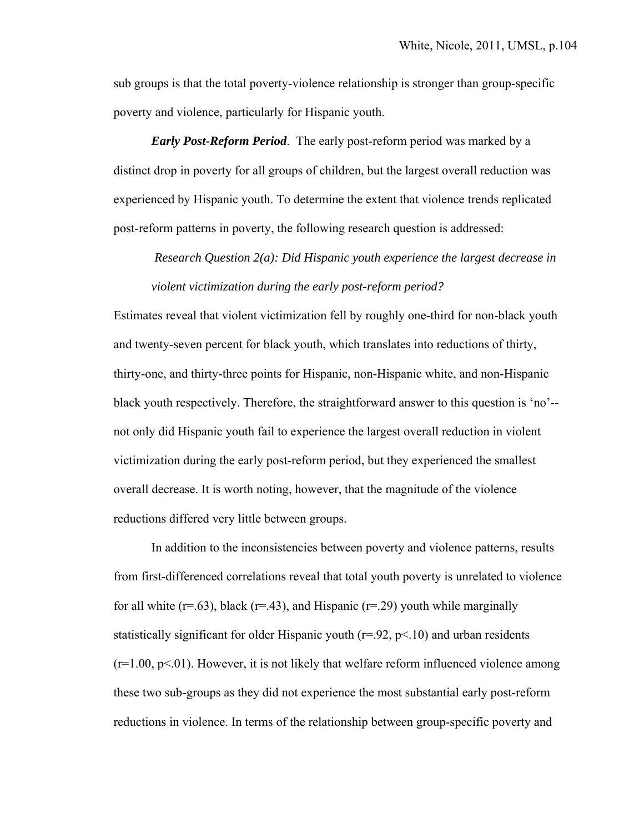sub groups is that the total poverty-violence relationship is stronger than group-specific poverty and violence, particularly for Hispanic youth.

*Early Post-Reform Period*.The early post-reform period was marked by a distinct drop in poverty for all groups of children, but the largest overall reduction was experienced by Hispanic youth. To determine the extent that violence trends replicated post-reform patterns in poverty, the following research question is addressed:

*Research Question 2(a): Did Hispanic youth experience the largest decrease in violent victimization during the early post-reform period?*

Estimates reveal that violent victimization fell by roughly one-third for non-black youth and twenty-seven percent for black youth, which translates into reductions of thirty, thirty-one, and thirty-three points for Hispanic, non-Hispanic white, and non-Hispanic black youth respectively. Therefore, the straightforward answer to this question is 'no'- not only did Hispanic youth fail to experience the largest overall reduction in violent victimization during the early post-reform period, but they experienced the smallest overall decrease. It is worth noting, however, that the magnitude of the violence reductions differed very little between groups.

 In addition to the inconsistencies between poverty and violence patterns, results from first-differenced correlations reveal that total youth poverty is unrelated to violence for all white ( $r=0.63$ ), black ( $r=0.43$ ), and Hispanic ( $r=0.29$ ) youth while marginally statistically significant for older Hispanic youth  $(r=92, p<10)$  and urban residents  $(r=1.00, p<01)$ . However, it is not likely that welfare reform influenced violence among these two sub-groups as they did not experience the most substantial early post-reform reductions in violence. In terms of the relationship between group-specific poverty and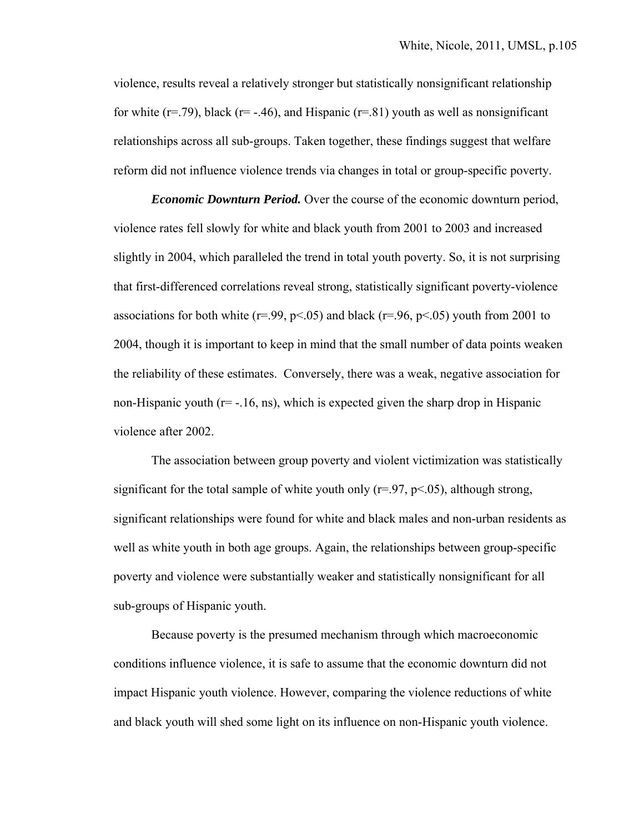violence, results reveal a relatively stronger but statistically nonsignificant relationship for white ( $r=$ .79), black ( $r=$  -.46), and Hispanic ( $r=$ .81) youth as well as nonsignificant relationships across all sub-groups. Taken together, these findings suggest that welfare reform did not influence violence trends via changes in total or group-specific poverty.

*Economic Downturn Period.* Over the course of the economic downturn period, violence rates fell slowly for white and black youth from 2001 to 2003 and increased slightly in 2004, which paralleled the trend in total youth poverty. So, it is not surprising that first-differenced correlations reveal strong, statistically significant poverty-violence associations for both white ( $r = .99$ ,  $p < .05$ ) and black ( $r = .96$ ,  $p < .05$ ) youth from 2001 to 2004, though it is important to keep in mind that the small number of data points weaken the reliability of these estimates. Conversely, there was a weak, negative association for non-Hispanic youth  $(r=-16, ns)$ , which is expected given the sharp drop in Hispanic violence after 2002.

The association between group poverty and violent victimization was statistically significant for the total sample of white youth only  $(r=97, p<0.65)$ , although strong, significant relationships were found for white and black males and non-urban residents as well as white youth in both age groups. Again, the relationships between group-specific poverty and violence were substantially weaker and statistically nonsignificant for all sub-groups of Hispanic youth.

 Because poverty is the presumed mechanism through which macroeconomic conditions influence violence, it is safe to assume that the economic downturn did not impact Hispanic youth violence. However, comparing the violence reductions of white and black youth will shed some light on its influence on non-Hispanic youth violence.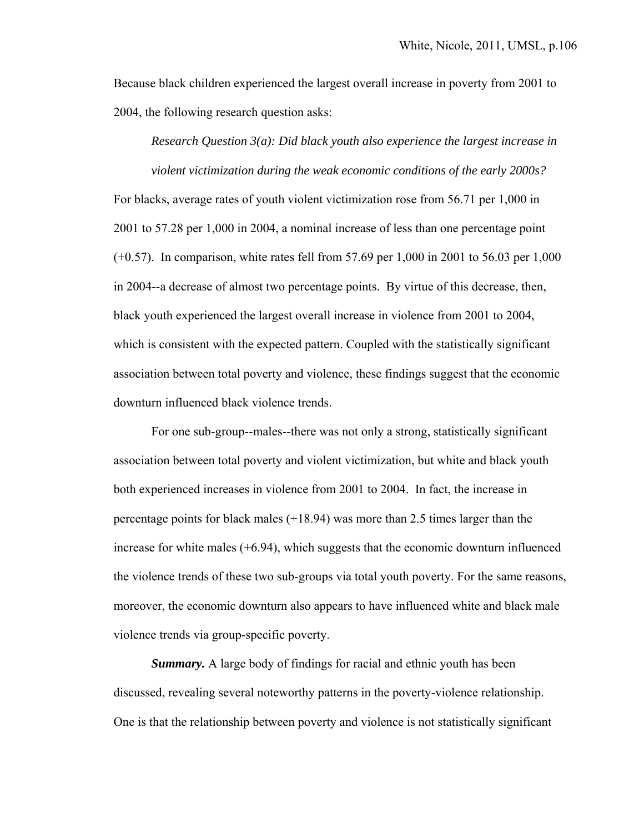Because black children experienced the largest overall increase in poverty from 2001 to 2004, the following research question asks:

 *Research Question 3(a): Did black youth also experience the largest increase in* 

 *violent victimization during the weak economic conditions of the early 2000s?*  For blacks, average rates of youth violent victimization rose from 56.71 per 1,000 in 2001 to 57.28 per 1,000 in 2004, a nominal increase of less than one percentage point (+0.57). In comparison, white rates fell from 57.69 per 1,000 in 2001 to 56.03 per 1,000 in 2004--a decrease of almost two percentage points. By virtue of this decrease, then, black youth experienced the largest overall increase in violence from 2001 to 2004, which is consistent with the expected pattern. Coupled with the statistically significant association between total poverty and violence, these findings suggest that the economic downturn influenced black violence trends.

 For one sub-group--males--there was not only a strong, statistically significant association between total poverty and violent victimization, but white and black youth both experienced increases in violence from 2001 to 2004. In fact, the increase in percentage points for black males (+18.94) was more than 2.5 times larger than the increase for white males  $(+6.94)$ , which suggests that the economic downturn influenced the violence trends of these two sub-groups via total youth poverty. For the same reasons, moreover, the economic downturn also appears to have influenced white and black male violence trends via group-specific poverty.

*Summary.* A large body of findings for racial and ethnic youth has been discussed, revealing several noteworthy patterns in the poverty-violence relationship. One is that the relationship between poverty and violence is not statistically significant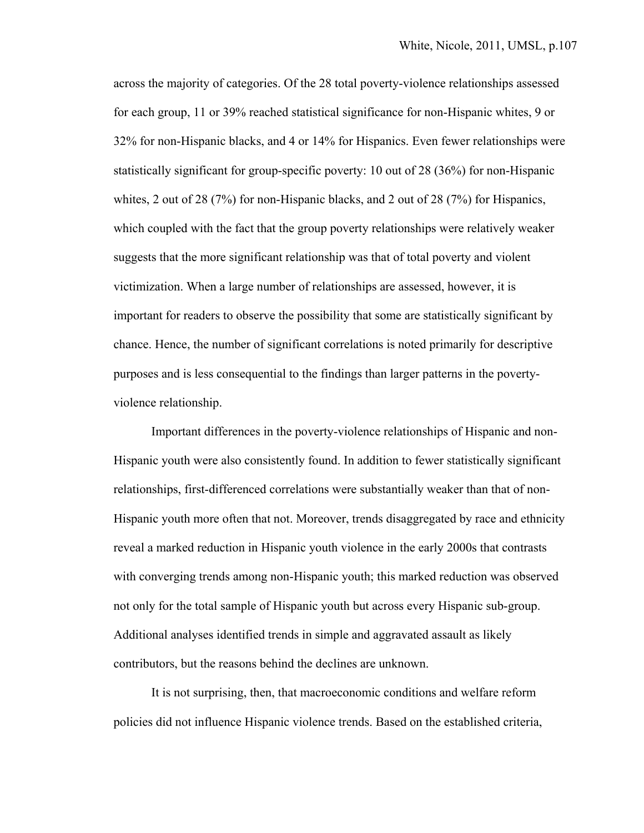across the majority of categories. Of the 28 total poverty-violence relationships assessed for each group, 11 or 39% reached statistical significance for non-Hispanic whites, 9 or 32% for non-Hispanic blacks, and 4 or 14% for Hispanics. Even fewer relationships were statistically significant for group-specific poverty: 10 out of 28 (36%) for non-Hispanic whites, 2 out of 28 (7%) for non-Hispanic blacks, and 2 out of 28 (7%) for Hispanics, which coupled with the fact that the group poverty relationships were relatively weaker suggests that the more significant relationship was that of total poverty and violent victimization. When a large number of relationships are assessed, however, it is important for readers to observe the possibility that some are statistically significant by chance. Hence, the number of significant correlations is noted primarily for descriptive purposes and is less consequential to the findings than larger patterns in the povertyviolence relationship.

 Important differences in the poverty-violence relationships of Hispanic and non-Hispanic youth were also consistently found. In addition to fewer statistically significant relationships, first-differenced correlations were substantially weaker than that of non-Hispanic youth more often that not. Moreover, trends disaggregated by race and ethnicity reveal a marked reduction in Hispanic youth violence in the early 2000s that contrasts with converging trends among non-Hispanic youth; this marked reduction was observed not only for the total sample of Hispanic youth but across every Hispanic sub-group. Additional analyses identified trends in simple and aggravated assault as likely contributors, but the reasons behind the declines are unknown.

 It is not surprising, then, that macroeconomic conditions and welfare reform policies did not influence Hispanic violence trends. Based on the established criteria,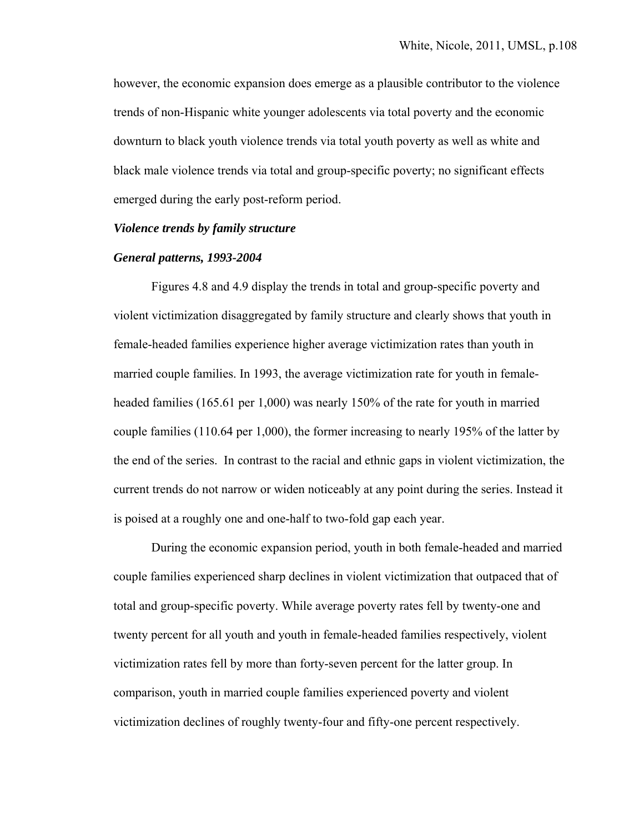however, the economic expansion does emerge as a plausible contributor to the violence trends of non-Hispanic white younger adolescents via total poverty and the economic downturn to black youth violence trends via total youth poverty as well as white and black male violence trends via total and group-specific poverty; no significant effects emerged during the early post-reform period.

#### *Violence trends by family structure*

#### *General patterns, 1993-2004*

 Figures 4.8 and 4.9 display the trends in total and group-specific poverty and violent victimization disaggregated by family structure and clearly shows that youth in female-headed families experience higher average victimization rates than youth in married couple families. In 1993, the average victimization rate for youth in femaleheaded families (165.61 per 1,000) was nearly 150% of the rate for youth in married couple families (110.64 per 1,000), the former increasing to nearly 195% of the latter by the end of the series. In contrast to the racial and ethnic gaps in violent victimization, the current trends do not narrow or widen noticeably at any point during the series. Instead it is poised at a roughly one and one-half to two-fold gap each year.

 During the economic expansion period, youth in both female-headed and married couple families experienced sharp declines in violent victimization that outpaced that of total and group-specific poverty. While average poverty rates fell by twenty-one and twenty percent for all youth and youth in female-headed families respectively, violent victimization rates fell by more than forty-seven percent for the latter group. In comparison, youth in married couple families experienced poverty and violent victimization declines of roughly twenty-four and fifty-one percent respectively.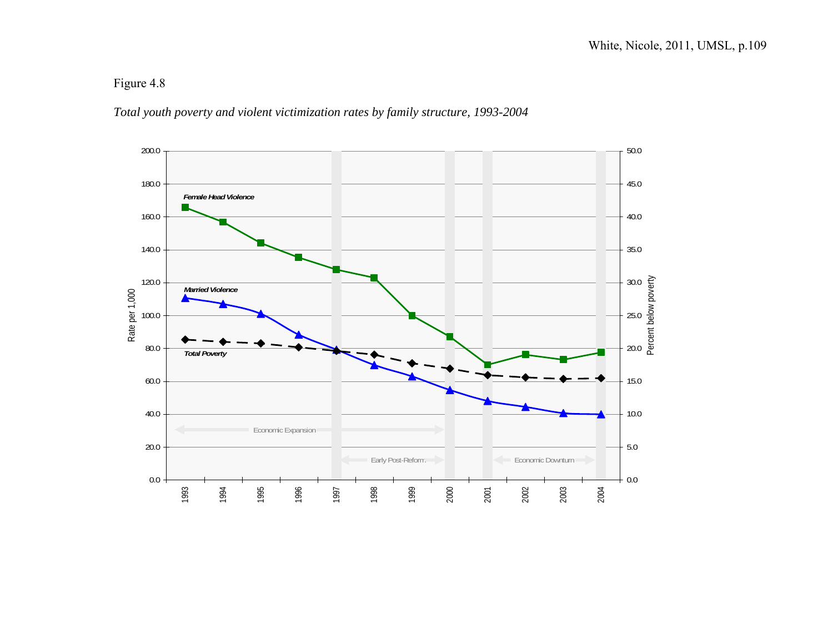## Figure 4.8

### *Total youth poverty and violent victimization rates by family structure, 1993-2004*

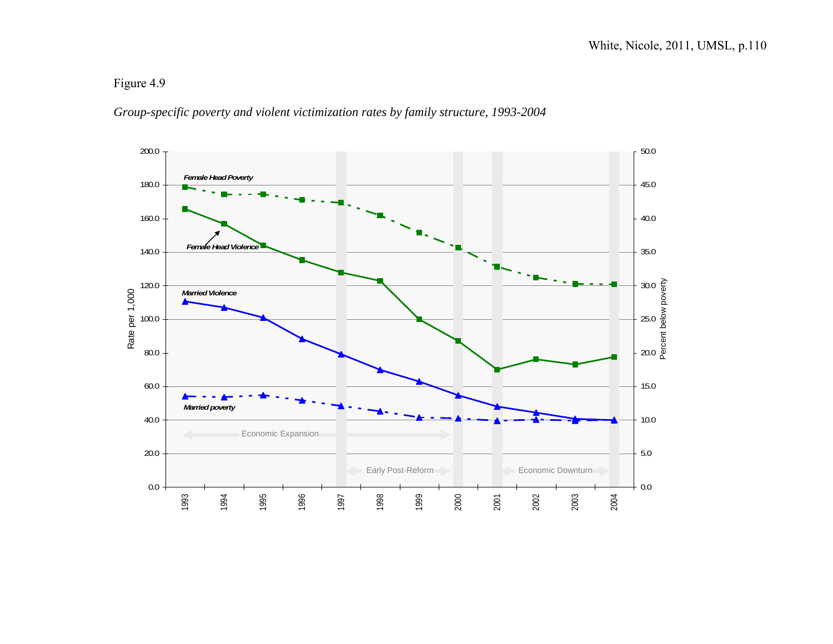## Figure 4.9

## *Group-specific poverty and violent victimization rates by family structure, 1993-2004*

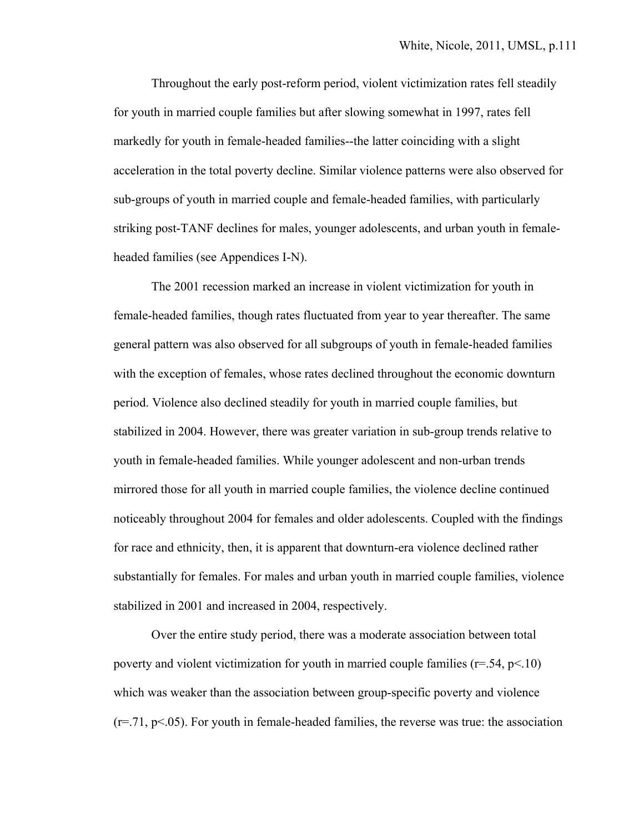Throughout the early post-reform period, violent victimization rates fell steadily for youth in married couple families but after slowing somewhat in 1997, rates fell markedly for youth in female-headed families--the latter coinciding with a slight acceleration in the total poverty decline. Similar violence patterns were also observed for sub-groups of youth in married couple and female-headed families, with particularly striking post-TANF declines for males, younger adolescents, and urban youth in femaleheaded families (see Appendices I-N).

The 2001 recession marked an increase in violent victimization for youth in female-headed families, though rates fluctuated from year to year thereafter. The same general pattern was also observed for all subgroups of youth in female-headed families with the exception of females, whose rates declined throughout the economic downturn period. Violence also declined steadily for youth in married couple families, but stabilized in 2004. However, there was greater variation in sub-group trends relative to youth in female-headed families. While younger adolescent and non-urban trends mirrored those for all youth in married couple families, the violence decline continued noticeably throughout 2004 for females and older adolescents. Coupled with the findings for race and ethnicity, then, it is apparent that downturn-era violence declined rather substantially for females. For males and urban youth in married couple families, violence stabilized in 2001 and increased in 2004, respectively.

 Over the entire study period, there was a moderate association between total poverty and violent victimization for youth in married couple families ( $r=.54$ ,  $p<.10$ ) which was weaker than the association between group-specific poverty and violence  $(r=.71, p<.05)$ . For youth in female-headed families, the reverse was true: the association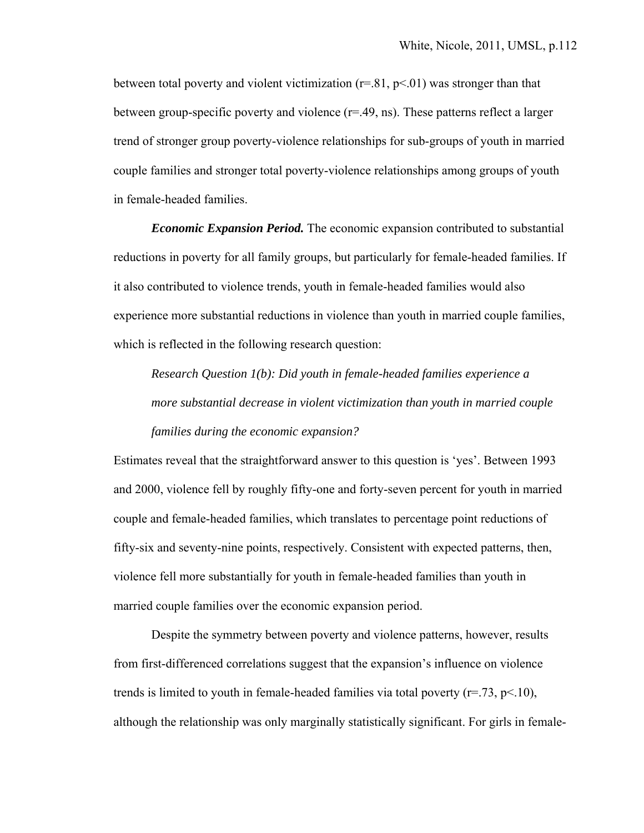between total poverty and violent victimization  $(r=.81, p<.01)$  was stronger than that between group-specific poverty and violence  $(r=.49, \text{ns})$ . These patterns reflect a larger trend of stronger group poverty-violence relationships for sub-groups of youth in married couple families and stronger total poverty-violence relationships among groups of youth in female-headed families.

*Economic Expansion Period.* The economic expansion contributed to substantial reductions in poverty for all family groups, but particularly for female-headed families. If it also contributed to violence trends, youth in female-headed families would also experience more substantial reductions in violence than youth in married couple families, which is reflected in the following research question:

*Research Question 1(b): Did youth in female-headed families experience a more substantial decrease in violent victimization than youth in married couple families during the economic expansion?*

Estimates reveal that the straightforward answer to this question is 'yes'. Between 1993 and 2000, violence fell by roughly fifty-one and forty-seven percent for youth in married couple and female-headed families, which translates to percentage point reductions of fifty-six and seventy-nine points, respectively. Consistent with expected patterns, then, violence fell more substantially for youth in female-headed families than youth in married couple families over the economic expansion period.

 Despite the symmetry between poverty and violence patterns, however, results from first-differenced correlations suggest that the expansion's influence on violence trends is limited to youth in female-headed families via total poverty  $(r=73, p<10)$ , although the relationship was only marginally statistically significant. For girls in female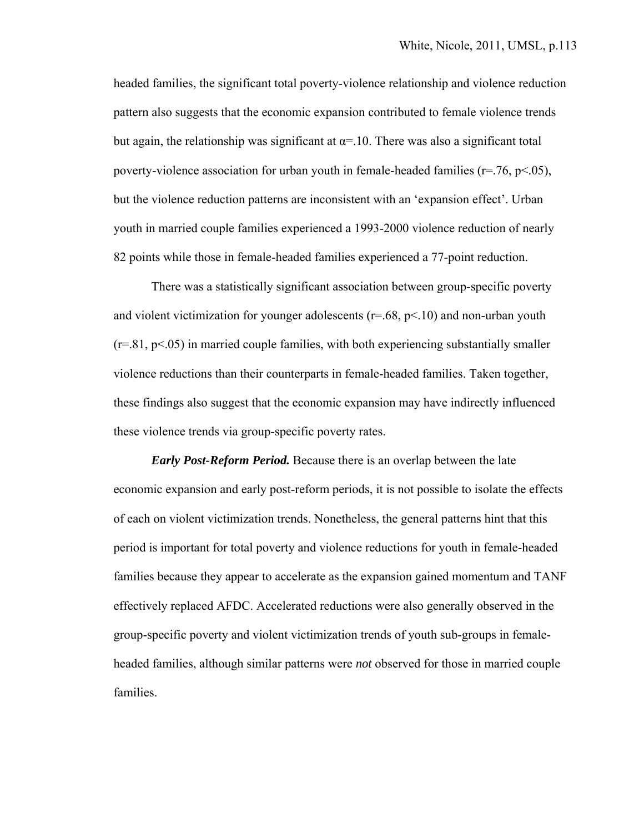headed families, the significant total poverty-violence relationship and violence reduction pattern also suggests that the economic expansion contributed to female violence trends but again, the relationship was significant at  $\alpha$ =.10. There was also a significant total poverty-violence association for urban youth in female-headed families ( $r = .76$ ,  $p < .05$ ), but the violence reduction patterns are inconsistent with an 'expansion effect'. Urban youth in married couple families experienced a 1993-2000 violence reduction of nearly 82 points while those in female-headed families experienced a 77-point reduction.

There was a statistically significant association between group-specific poverty and violent victimization for younger adolescents ( $r = .68$ ,  $p < .10$ ) and non-urban youth  $(r=81, p<0.05)$  in married couple families, with both experiencing substantially smaller violence reductions than their counterparts in female-headed families. Taken together, these findings also suggest that the economic expansion may have indirectly influenced these violence trends via group-specific poverty rates.

*Early Post-Reform Period.* Because there is an overlap between the late economic expansion and early post-reform periods, it is not possible to isolate the effects of each on violent victimization trends. Nonetheless, the general patterns hint that this period is important for total poverty and violence reductions for youth in female-headed families because they appear to accelerate as the expansion gained momentum and TANF effectively replaced AFDC. Accelerated reductions were also generally observed in the group-specific poverty and violent victimization trends of youth sub-groups in femaleheaded families, although similar patterns were *not* observed for those in married couple families.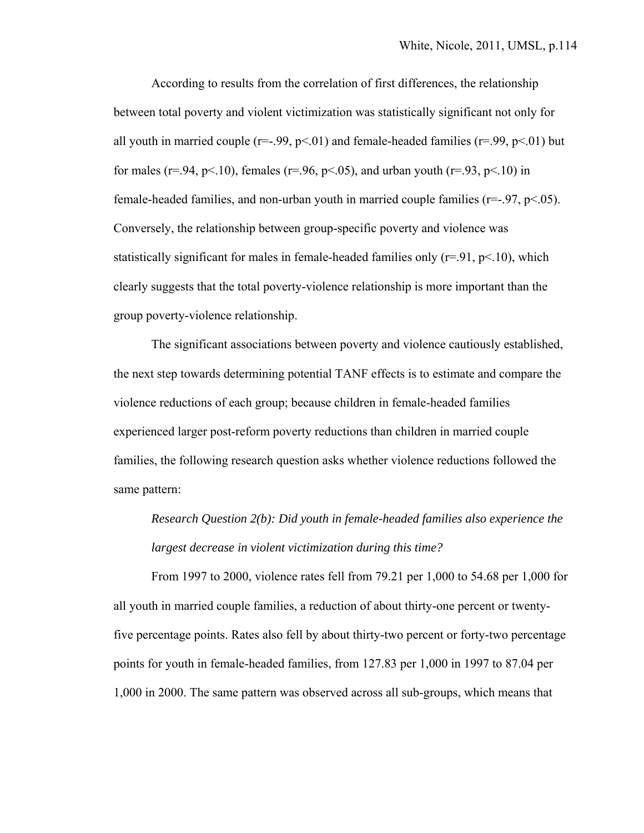According to results from the correlation of first differences, the relationship between total poverty and violent victimization was statistically significant not only for all youth in married couple ( $r=-.99$ ,  $p<-01$ ) and female-headed families ( $r=.99$ ,  $p<-01$ ) but for males ( $r = .94$ ,  $p < .10$ ), females ( $r = .96$ ,  $p < .05$ ), and urban youth ( $r = .93$ ,  $p < .10$ ) in female-headed families, and non-urban youth in married couple families ( $r = -.97$ ,  $p < .05$ ). Conversely, the relationship between group-specific poverty and violence was statistically significant for males in female-headed families only  $(r=91, p<10)$ , which clearly suggests that the total poverty-violence relationship is more important than the group poverty-violence relationship.

The significant associations between poverty and violence cautiously established, the next step towards determining potential TANF effects is to estimate and compare the violence reductions of each group; because children in female-headed families experienced larger post-reform poverty reductions than children in married couple families, the following research question asks whether violence reductions followed the same pattern:

*Research Question 2(b): Did youth in female-headed families also experience the largest decrease in violent victimization during this time?*

 From 1997 to 2000, violence rates fell from 79.21 per 1,000 to 54.68 per 1,000 for all youth in married couple families, a reduction of about thirty-one percent or twentyfive percentage points. Rates also fell by about thirty-two percent or forty-two percentage points for youth in female-headed families, from 127.83 per 1,000 in 1997 to 87.04 per 1,000 in 2000. The same pattern was observed across all sub-groups, which means that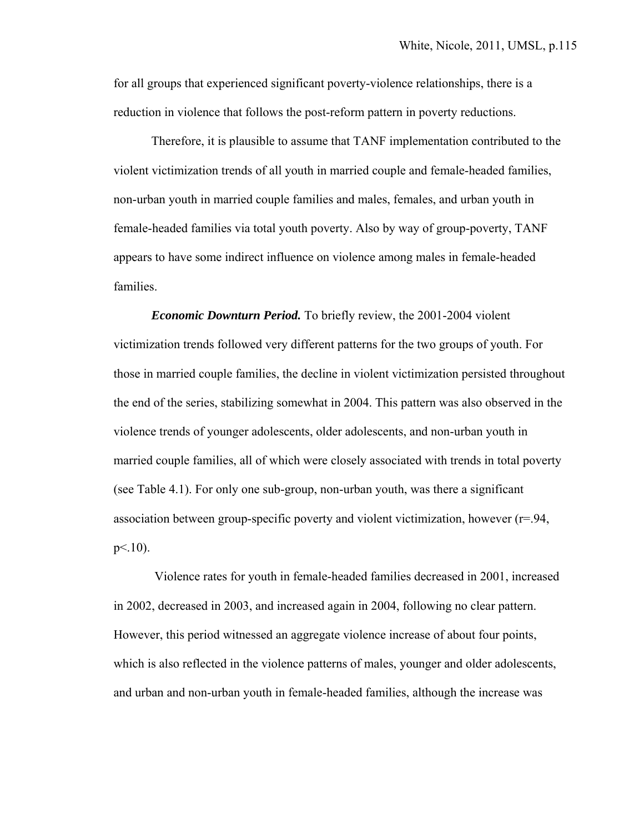for all groups that experienced significant poverty-violence relationships, there is a reduction in violence that follows the post-reform pattern in poverty reductions.

Therefore, it is plausible to assume that TANF implementation contributed to the violent victimization trends of all youth in married couple and female-headed families, non-urban youth in married couple families and males, females, and urban youth in female-headed families via total youth poverty. Also by way of group-poverty, TANF appears to have some indirect influence on violence among males in female-headed families.

 *Economic Downturn Period.* To briefly review, the 2001-2004 violent victimization trends followed very different patterns for the two groups of youth. For those in married couple families, the decline in violent victimization persisted throughout the end of the series, stabilizing somewhat in 2004. This pattern was also observed in the violence trends of younger adolescents, older adolescents, and non-urban youth in married couple families, all of which were closely associated with trends in total poverty (see Table 4.1). For only one sub-group, non-urban youth, was there a significant association between group-specific poverty and violent victimization, however  $(r=94,$  $p<.10$ ).

 Violence rates for youth in female-headed families decreased in 2001, increased in 2002, decreased in 2003, and increased again in 2004, following no clear pattern. However, this period witnessed an aggregate violence increase of about four points, which is also reflected in the violence patterns of males, younger and older adolescents, and urban and non-urban youth in female-headed families, although the increase was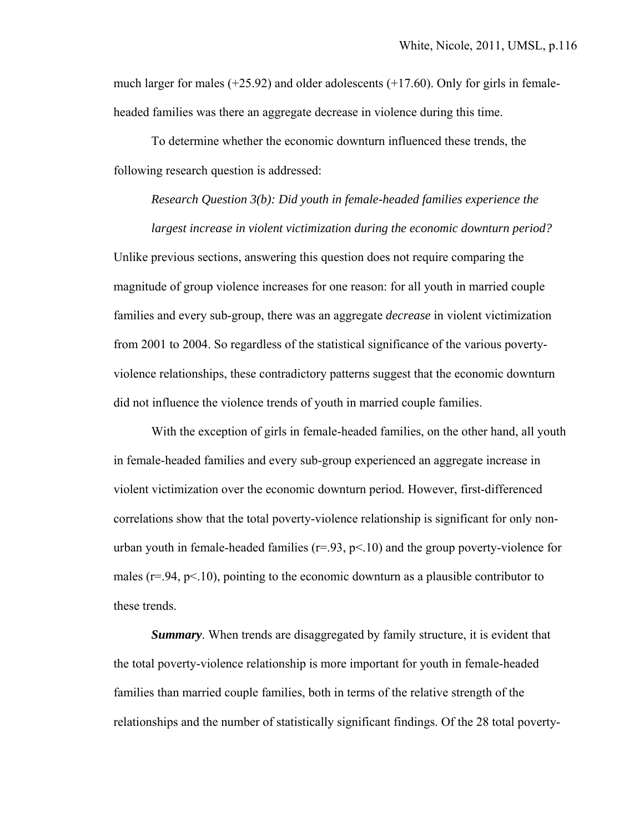much larger for males  $(+25.92)$  and older adolescents  $(+17.60)$ . Only for girls in femaleheaded families was there an aggregate decrease in violence during this time.

 To determine whether the economic downturn influenced these trends, the following research question is addressed:

*Research Question 3(b): Did youth in female-headed families experience the* 

*largest increase in violent victimization during the economic downturn period?*  Unlike previous sections, answering this question does not require comparing the magnitude of group violence increases for one reason: for all youth in married couple families and every sub-group, there was an aggregate *decrease* in violent victimization from 2001 to 2004. So regardless of the statistical significance of the various povertyviolence relationships, these contradictory patterns suggest that the economic downturn did not influence the violence trends of youth in married couple families.

 With the exception of girls in female-headed families, on the other hand, all youth in female-headed families and every sub-group experienced an aggregate increase in violent victimization over the economic downturn period. However, first-differenced correlations show that the total poverty-violence relationship is significant for only nonurban youth in female-headed families  $(r=93, p<10)$  and the group poverty-violence for males ( $r = 94$ ,  $p < 10$ ), pointing to the economic downturn as a plausible contributor to these trends.

*Summary*. When trends are disaggregated by family structure, it is evident that the total poverty-violence relationship is more important for youth in female-headed families than married couple families, both in terms of the relative strength of the relationships and the number of statistically significant findings. Of the 28 total poverty-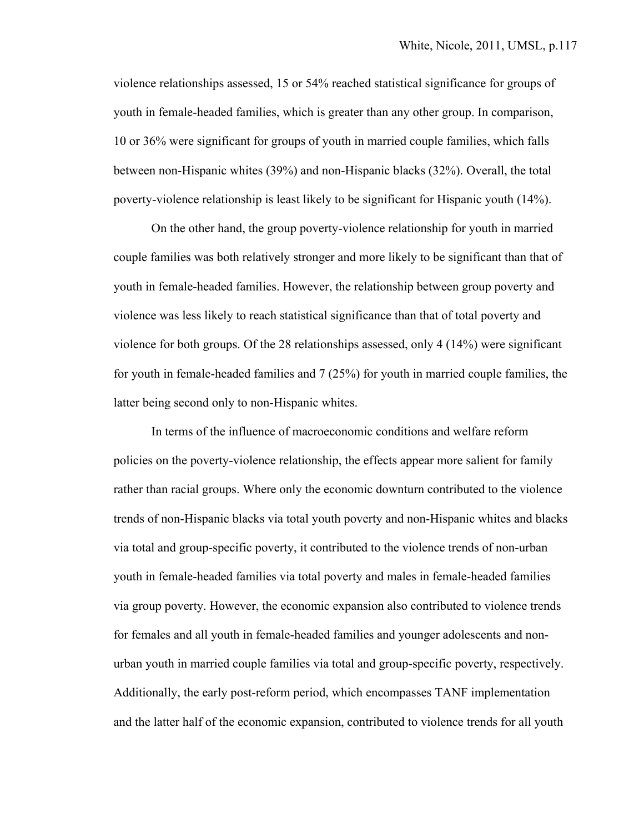violence relationships assessed, 15 or 54% reached statistical significance for groups of youth in female-headed families, which is greater than any other group. In comparison, 10 or 36% were significant for groups of youth in married couple families, which falls between non-Hispanic whites (39%) and non-Hispanic blacks (32%). Overall, the total poverty-violence relationship is least likely to be significant for Hispanic youth (14%).

On the other hand, the group poverty-violence relationship for youth in married couple families was both relatively stronger and more likely to be significant than that of youth in female-headed families. However, the relationship between group poverty and violence was less likely to reach statistical significance than that of total poverty and violence for both groups. Of the 28 relationships assessed, only 4 (14%) were significant for youth in female-headed families and 7 (25%) for youth in married couple families, the latter being second only to non-Hispanic whites.

In terms of the influence of macroeconomic conditions and welfare reform policies on the poverty-violence relationship, the effects appear more salient for family rather than racial groups. Where only the economic downturn contributed to the violence trends of non-Hispanic blacks via total youth poverty and non-Hispanic whites and blacks via total and group-specific poverty, it contributed to the violence trends of non-urban youth in female-headed families via total poverty and males in female-headed families via group poverty. However, the economic expansion also contributed to violence trends for females and all youth in female-headed families and younger adolescents and nonurban youth in married couple families via total and group-specific poverty, respectively. Additionally, the early post-reform period, which encompasses TANF implementation and the latter half of the economic expansion, contributed to violence trends for all youth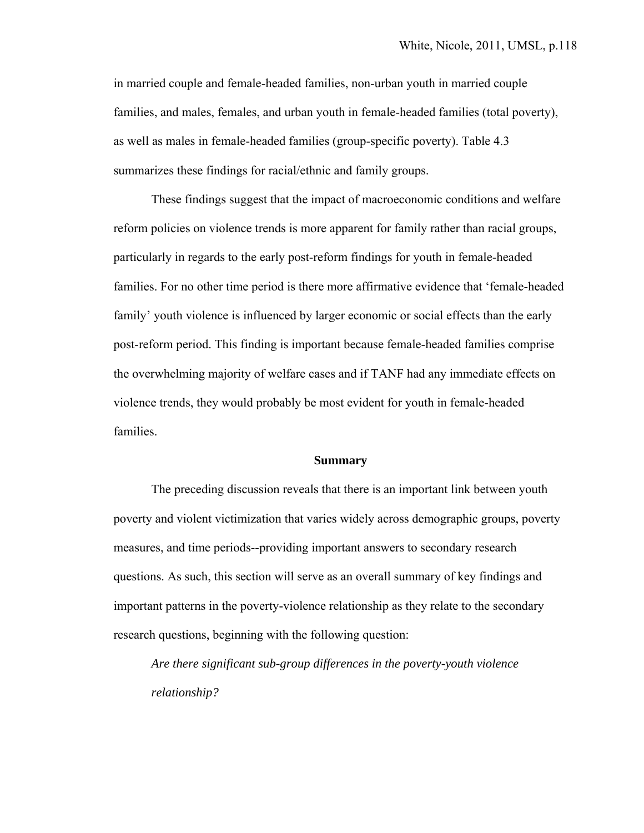in married couple and female-headed families, non-urban youth in married couple families, and males, females, and urban youth in female-headed families (total poverty), as well as males in female-headed families (group-specific poverty). Table 4.3 summarizes these findings for racial/ethnic and family groups.

These findings suggest that the impact of macroeconomic conditions and welfare reform policies on violence trends is more apparent for family rather than racial groups, particularly in regards to the early post-reform findings for youth in female-headed families. For no other time period is there more affirmative evidence that 'female-headed family' youth violence is influenced by larger economic or social effects than the early post-reform period. This finding is important because female-headed families comprise the overwhelming majority of welfare cases and if TANF had any immediate effects on violence trends, they would probably be most evident for youth in female-headed families.

#### **Summary**

 The preceding discussion reveals that there is an important link between youth poverty and violent victimization that varies widely across demographic groups, poverty measures, and time periods--providing important answers to secondary research questions. As such, this section will serve as an overall summary of key findings and important patterns in the poverty-violence relationship as they relate to the secondary research questions, beginning with the following question:

*Are there significant sub-group differences in the poverty-youth violence relationship?*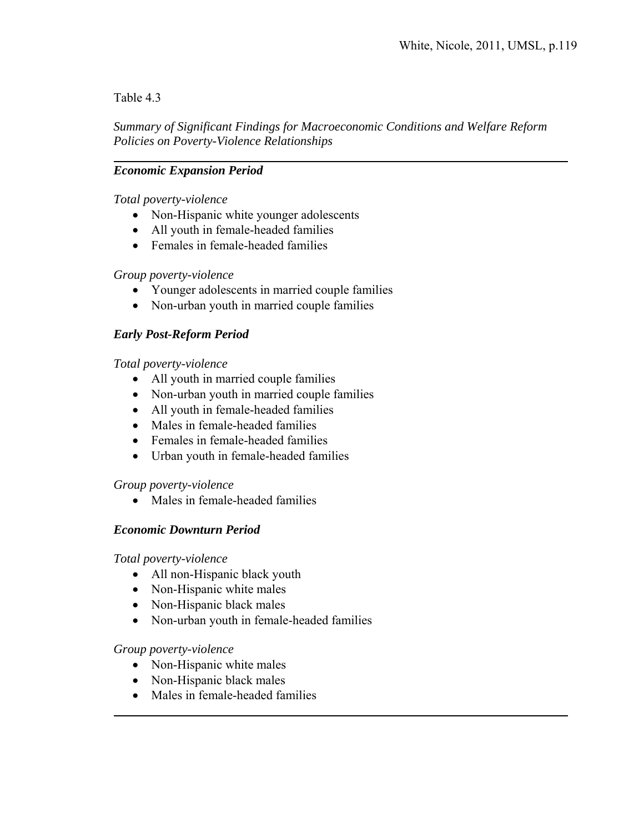## Table 4.3

 $\overline{a}$ 

*Summary of Significant Findings for Macroeconomic Conditions and Welfare Reform Policies on Poverty-Violence Relationships* 

# *Economic Expansion Period*

### *Total poverty-violence*

- Non-Hispanic white younger adolescents
- All youth in female-headed families
- Females in female-headed families

### *Group poverty-violence*

- Younger adolescents in married couple families
- Non-urban youth in married couple families

# *Early Post-Reform Period*

### *Total poverty-violence*

- All youth in married couple families
- Non-urban youth in married couple families
- All youth in female-headed families
- Males in female-headed families
- Females in female-headed families
- Urban youth in female-headed families

### *Group poverty-violence*

• Males in female-headed families

### *Economic Downturn Period*

### *Total poverty-violence*

- All non-Hispanic black youth
- Non-Hispanic white males
- Non-Hispanic black males
- Non-urban youth in female-headed families

### *Group poverty-violence*

 $\overline{a}$ 

- Non-Hispanic white males
- Non-Hispanic black males
- Males in female-headed families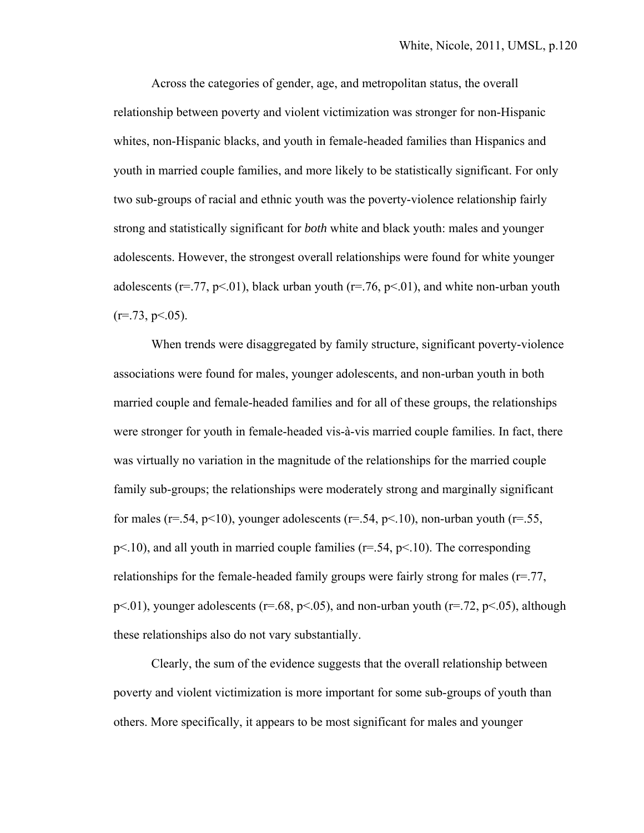Across the categories of gender, age, and metropolitan status, the overall relationship between poverty and violent victimization was stronger for non-Hispanic whites, non-Hispanic blacks, and youth in female-headed families than Hispanics and youth in married couple families, and more likely to be statistically significant. For only two sub-groups of racial and ethnic youth was the poverty-violence relationship fairly strong and statistically significant for *both* white and black youth: males and younger adolescents. However, the strongest overall relationships were found for white younger adolescents ( $r = .77$ ,  $p < .01$ ), black urban youth ( $r = .76$ ,  $p < .01$ ), and white non-urban youth  $(r=.73, p<.05)$ .

When trends were disaggregated by family structure, significant poverty-violence associations were found for males, younger adolescents, and non-urban youth in both married couple and female-headed families and for all of these groups, the relationships were stronger for youth in female-headed vis-à-vis married couple families. In fact, there was virtually no variation in the magnitude of the relationships for the married couple family sub-groups; the relationships were moderately strong and marginally significant for males ( $r=.54$ ,  $p<10$ ), younger adolescents ( $r=.54$ ,  $p<10$ ), non-urban youth ( $r=.55$ ,  $p<.10$ ), and all youth in married couple families ( $r=.54$ ,  $p<.10$ ). The corresponding relationships for the female-headed family groups were fairly strong for males  $(r=.77, r=0.75)$  $p<.01$ ), younger adolescents ( $r=.68$ ,  $p<.05$ ), and non-urban youth ( $r=.72$ ,  $p<.05$ ), although these relationships also do not vary substantially.

Clearly, the sum of the evidence suggests that the overall relationship between poverty and violent victimization is more important for some sub-groups of youth than others. More specifically, it appears to be most significant for males and younger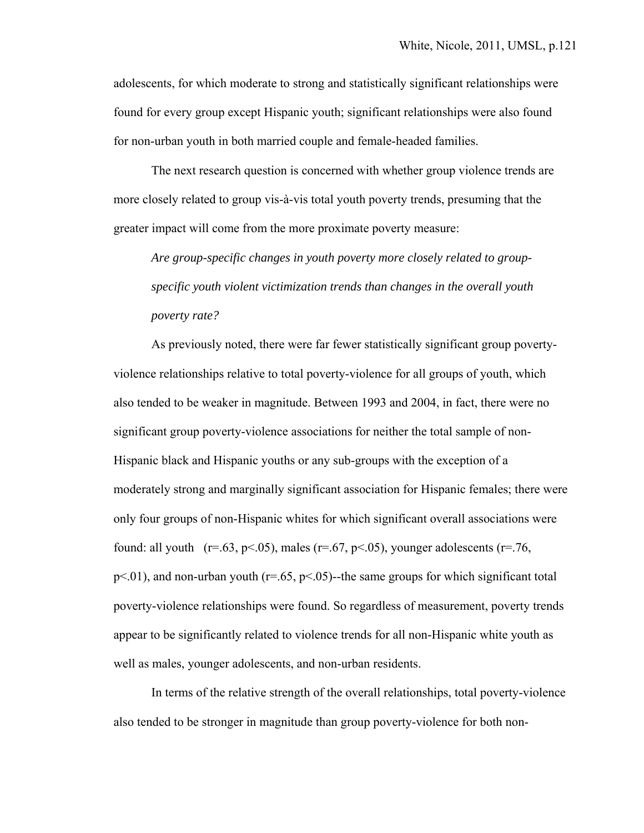adolescents, for which moderate to strong and statistically significant relationships were found for every group except Hispanic youth; significant relationships were also found for non-urban youth in both married couple and female-headed families.

The next research question is concerned with whether group violence trends are more closely related to group vis-à-vis total youth poverty trends, presuming that the greater impact will come from the more proximate poverty measure:

*Are group-specific changes in youth poverty more closely related to groupspecific youth violent victimization trends than changes in the overall youth poverty rate?* 

 As previously noted, there were far fewer statistically significant group povertyviolence relationships relative to total poverty-violence for all groups of youth, which also tended to be weaker in magnitude. Between 1993 and 2004, in fact, there were no significant group poverty-violence associations for neither the total sample of non-Hispanic black and Hispanic youths or any sub-groups with the exception of a moderately strong and marginally significant association for Hispanic females; there were only four groups of non-Hispanic whites for which significant overall associations were found: all youth  $(r=.63, p<.05)$ , males  $(r=.67, p<.05)$ , younger adolescents  $(r=.76, p<.05)$  $p<.01$ ), and non-urban youth ( $r=.65$ ,  $p<.05$ )-the same groups for which significant total poverty-violence relationships were found. So regardless of measurement, poverty trends appear to be significantly related to violence trends for all non-Hispanic white youth as well as males, younger adolescents, and non-urban residents.

In terms of the relative strength of the overall relationships, total poverty-violence also tended to be stronger in magnitude than group poverty-violence for both non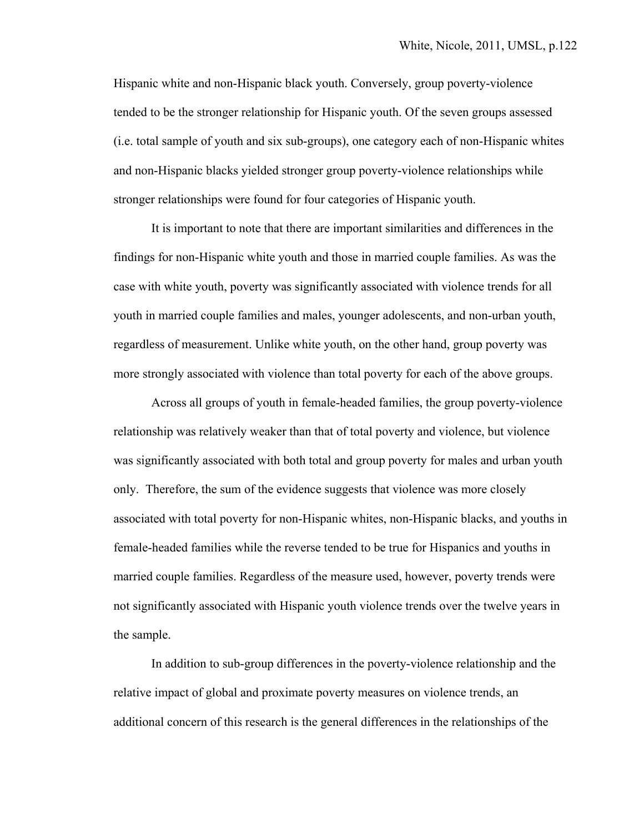Hispanic white and non-Hispanic black youth. Conversely, group poverty-violence tended to be the stronger relationship for Hispanic youth. Of the seven groups assessed (i.e. total sample of youth and six sub-groups), one category each of non-Hispanic whites and non-Hispanic blacks yielded stronger group poverty-violence relationships while stronger relationships were found for four categories of Hispanic youth.

It is important to note that there are important similarities and differences in the findings for non-Hispanic white youth and those in married couple families. As was the case with white youth, poverty was significantly associated with violence trends for all youth in married couple families and males, younger adolescents, and non-urban youth, regardless of measurement. Unlike white youth, on the other hand, group poverty was more strongly associated with violence than total poverty for each of the above groups.

Across all groups of youth in female-headed families, the group poverty-violence relationship was relatively weaker than that of total poverty and violence, but violence was significantly associated with both total and group poverty for males and urban youth only. Therefore, the sum of the evidence suggests that violence was more closely associated with total poverty for non-Hispanic whites, non-Hispanic blacks, and youths in female-headed families while the reverse tended to be true for Hispanics and youths in married couple families. Regardless of the measure used, however, poverty trends were not significantly associated with Hispanic youth violence trends over the twelve years in the sample.

In addition to sub-group differences in the poverty-violence relationship and the relative impact of global and proximate poverty measures on violence trends, an additional concern of this research is the general differences in the relationships of the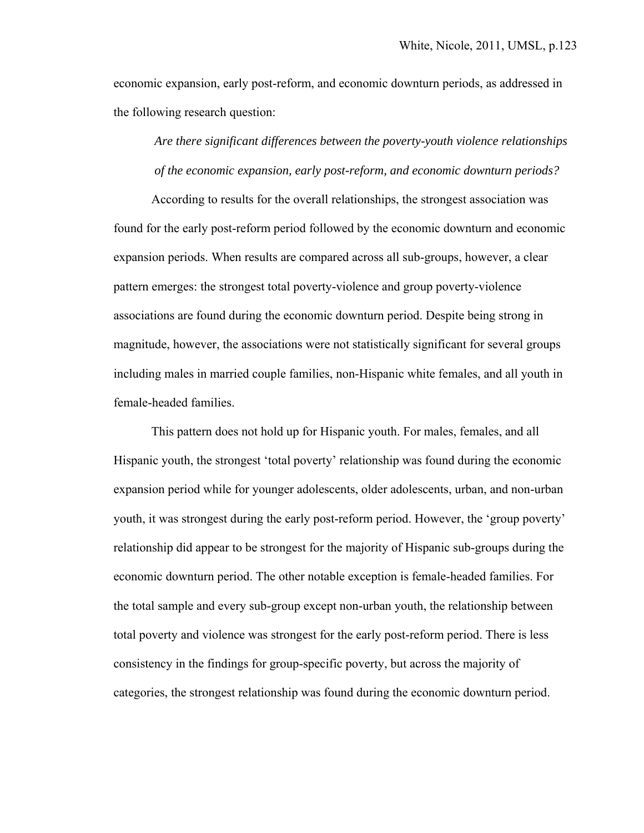economic expansion, early post-reform, and economic downturn periods, as addressed in the following research question:

*Are there significant differences between the poverty-youth violence relationships of the economic expansion, early post-reform, and economic downturn periods?* 

 According to results for the overall relationships, the strongest association was found for the early post-reform period followed by the economic downturn and economic expansion periods. When results are compared across all sub-groups, however, a clear pattern emerges: the strongest total poverty-violence and group poverty-violence associations are found during the economic downturn period. Despite being strong in magnitude, however, the associations were not statistically significant for several groups including males in married couple families, non-Hispanic white females, and all youth in female-headed families.

 This pattern does not hold up for Hispanic youth. For males, females, and all Hispanic youth, the strongest 'total poverty' relationship was found during the economic expansion period while for younger adolescents, older adolescents, urban, and non-urban youth, it was strongest during the early post-reform period. However, the 'group poverty' relationship did appear to be strongest for the majority of Hispanic sub-groups during the economic downturn period. The other notable exception is female-headed families. For the total sample and every sub-group except non-urban youth, the relationship between total poverty and violence was strongest for the early post-reform period. There is less consistency in the findings for group-specific poverty, but across the majority of categories, the strongest relationship was found during the economic downturn period.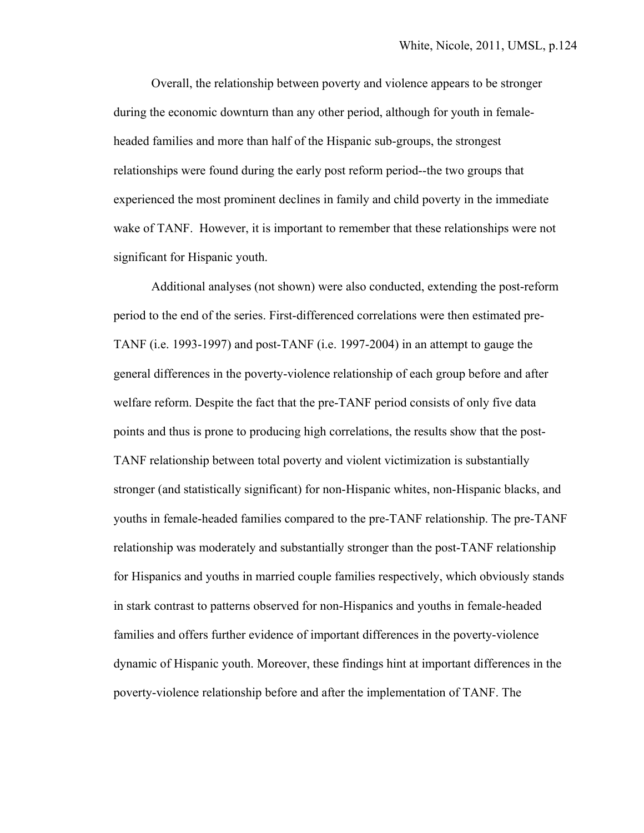Overall, the relationship between poverty and violence appears to be stronger during the economic downturn than any other period, although for youth in femaleheaded families and more than half of the Hispanic sub-groups, the strongest relationships were found during the early post reform period--the two groups that experienced the most prominent declines in family and child poverty in the immediate wake of TANF. However, it is important to remember that these relationships were not significant for Hispanic youth.

Additional analyses (not shown) were also conducted, extending the post-reform period to the end of the series. First-differenced correlations were then estimated pre-TANF (i.e. 1993-1997) and post-TANF (i.e. 1997-2004) in an attempt to gauge the general differences in the poverty-violence relationship of each group before and after welfare reform. Despite the fact that the pre-TANF period consists of only five data points and thus is prone to producing high correlations, the results show that the post-TANF relationship between total poverty and violent victimization is substantially stronger (and statistically significant) for non-Hispanic whites, non-Hispanic blacks, and youths in female-headed families compared to the pre-TANF relationship. The pre-TANF relationship was moderately and substantially stronger than the post-TANF relationship for Hispanics and youths in married couple families respectively, which obviously stands in stark contrast to patterns observed for non-Hispanics and youths in female-headed families and offers further evidence of important differences in the poverty-violence dynamic of Hispanic youth. Moreover, these findings hint at important differences in the poverty-violence relationship before and after the implementation of TANF. The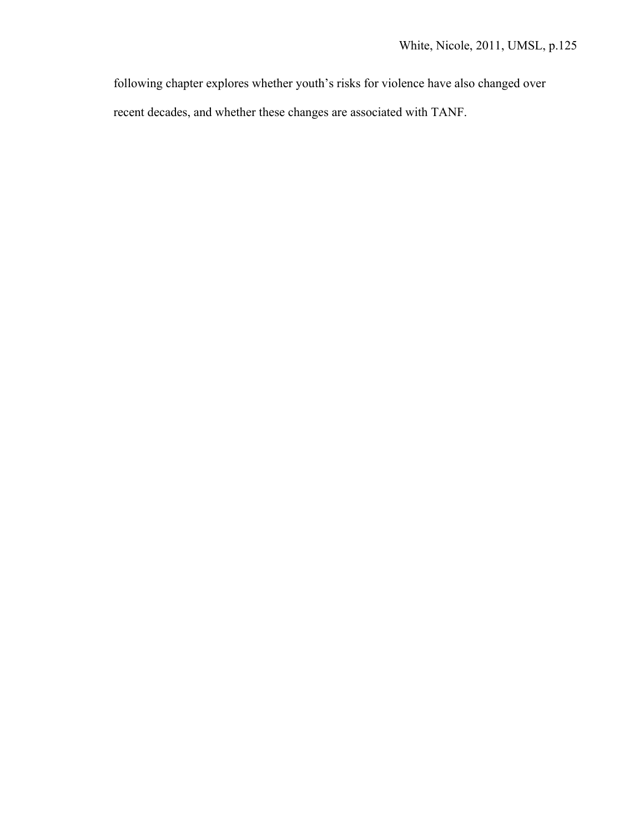following chapter explores whether youth's risks for violence have also changed over

recent decades, and whether these changes are associated with TANF.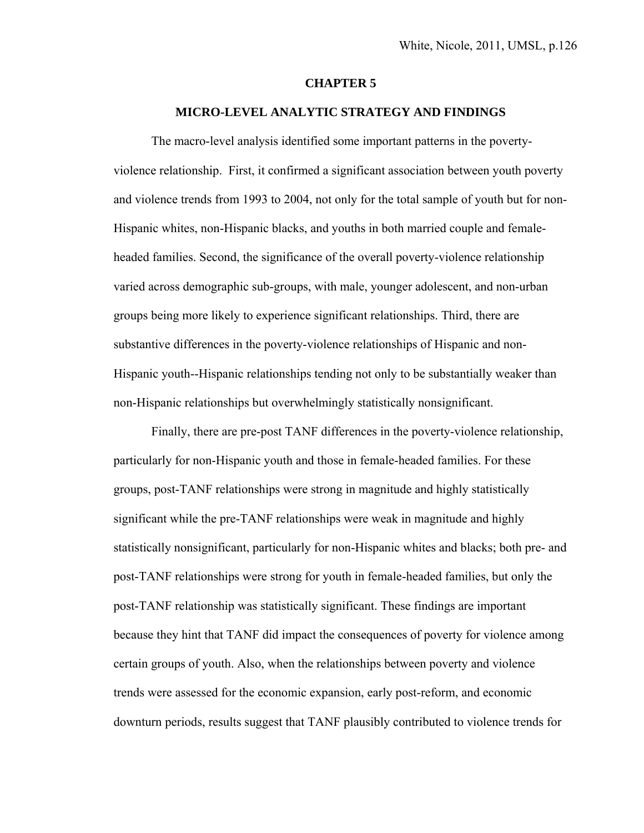#### **CHAPTER 5**

#### **MICRO-LEVEL ANALYTIC STRATEGY AND FINDINGS**

 The macro-level analysis identified some important patterns in the povertyviolence relationship. First, it confirmed a significant association between youth poverty and violence trends from 1993 to 2004, not only for the total sample of youth but for non-Hispanic whites, non-Hispanic blacks, and youths in both married couple and femaleheaded families. Second, the significance of the overall poverty-violence relationship varied across demographic sub-groups, with male, younger adolescent, and non-urban groups being more likely to experience significant relationships. Third, there are substantive differences in the poverty-violence relationships of Hispanic and non-Hispanic youth--Hispanic relationships tending not only to be substantially weaker than non-Hispanic relationships but overwhelmingly statistically nonsignificant.

 Finally, there are pre-post TANF differences in the poverty-violence relationship, particularly for non-Hispanic youth and those in female-headed families. For these groups, post-TANF relationships were strong in magnitude and highly statistically significant while the pre-TANF relationships were weak in magnitude and highly statistically nonsignificant, particularly for non-Hispanic whites and blacks; both pre- and post-TANF relationships were strong for youth in female-headed families, but only the post-TANF relationship was statistically significant. These findings are important because they hint that TANF did impact the consequences of poverty for violence among certain groups of youth. Also, when the relationships between poverty and violence trends were assessed for the economic expansion, early post-reform, and economic downturn periods, results suggest that TANF plausibly contributed to violence trends for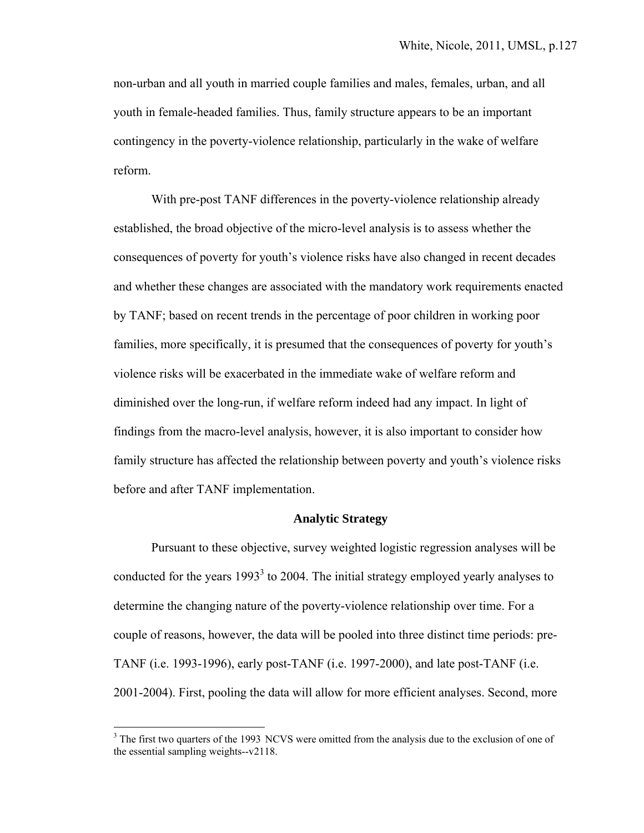non-urban and all youth in married couple families and males, females, urban, and all youth in female-headed families. Thus, family structure appears to be an important contingency in the poverty-violence relationship, particularly in the wake of welfare reform.

 With pre-post TANF differences in the poverty-violence relationship already established, the broad objective of the micro-level analysis is to assess whether the consequences of poverty for youth's violence risks have also changed in recent decades and whether these changes are associated with the mandatory work requirements enacted by TANF; based on recent trends in the percentage of poor children in working poor families, more specifically, it is presumed that the consequences of poverty for youth's violence risks will be exacerbated in the immediate wake of welfare reform and diminished over the long-run, if welfare reform indeed had any impact. In light of findings from the macro-level analysis, however, it is also important to consider how family structure has affected the relationship between poverty and youth's violence risks before and after TANF implementation.

#### **Analytic Strategy**

 Pursuant to these objective, survey weighted logistic regression analyses will be conducted for the years  $1993<sup>3</sup>$  to 2004. The initial strategy employed yearly analyses to determine the changing nature of the poverty-violence relationship over time. For a couple of reasons, however, the data will be pooled into three distinct time periods: pre-TANF (i.e. 1993-1996), early post-TANF (i.e. 1997-2000), and late post-TANF (i.e. 2001-2004). First, pooling the data will allow for more efficient analyses. Second, more

1

 $3$  The first two quarters of the 1993 NCVS were omitted from the analysis due to the exclusion of one of the essential sampling weights--v2118.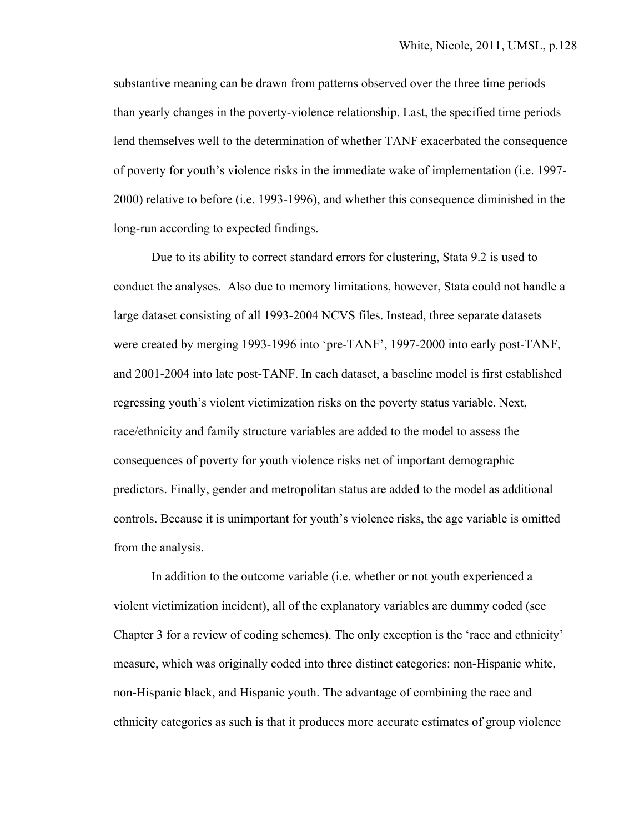substantive meaning can be drawn from patterns observed over the three time periods than yearly changes in the poverty-violence relationship. Last, the specified time periods lend themselves well to the determination of whether TANF exacerbated the consequence of poverty for youth's violence risks in the immediate wake of implementation (i.e. 1997- 2000) relative to before (i.e. 1993-1996), and whether this consequence diminished in the long-run according to expected findings.

 Due to its ability to correct standard errors for clustering, Stata 9.2 is used to conduct the analyses. Also due to memory limitations, however, Stata could not handle a large dataset consisting of all 1993-2004 NCVS files. Instead, three separate datasets were created by merging 1993-1996 into 'pre-TANF', 1997-2000 into early post-TANF, and 2001-2004 into late post-TANF. In each dataset, a baseline model is first established regressing youth's violent victimization risks on the poverty status variable. Next, race/ethnicity and family structure variables are added to the model to assess the consequences of poverty for youth violence risks net of important demographic predictors. Finally, gender and metropolitan status are added to the model as additional controls. Because it is unimportant for youth's violence risks, the age variable is omitted from the analysis.

 In addition to the outcome variable (i.e. whether or not youth experienced a violent victimization incident), all of the explanatory variables are dummy coded (see Chapter 3 for a review of coding schemes). The only exception is the 'race and ethnicity' measure, which was originally coded into three distinct categories: non-Hispanic white, non-Hispanic black, and Hispanic youth. The advantage of combining the race and ethnicity categories as such is that it produces more accurate estimates of group violence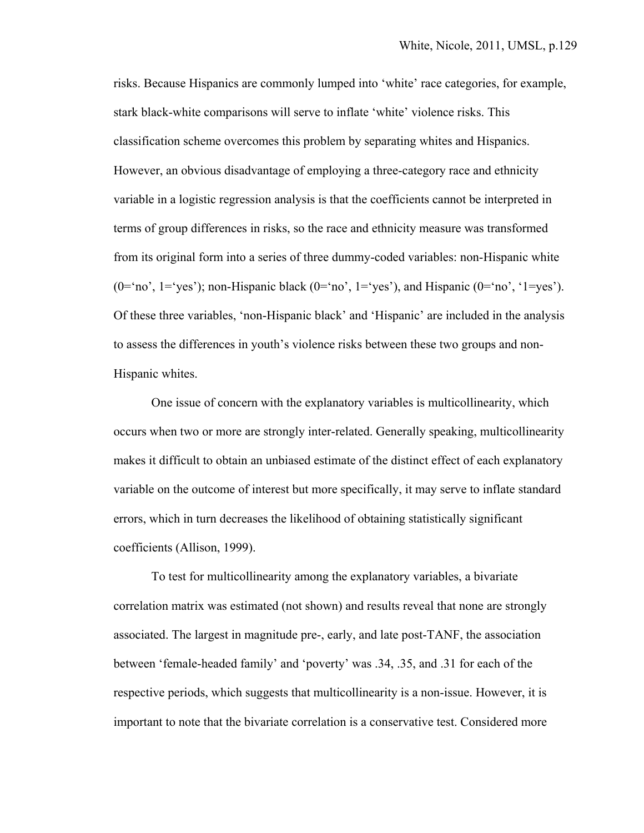risks. Because Hispanics are commonly lumped into 'white' race categories, for example, stark black-white comparisons will serve to inflate 'white' violence risks. This classification scheme overcomes this problem by separating whites and Hispanics. However, an obvious disadvantage of employing a three-category race and ethnicity variable in a logistic regression analysis is that the coefficients cannot be interpreted in terms of group differences in risks, so the race and ethnicity measure was transformed from its original form into a series of three dummy-coded variables: non-Hispanic white  $(0=`no', 1=`yes'); non-Hispanic black (0=`no', 1=`yes'), and Hispanic (0=`no', '1=yes').$ Of these three variables, 'non-Hispanic black' and 'Hispanic' are included in the analysis to assess the differences in youth's violence risks between these two groups and non-Hispanic whites.

 One issue of concern with the explanatory variables is multicollinearity, which occurs when two or more are strongly inter-related. Generally speaking, multicollinearity makes it difficult to obtain an unbiased estimate of the distinct effect of each explanatory variable on the outcome of interest but more specifically, it may serve to inflate standard errors, which in turn decreases the likelihood of obtaining statistically significant coefficients (Allison, 1999).

 To test for multicollinearity among the explanatory variables, a bivariate correlation matrix was estimated (not shown) and results reveal that none are strongly associated. The largest in magnitude pre-, early, and late post-TANF, the association between 'female-headed family' and 'poverty' was .34, .35, and .31 for each of the respective periods, which suggests that multicollinearity is a non-issue. However, it is important to note that the bivariate correlation is a conservative test. Considered more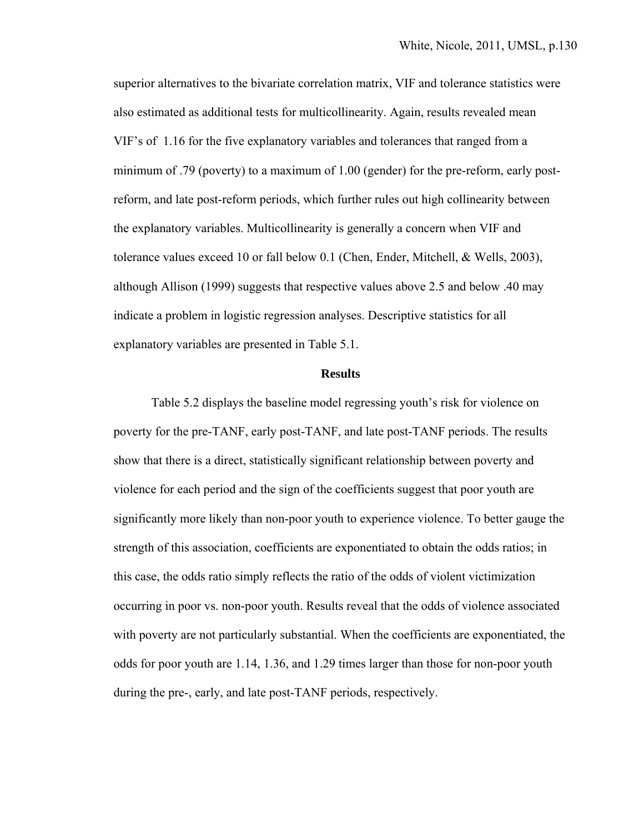superior alternatives to the bivariate correlation matrix, VIF and tolerance statistics were also estimated as additional tests for multicollinearity. Again, results revealed mean VIF's of 1.16 for the five explanatory variables and tolerances that ranged from a minimum of .79 (poverty) to a maximum of 1.00 (gender) for the pre-reform, early postreform, and late post-reform periods, which further rules out high collinearity between the explanatory variables. Multicollinearity is generally a concern when VIF and tolerance values exceed 10 or fall below 0.1 (Chen, Ender, Mitchell, & Wells, 2003), although Allison (1999) suggests that respective values above 2.5 and below .40 may indicate a problem in logistic regression analyses. Descriptive statistics for all explanatory variables are presented in Table 5.1.

#### **Results**

 Table 5.2 displays the baseline model regressing youth's risk for violence on poverty for the pre-TANF, early post-TANF, and late post-TANF periods. The results show that there is a direct, statistically significant relationship between poverty and violence for each period and the sign of the coefficients suggest that poor youth are significantly more likely than non-poor youth to experience violence. To better gauge the strength of this association, coefficients are exponentiated to obtain the odds ratios; in this case, the odds ratio simply reflects the ratio of the odds of violent victimization occurring in poor vs. non-poor youth. Results reveal that the odds of violence associated with poverty are not particularly substantial. When the coefficients are exponentiated, the odds for poor youth are 1.14, 1.36, and 1.29 times larger than those for non-poor youth during the pre-, early, and late post-TANF periods, respectively.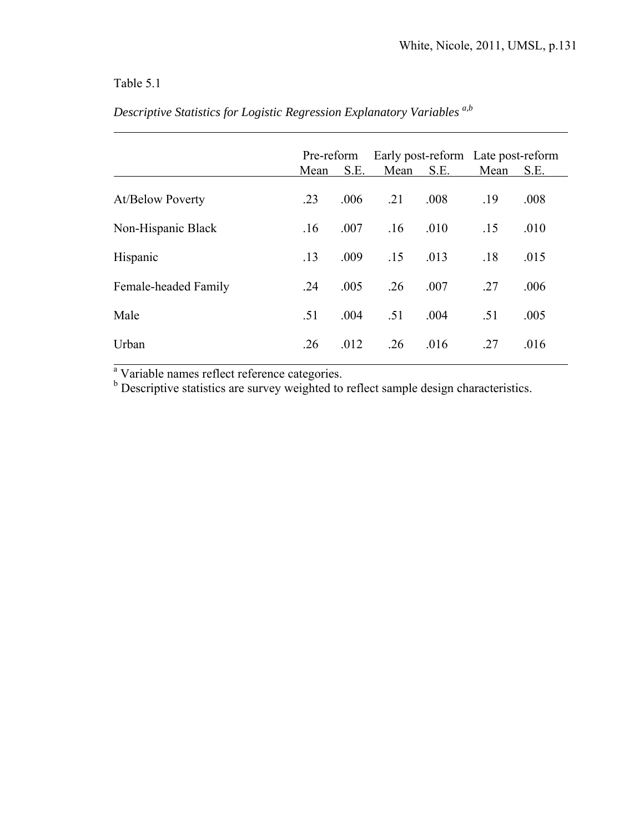# Table 5.1

 $\overline{a}$ 

|                         |      | Pre-reform |      | Early post-reform Late post-reform |      |      |  |
|-------------------------|------|------------|------|------------------------------------|------|------|--|
|                         | Mean | S.E.       | Mean | S.E.                               | Mean | S.E. |  |
| <b>At/Below Poverty</b> | .23  | .006       | .21  | .008                               | .19  | .008 |  |
| Non-Hispanic Black      | .16  | .007       | .16  | .010                               | .15  | .010 |  |
| Hispanic                | .13  | .009       | .15  | .013                               | .18  | .015 |  |
| Female-headed Family    | .24  | .005       | .26  | .007                               | .27  | .006 |  |
| Male                    | .51  | .004       | .51  | .004                               | .51  | .005 |  |
| Urban                   | .26  | .012       | .26  | .016                               | .27  | .016 |  |

*Descriptive Statistics for Logistic Regression Explanatory Variables a,b* 

<sup>a</sup> Variable names reflect reference categories.<br><sup>b</sup> Descriptive statistics are survey weighted to reflect sample design characteristics.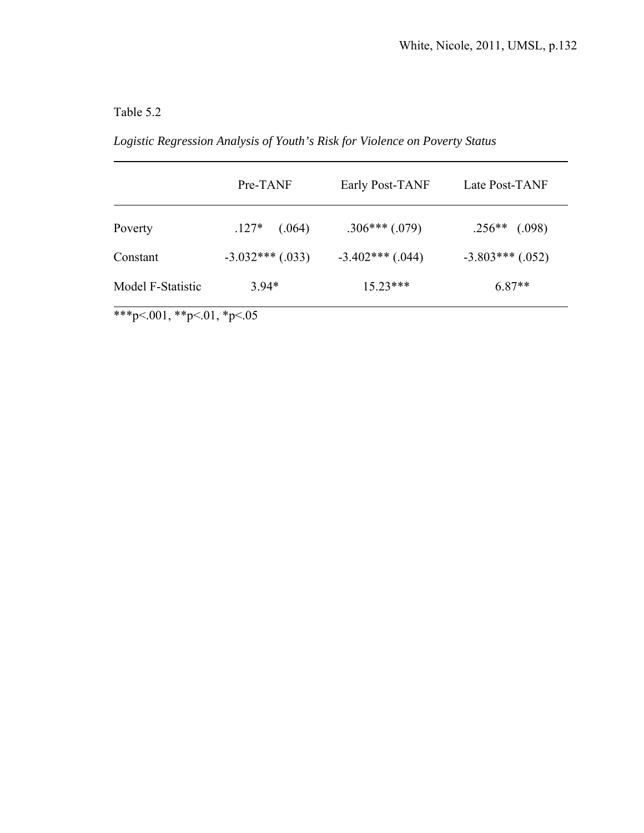# Table 5.2

 $\overline{a}$ 

*Logistic Regression Analysis of Youth's Risk for Violence on Poverty Status* 

|                   | Pre-TANF           | Early Post-TANF    | Late Post-TANF     |
|-------------------|--------------------|--------------------|--------------------|
| Poverty           | $.127*$<br>(.064)  | $.306***(.079)$    | $.256**$ (.098)    |
| Constant          | $-3.032***$ (.033) | $-3.402***$ (.044) | $-3.803***$ (.052) |
| Model F-Statistic | $3.94*$            | $15.23***$         | $6.87**$           |

\*\*\*p<.001, \*\*p<.01, \*p<.05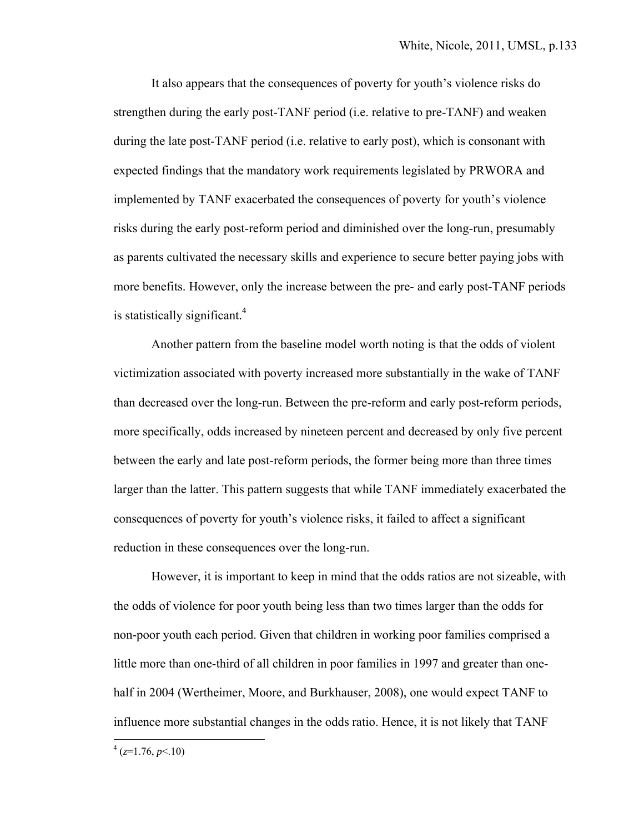It also appears that the consequences of poverty for youth's violence risks do strengthen during the early post-TANF period (i.e. relative to pre-TANF) and weaken during the late post-TANF period (i.e. relative to early post), which is consonant with expected findings that the mandatory work requirements legislated by PRWORA and implemented by TANF exacerbated the consequences of poverty for youth's violence risks during the early post-reform period and diminished over the long-run, presumably as parents cultivated the necessary skills and experience to secure better paying jobs with more benefits. However, only the increase between the pre- and early post-TANF periods is statistically significant.<sup>4</sup>

 Another pattern from the baseline model worth noting is that the odds of violent victimization associated with poverty increased more substantially in the wake of TANF than decreased over the long-run. Between the pre-reform and early post-reform periods, more specifically, odds increased by nineteen percent and decreased by only five percent between the early and late post-reform periods, the former being more than three times larger than the latter. This pattern suggests that while TANF immediately exacerbated the consequences of poverty for youth's violence risks, it failed to affect a significant reduction in these consequences over the long-run.

 However, it is important to keep in mind that the odds ratios are not sizeable, with the odds of violence for poor youth being less than two times larger than the odds for non-poor youth each period. Given that children in working poor families comprised a little more than one-third of all children in poor families in 1997 and greater than onehalf in 2004 (Wertheimer, Moore, and Burkhauser, 2008), one would expect TANF to influence more substantial changes in the odds ratio. Hence, it is not likely that TANF

 $4 (z=1.76, p<.10)$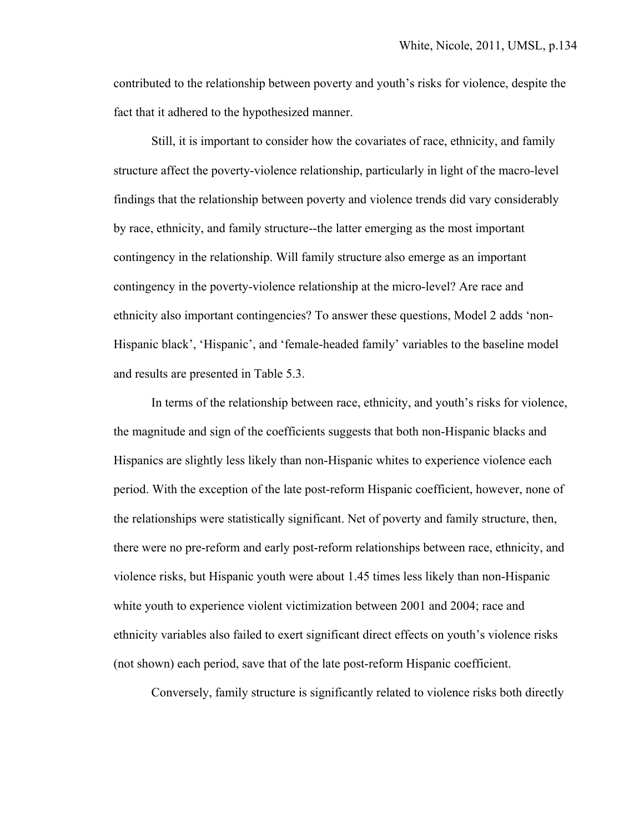contributed to the relationship between poverty and youth's risks for violence, despite the fact that it adhered to the hypothesized manner.

 Still, it is important to consider how the covariates of race, ethnicity, and family structure affect the poverty-violence relationship, particularly in light of the macro-level findings that the relationship between poverty and violence trends did vary considerably by race, ethnicity, and family structure--the latter emerging as the most important contingency in the relationship. Will family structure also emerge as an important contingency in the poverty-violence relationship at the micro-level? Are race and ethnicity also important contingencies? To answer these questions, Model 2 adds 'non-Hispanic black', 'Hispanic', and 'female-headed family' variables to the baseline model and results are presented in Table 5.3.

 In terms of the relationship between race, ethnicity, and youth's risks for violence, the magnitude and sign of the coefficients suggests that both non-Hispanic blacks and Hispanics are slightly less likely than non-Hispanic whites to experience violence each period. With the exception of the late post-reform Hispanic coefficient, however, none of the relationships were statistically significant. Net of poverty and family structure, then, there were no pre-reform and early post-reform relationships between race, ethnicity, and violence risks, but Hispanic youth were about 1.45 times less likely than non-Hispanic white youth to experience violent victimization between 2001 and 2004; race and ethnicity variables also failed to exert significant direct effects on youth's violence risks (not shown) each period, save that of the late post-reform Hispanic coefficient.

Conversely, family structure is significantly related to violence risks both directly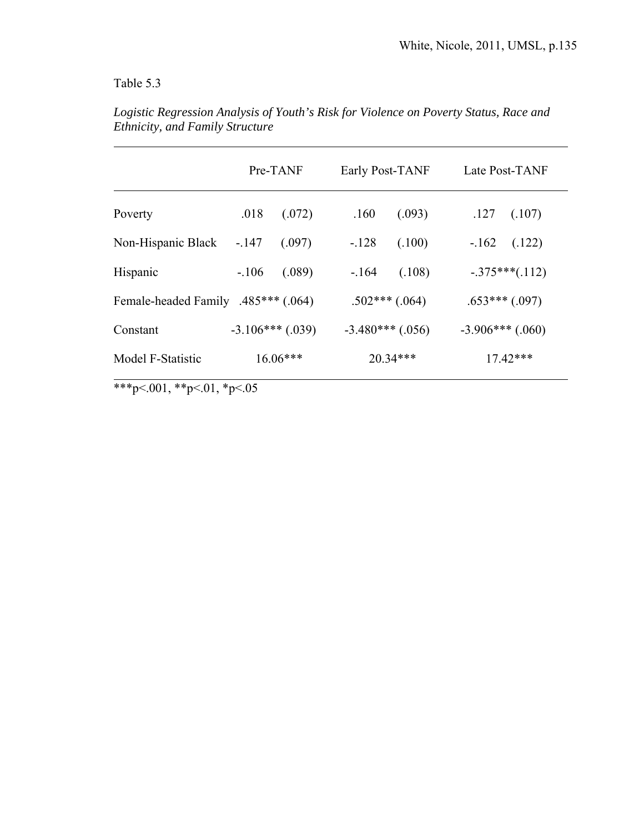# Table 5.3

|                                     |         | Pre-TANF           |                    | Early Post-TANF | Late Post-TANF     |                    |
|-------------------------------------|---------|--------------------|--------------------|-----------------|--------------------|--------------------|
| Poverty                             | .018    | (.072)             | .160               | (.093)          | .127               | (.107)             |
| Non-Hispanic Black                  | $-.147$ | (.097)             | $-.128$            | (.100)          | $-162$             | (.122)             |
| Hispanic                            | $-.106$ | (.089)             | $-164$             | (.108)          |                    | $-.375***(.112)$   |
| Female-headed Family .485*** (.064) |         |                    |                    | $.502***(.064)$ |                    | $.653***$ $(.097)$ |
| Constant                            |         | $-3.106***$ (.039) | $-3.480***$ (.056) |                 | $-3.906***$ (.060) |                    |
| Model F-Statistic                   |         | $16.06***$         |                    | $20.34***$      |                    | $17.42***$         |

*Logistic Regression Analysis of Youth's Risk for Violence on Poverty Status, Race and Ethnicity, and Family Structure* 

\*\*\*p<.001, \*\*p<.01, \*p<.05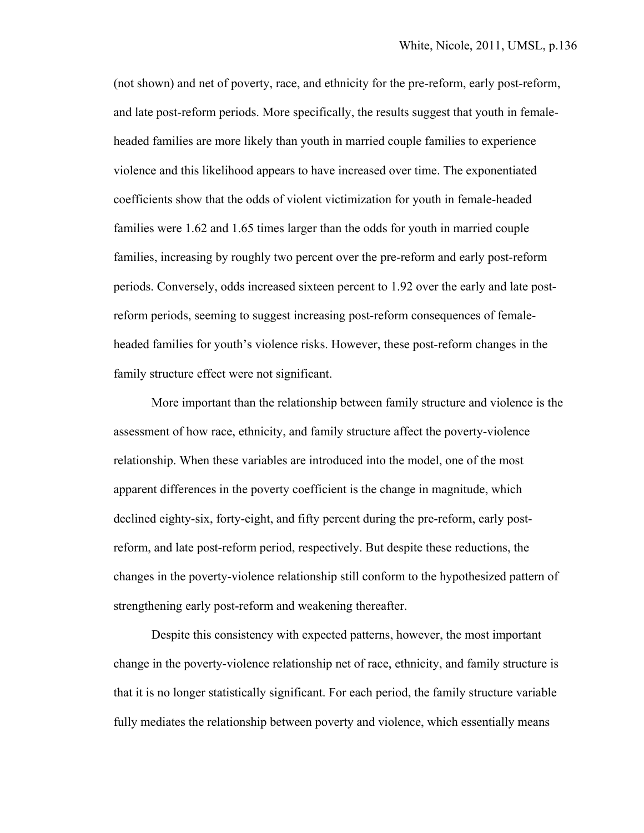(not shown) and net of poverty, race, and ethnicity for the pre-reform, early post-reform, and late post-reform periods. More specifically, the results suggest that youth in femaleheaded families are more likely than youth in married couple families to experience violence and this likelihood appears to have increased over time. The exponentiated coefficients show that the odds of violent victimization for youth in female-headed families were 1.62 and 1.65 times larger than the odds for youth in married couple families, increasing by roughly two percent over the pre-reform and early post-reform periods. Conversely, odds increased sixteen percent to 1.92 over the early and late postreform periods, seeming to suggest increasing post-reform consequences of femaleheaded families for youth's violence risks. However, these post-reform changes in the family structure effect were not significant.

 More important than the relationship between family structure and violence is the assessment of how race, ethnicity, and family structure affect the poverty-violence relationship. When these variables are introduced into the model, one of the most apparent differences in the poverty coefficient is the change in magnitude, which declined eighty-six, forty-eight, and fifty percent during the pre-reform, early postreform, and late post-reform period, respectively. But despite these reductions, the changes in the poverty-violence relationship still conform to the hypothesized pattern of strengthening early post-reform and weakening thereafter.

 Despite this consistency with expected patterns, however, the most important change in the poverty-violence relationship net of race, ethnicity, and family structure is that it is no longer statistically significant. For each period, the family structure variable fully mediates the relationship between poverty and violence, which essentially means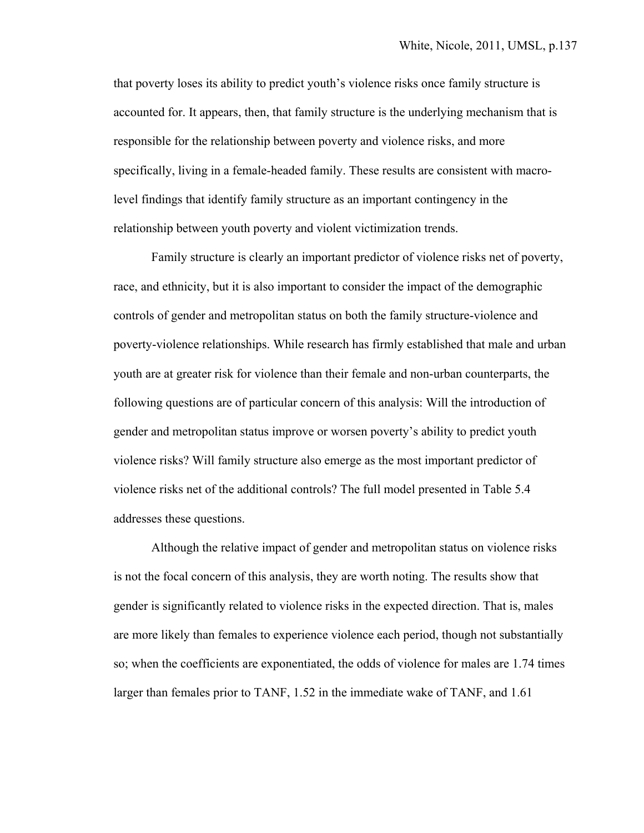that poverty loses its ability to predict youth's violence risks once family structure is accounted for. It appears, then, that family structure is the underlying mechanism that is responsible for the relationship between poverty and violence risks, and more specifically, living in a female-headed family. These results are consistent with macrolevel findings that identify family structure as an important contingency in the relationship between youth poverty and violent victimization trends.

 Family structure is clearly an important predictor of violence risks net of poverty, race, and ethnicity, but it is also important to consider the impact of the demographic controls of gender and metropolitan status on both the family structure-violence and poverty-violence relationships. While research has firmly established that male and urban youth are at greater risk for violence than their female and non-urban counterparts, the following questions are of particular concern of this analysis: Will the introduction of gender and metropolitan status improve or worsen poverty's ability to predict youth violence risks? Will family structure also emerge as the most important predictor of violence risks net of the additional controls? The full model presented in Table 5.4 addresses these questions.

Although the relative impact of gender and metropolitan status on violence risks is not the focal concern of this analysis, they are worth noting. The results show that gender is significantly related to violence risks in the expected direction. That is, males are more likely than females to experience violence each period, though not substantially so; when the coefficients are exponentiated, the odds of violence for males are 1.74 times larger than females prior to TANF, 1.52 in the immediate wake of TANF, and 1.61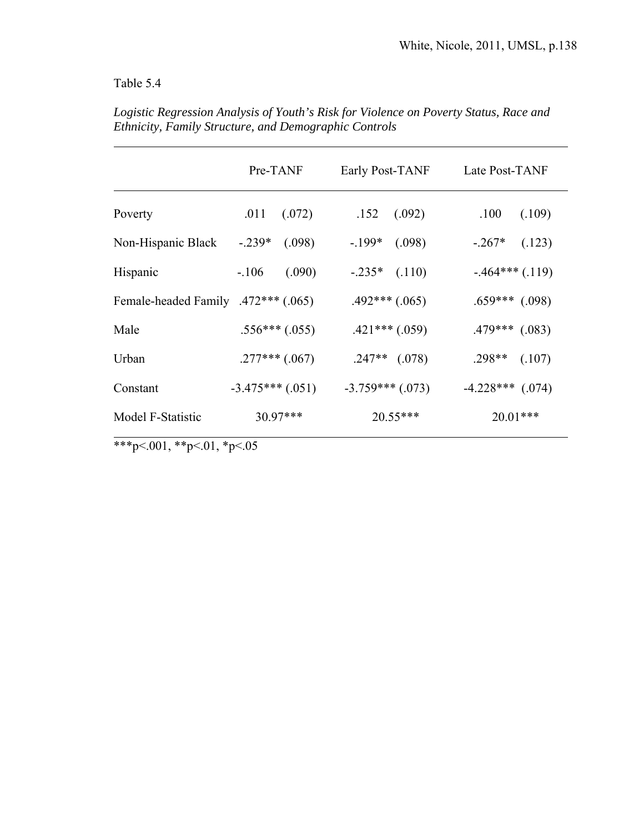# Table 5.4

|                                     | Pre-TANF            | Early Post-TANF    | Late Post-TANF     |  |
|-------------------------------------|---------------------|--------------------|--------------------|--|
|                                     |                     |                    |                    |  |
| Poverty                             | .011<br>(.072)      | .152<br>(.092)     | .100<br>(.109)     |  |
| Non-Hispanic Black                  | $-0.239*$<br>(.098) | $-199*$<br>(.098)  | $-.267*$<br>(.123) |  |
| Hispanic                            | (.090)<br>$-.106$   | $-.235*$ $(.110)$  | $-464***(0.119)$   |  |
| Female-headed Family .472*** (.065) |                     | $.492***(.065)$    | $.659***$ $(.098)$ |  |
| Male                                | $.556***$ (.055)    | $.421***(.059)$    | $.479***$ $(.083)$ |  |
| Urban                               | $.277***$ (.067)    | $.247**$ $(.078)$  | $.298**$<br>(.107) |  |
| Constant                            | $-3.475***$ (.051)  | $-3.759***$ (.073) | $-4.228***$ (.074) |  |
| Model F-Statistic                   | 30.97***            | $20.55***$         | $20.01***$         |  |

*Logistic Regression Analysis of Youth's Risk for Violence on Poverty Status, Race and Ethnicity, Family Structure, and Demographic Controls* 

\*\*\*p<.001, \*\*p<.01, \*p<.05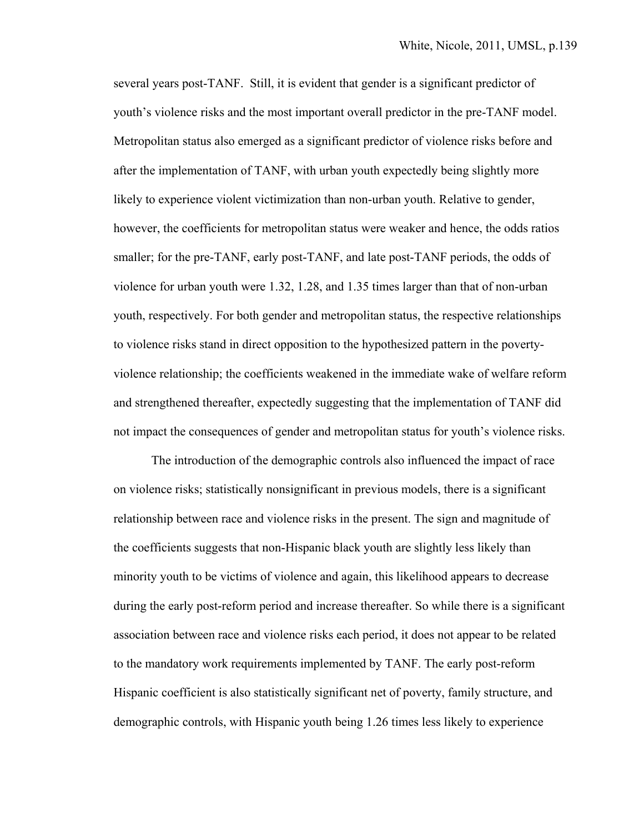several years post-TANF. Still, it is evident that gender is a significant predictor of youth's violence risks and the most important overall predictor in the pre-TANF model. Metropolitan status also emerged as a significant predictor of violence risks before and after the implementation of TANF, with urban youth expectedly being slightly more likely to experience violent victimization than non-urban youth. Relative to gender, however, the coefficients for metropolitan status were weaker and hence, the odds ratios smaller; for the pre-TANF, early post-TANF, and late post-TANF periods, the odds of violence for urban youth were 1.32, 1.28, and 1.35 times larger than that of non-urban youth, respectively. For both gender and metropolitan status, the respective relationships to violence risks stand in direct opposition to the hypothesized pattern in the povertyviolence relationship; the coefficients weakened in the immediate wake of welfare reform and strengthened thereafter, expectedly suggesting that the implementation of TANF did not impact the consequences of gender and metropolitan status for youth's violence risks.

 The introduction of the demographic controls also influenced the impact of race on violence risks; statistically nonsignificant in previous models, there is a significant relationship between race and violence risks in the present. The sign and magnitude of the coefficients suggests that non-Hispanic black youth are slightly less likely than minority youth to be victims of violence and again, this likelihood appears to decrease during the early post-reform period and increase thereafter. So while there is a significant association between race and violence risks each period, it does not appear to be related to the mandatory work requirements implemented by TANF. The early post-reform Hispanic coefficient is also statistically significant net of poverty, family structure, and demographic controls, with Hispanic youth being 1.26 times less likely to experience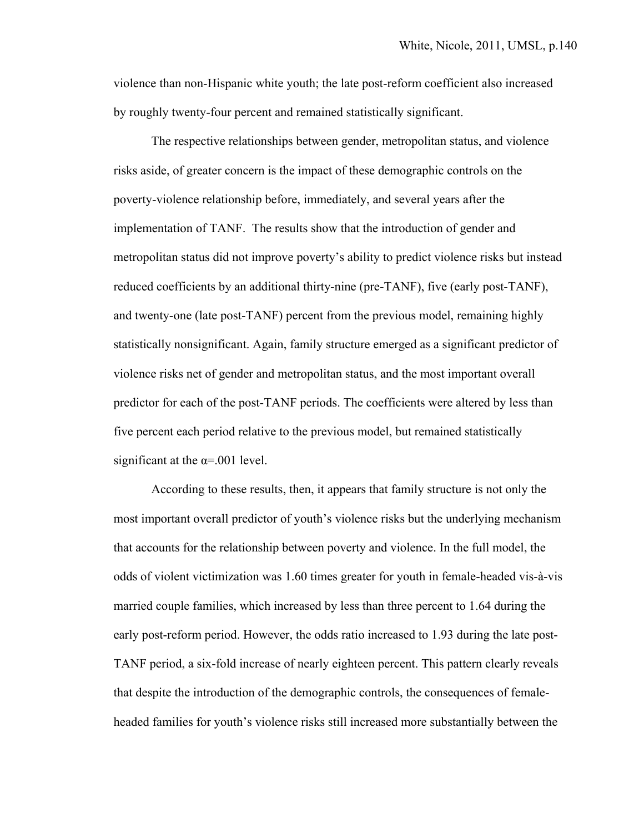violence than non-Hispanic white youth; the late post-reform coefficient also increased by roughly twenty-four percent and remained statistically significant.

 The respective relationships between gender, metropolitan status, and violence risks aside, of greater concern is the impact of these demographic controls on the poverty-violence relationship before, immediately, and several years after the implementation of TANF. The results show that the introduction of gender and metropolitan status did not improve poverty's ability to predict violence risks but instead reduced coefficients by an additional thirty-nine (pre-TANF), five (early post-TANF), and twenty-one (late post-TANF) percent from the previous model, remaining highly statistically nonsignificant. Again, family structure emerged as a significant predictor of violence risks net of gender and metropolitan status, and the most important overall predictor for each of the post-TANF periods. The coefficients were altered by less than five percent each period relative to the previous model, but remained statistically significant at the  $\alpha$ =.001 level.

According to these results, then, it appears that family structure is not only the most important overall predictor of youth's violence risks but the underlying mechanism that accounts for the relationship between poverty and violence. In the full model, the odds of violent victimization was 1.60 times greater for youth in female-headed vis-à-vis married couple families, which increased by less than three percent to 1.64 during the early post-reform period. However, the odds ratio increased to 1.93 during the late post-TANF period, a six-fold increase of nearly eighteen percent. This pattern clearly reveals that despite the introduction of the demographic controls, the consequences of femaleheaded families for youth's violence risks still increased more substantially between the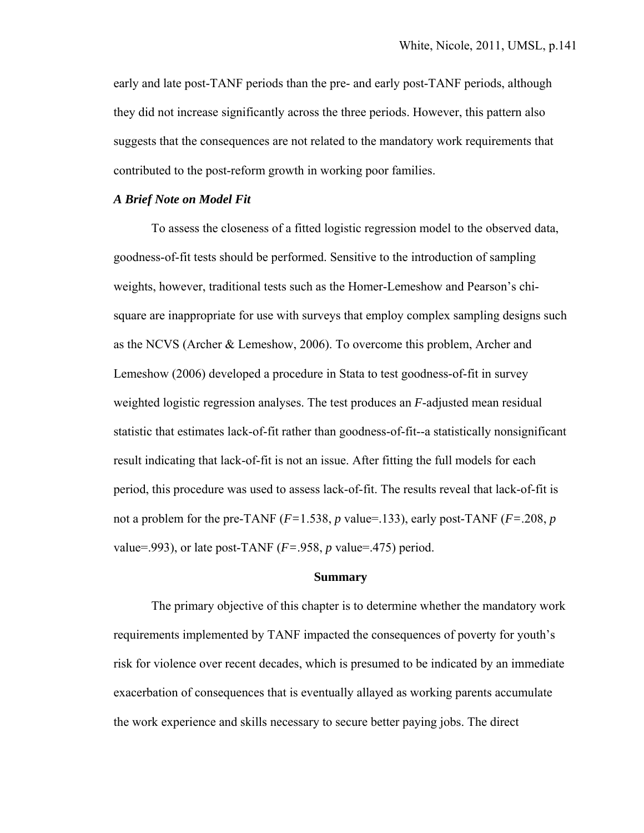early and late post-TANF periods than the pre- and early post-TANF periods, although they did not increase significantly across the three periods. However, this pattern also suggests that the consequences are not related to the mandatory work requirements that contributed to the post-reform growth in working poor families.

#### *A Brief Note on Model Fit*

 To assess the closeness of a fitted logistic regression model to the observed data, goodness-of-fit tests should be performed. Sensitive to the introduction of sampling weights, however, traditional tests such as the Homer-Lemeshow and Pearson's chisquare are inappropriate for use with surveys that employ complex sampling designs such as the NCVS (Archer & Lemeshow, 2006). To overcome this problem, Archer and Lemeshow (2006) developed a procedure in Stata to test goodness-of-fit in survey weighted logistic regression analyses. The test produces an *F*-adjusted mean residual statistic that estimates lack-of-fit rather than goodness-of-fit--a statistically nonsignificant result indicating that lack-of-fit is not an issue. After fitting the full models for each period, this procedure was used to assess lack-of-fit. The results reveal that lack-of-fit is not a problem for the pre-TANF  $(F=1.538, p$  value=.133), early post-TANF  $(F=.208, p)$ value=.993), or late post-TANF  $(F=.958, p$  value=.475) period.

#### **Summary**

 The primary objective of this chapter is to determine whether the mandatory work requirements implemented by TANF impacted the consequences of poverty for youth's risk for violence over recent decades, which is presumed to be indicated by an immediate exacerbation of consequences that is eventually allayed as working parents accumulate the work experience and skills necessary to secure better paying jobs. The direct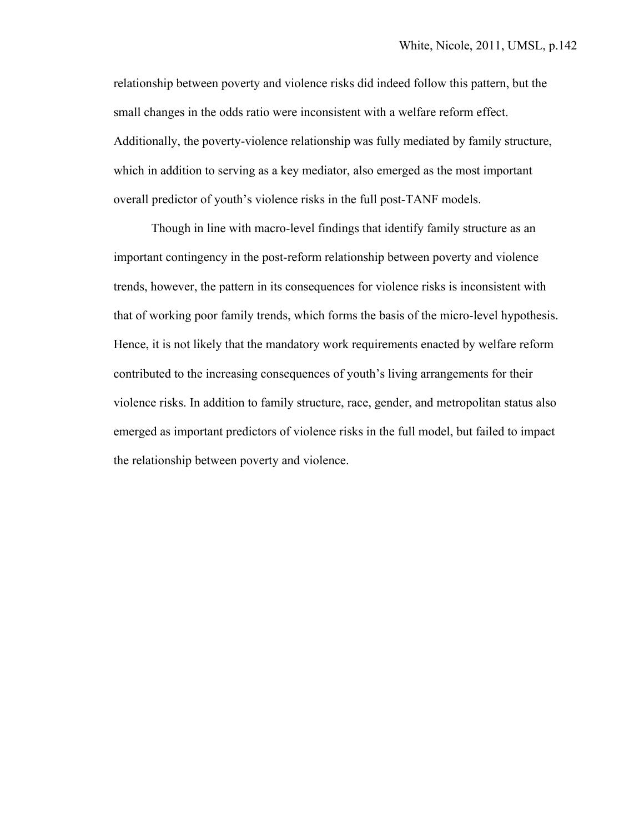relationship between poverty and violence risks did indeed follow this pattern, but the small changes in the odds ratio were inconsistent with a welfare reform effect. Additionally, the poverty-violence relationship was fully mediated by family structure, which in addition to serving as a key mediator, also emerged as the most important overall predictor of youth's violence risks in the full post-TANF models.

 Though in line with macro-level findings that identify family structure as an important contingency in the post-reform relationship between poverty and violence trends, however, the pattern in its consequences for violence risks is inconsistent with that of working poor family trends, which forms the basis of the micro-level hypothesis. Hence, it is not likely that the mandatory work requirements enacted by welfare reform contributed to the increasing consequences of youth's living arrangements for their violence risks. In addition to family structure, race, gender, and metropolitan status also emerged as important predictors of violence risks in the full model, but failed to impact the relationship between poverty and violence.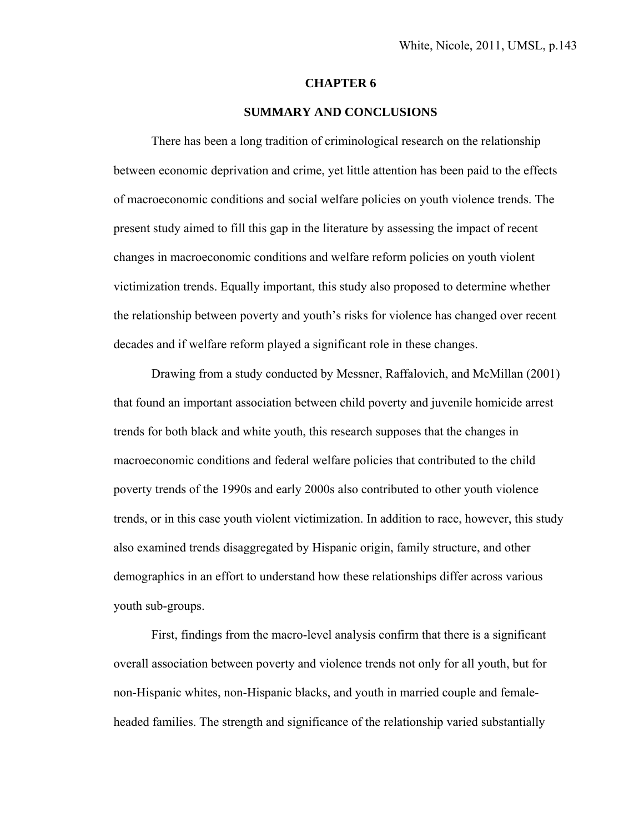#### **CHAPTER 6**

#### **SUMMARY AND CONCLUSIONS**

 There has been a long tradition of criminological research on the relationship between economic deprivation and crime, yet little attention has been paid to the effects of macroeconomic conditions and social welfare policies on youth violence trends. The present study aimed to fill this gap in the literature by assessing the impact of recent changes in macroeconomic conditions and welfare reform policies on youth violent victimization trends. Equally important, this study also proposed to determine whether the relationship between poverty and youth's risks for violence has changed over recent decades and if welfare reform played a significant role in these changes.

 Drawing from a study conducted by Messner, Raffalovich, and McMillan (2001) that found an important association between child poverty and juvenile homicide arrest trends for both black and white youth, this research supposes that the changes in macroeconomic conditions and federal welfare policies that contributed to the child poverty trends of the 1990s and early 2000s also contributed to other youth violence trends, or in this case youth violent victimization. In addition to race, however, this study also examined trends disaggregated by Hispanic origin, family structure, and other demographics in an effort to understand how these relationships differ across various youth sub-groups.

 First, findings from the macro-level analysis confirm that there is a significant overall association between poverty and violence trends not only for all youth, but for non-Hispanic whites, non-Hispanic blacks, and youth in married couple and femaleheaded families. The strength and significance of the relationship varied substantially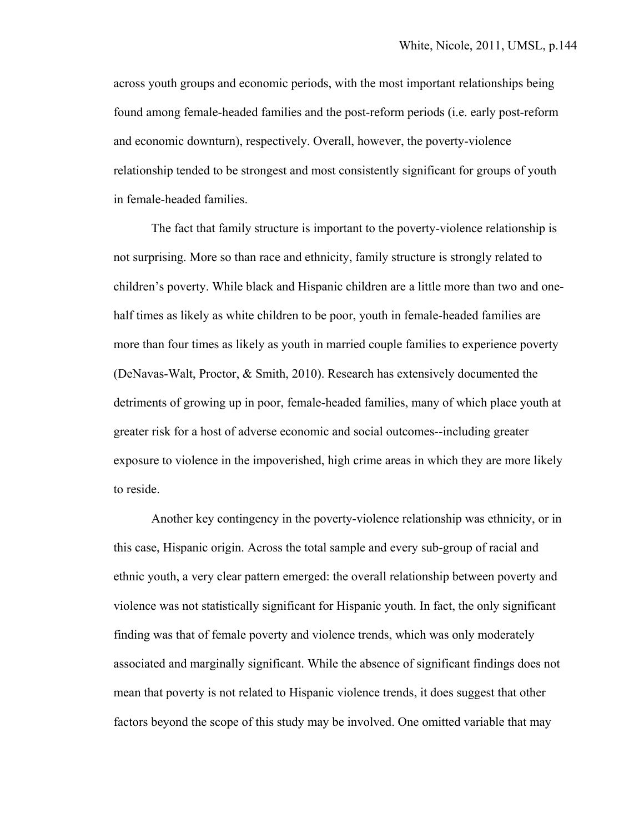across youth groups and economic periods, with the most important relationships being found among female-headed families and the post-reform periods (i.e. early post-reform and economic downturn), respectively. Overall, however, the poverty-violence relationship tended to be strongest and most consistently significant for groups of youth in female-headed families.

 The fact that family structure is important to the poverty-violence relationship is not surprising. More so than race and ethnicity, family structure is strongly related to children's poverty. While black and Hispanic children are a little more than two and onehalf times as likely as white children to be poor, youth in female-headed families are more than four times as likely as youth in married couple families to experience poverty (DeNavas-Walt, Proctor, & Smith, 2010). Research has extensively documented the detriments of growing up in poor, female-headed families, many of which place youth at greater risk for a host of adverse economic and social outcomes--including greater exposure to violence in the impoverished, high crime areas in which they are more likely to reside.

 Another key contingency in the poverty-violence relationship was ethnicity, or in this case, Hispanic origin. Across the total sample and every sub-group of racial and ethnic youth, a very clear pattern emerged: the overall relationship between poverty and violence was not statistically significant for Hispanic youth. In fact, the only significant finding was that of female poverty and violence trends, which was only moderately associated and marginally significant. While the absence of significant findings does not mean that poverty is not related to Hispanic violence trends, it does suggest that other factors beyond the scope of this study may be involved. One omitted variable that may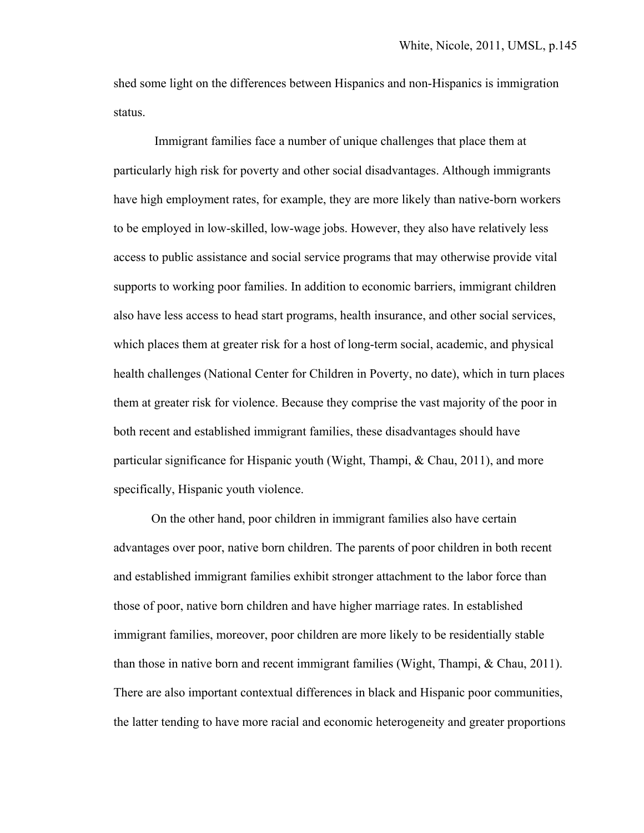shed some light on the differences between Hispanics and non-Hispanics is immigration status.

 Immigrant families face a number of unique challenges that place them at particularly high risk for poverty and other social disadvantages. Although immigrants have high employment rates, for example, they are more likely than native-born workers to be employed in low-skilled, low-wage jobs. However, they also have relatively less access to public assistance and social service programs that may otherwise provide vital supports to working poor families. In addition to economic barriers, immigrant children also have less access to head start programs, health insurance, and other social services, which places them at greater risk for a host of long-term social, academic, and physical health challenges (National Center for Children in Poverty, no date), which in turn places them at greater risk for violence. Because they comprise the vast majority of the poor in both recent and established immigrant families, these disadvantages should have particular significance for Hispanic youth (Wight, Thampi, & Chau, 2011), and more specifically, Hispanic youth violence.

 On the other hand, poor children in immigrant families also have certain advantages over poor, native born children. The parents of poor children in both recent and established immigrant families exhibit stronger attachment to the labor force than those of poor, native born children and have higher marriage rates. In established immigrant families, moreover, poor children are more likely to be residentially stable than those in native born and recent immigrant families (Wight, Thampi, & Chau, 2011). There are also important contextual differences in black and Hispanic poor communities, the latter tending to have more racial and economic heterogeneity and greater proportions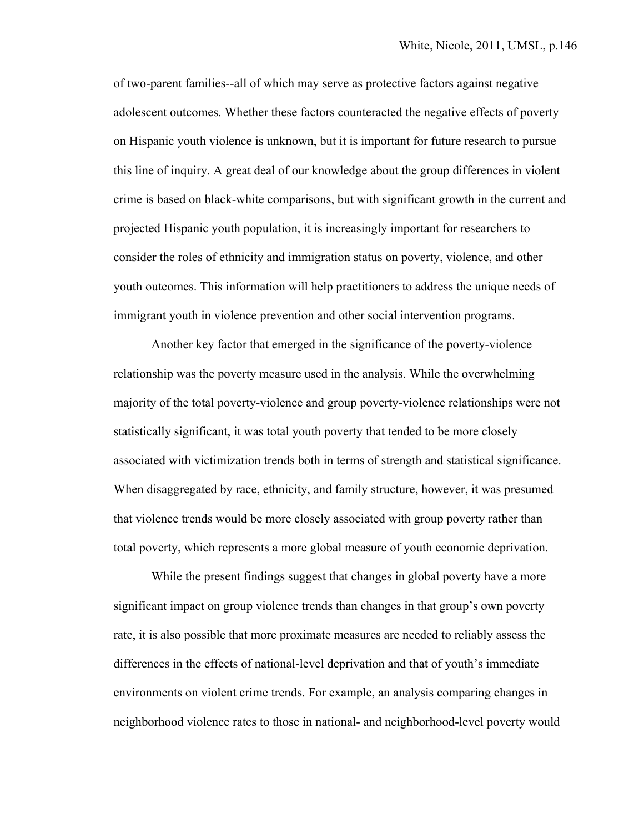of two-parent families--all of which may serve as protective factors against negative adolescent outcomes. Whether these factors counteracted the negative effects of poverty on Hispanic youth violence is unknown, but it is important for future research to pursue this line of inquiry. A great deal of our knowledge about the group differences in violent crime is based on black-white comparisons, but with significant growth in the current and projected Hispanic youth population, it is increasingly important for researchers to consider the roles of ethnicity and immigration status on poverty, violence, and other youth outcomes. This information will help practitioners to address the unique needs of immigrant youth in violence prevention and other social intervention programs.

 Another key factor that emerged in the significance of the poverty-violence relationship was the poverty measure used in the analysis. While the overwhelming majority of the total poverty-violence and group poverty-violence relationships were not statistically significant, it was total youth poverty that tended to be more closely associated with victimization trends both in terms of strength and statistical significance. When disaggregated by race, ethnicity, and family structure, however, it was presumed that violence trends would be more closely associated with group poverty rather than total poverty, which represents a more global measure of youth economic deprivation.

 While the present findings suggest that changes in global poverty have a more significant impact on group violence trends than changes in that group's own poverty rate, it is also possible that more proximate measures are needed to reliably assess the differences in the effects of national-level deprivation and that of youth's immediate environments on violent crime trends. For example, an analysis comparing changes in neighborhood violence rates to those in national- and neighborhood-level poverty would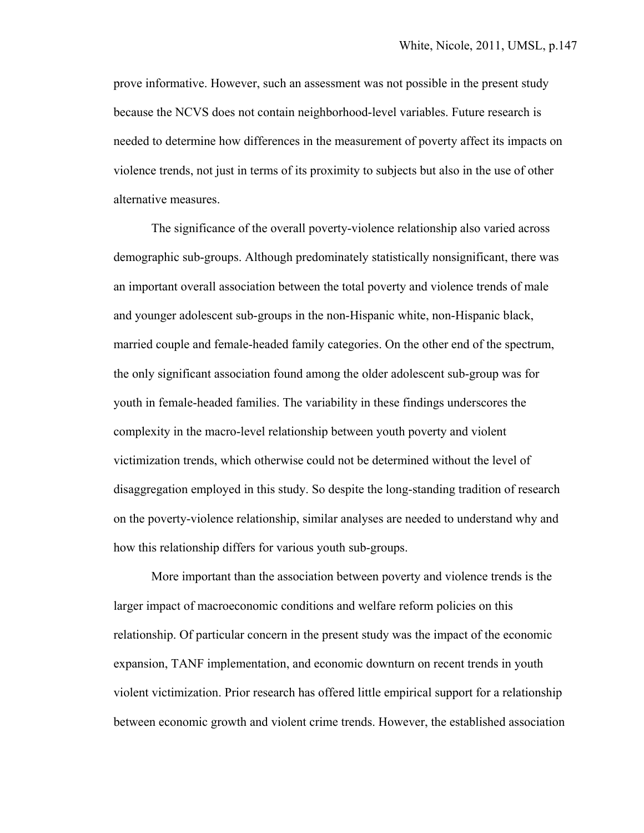prove informative. However, such an assessment was not possible in the present study because the NCVS does not contain neighborhood-level variables. Future research is needed to determine how differences in the measurement of poverty affect its impacts on violence trends, not just in terms of its proximity to subjects but also in the use of other alternative measures.

 The significance of the overall poverty-violence relationship also varied across demographic sub-groups. Although predominately statistically nonsignificant, there was an important overall association between the total poverty and violence trends of male and younger adolescent sub-groups in the non-Hispanic white, non-Hispanic black, married couple and female-headed family categories. On the other end of the spectrum, the only significant association found among the older adolescent sub-group was for youth in female-headed families. The variability in these findings underscores the complexity in the macro-level relationship between youth poverty and violent victimization trends, which otherwise could not be determined without the level of disaggregation employed in this study. So despite the long-standing tradition of research on the poverty-violence relationship, similar analyses are needed to understand why and how this relationship differs for various youth sub-groups.

 More important than the association between poverty and violence trends is the larger impact of macroeconomic conditions and welfare reform policies on this relationship. Of particular concern in the present study was the impact of the economic expansion, TANF implementation, and economic downturn on recent trends in youth violent victimization. Prior research has offered little empirical support for a relationship between economic growth and violent crime trends. However, the established association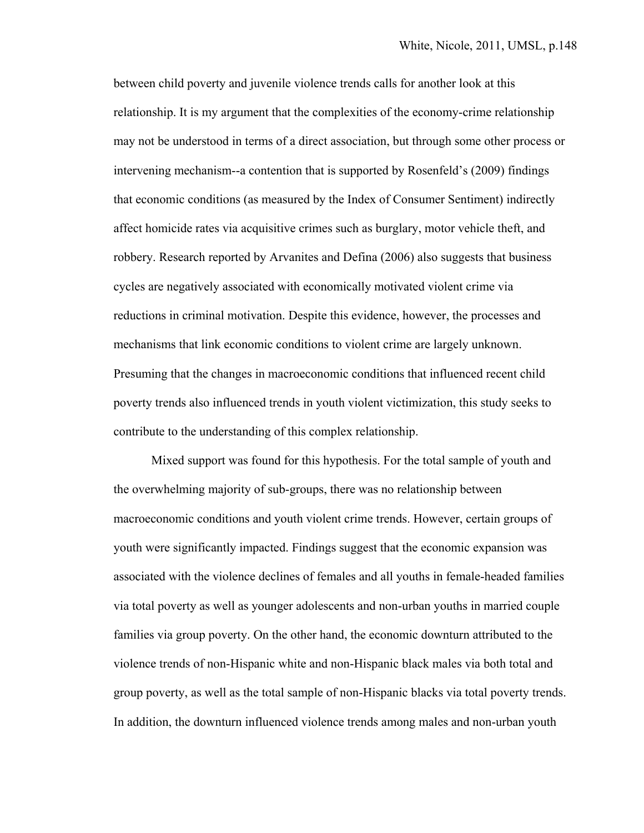between child poverty and juvenile violence trends calls for another look at this relationship. It is my argument that the complexities of the economy-crime relationship may not be understood in terms of a direct association, but through some other process or intervening mechanism--a contention that is supported by Rosenfeld's (2009) findings that economic conditions (as measured by the Index of Consumer Sentiment) indirectly affect homicide rates via acquisitive crimes such as burglary, motor vehicle theft, and robbery. Research reported by Arvanites and Defina (2006) also suggests that business cycles are negatively associated with economically motivated violent crime via reductions in criminal motivation. Despite this evidence, however, the processes and mechanisms that link economic conditions to violent crime are largely unknown. Presuming that the changes in macroeconomic conditions that influenced recent child poverty trends also influenced trends in youth violent victimization, this study seeks to contribute to the understanding of this complex relationship.

 Mixed support was found for this hypothesis. For the total sample of youth and the overwhelming majority of sub-groups, there was no relationship between macroeconomic conditions and youth violent crime trends. However, certain groups of youth were significantly impacted. Findings suggest that the economic expansion was associated with the violence declines of females and all youths in female-headed families via total poverty as well as younger adolescents and non-urban youths in married couple families via group poverty. On the other hand, the economic downturn attributed to the violence trends of non-Hispanic white and non-Hispanic black males via both total and group poverty, as well as the total sample of non-Hispanic blacks via total poverty trends. In addition, the downturn influenced violence trends among males and non-urban youth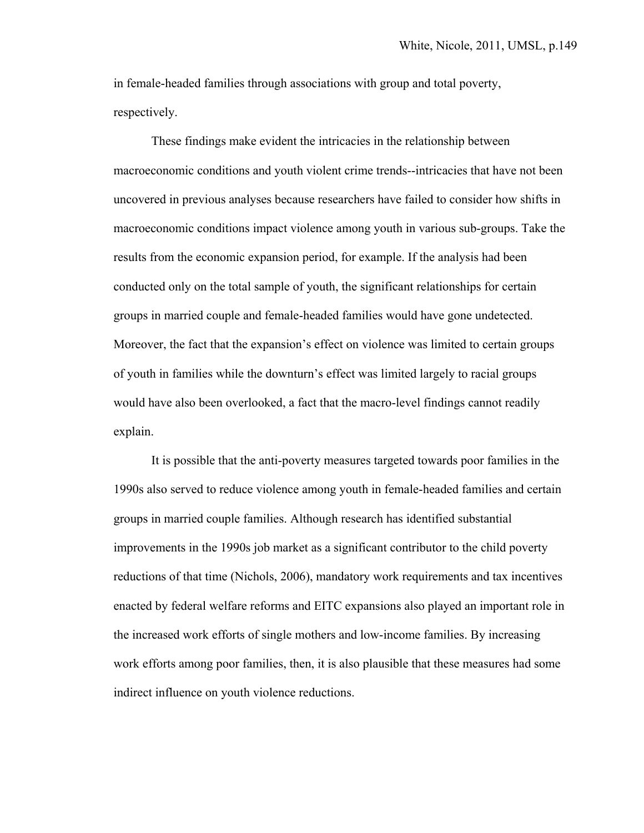in female-headed families through associations with group and total poverty, respectively.

 These findings make evident the intricacies in the relationship between macroeconomic conditions and youth violent crime trends--intricacies that have not been uncovered in previous analyses because researchers have failed to consider how shifts in macroeconomic conditions impact violence among youth in various sub-groups. Take the results from the economic expansion period, for example. If the analysis had been conducted only on the total sample of youth, the significant relationships for certain groups in married couple and female-headed families would have gone undetected. Moreover, the fact that the expansion's effect on violence was limited to certain groups of youth in families while the downturn's effect was limited largely to racial groups would have also been overlooked, a fact that the macro-level findings cannot readily explain.

 It is possible that the anti-poverty measures targeted towards poor families in the 1990s also served to reduce violence among youth in female-headed families and certain groups in married couple families. Although research has identified substantial improvements in the 1990s job market as a significant contributor to the child poverty reductions of that time (Nichols, 2006), mandatory work requirements and tax incentives enacted by federal welfare reforms and EITC expansions also played an important role in the increased work efforts of single mothers and low-income families. By increasing work efforts among poor families, then, it is also plausible that these measures had some indirect influence on youth violence reductions.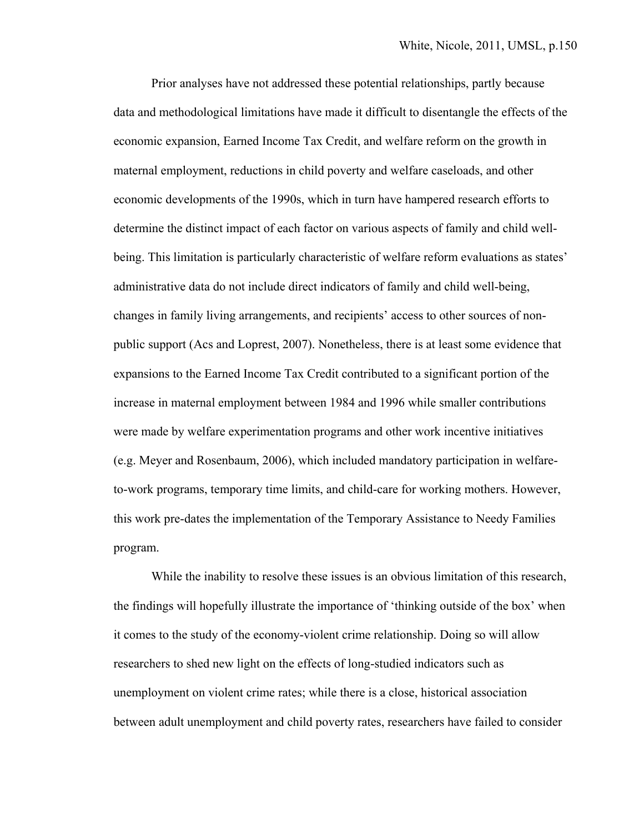Prior analyses have not addressed these potential relationships, partly because data and methodological limitations have made it difficult to disentangle the effects of the economic expansion, Earned Income Tax Credit, and welfare reform on the growth in maternal employment, reductions in child poverty and welfare caseloads, and other economic developments of the 1990s, which in turn have hampered research efforts to determine the distinct impact of each factor on various aspects of family and child wellbeing. This limitation is particularly characteristic of welfare reform evaluations as states' administrative data do not include direct indicators of family and child well-being, changes in family living arrangements, and recipients' access to other sources of nonpublic support (Acs and Loprest, 2007). Nonetheless, there is at least some evidence that expansions to the Earned Income Tax Credit contributed to a significant portion of the increase in maternal employment between 1984 and 1996 while smaller contributions were made by welfare experimentation programs and other work incentive initiatives (e.g. Meyer and Rosenbaum, 2006), which included mandatory participation in welfareto-work programs, temporary time limits, and child-care for working mothers. However, this work pre-dates the implementation of the Temporary Assistance to Needy Families program.

 While the inability to resolve these issues is an obvious limitation of this research, the findings will hopefully illustrate the importance of 'thinking outside of the box' when it comes to the study of the economy-violent crime relationship. Doing so will allow researchers to shed new light on the effects of long-studied indicators such as unemployment on violent crime rates; while there is a close, historical association between adult unemployment and child poverty rates, researchers have failed to consider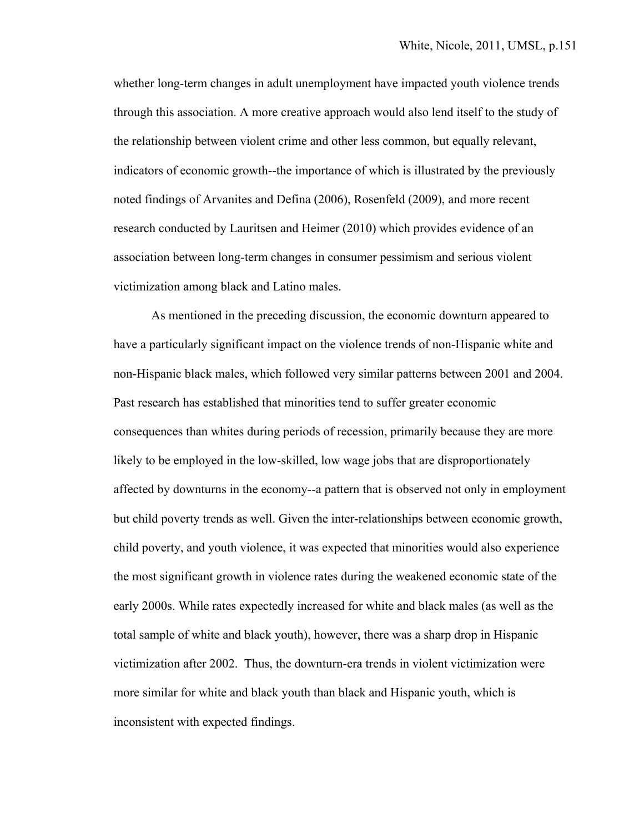whether long-term changes in adult unemployment have impacted youth violence trends through this association. A more creative approach would also lend itself to the study of the relationship between violent crime and other less common, but equally relevant, indicators of economic growth--the importance of which is illustrated by the previously noted findings of Arvanites and Defina (2006), Rosenfeld (2009), and more recent research conducted by Lauritsen and Heimer (2010) which provides evidence of an association between long-term changes in consumer pessimism and serious violent victimization among black and Latino males.

 As mentioned in the preceding discussion, the economic downturn appeared to have a particularly significant impact on the violence trends of non-Hispanic white and non-Hispanic black males, which followed very similar patterns between 2001 and 2004. Past research has established that minorities tend to suffer greater economic consequences than whites during periods of recession, primarily because they are more likely to be employed in the low-skilled, low wage jobs that are disproportionately affected by downturns in the economy--a pattern that is observed not only in employment but child poverty trends as well. Given the inter-relationships between economic growth, child poverty, and youth violence, it was expected that minorities would also experience the most significant growth in violence rates during the weakened economic state of the early 2000s. While rates expectedly increased for white and black males (as well as the total sample of white and black youth), however, there was a sharp drop in Hispanic victimization after 2002. Thus, the downturn-era trends in violent victimization were more similar for white and black youth than black and Hispanic youth, which is inconsistent with expected findings.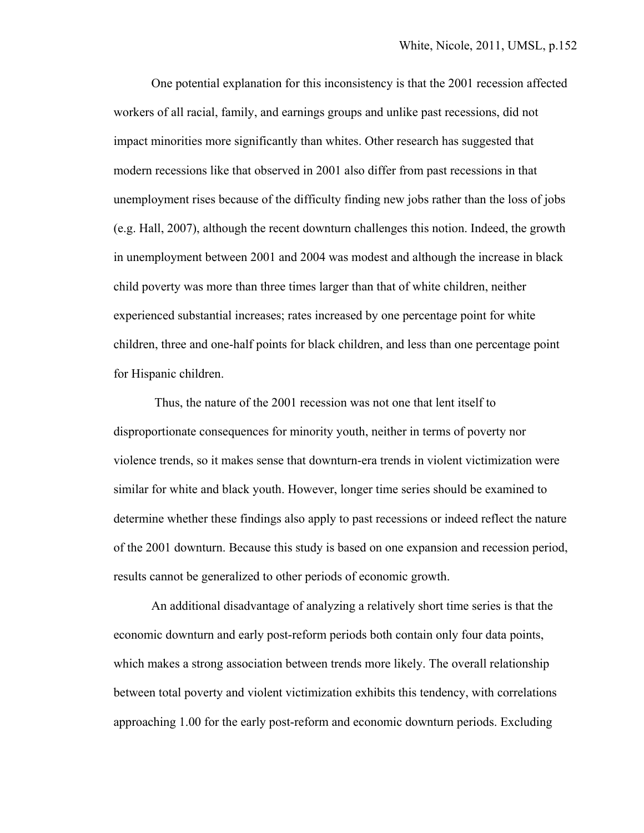One potential explanation for this inconsistency is that the 2001 recession affected workers of all racial, family, and earnings groups and unlike past recessions, did not impact minorities more significantly than whites. Other research has suggested that modern recessions like that observed in 2001 also differ from past recessions in that unemployment rises because of the difficulty finding new jobs rather than the loss of jobs (e.g. Hall, 2007), although the recent downturn challenges this notion. Indeed, the growth in unemployment between 2001 and 2004 was modest and although the increase in black child poverty was more than three times larger than that of white children, neither experienced substantial increases; rates increased by one percentage point for white children, three and one-half points for black children, and less than one percentage point for Hispanic children.

 Thus, the nature of the 2001 recession was not one that lent itself to disproportionate consequences for minority youth, neither in terms of poverty nor violence trends, so it makes sense that downturn-era trends in violent victimization were similar for white and black youth. However, longer time series should be examined to determine whether these findings also apply to past recessions or indeed reflect the nature of the 2001 downturn. Because this study is based on one expansion and recession period, results cannot be generalized to other periods of economic growth.

 An additional disadvantage of analyzing a relatively short time series is that the economic downturn and early post-reform periods both contain only four data points, which makes a strong association between trends more likely. The overall relationship between total poverty and violent victimization exhibits this tendency, with correlations approaching 1.00 for the early post-reform and economic downturn periods. Excluding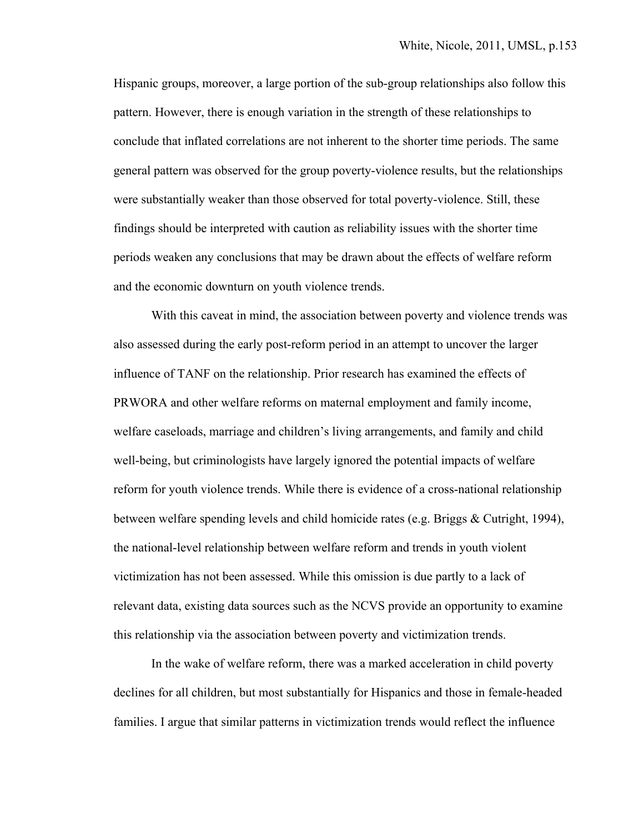Hispanic groups, moreover, a large portion of the sub-group relationships also follow this pattern. However, there is enough variation in the strength of these relationships to conclude that inflated correlations are not inherent to the shorter time periods. The same general pattern was observed for the group poverty-violence results, but the relationships were substantially weaker than those observed for total poverty-violence. Still, these findings should be interpreted with caution as reliability issues with the shorter time periods weaken any conclusions that may be drawn about the effects of welfare reform and the economic downturn on youth violence trends.

 With this caveat in mind, the association between poverty and violence trends was also assessed during the early post-reform period in an attempt to uncover the larger influence of TANF on the relationship. Prior research has examined the effects of PRWORA and other welfare reforms on maternal employment and family income, welfare caseloads, marriage and children's living arrangements, and family and child well-being, but criminologists have largely ignored the potential impacts of welfare reform for youth violence trends. While there is evidence of a cross-national relationship between welfare spending levels and child homicide rates (e.g. Briggs & Cutright, 1994), the national-level relationship between welfare reform and trends in youth violent victimization has not been assessed. While this omission is due partly to a lack of relevant data, existing data sources such as the NCVS provide an opportunity to examine this relationship via the association between poverty and victimization trends.

 In the wake of welfare reform, there was a marked acceleration in child poverty declines for all children, but most substantially for Hispanics and those in female-headed families. I argue that similar patterns in victimization trends would reflect the influence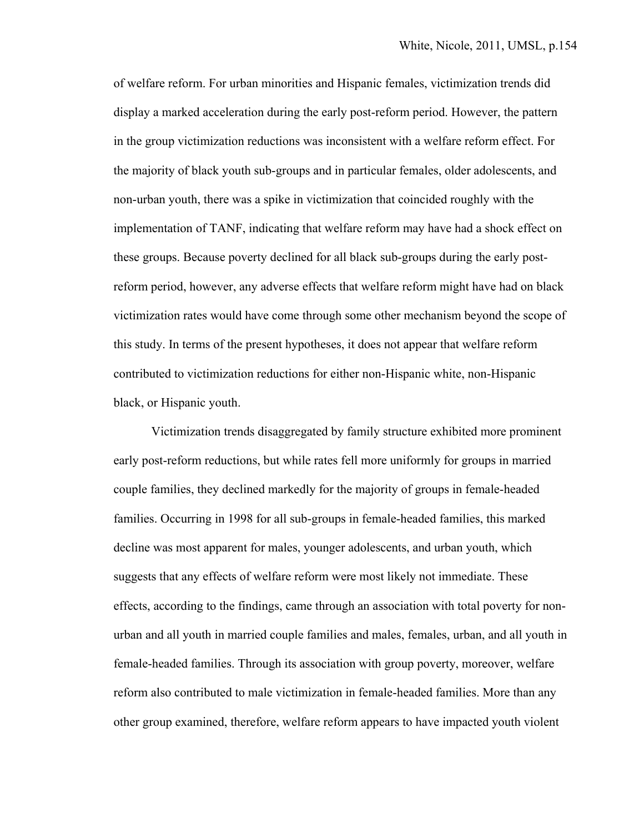of welfare reform. For urban minorities and Hispanic females, victimization trends did display a marked acceleration during the early post-reform period. However, the pattern in the group victimization reductions was inconsistent with a welfare reform effect. For the majority of black youth sub-groups and in particular females, older adolescents, and non-urban youth, there was a spike in victimization that coincided roughly with the implementation of TANF, indicating that welfare reform may have had a shock effect on these groups. Because poverty declined for all black sub-groups during the early postreform period, however, any adverse effects that welfare reform might have had on black victimization rates would have come through some other mechanism beyond the scope of this study. In terms of the present hypotheses, it does not appear that welfare reform contributed to victimization reductions for either non-Hispanic white, non-Hispanic black, or Hispanic youth.

 Victimization trends disaggregated by family structure exhibited more prominent early post-reform reductions, but while rates fell more uniformly for groups in married couple families, they declined markedly for the majority of groups in female-headed families. Occurring in 1998 for all sub-groups in female-headed families, this marked decline was most apparent for males, younger adolescents, and urban youth, which suggests that any effects of welfare reform were most likely not immediate. These effects, according to the findings, came through an association with total poverty for nonurban and all youth in married couple families and males, females, urban, and all youth in female-headed families. Through its association with group poverty, moreover, welfare reform also contributed to male victimization in female-headed families. More than any other group examined, therefore, welfare reform appears to have impacted youth violent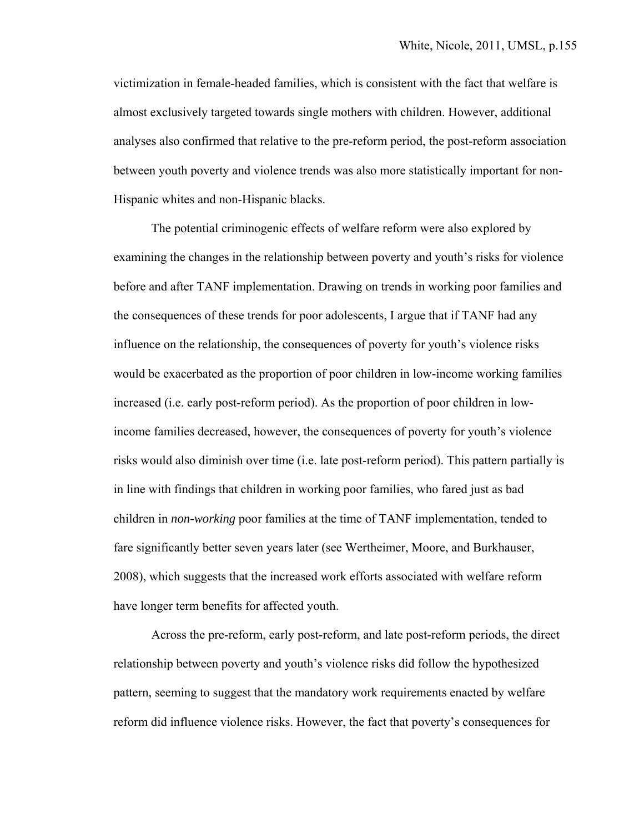victimization in female-headed families, which is consistent with the fact that welfare is almost exclusively targeted towards single mothers with children. However, additional analyses also confirmed that relative to the pre-reform period, the post-reform association between youth poverty and violence trends was also more statistically important for non-Hispanic whites and non-Hispanic blacks.

 The potential criminogenic effects of welfare reform were also explored by examining the changes in the relationship between poverty and youth's risks for violence before and after TANF implementation. Drawing on trends in working poor families and the consequences of these trends for poor adolescents, I argue that if TANF had any influence on the relationship, the consequences of poverty for youth's violence risks would be exacerbated as the proportion of poor children in low-income working families increased (i.e. early post-reform period). As the proportion of poor children in lowincome families decreased, however, the consequences of poverty for youth's violence risks would also diminish over time (i.e. late post-reform period). This pattern partially is in line with findings that children in working poor families, who fared just as bad children in *non-working* poor families at the time of TANF implementation, tended to fare significantly better seven years later (see Wertheimer, Moore, and Burkhauser, 2008), which suggests that the increased work efforts associated with welfare reform have longer term benefits for affected youth.

 Across the pre-reform, early post-reform, and late post-reform periods, the direct relationship between poverty and youth's violence risks did follow the hypothesized pattern, seeming to suggest that the mandatory work requirements enacted by welfare reform did influence violence risks. However, the fact that poverty's consequences for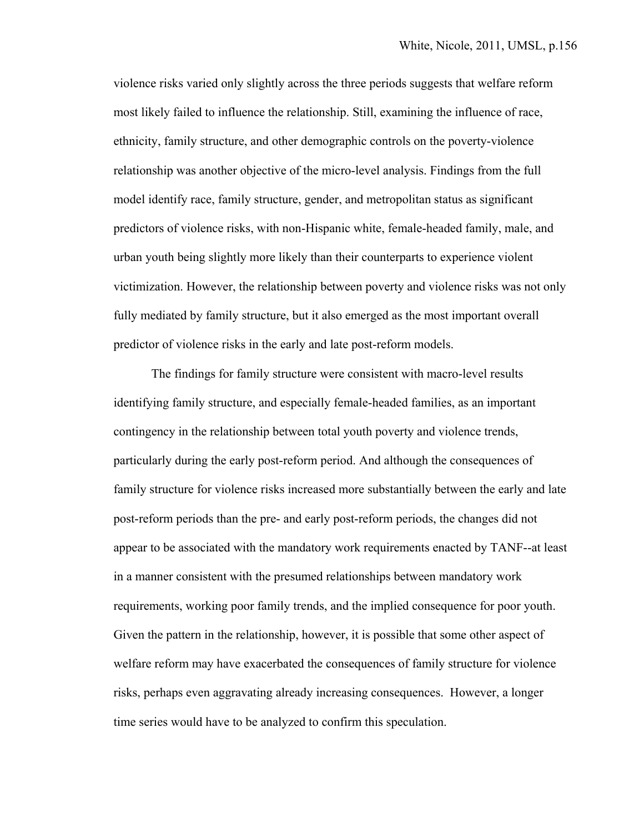violence risks varied only slightly across the three periods suggests that welfare reform most likely failed to influence the relationship. Still, examining the influence of race, ethnicity, family structure, and other demographic controls on the poverty-violence relationship was another objective of the micro-level analysis. Findings from the full model identify race, family structure, gender, and metropolitan status as significant predictors of violence risks, with non-Hispanic white, female-headed family, male, and urban youth being slightly more likely than their counterparts to experience violent victimization. However, the relationship between poverty and violence risks was not only fully mediated by family structure, but it also emerged as the most important overall predictor of violence risks in the early and late post-reform models.

 The findings for family structure were consistent with macro-level results identifying family structure, and especially female-headed families, as an important contingency in the relationship between total youth poverty and violence trends, particularly during the early post-reform period. And although the consequences of family structure for violence risks increased more substantially between the early and late post-reform periods than the pre- and early post-reform periods, the changes did not appear to be associated with the mandatory work requirements enacted by TANF--at least in a manner consistent with the presumed relationships between mandatory work requirements, working poor family trends, and the implied consequence for poor youth. Given the pattern in the relationship, however, it is possible that some other aspect of welfare reform may have exacerbated the consequences of family structure for violence risks, perhaps even aggravating already increasing consequences. However, a longer time series would have to be analyzed to confirm this speculation.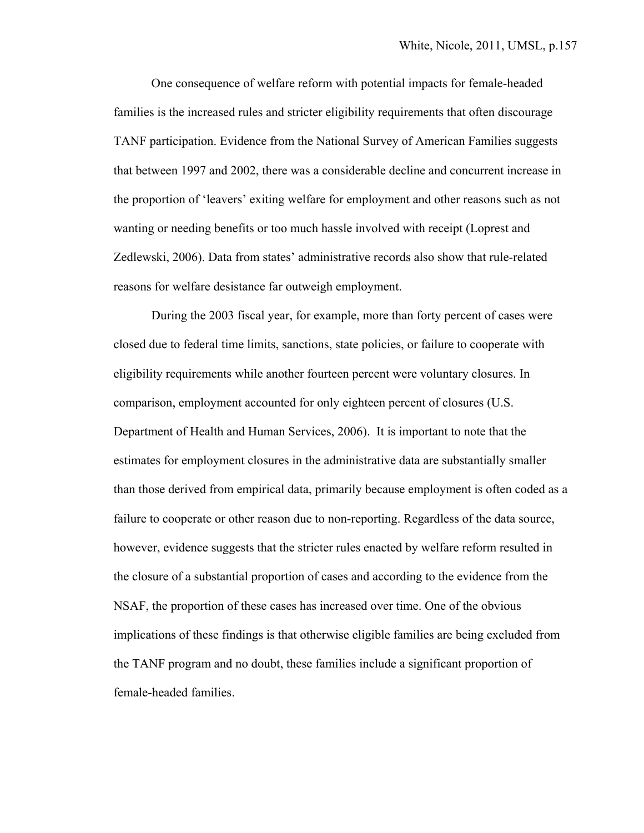One consequence of welfare reform with potential impacts for female-headed families is the increased rules and stricter eligibility requirements that often discourage TANF participation. Evidence from the National Survey of American Families suggests that between 1997 and 2002, there was a considerable decline and concurrent increase in the proportion of 'leavers' exiting welfare for employment and other reasons such as not wanting or needing benefits or too much hassle involved with receipt (Loprest and Zedlewski, 2006). Data from states' administrative records also show that rule-related reasons for welfare desistance far outweigh employment.

 During the 2003 fiscal year, for example, more than forty percent of cases were closed due to federal time limits, sanctions, state policies, or failure to cooperate with eligibility requirements while another fourteen percent were voluntary closures. In comparison, employment accounted for only eighteen percent of closures (U.S. Department of Health and Human Services, 2006). It is important to note that the estimates for employment closures in the administrative data are substantially smaller than those derived from empirical data, primarily because employment is often coded as a failure to cooperate or other reason due to non-reporting. Regardless of the data source, however, evidence suggests that the stricter rules enacted by welfare reform resulted in the closure of a substantial proportion of cases and according to the evidence from the NSAF, the proportion of these cases has increased over time. One of the obvious implications of these findings is that otherwise eligible families are being excluded from the TANF program and no doubt, these families include a significant proportion of female-headed families.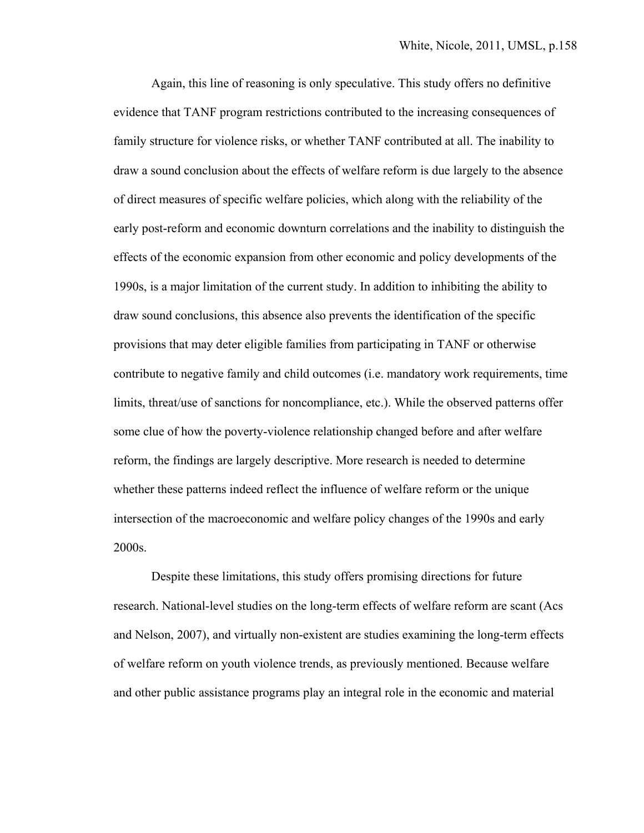Again, this line of reasoning is only speculative. This study offers no definitive evidence that TANF program restrictions contributed to the increasing consequences of family structure for violence risks, or whether TANF contributed at all. The inability to draw a sound conclusion about the effects of welfare reform is due largely to the absence of direct measures of specific welfare policies, which along with the reliability of the early post-reform and economic downturn correlations and the inability to distinguish the effects of the economic expansion from other economic and policy developments of the 1990s, is a major limitation of the current study. In addition to inhibiting the ability to draw sound conclusions, this absence also prevents the identification of the specific provisions that may deter eligible families from participating in TANF or otherwise contribute to negative family and child outcomes (i.e. mandatory work requirements, time limits, threat/use of sanctions for noncompliance, etc.). While the observed patterns offer some clue of how the poverty-violence relationship changed before and after welfare reform, the findings are largely descriptive. More research is needed to determine whether these patterns indeed reflect the influence of welfare reform or the unique intersection of the macroeconomic and welfare policy changes of the 1990s and early 2000s.

 Despite these limitations, this study offers promising directions for future research. National-level studies on the long-term effects of welfare reform are scant (Acs and Nelson, 2007), and virtually non-existent are studies examining the long-term effects of welfare reform on youth violence trends, as previously mentioned. Because welfare and other public assistance programs play an integral role in the economic and material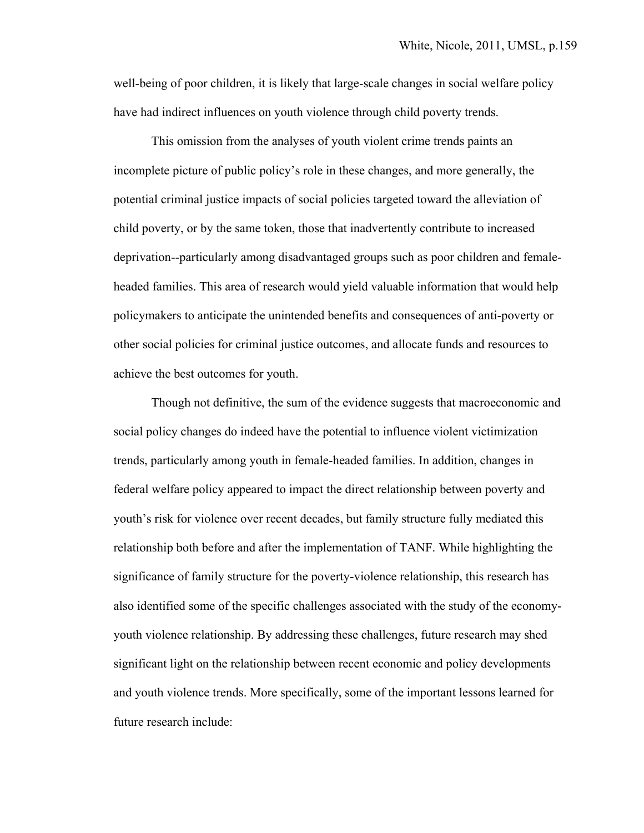well-being of poor children, it is likely that large-scale changes in social welfare policy have had indirect influences on youth violence through child poverty trends.

 This omission from the analyses of youth violent crime trends paints an incomplete picture of public policy's role in these changes, and more generally, the potential criminal justice impacts of social policies targeted toward the alleviation of child poverty, or by the same token, those that inadvertently contribute to increased deprivation--particularly among disadvantaged groups such as poor children and femaleheaded families. This area of research would yield valuable information that would help policymakers to anticipate the unintended benefits and consequences of anti-poverty or other social policies for criminal justice outcomes, and allocate funds and resources to achieve the best outcomes for youth.

 Though not definitive, the sum of the evidence suggests that macroeconomic and social policy changes do indeed have the potential to influence violent victimization trends, particularly among youth in female-headed families. In addition, changes in federal welfare policy appeared to impact the direct relationship between poverty and youth's risk for violence over recent decades, but family structure fully mediated this relationship both before and after the implementation of TANF. While highlighting the significance of family structure for the poverty-violence relationship, this research has also identified some of the specific challenges associated with the study of the economyyouth violence relationship. By addressing these challenges, future research may shed significant light on the relationship between recent economic and policy developments and youth violence trends. More specifically, some of the important lessons learned for future research include: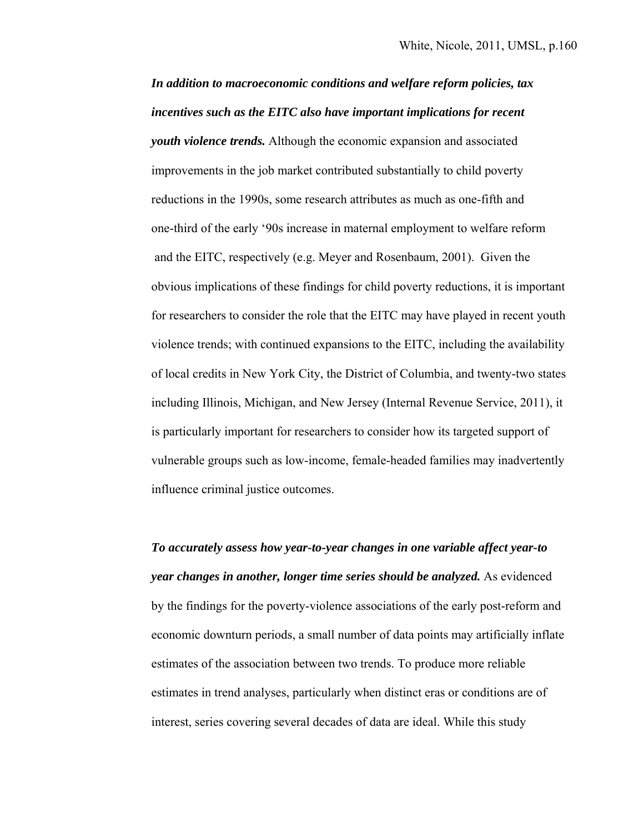*In addition to macroeconomic conditions and welfare reform policies, tax incentives such as the EITC also have important implications for recent youth violence trends.* Although the economic expansion and associated improvements in the job market contributed substantially to child poverty reductions in the 1990s, some research attributes as much as one-fifth and one-third of the early '90s increase in maternal employment to welfare reform and the EITC, respectively (e.g. Meyer and Rosenbaum, 2001). Given the obvious implications of these findings for child poverty reductions, it is important for researchers to consider the role that the EITC may have played in recent youth violence trends; with continued expansions to the EITC, including the availability of local credits in New York City, the District of Columbia, and twenty-two states including Illinois, Michigan, and New Jersey (Internal Revenue Service, 2011), it is particularly important for researchers to consider how its targeted support of vulnerable groups such as low-income, female-headed families may inadvertently influence criminal justice outcomes.

*To accurately assess how year-to-year changes in one variable affect year-to year changes in another, longer time series should be analyzed.* As evidenced by the findings for the poverty-violence associations of the early post-reform and economic downturn periods, a small number of data points may artificially inflate estimates of the association between two trends. To produce more reliable estimates in trend analyses, particularly when distinct eras or conditions are of interest, series covering several decades of data are ideal. While this study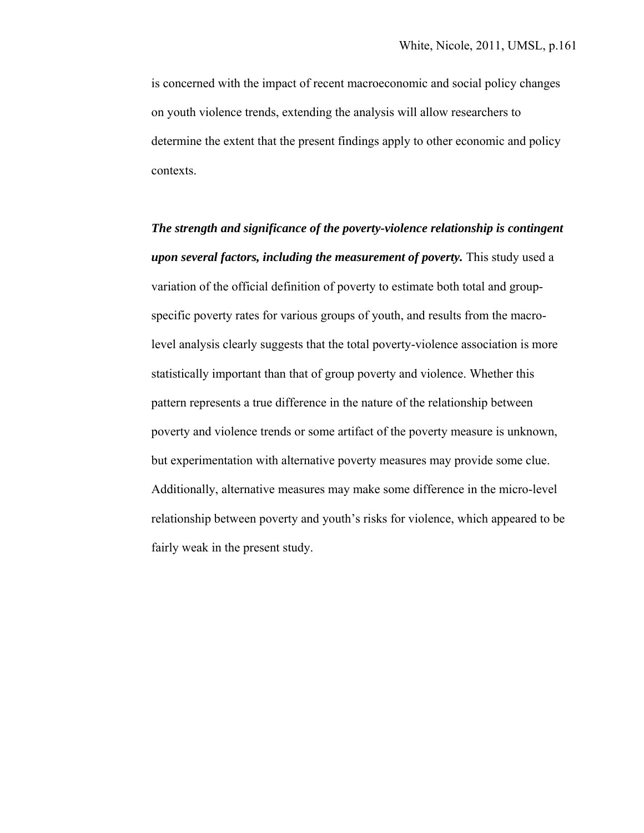is concerned with the impact of recent macroeconomic and social policy changes on youth violence trends, extending the analysis will allow researchers to determine the extent that the present findings apply to other economic and policy contexts.

*The strength and significance of the poverty-violence relationship is contingent upon several factors, including the measurement of poverty.* This study used a variation of the official definition of poverty to estimate both total and group specific poverty rates for various groups of youth, and results from the macro level analysis clearly suggests that the total poverty-violence association is more statistically important than that of group poverty and violence. Whether this pattern represents a true difference in the nature of the relationship between poverty and violence trends or some artifact of the poverty measure is unknown, but experimentation with alternative poverty measures may provide some clue. Additionally, alternative measures may make some difference in the micro-level relationship between poverty and youth's risks for violence, which appeared to be fairly weak in the present study.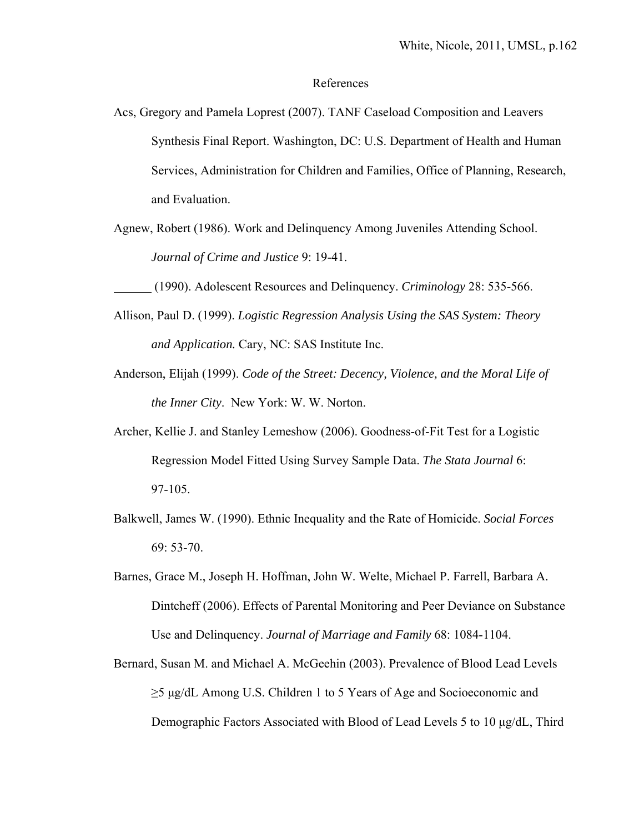### References

- Acs, Gregory and Pamela Loprest (2007). TANF Caseload Composition and Leavers Synthesis Final Report. Washington, DC: U.S. Department of Health and Human Services, Administration for Children and Families, Office of Planning, Research, and Evaluation.
- Agnew, Robert (1986). Work and Delinquency Among Juveniles Attending School.  *Journal of Crime and Justice* 9: 19-41.
	- (1990). Adolescent Resources and Delinquency. *Criminology* 28: 535-566.
- Allison, Paul D. (1999). *Logistic Regression Analysis Using the SAS System: Theory and Application.* Cary, NC: SAS Institute Inc.
- Anderson, Elijah (1999). *Code of the Street: Decency, Violence, and the Moral Life of the Inner City*. New York: W. W. Norton.
- Archer, Kellie J. and Stanley Lemeshow (2006). Goodness-of-Fit Test for a Logistic Regression Model Fitted Using Survey Sample Data. *The Stata Journal* 6: 97-105.
- Balkwell, James W. (1990). Ethnic Inequality and the Rate of Homicide. *Social Forces* 69: 53-70.
- Barnes, Grace M., Joseph H. Hoffman, John W. Welte, Michael P. Farrell, Barbara A. Dintcheff (2006). Effects of Parental Monitoring and Peer Deviance on Substance Use and Delinquency. *Journal of Marriage and Family* 68: 1084-1104.
- Bernard, Susan M. and Michael A. McGeehin (2003). Prevalence of Blood Lead Levels ≥5 μg/dL Among U.S. Children 1 to 5 Years of Age and Socioeconomic and Demographic Factors Associated with Blood of Lead Levels 5 to 10 μg/dL, Third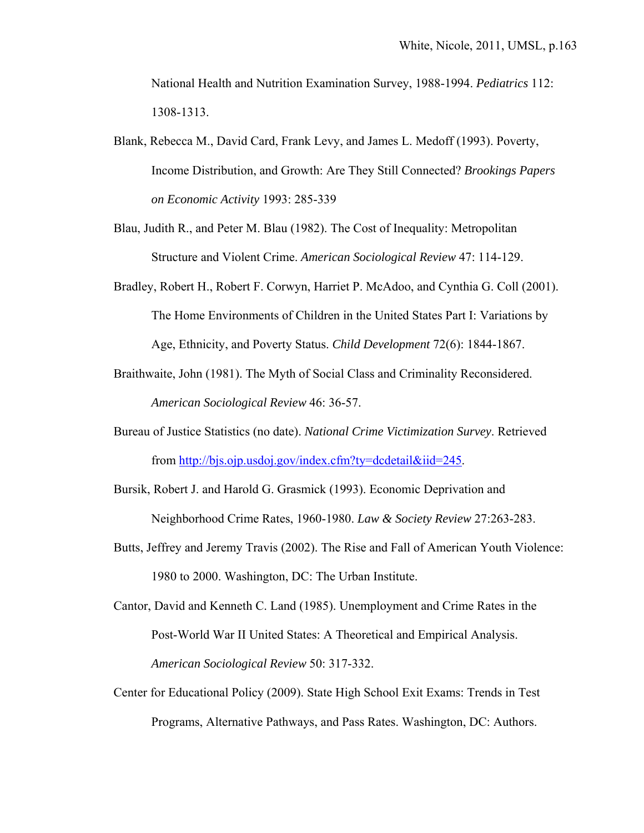National Health and Nutrition Examination Survey, 1988-1994. *Pediatrics* 112: 1308-1313.

- Blank, Rebecca M., David Card, Frank Levy, and James L. Medoff (1993). Poverty, Income Distribution, and Growth: Are They Still Connected? *Brookings Papers on Economic Activity* 1993: 285-339
- Blau, Judith R., and Peter M. Blau (1982). The Cost of Inequality: Metropolitan Structure and Violent Crime. *American Sociological Review* 47: 114-129.
- Bradley, Robert H., Robert F. Corwyn, Harriet P. McAdoo, and Cynthia G. Coll (2001). The Home Environments of Children in the United States Part I: Variations by Age, Ethnicity, and Poverty Status. *Child Development* 72(6): 1844-1867.
- Braithwaite, John (1981). The Myth of Social Class and Criminality Reconsidered.  *American Sociological Review* 46: 36-57.
- Bureau of Justice Statistics (no date). *National Crime Victimization Survey*. Retrieved from http://bjs.ojp.usdoj.gov/index.cfm?ty=dcdetail&iid=245.
- Bursik, Robert J. and Harold G. Grasmick (1993). Economic Deprivation and Neighborhood Crime Rates, 1960-1980. *Law & Society Review* 27:263-283.
- Butts, Jeffrey and Jeremy Travis (2002). The Rise and Fall of American Youth Violence: 1980 to 2000. Washington, DC: The Urban Institute.
- Cantor, David and Kenneth C. Land (1985). Unemployment and Crime Rates in the Post-World War II United States: A Theoretical and Empirical Analysis.  *American Sociological Review* 50: 317-332.
- Center for Educational Policy (2009). State High School Exit Exams: Trends in Test Programs, Alternative Pathways, and Pass Rates. Washington, DC: Authors.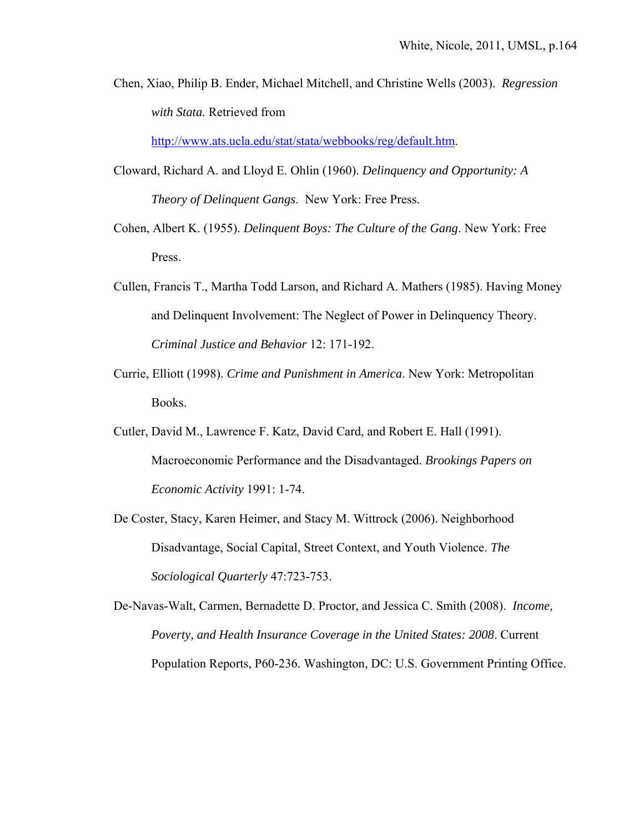Chen, Xiao, Philip B. Ender, Michael Mitchell, and Christine Wells (2003). *Regression with Stata.* Retrieved from

http://www.ats.ucla.edu/stat/stata/webbooks/reg/default.htm.

- Cloward, Richard A. and Lloyd E. Ohlin (1960). *Delinquency and Opportunity: A Theory of Delinquent Gangs*. New York: Free Press.
- Cohen, Albert K. (1955). *Delinquent Boys: The Culture of the Gang*. New York: Free Press.
- Cullen, Francis T., Martha Todd Larson, and Richard A. Mathers (1985). Having Money and Delinquent Involvement: The Neglect of Power in Delinquency Theory.  *Criminal Justice and Behavior* 12: 171-192.
- Currie, Elliott (1998). *Crime and Punishment in America*. New York: Metropolitan Books.
- Cutler, David M., Lawrence F. Katz, David Card, and Robert E. Hall (1991). Macroeconomic Performance and the Disadvantaged. *Brookings Papers on Economic Activity* 1991: 1-74.
- De Coster, Stacy, Karen Heimer, and Stacy M. Wittrock (2006). Neighborhood Disadvantage, Social Capital, Street Context, and Youth Violence. *The Sociological Quarterly* 47:723-753.

De-Navas-Walt, Carmen, Bernadette D. Proctor, and Jessica C. Smith (2008). *Income, Poverty, and Health Insurance Coverage in the United States: 2008*. Current Population Reports, P60-236*.* Washington, DC: U.S. Government Printing Office.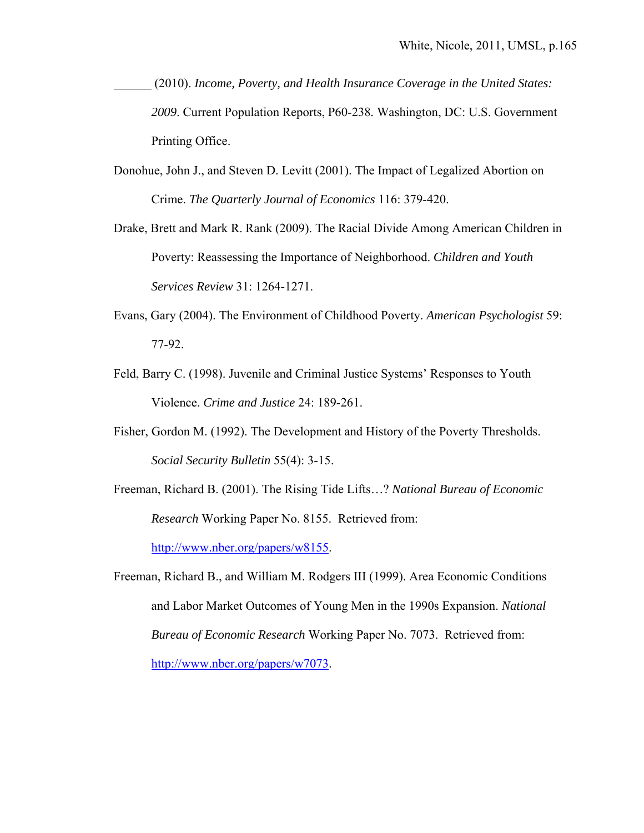- (2010). *Income, Poverty, and Health Insurance Coverage in the United States: 2009*. Current Population Reports, P60-238*.* Washington, DC: U.S. Government Printing Office.
- Donohue, John J., and Steven D. Levitt (2001). The Impact of Legalized Abortion on Crime. *The Quarterly Journal of Economics* 116: 379-420.
- Drake, Brett and Mark R. Rank (2009). The Racial Divide Among American Children in Poverty: Reassessing the Importance of Neighborhood. *Children and Youth Services Review* 31: 1264-1271.
- Evans, Gary (2004). The Environment of Childhood Poverty. *American Psychologist* 59: 77-92.
- Feld, Barry C. (1998). Juvenile and Criminal Justice Systems' Responses to Youth Violence. *Crime and Justice* 24: 189-261.
- Fisher, Gordon M. (1992). The Development and History of the Poverty Thresholds. *Social Security Bulletin* 55(4): 3-15.
- Freeman, Richard B. (2001). The Rising Tide Lifts…? *National Bureau of Economic Research* Working Paper No. 8155. Retrieved from: http://www.nber.org/papers/w8155.

Freeman, Richard B., and William M. Rodgers III (1999). Area Economic Conditions and Labor Market Outcomes of Young Men in the 1990s Expansion. *National Bureau of Economic Research* Working Paper No. 7073. Retrieved from: http://www.nber.org/papers/w7073.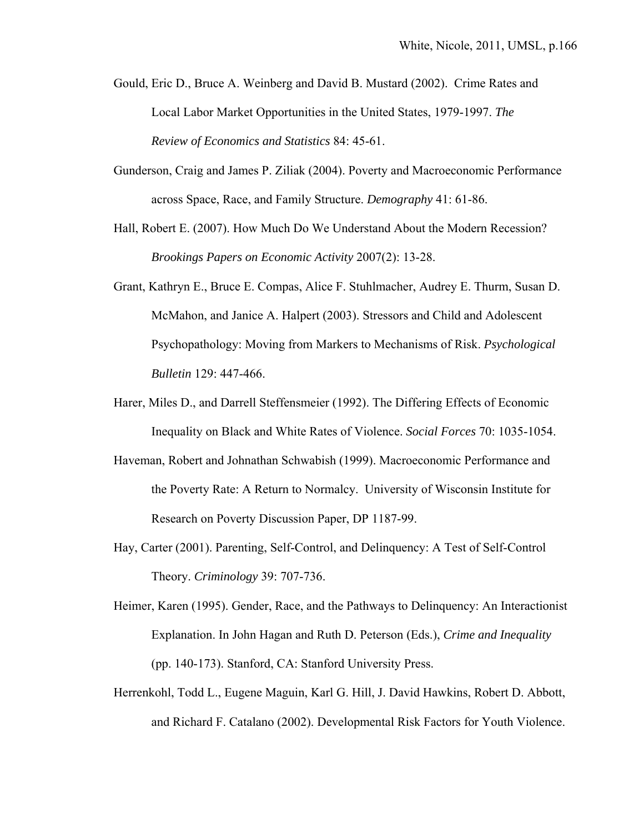- Gould, Eric D., Bruce A. Weinberg and David B. Mustard (2002). Crime Rates and Local Labor Market Opportunities in the United States, 1979-1997. *The Review of Economics and Statistics* 84: 45-61.
- Gunderson, Craig and James P. Ziliak (2004). Poverty and Macroeconomic Performance across Space, Race, and Family Structure. *Demography* 41: 61-86.
- Hall, Robert E. (2007). How Much Do We Understand About the Modern Recession? *Brookings Papers on Economic Activity* 2007(2): 13-28.
- Grant, Kathryn E., Bruce E. Compas, Alice F. Stuhlmacher, Audrey E. Thurm, Susan D. McMahon, and Janice A. Halpert (2003). Stressors and Child and Adolescent Psychopathology: Moving from Markers to Mechanisms of Risk. *Psychological Bulletin* 129: 447-466.
- Harer, Miles D., and Darrell Steffensmeier (1992). The Differing Effects of Economic Inequality on Black and White Rates of Violence. *Social Forces* 70: 1035-1054.
- Haveman, Robert and Johnathan Schwabish (1999). Macroeconomic Performance and the Poverty Rate: A Return to Normalcy. University of Wisconsin Institute for Research on Poverty Discussion Paper, DP 1187-99.
- Hay, Carter (2001). Parenting, Self-Control, and Delinquency: A Test of Self-Control Theory. *Criminology* 39: 707-736.
- Heimer, Karen (1995). Gender, Race, and the Pathways to Delinquency: An Interactionist Explanation. In John Hagan and Ruth D. Peterson (Eds.), *Crime and Inequality* (pp. 140-173). Stanford, CA: Stanford University Press.
- Herrenkohl, Todd L., Eugene Maguin, Karl G. Hill, J. David Hawkins, Robert D. Abbott, and Richard F. Catalano (2002). Developmental Risk Factors for Youth Violence.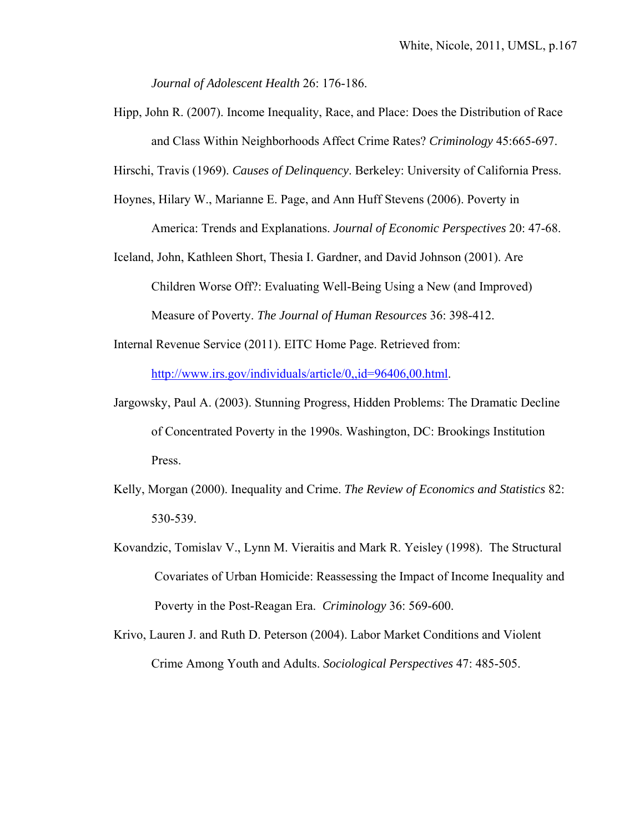*Journal of Adolescent Health* 26: 176-186.

Hipp, John R. (2007). Income Inequality, Race, and Place: Does the Distribution of Race and Class Within Neighborhoods Affect Crime Rates? *Criminology* 45:665-697.

Hirschi, Travis (1969). *Causes of Delinquency*. Berkeley: University of California Press.

Hoynes, Hilary W., Marianne E. Page, and Ann Huff Stevens (2006). Poverty in

America: Trends and Explanations. *Journal of Economic Perspectives* 20: 47-68.

Iceland, John, Kathleen Short, Thesia I. Gardner, and David Johnson (2001). Are Children Worse Off?: Evaluating Well-Being Using a New (and Improved) Measure of Poverty. *The Journal of Human Resources* 36: 398-412.

Internal Revenue Service (2011). EITC Home Page. Retrieved from: http://www.irs.gov/individuals/article/0,,id=96406,00.html.

- Jargowsky, Paul A. (2003). Stunning Progress, Hidden Problems: The Dramatic Decline of Concentrated Poverty in the 1990s. Washington, DC: Brookings Institution Press.
- Kelly, Morgan (2000). Inequality and Crime. *The Review of Economics and Statistics* 82: 530-539.
- Kovandzic, Tomislav V., Lynn M. Vieraitis and Mark R. Yeisley (1998). The Structural Covariates of Urban Homicide: Reassessing the Impact of Income Inequality and Poverty in the Post-Reagan Era. *Criminology* 36: 569-600.
- Krivo, Lauren J. and Ruth D. Peterson (2004). Labor Market Conditions and Violent Crime Among Youth and Adults. *Sociological Perspectives* 47: 485-505.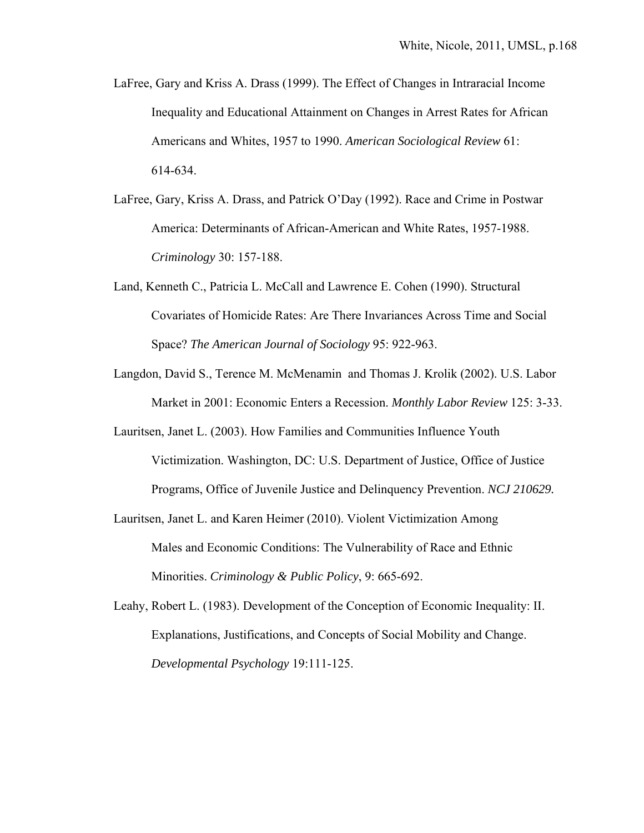- LaFree, Gary and Kriss A. Drass (1999). The Effect of Changes in Intraracial Income Inequality and Educational Attainment on Changes in Arrest Rates for African Americans and Whites, 1957 to 1990. *American Sociological Review* 61: 614-634.
- LaFree, Gary, Kriss A. Drass, and Patrick O'Day (1992). Race and Crime in Postwar America: Determinants of African-American and White Rates, 1957-1988. *Criminology* 30: 157-188.
- Land, Kenneth C., Patricia L. McCall and Lawrence E. Cohen (1990). Structural Covariates of Homicide Rates: Are There Invariances Across Time and Social Space? *The American Journal of Sociology* 95: 922-963.
- Langdon, David S., Terence M. McMenamin and Thomas J. Krolik (2002). U.S. Labor Market in 2001: Economic Enters a Recession. *Monthly Labor Review* 125: 3-33.
- Lauritsen, Janet L. (2003). How Families and Communities Influence Youth Victimization. Washington, DC: U.S. Department of Justice, Office of Justice Programs, Office of Juvenile Justice and Delinquency Prevention. *NCJ 210629.*
- Lauritsen, Janet L. and Karen Heimer (2010). Violent Victimization Among Males and Economic Conditions: The Vulnerability of Race and Ethnic Minorities. *Criminology & Public Policy*, 9: 665-692.
- Leahy, Robert L. (1983). Development of the Conception of Economic Inequality: II. Explanations, Justifications, and Concepts of Social Mobility and Change. *Developmental Psychology* 19:111-125.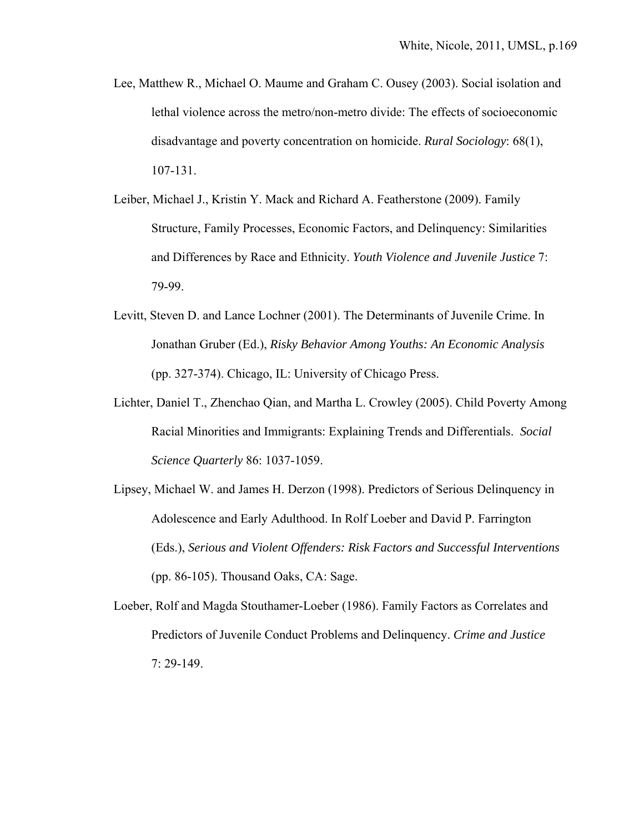- Lee, Matthew R., Michael O. Maume and Graham C. Ousey (2003). Social isolation and lethal violence across the metro/non-metro divide: The effects of socioeconomic disadvantage and poverty concentration on homicide. *Rural Sociology*: 68(1), 107-131.
- Leiber, Michael J., Kristin Y. Mack and Richard A. Featherstone (2009). Family Structure, Family Processes, Economic Factors, and Delinquency: Similarities and Differences by Race and Ethnicity. *Youth Violence and Juvenile Justice* 7: 79-99.
- Levitt, Steven D. and Lance Lochner (2001). The Determinants of Juvenile Crime. In Jonathan Gruber (Ed.), *Risky Behavior Among Youths: An Economic Analysis* (pp. 327-374). Chicago, IL: University of Chicago Press.
- Lichter, Daniel T., Zhenchao Qian, and Martha L. Crowley (2005). Child Poverty Among Racial Minorities and Immigrants: Explaining Trends and Differentials. *Social Science Quarterly* 86: 1037-1059.
- Lipsey, Michael W. and James H. Derzon (1998). Predictors of Serious Delinquency in Adolescence and Early Adulthood. In Rolf Loeber and David P. Farrington (Eds.), *Serious and Violent Offenders: Risk Factors and Successful Interventions*  (pp. 86-105). Thousand Oaks, CA: Sage.
- Loeber, Rolf and Magda Stouthamer-Loeber (1986). Family Factors as Correlates and Predictors of Juvenile Conduct Problems and Delinquency. *Crime and Justice* 7: 29-149.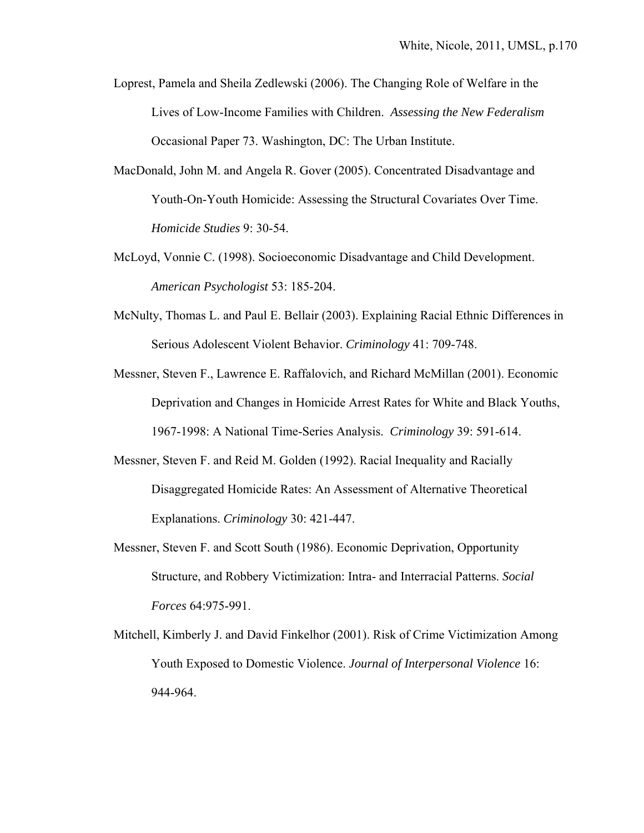- Loprest, Pamela and Sheila Zedlewski (2006). The Changing Role of Welfare in the Lives of Low-Income Families with Children. *Assessing the New Federalism* Occasional Paper 73. Washington, DC: The Urban Institute.
- MacDonald, John M. and Angela R. Gover (2005). Concentrated Disadvantage and Youth-On-Youth Homicide: Assessing the Structural Covariates Over Time.  *Homicide Studies* 9: 30-54.
- McLoyd, Vonnie C. (1998). Socioeconomic Disadvantage and Child Development.  *American Psychologist* 53: 185-204.
- McNulty, Thomas L. and Paul E. Bellair (2003). Explaining Racial Ethnic Differences in Serious Adolescent Violent Behavior. *Criminology* 41: 709-748.
- Messner, Steven F., Lawrence E. Raffalovich, and Richard McMillan (2001). Economic Deprivation and Changes in Homicide Arrest Rates for White and Black Youths, 1967-1998: A National Time-Series Analysis. *Criminology* 39: 591-614.
- Messner, Steven F. and Reid M. Golden (1992). Racial Inequality and Racially Disaggregated Homicide Rates: An Assessment of Alternative Theoretical Explanations. *Criminology* 30: 421-447.
- Messner, Steven F. and Scott South (1986). Economic Deprivation, Opportunity Structure, and Robbery Victimization: Intra- and Interracial Patterns. *Social Forces* 64:975-991.
- Mitchell, Kimberly J. and David Finkelhor (2001). Risk of Crime Victimization Among Youth Exposed to Domestic Violence. *Journal of Interpersonal Violence* 16: 944-964.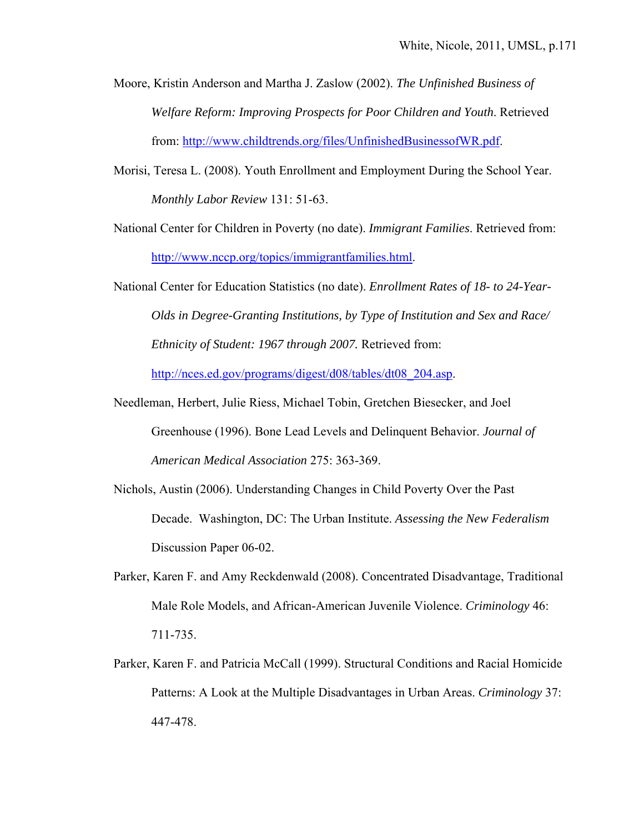- Moore, Kristin Anderson and Martha J. Zaslow (2002). *The Unfinished Business of Welfare Reform: Improving Prospects for Poor Children and Youth*. Retrieved from: http://www.childtrends.org/files/UnfinishedBusinessofWR.pdf.
- Morisi, Teresa L. (2008). Youth Enrollment and Employment During the School Year. *Monthly Labor Review* 131: 51-63.
- National Center for Children in Poverty (no date). *Immigrant Families*. Retrieved from: http://www.nccp.org/topics/immigrantfamilies.html.
- National Center for Education Statistics (no date). *Enrollment Rates of 18- to 24-Year- Olds in Degree-Granting Institutions, by Type of Institution and Sex and Race/ Ethnicity of Student: 1967 through 2007.* Retrieved from:

http://nces.ed.gov/programs/digest/d08/tables/dt08 204.asp.

- Needleman, Herbert, Julie Riess, Michael Tobin, Gretchen Biesecker, and Joel Greenhouse (1996). Bone Lead Levels and Delinquent Behavior. *Journal of American Medical Association* 275: 363-369.
- Nichols, Austin (2006). Understanding Changes in Child Poverty Over the Past Decade. Washington, DC: The Urban Institute. *Assessing the New Federalism* Discussion Paper 06-02.
- Parker, Karen F. and Amy Reckdenwald (2008). Concentrated Disadvantage, Traditional Male Role Models, and African-American Juvenile Violence. *Criminology* 46: 711-735.
- Parker, Karen F. and Patricia McCall (1999). Structural Conditions and Racial Homicide Patterns: A Look at the Multiple Disadvantages in Urban Areas. *Criminology* 37: 447-478.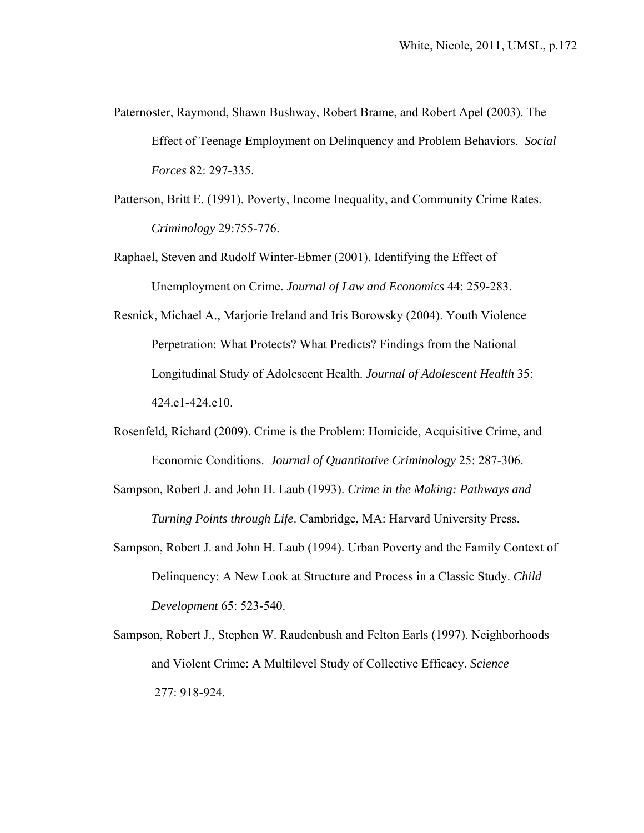- Paternoster, Raymond, Shawn Bushway, Robert Brame, and Robert Apel (2003). The Effect of Teenage Employment on Delinquency and Problem Behaviors. *Social Forces* 82: 297-335.
- Patterson, Britt E. (1991). Poverty, Income Inequality, and Community Crime Rates.  *Criminology* 29:755-776.
- Raphael, Steven and Rudolf Winter-Ebmer (2001). Identifying the Effect of Unemployment on Crime. *Journal of Law and Economics* 44: 259-283.
- Resnick, Michael A., Marjorie Ireland and Iris Borowsky (2004). Youth Violence Perpetration: What Protects? What Predicts? Findings from the National Longitudinal Study of Adolescent Health. *Journal of Adolescent Health* 35: 424.e1-424.e10.
- Rosenfeld, Richard (2009). Crime is the Problem: Homicide, Acquisitive Crime, and Economic Conditions. *Journal of Quantitative Criminology* 25: 287-306.
- Sampson, Robert J. and John H. Laub (1993). *Crime in the Making: Pathways and Turning Points through Life*. Cambridge, MA: Harvard University Press.
- Sampson, Robert J. and John H. Laub (1994). Urban Poverty and the Family Context of Delinquency: A New Look at Structure and Process in a Classic Study. *Child Development* 65: 523-540.
- Sampson, Robert J., Stephen W. Raudenbush and Felton Earls (1997). Neighborhoods and Violent Crime: A Multilevel Study of Collective Efficacy. *Science*  277: 918-924.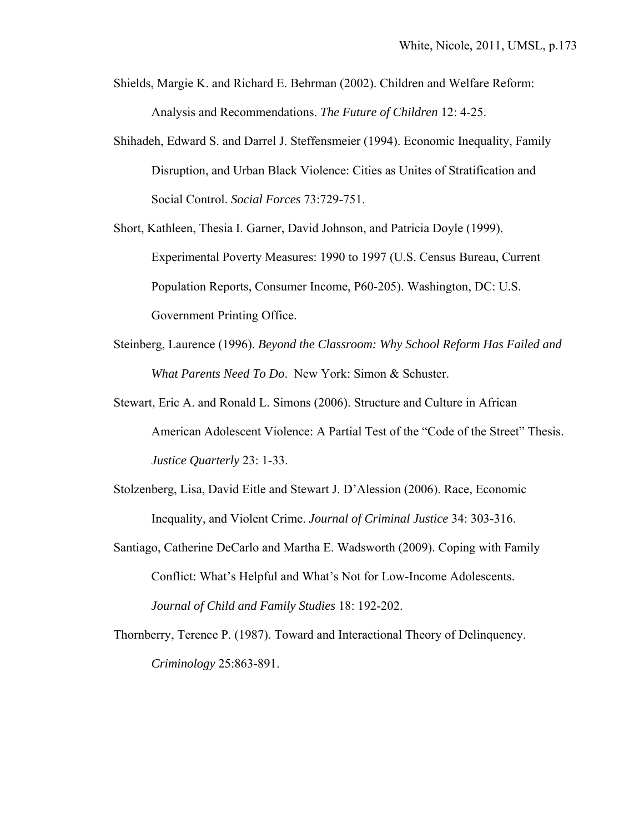- Shields, Margie K. and Richard E. Behrman (2002). Children and Welfare Reform: Analysis and Recommendations. *The Future of Children* 12: 4-25.
- Shihadeh, Edward S. and Darrel J. Steffensmeier (1994). Economic Inequality, Family Disruption, and Urban Black Violence: Cities as Unites of Stratification and Social Control. *Social Forces* 73:729-751.
- Short, Kathleen, Thesia I. Garner, David Johnson, and Patricia Doyle (1999). Experimental Poverty Measures: 1990 to 1997 (U.S. Census Bureau, Current Population Reports, Consumer Income, P60-205). Washington, DC: U.S. Government Printing Office.
- Steinberg, Laurence (1996). *Beyond the Classroom: Why School Reform Has Failed and What Parents Need To Do*. New York: Simon & Schuster.
- Stewart, Eric A. and Ronald L. Simons (2006). Structure and Culture in African American Adolescent Violence: A Partial Test of the "Code of the Street" Thesis. *Justice Quarterly* 23: 1-33.
- Stolzenberg, Lisa, David Eitle and Stewart J. D'Alession (2006). Race, Economic Inequality, and Violent Crime. *Journal of Criminal Justice* 34: 303-316.
- Santiago, Catherine DeCarlo and Martha E. Wadsworth (2009). Coping with Family Conflict: What's Helpful and What's Not for Low-Income Adolescents. *Journal of Child and Family Studies* 18: 192-202.
- Thornberry, Terence P. (1987). Toward and Interactional Theory of Delinquency.  *Criminology* 25:863-891.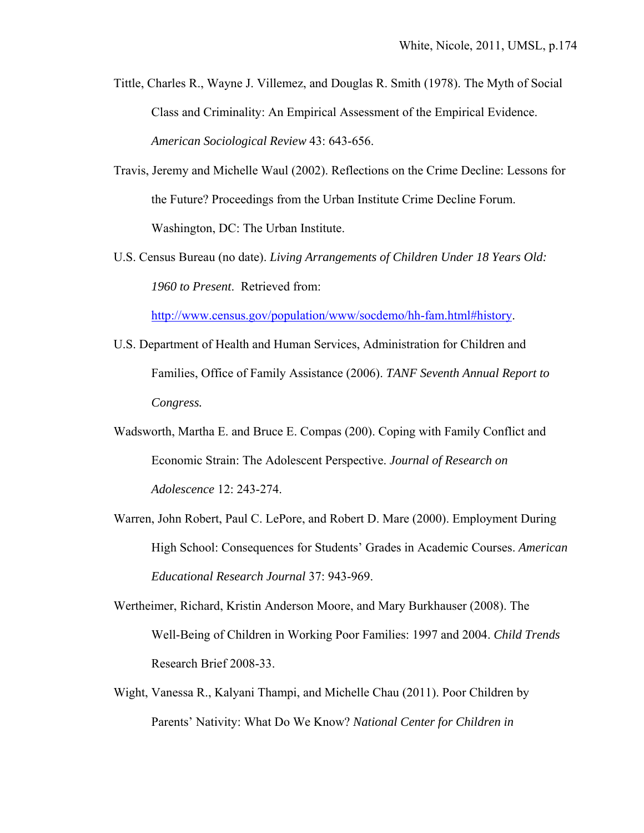- Tittle, Charles R., Wayne J. Villemez, and Douglas R. Smith (1978). The Myth of Social Class and Criminality: An Empirical Assessment of the Empirical Evidence. *American Sociological Review* 43: 643-656.
- Travis, Jeremy and Michelle Waul (2002). Reflections on the Crime Decline: Lessons for the Future? Proceedings from the Urban Institute Crime Decline Forum. Washington, DC: The Urban Institute.
- U.S. Census Bureau (no date). *Living Arrangements of Children Under 18 Years Old: 1960 to Present*. Retrieved from:

http://www.census.gov/population/www/socdemo/hh-fam.html#history.

- U.S. Department of Health and Human Services, Administration for Children and Families, Office of Family Assistance (2006). *TANF Seventh Annual Report to Congress.*
- Wadsworth, Martha E. and Bruce E. Compas (200). Coping with Family Conflict and Economic Strain: The Adolescent Perspective. *Journal of Research on Adolescence* 12: 243-274.
- Warren, John Robert, Paul C. LePore, and Robert D. Mare (2000). Employment During High School: Consequences for Students' Grades in Academic Courses. *American Educational Research Journal* 37: 943-969.
- Wertheimer, Richard, Kristin Anderson Moore, and Mary Burkhauser (2008). The Well-Being of Children in Working Poor Families: 1997 and 2004. *Child Trends* Research Brief 2008-33.
- Wight, Vanessa R., Kalyani Thampi, and Michelle Chau (2011). Poor Children by Parents' Nativity: What Do We Know? *National Center for Children in*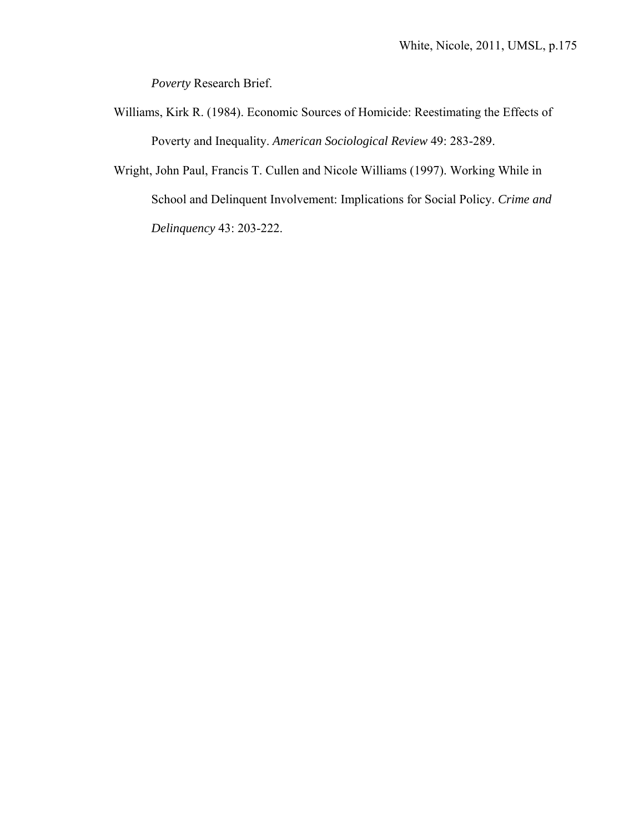*Poverty* Research Brief.

- Williams, Kirk R. (1984). Economic Sources of Homicide: Reestimating the Effects of Poverty and Inequality. *American Sociological Review* 49: 283-289.
- Wright, John Paul, Francis T. Cullen and Nicole Williams (1997). Working While in School and Delinquent Involvement: Implications for Social Policy. *Crime and Delinquency* 43: 203-222.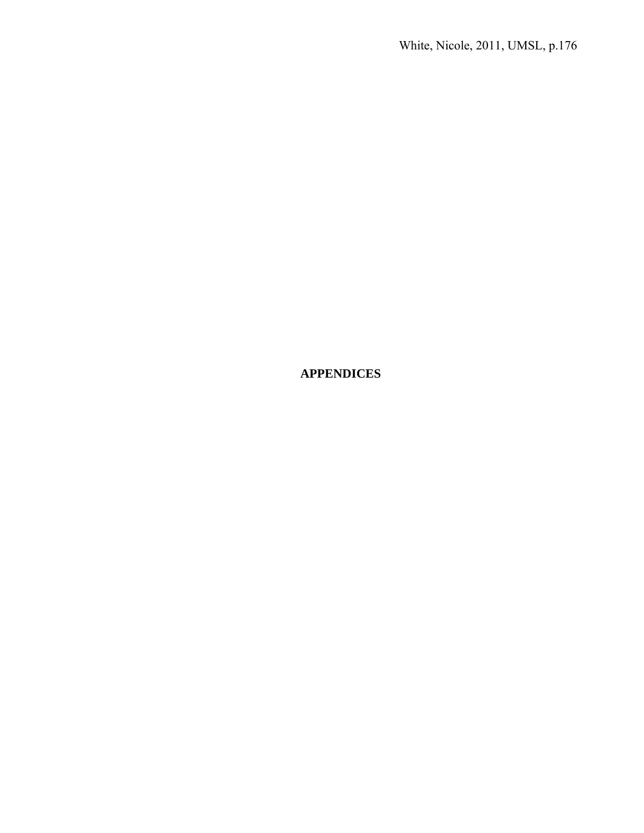**APPENDICES**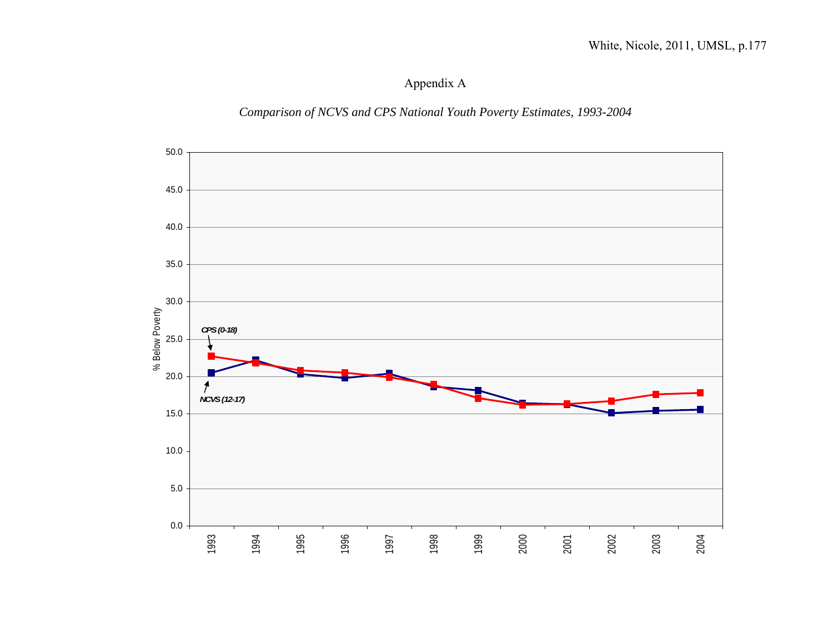Appendix A

*Comparison of NCVS and CPS National Youth Poverty Estimates, 1993-2004* 

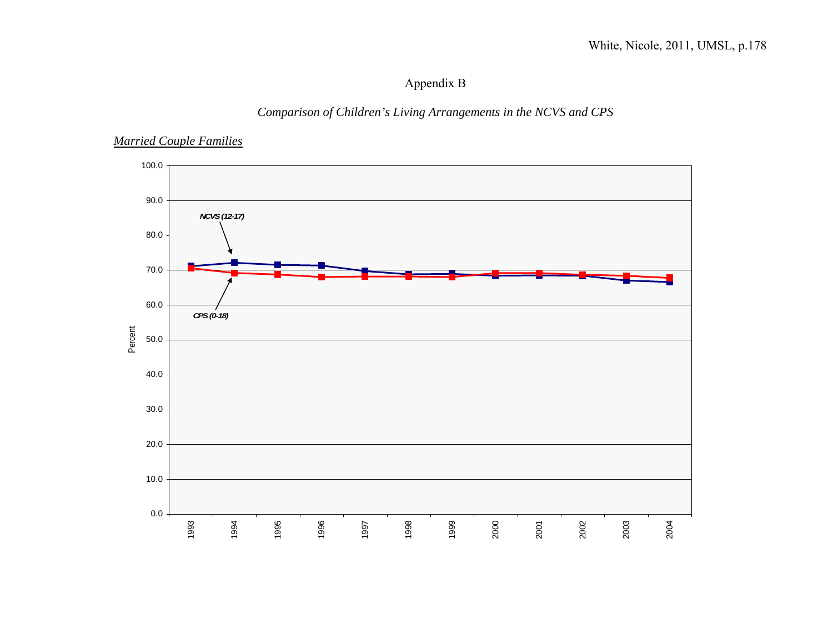# Appendix B

## *Comparison of Children's Living Arrangements in the NCVS and CPS*

### *Married Couple Families*

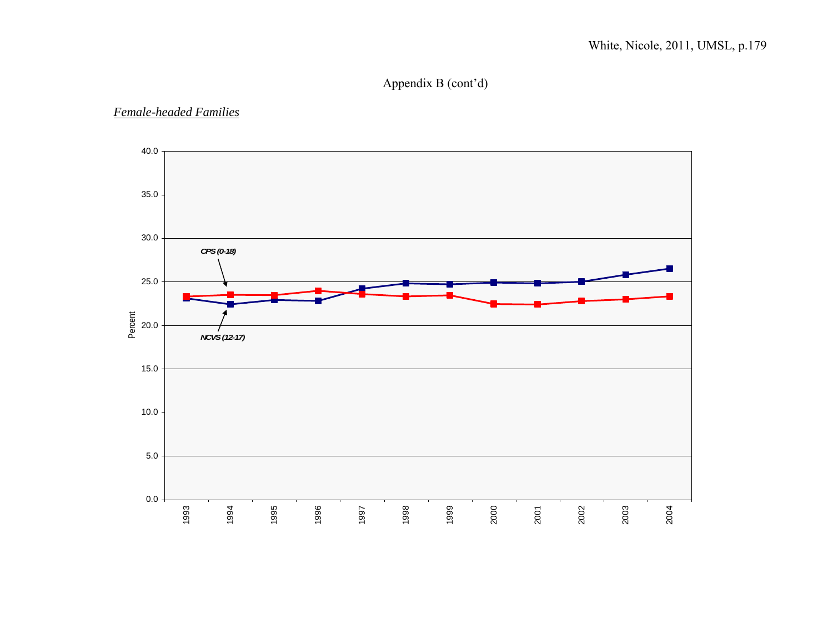# Appendix B (cont'd)

#### *Female-headed Families*

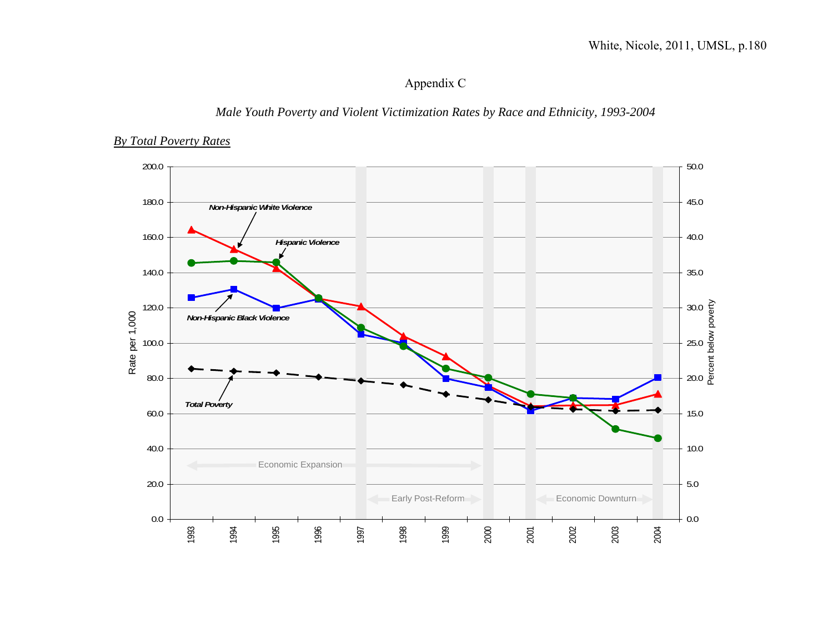# Appendix C

### *Male Youth Poverty and Violent Victimization Rates by Race and Ethnicity, 1993-2004*

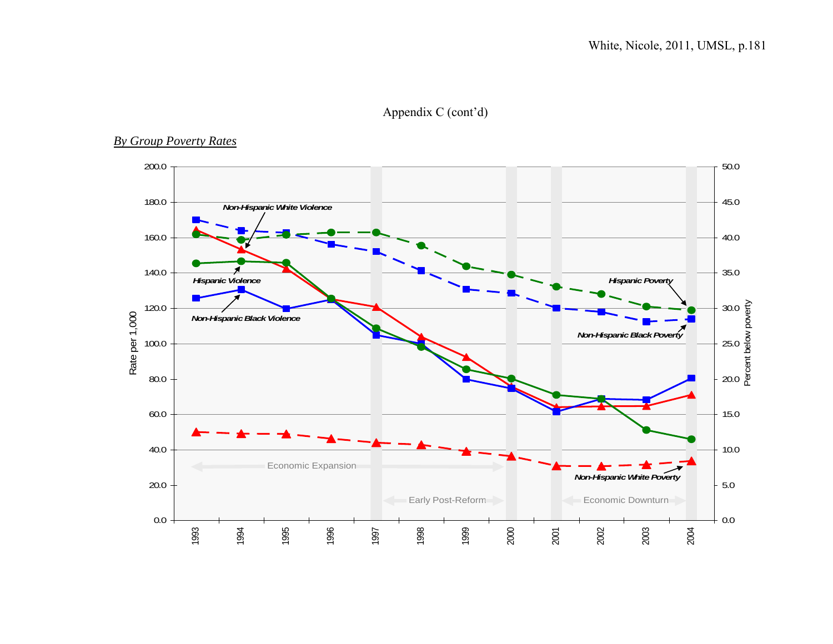# Appendix C (cont'd)

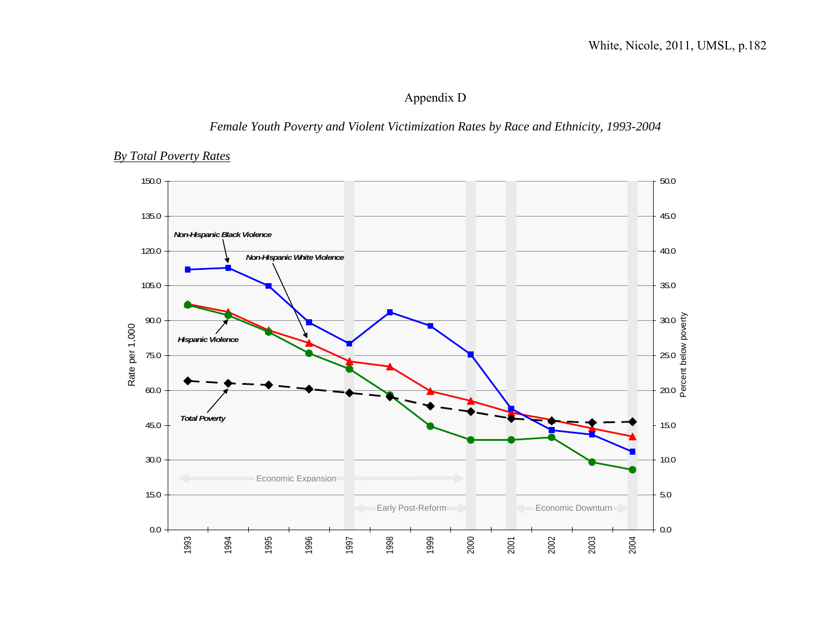# Appendix D

### *Female Youth Poverty and Violent Victimization Rates by Race and Ethnicity, 1993-2004*

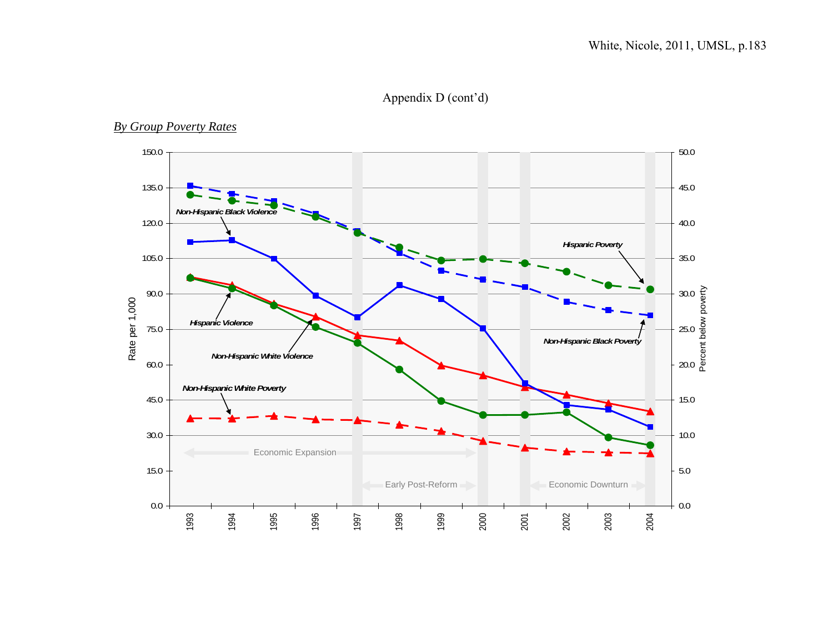Appendix D (cont'd)

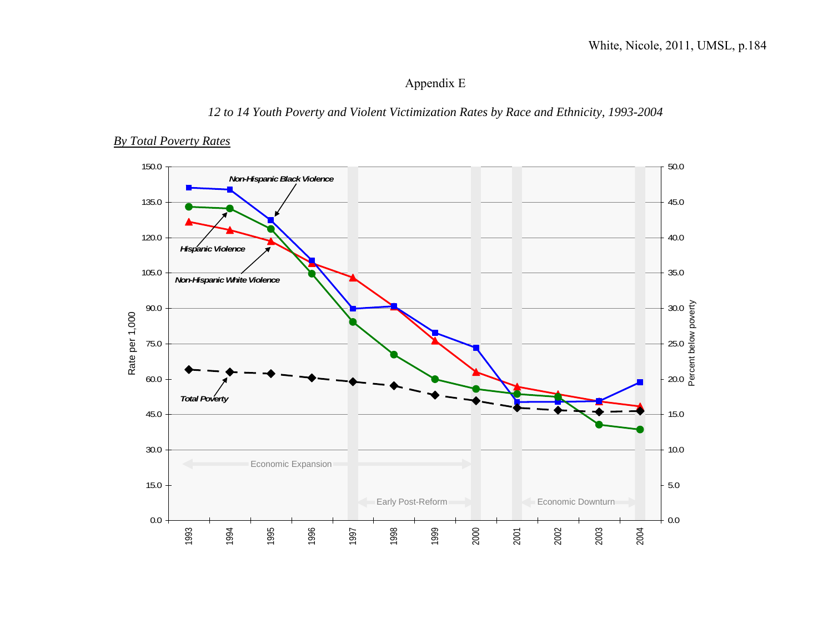# Appendix E

### *12 to 14 Youth Poverty and Violent Victimization Rates by Race and Ethnicity, 1993-2004*

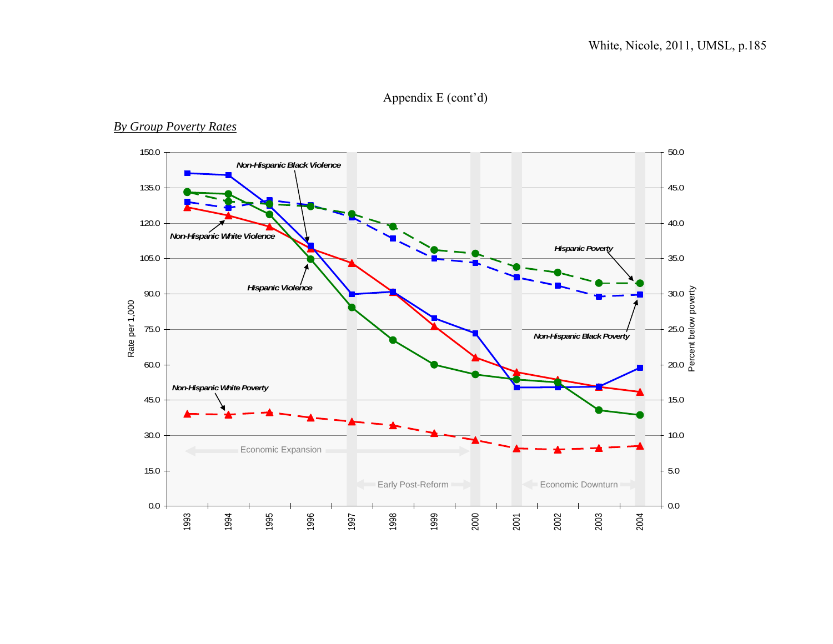# Appendix E (cont'd)

#### 150.0 50.0  *Non-Hispanic Black Violence* 135.0 45.0 120.0 40.0 *Non-Hispanic White Violence Hispanic Poverty* 105.0 35.0  *Hispanic Violence* Percent below poverty 90.0 30.0 Rate per 1,000 Rate per 1,000 75.0 25.0  *Non-Hispanic Black Poverty* 60.0 20.0  *Non-Hispanic White Poverty* 45.0 15.0 30.0 10.0 Economic Expansion 15.0 5.0 Early Post-Reform **Example 2** Economic Downturn 0.0 0.0 1993 1994 1995 1996 1997 1998 1999 2000 2001 2002 2003 2004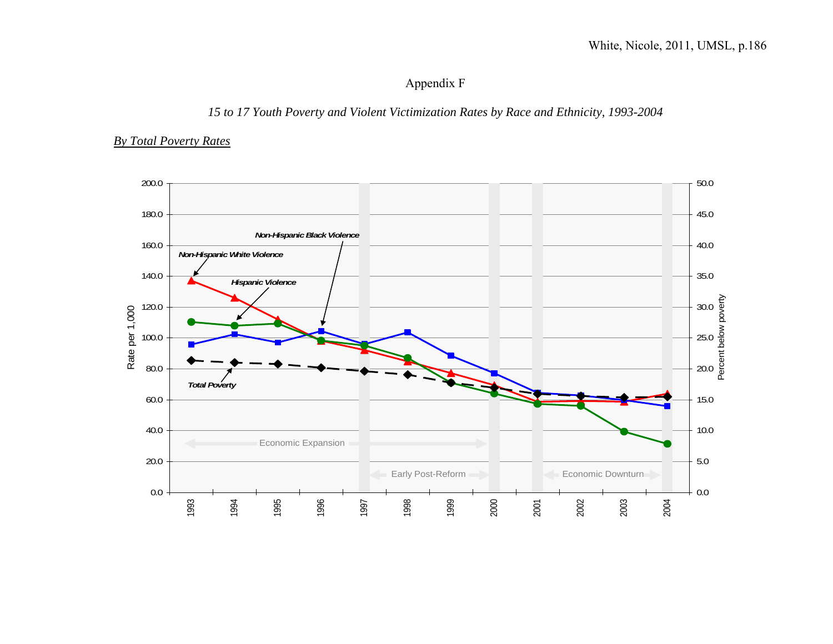# Appendix F

# *15 to 17 Youth Poverty and Violent Victimization Rates by Race and Ethnicity, 1993-2004*

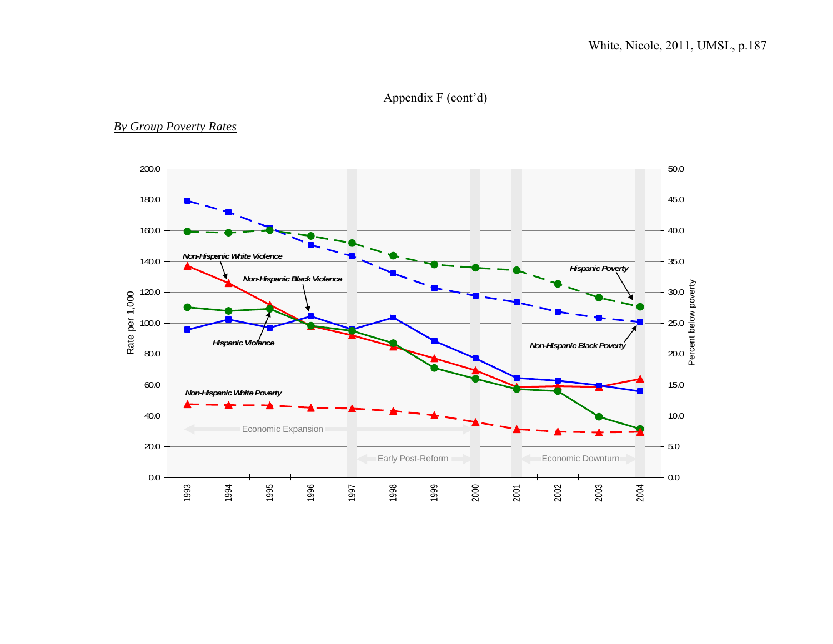# Appendix F (cont'd)

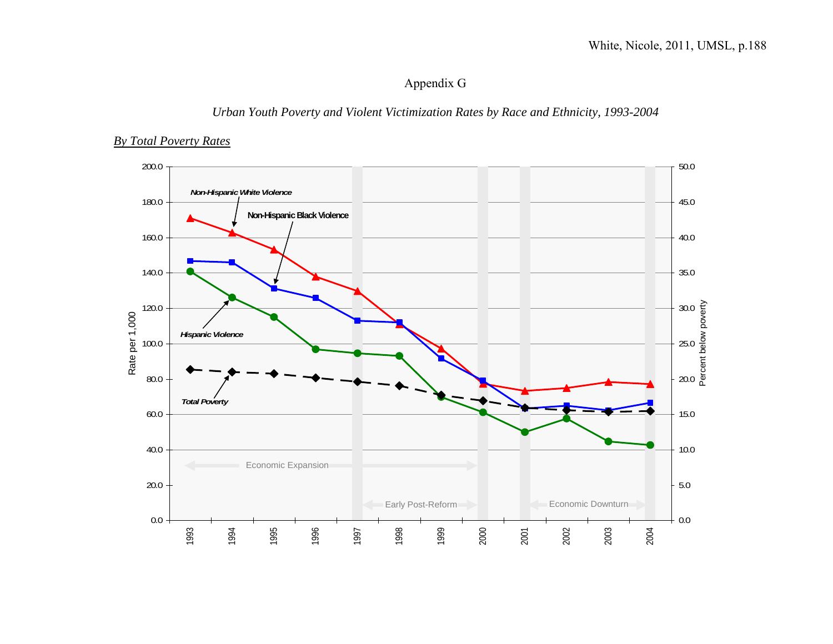# Appendix G

### *Urban Youth Poverty and Violent Victimization Rates by Race and Ethnicity, 1993-2004*

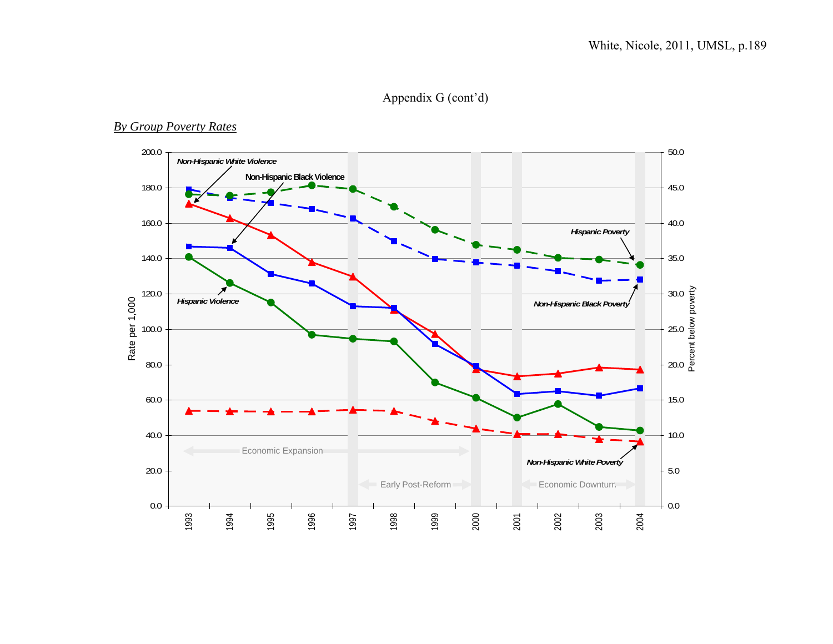# Appendix G (cont'd)

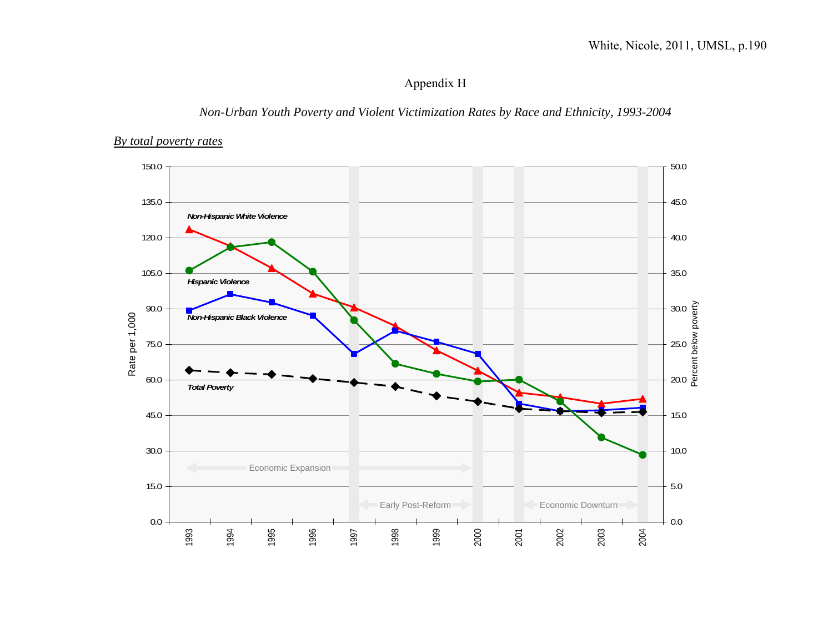# Appendix H

### *Non-Urban Youth Poverty and Violent Victimization Rates by Race and Ethnicity, 1993-2004*

#### *By total poverty rates*

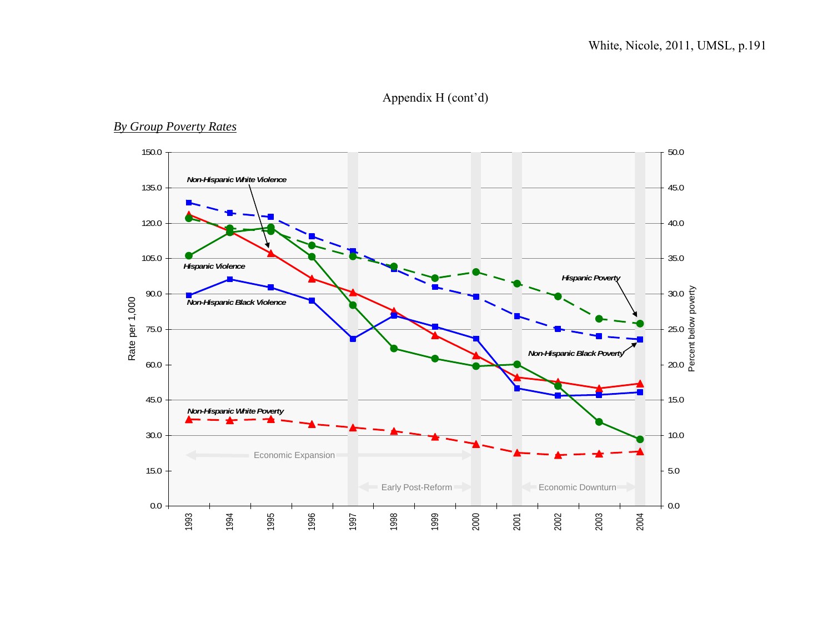# Appendix H (cont'd)

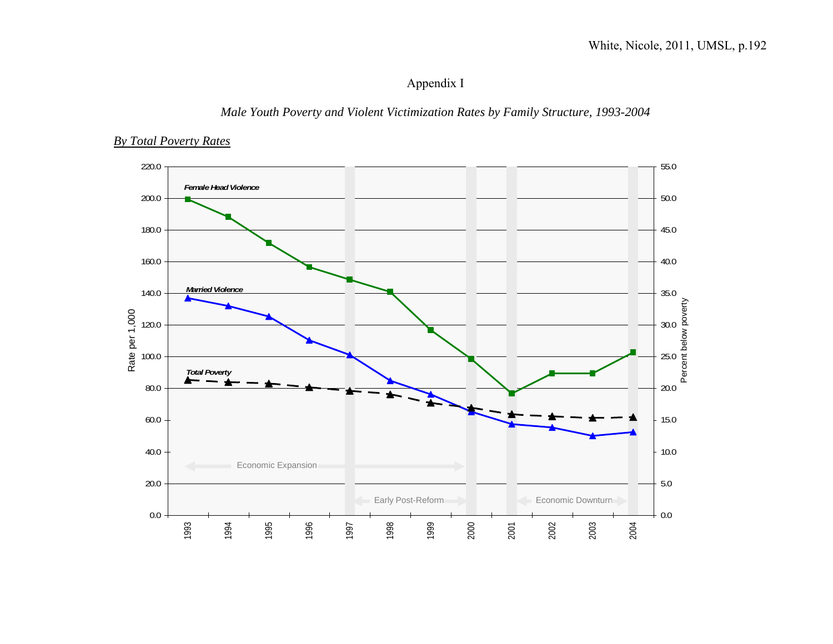# Appendix I

## *Male Youth Poverty and Violent Victimization Rates by Family Structure, 1993-2004*

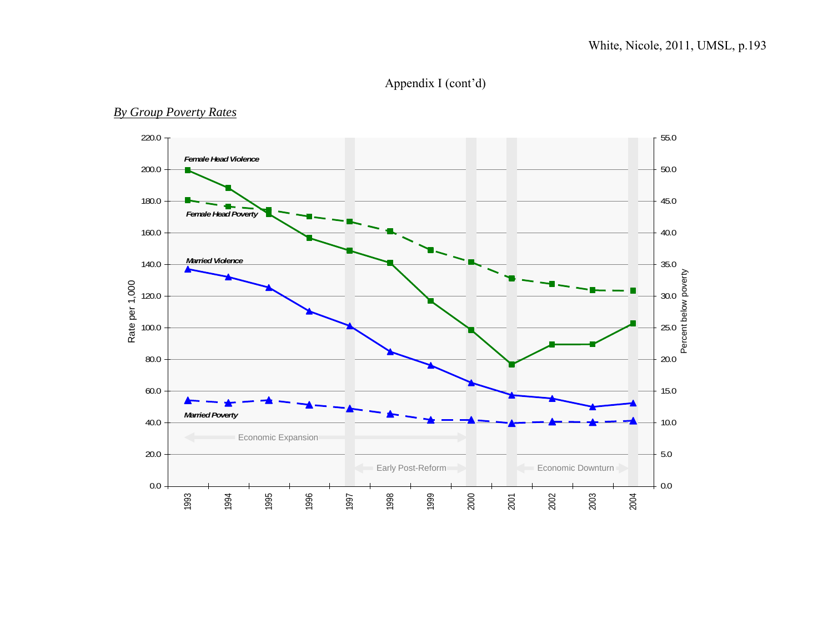# Appendix I (cont'd)

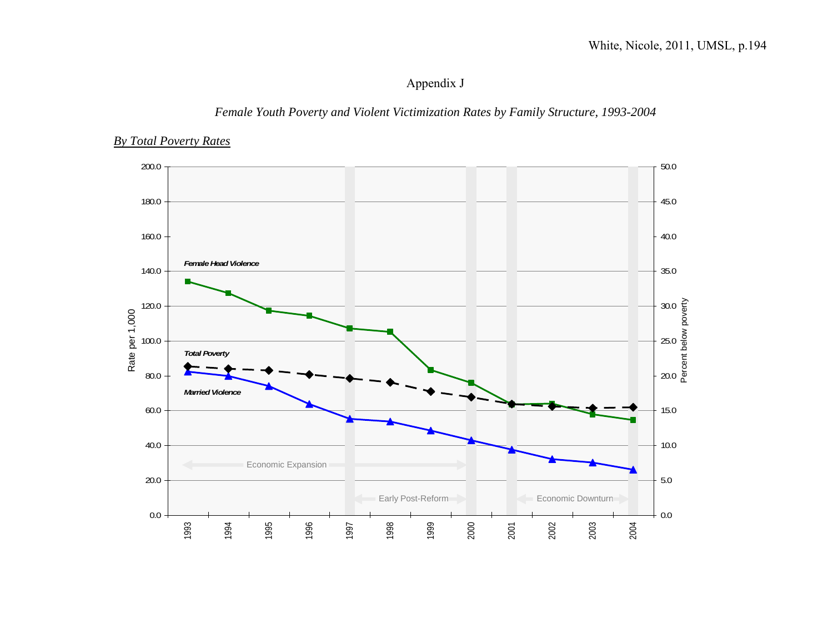# Appendix J

# *Female Youth Poverty and Violent Victimization Rates by Family Structure, 1993-2004*

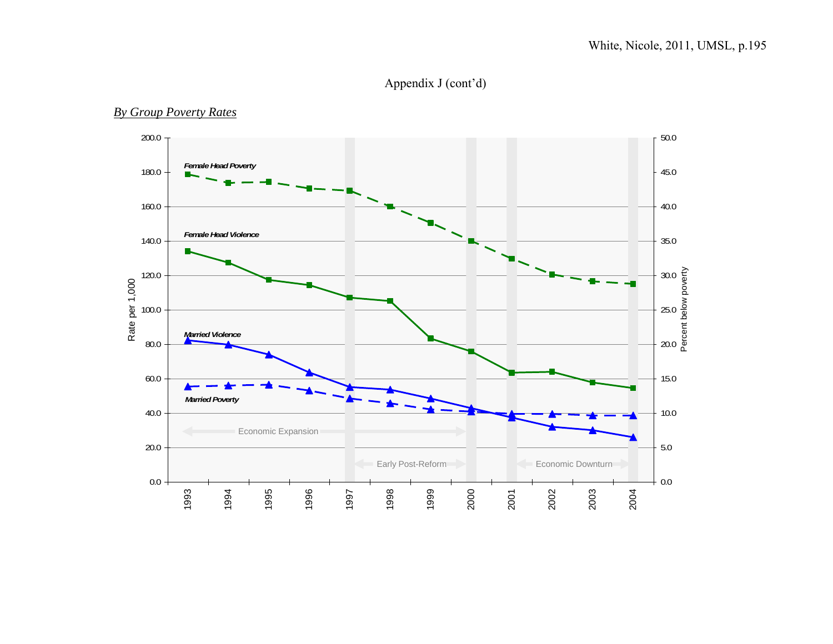# Appendix J (cont'd)

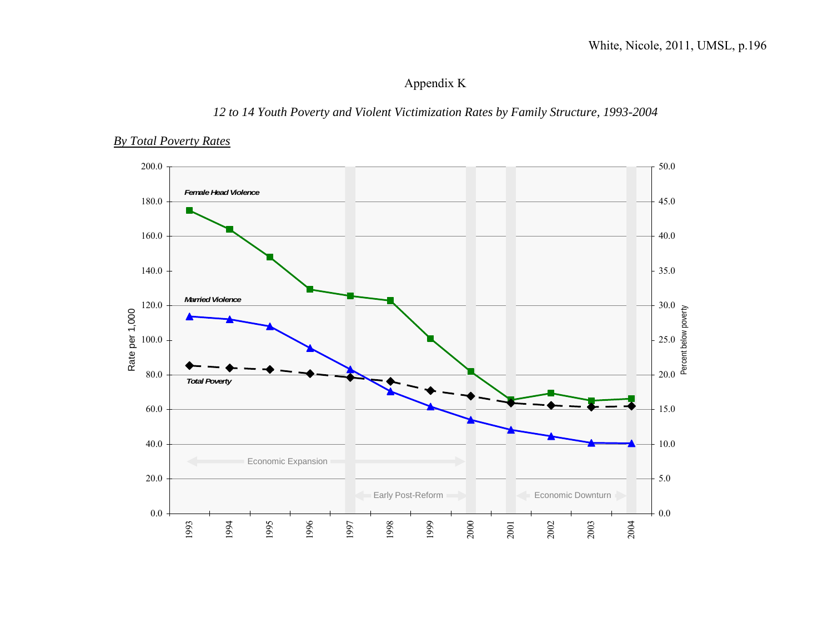# Appendix K

# *12 to 14 Youth Poverty and Violent Victimization Rates by Family Structure, 1993-2004*

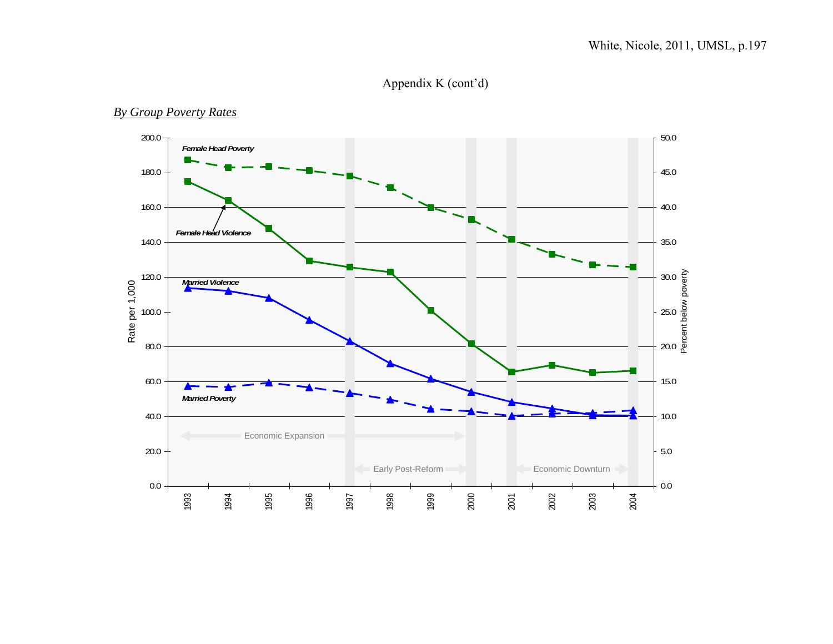# Appendix K (cont'd)

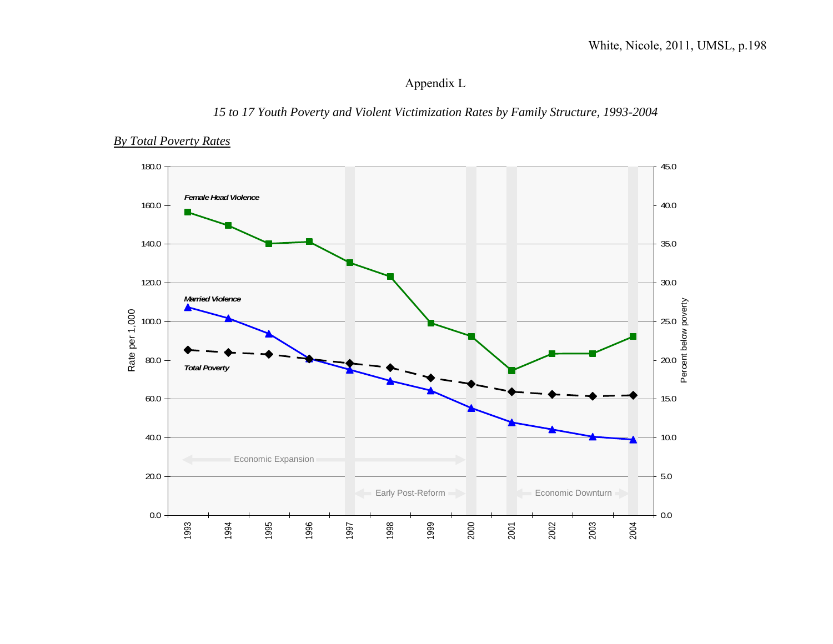# Appendix L

### *15 to 17 Youth Poverty and Violent Victimization Rates by Family Structure, 1993-2004*

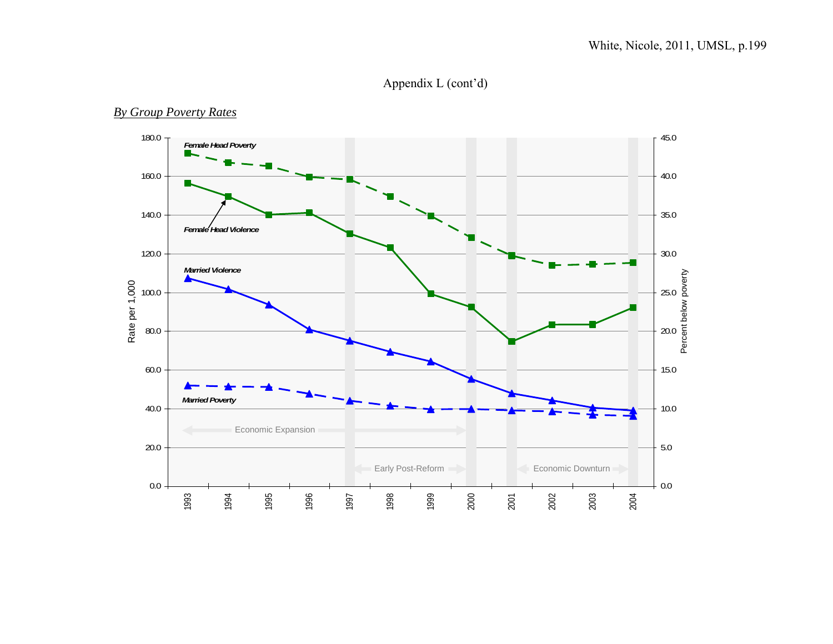# Appendix L (cont'd)

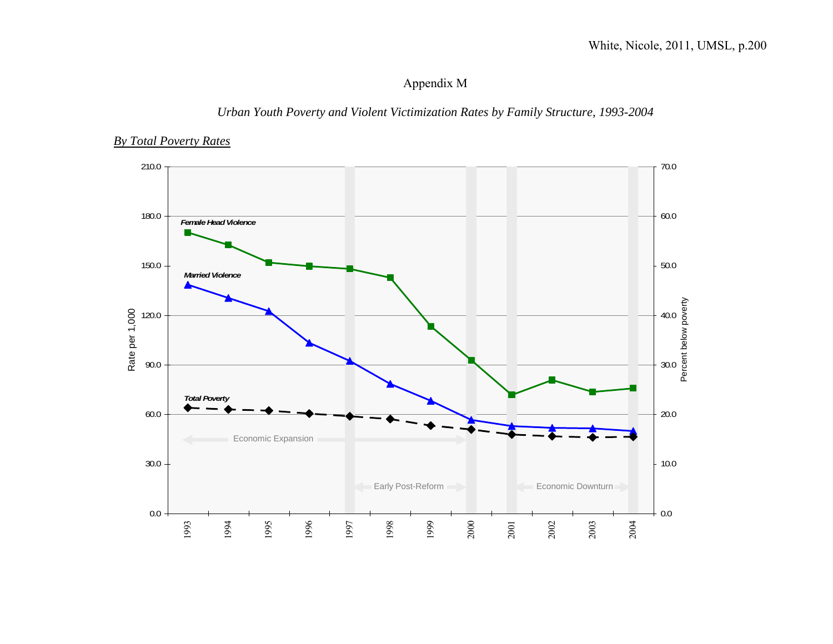# Appendix M

# *Urban Youth Poverty and Violent Victimization Rates by Family Structure, 1993-2004*

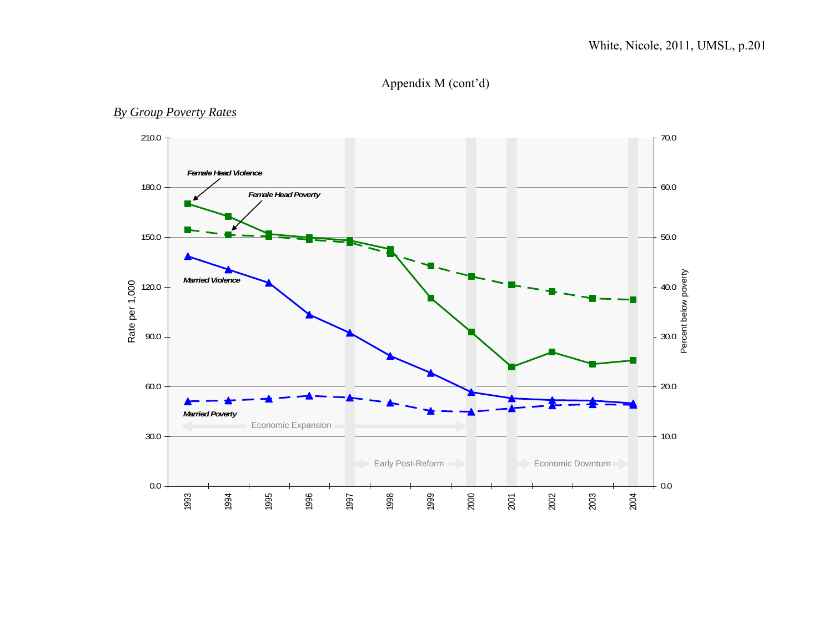# Appendix M (cont'd)

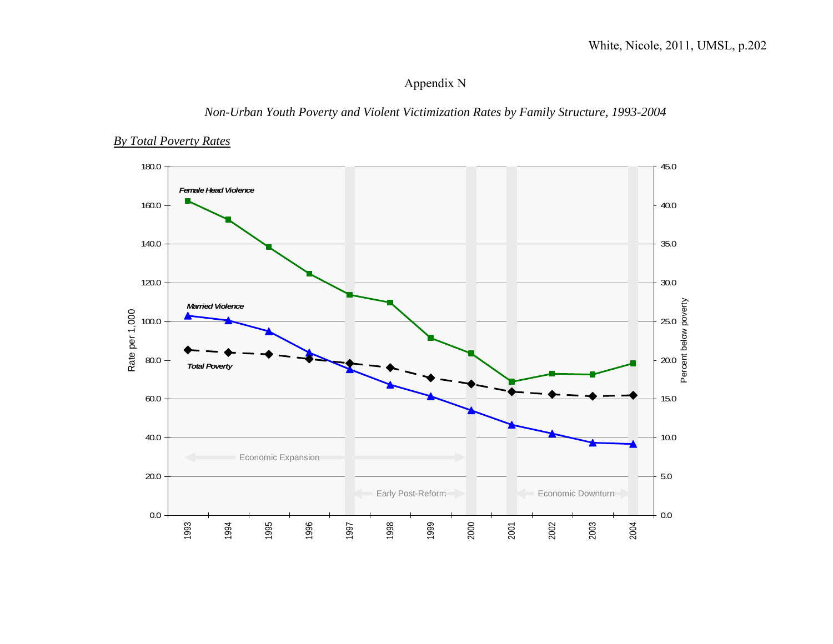# Appendix N

# *Non-Urban Youth Poverty and Violent Victimization Rates by Family Structure, 1993-2004*